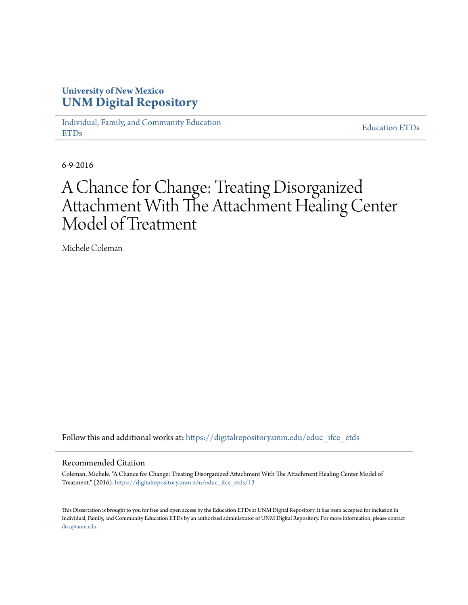# **University of New Mexico [UNM Digital Repository](https://digitalrepository.unm.edu?utm_source=digitalrepository.unm.edu%2Feduc_ifce_etds%2F13&utm_medium=PDF&utm_campaign=PDFCoverPages)**

[Individual, Family, and Community Education](https://digitalrepository.unm.edu/educ_ifce_etds?utm_source=digitalrepository.unm.edu%2Feduc_ifce_etds%2F13&utm_medium=PDF&utm_campaign=PDFCoverPages) [ETDs](https://digitalrepository.unm.edu/educ_ifce_etds?utm_source=digitalrepository.unm.edu%2Feduc_ifce_etds%2F13&utm_medium=PDF&utm_campaign=PDFCoverPages)

[Education ETDs](https://digitalrepository.unm.edu/educ_etds?utm_source=digitalrepository.unm.edu%2Feduc_ifce_etds%2F13&utm_medium=PDF&utm_campaign=PDFCoverPages)

6-9-2016

# A Chance for Change: Treating Disorganized Attachment With The Attachment Healing Center Model of Treatment

Michele Coleman

Follow this and additional works at: [https://digitalrepository.unm.edu/educ\\_ifce\\_etds](https://digitalrepository.unm.edu/educ_ifce_etds?utm_source=digitalrepository.unm.edu%2Feduc_ifce_etds%2F13&utm_medium=PDF&utm_campaign=PDFCoverPages)

#### Recommended Citation

Coleman, Michele. "A Chance for Change: Treating Disorganized Attachment With The Attachment Healing Center Model of Treatment." (2016). [https://digitalrepository.unm.edu/educ\\_ifce\\_etds/13](https://digitalrepository.unm.edu/educ_ifce_etds/13?utm_source=digitalrepository.unm.edu%2Feduc_ifce_etds%2F13&utm_medium=PDF&utm_campaign=PDFCoverPages)

This Dissertation is brought to you for free and open access by the Education ETDs at UNM Digital Repository. It has been accepted for inclusion in Individual, Family, and Community Education ETDs by an authorized administrator of UNM Digital Repository. For more information, please contact [disc@unm.edu](mailto:disc@unm.edu).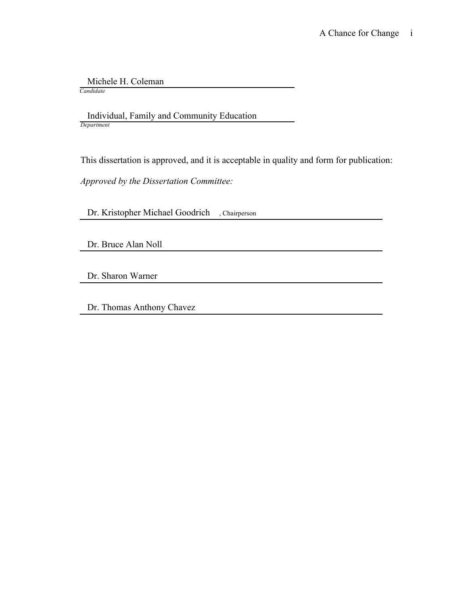Michele H. Coleman

*Candidate*

 Individual, Family and Community Education *Department*

This dissertation is approved, and it is acceptable in quality and form for publication:

*Approved by the Dissertation Committee:*

Dr. Kristopher Michael Goodrich , Chairperson

Dr. Bruce Alan Noll

Dr. Sharon Warner

Dr. Thomas Anthony Chavez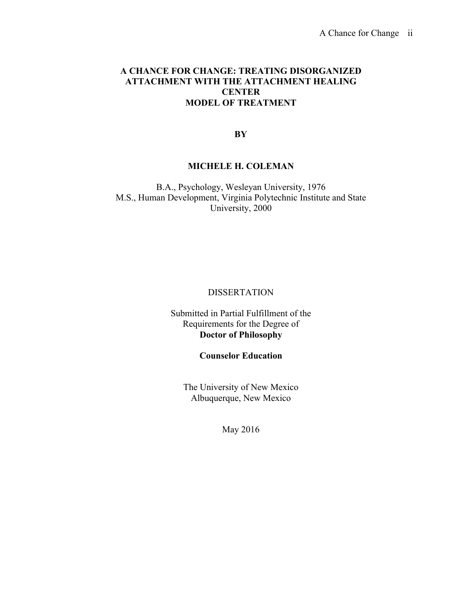# **A CHANCE FOR CHANGE: TREATING DISORGANIZED ATTACHMENT WITH THE ATTACHMENT HEALING CENTER MODEL OF TREATMENT**

**BY**

# **MICHELE H. COLEMAN**

B.A., Psychology, Wesleyan University, 1976 M.S., Human Development, Virginia Polytechnic Institute and State University, 2000

# **DISSERTATION**

# Submitted in Partial Fulfillment of the Requirements for the Degree of **Doctor of Philosophy**

# **Counselor Education**

The University of New Mexico Albuquerque, New Mexico

May 2016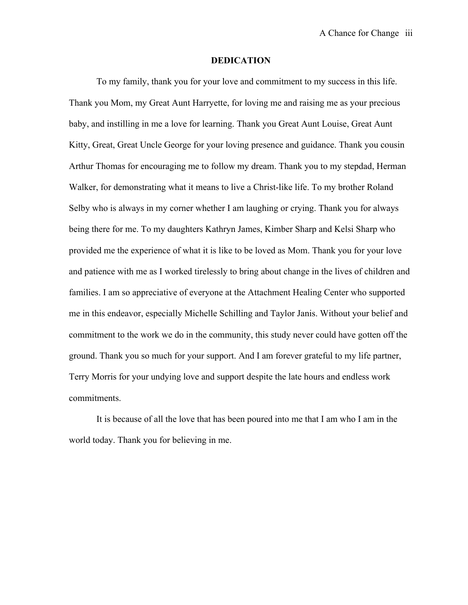#### **DEDICATION**

To my family, thank you for your love and commitment to my success in this life. Thank you Mom, my Great Aunt Harryette, for loving me and raising me as your precious baby, and instilling in me a love for learning. Thank you Great Aunt Louise, Great Aunt Kitty, Great, Great Uncle George for your loving presence and guidance. Thank you cousin Arthur Thomas for encouraging me to follow my dream. Thank you to my stepdad, Herman Walker, for demonstrating what it means to live a Christ-like life. To my brother Roland Selby who is always in my corner whether I am laughing or crying. Thank you for always being there for me. To my daughters Kathryn James, Kimber Sharp and Kelsi Sharp who provided me the experience of what it is like to be loved as Mom. Thank you for your love and patience with me as I worked tirelessly to bring about change in the lives of children and families. I am so appreciative of everyone at the Attachment Healing Center who supported me in this endeavor, especially Michelle Schilling and Taylor Janis. Without your belief and commitment to the work we do in the community, this study never could have gotten off the ground. Thank you so much for your support. And I am forever grateful to my life partner, Terry Morris for your undying love and support despite the late hours and endless work commitments.

It is because of all the love that has been poured into me that I am who I am in the world today. Thank you for believing in me.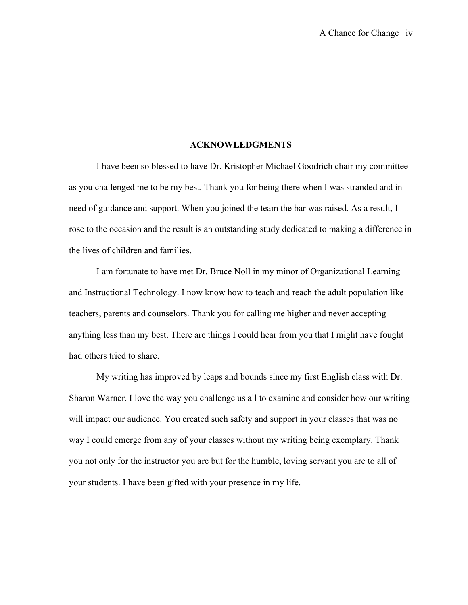### **ACKNOWLEDGMENTS**

I have been so blessed to have Dr. Kristopher Michael Goodrich chair my committee as you challenged me to be my best. Thank you for being there when I was stranded and in need of guidance and support. When you joined the team the bar was raised. As a result, I rose to the occasion and the result is an outstanding study dedicated to making a difference in the lives of children and families.

I am fortunate to have met Dr. Bruce Noll in my minor of Organizational Learning and Instructional Technology. I now know how to teach and reach the adult population like teachers, parents and counselors. Thank you for calling me higher and never accepting anything less than my best. There are things I could hear from you that I might have fought had others tried to share.

My writing has improved by leaps and bounds since my first English class with Dr. Sharon Warner. I love the way you challenge us all to examine and consider how our writing will impact our audience. You created such safety and support in your classes that was no way I could emerge from any of your classes without my writing being exemplary. Thank you not only for the instructor you are but for the humble, loving servant you are to all of your students. I have been gifted with your presence in my life.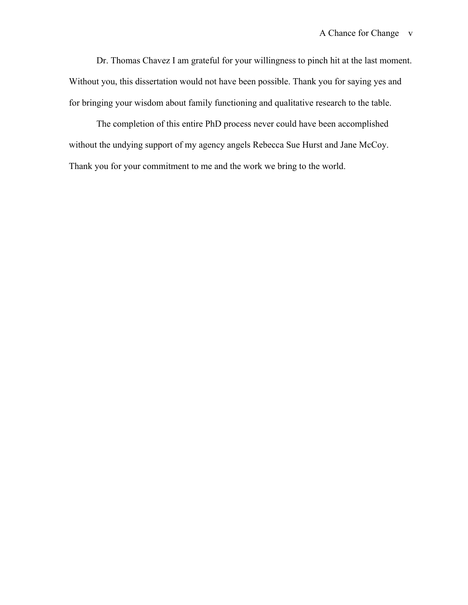Dr. Thomas Chavez I am grateful for your willingness to pinch hit at the last moment. Without you, this dissertation would not have been possible. Thank you for saying yes and for bringing your wisdom about family functioning and qualitative research to the table.

The completion of this entire PhD process never could have been accomplished without the undying support of my agency angels Rebecca Sue Hurst and Jane McCoy. Thank you for your commitment to me and the work we bring to the world.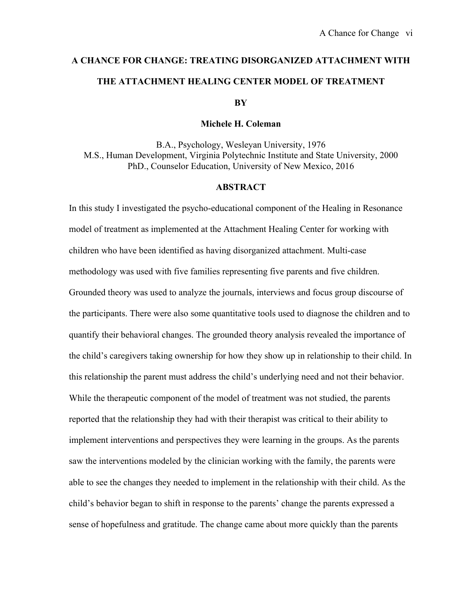# **A CHANCE FOR CHANGE: TREATING DISORGANIZED ATTACHMENT WITH THE ATTACHMENT HEALING CENTER MODEL OF TREATMENT BY**

#### **Michele H. Coleman**

B.A., Psychology, Wesleyan University, 1976 M.S., Human Development, Virginia Polytechnic Institute and State University, 2000 PhD., Counselor Education, University of New Mexico, 2016

# **ABSTRACT**

In this study I investigated the psycho-educational component of the Healing in Resonance model of treatment as implemented at the Attachment Healing Center for working with children who have been identified as having disorganized attachment. Multi-case methodology was used with five families representing five parents and five children. Grounded theory was used to analyze the journals, interviews and focus group discourse of the participants. There were also some quantitative tools used to diagnose the children and to quantify their behavioral changes. The grounded theory analysis revealed the importance of the child's caregivers taking ownership for how they show up in relationship to their child. In this relationship the parent must address the child's underlying need and not their behavior. While the therapeutic component of the model of treatment was not studied, the parents reported that the relationship they had with their therapist was critical to their ability to implement interventions and perspectives they were learning in the groups. As the parents saw the interventions modeled by the clinician working with the family, the parents were able to see the changes they needed to implement in the relationship with their child. As the child's behavior began to shift in response to the parents' change the parents expressed a sense of hopefulness and gratitude. The change came about more quickly than the parents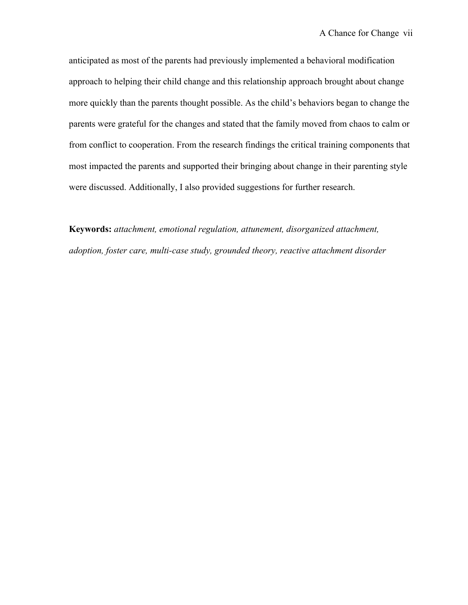anticipated as most of the parents had previously implemented a behavioral modification approach to helping their child change and this relationship approach brought about change more quickly than the parents thought possible. As the child's behaviors began to change the parents were grateful for the changes and stated that the family moved from chaos to calm or from conflict to cooperation. From the research findings the critical training components that most impacted the parents and supported their bringing about change in their parenting style were discussed. Additionally, I also provided suggestions for further research.

**Keywords:** *attachment, emotional regulation, attunement, disorganized attachment, adoption, foster care, multi-case study, grounded theory, reactive attachment disorder*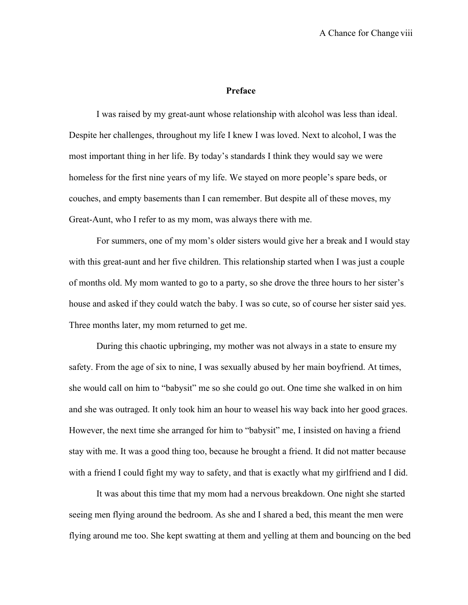#### **Preface**

I was raised by my great-aunt whose relationship with alcohol was less than ideal. Despite her challenges, throughout my life I knew I was loved. Next to alcohol, I was the most important thing in her life. By today's standards I think they would say we were homeless for the first nine years of my life. We stayed on more people's spare beds, or couches, and empty basements than I can remember. But despite all of these moves, my Great-Aunt, who I refer to as my mom, was always there with me.

For summers, one of my mom's older sisters would give her a break and I would stay with this great-aunt and her five children. This relationship started when I was just a couple of months old. My mom wanted to go to a party, so she drove the three hours to her sister's house and asked if they could watch the baby. I was so cute, so of course her sister said yes. Three months later, my mom returned to get me.

During this chaotic upbringing, my mother was not always in a state to ensure my safety. From the age of six to nine, I was sexually abused by her main boyfriend. At times, she would call on him to "babysit" me so she could go out. One time she walked in on him and she was outraged. It only took him an hour to weasel his way back into her good graces. However, the next time she arranged for him to "babysit" me, I insisted on having a friend stay with me. It was a good thing too, because he brought a friend. It did not matter because with a friend I could fight my way to safety, and that is exactly what my girlfriend and I did.

It was about this time that my mom had a nervous breakdown. One night she started seeing men flying around the bedroom. As she and I shared a bed, this meant the men were flying around me too. She kept swatting at them and yelling at them and bouncing on the bed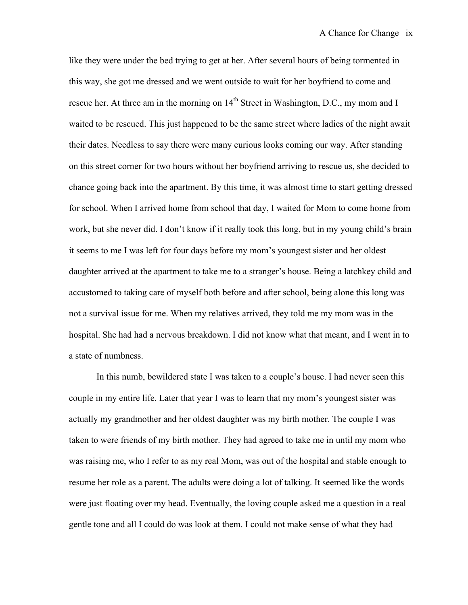like they were under the bed trying to get at her. After several hours of being tormented in this way, she got me dressed and we went outside to wait for her boyfriend to come and rescue her. At three am in the morning on 14<sup>th</sup> Street in Washington, D.C., my mom and I waited to be rescued. This just happened to be the same street where ladies of the night await their dates. Needless to say there were many curious looks coming our way. After standing on this street corner for two hours without her boyfriend arriving to rescue us, she decided to chance going back into the apartment. By this time, it was almost time to start getting dressed for school. When I arrived home from school that day, I waited for Mom to come home from work, but she never did. I don't know if it really took this long, but in my young child's brain it seems to me I was left for four days before my mom's youngest sister and her oldest daughter arrived at the apartment to take me to a stranger's house. Being a latchkey child and accustomed to taking care of myself both before and after school, being alone this long was not a survival issue for me. When my relatives arrived, they told me my mom was in the hospital. She had had a nervous breakdown. I did not know what that meant, and I went in to a state of numbness.

In this numb, bewildered state I was taken to a couple's house. I had never seen this couple in my entire life. Later that year I was to learn that my mom's youngest sister was actually my grandmother and her oldest daughter was my birth mother. The couple I was taken to were friends of my birth mother. They had agreed to take me in until my mom who was raising me, who I refer to as my real Mom, was out of the hospital and stable enough to resume her role as a parent. The adults were doing a lot of talking. It seemed like the words were just floating over my head. Eventually, the loving couple asked me a question in a real gentle tone and all I could do was look at them. I could not make sense of what they had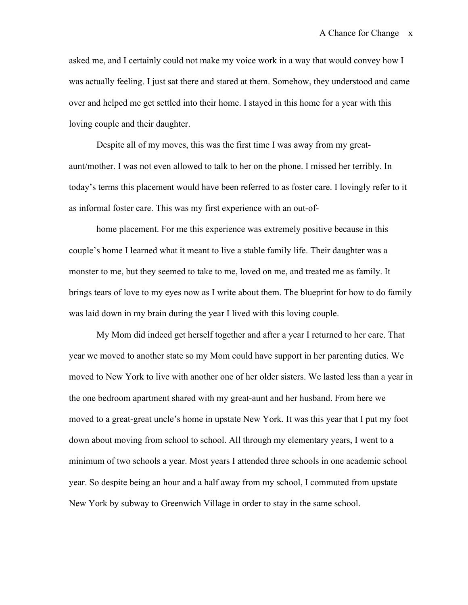asked me, and I certainly could not make my voice work in a way that would convey how I was actually feeling. I just sat there and stared at them. Somehow, they understood and came over and helped me get settled into their home. I stayed in this home for a year with this loving couple and their daughter.

Despite all of my moves, this was the first time I was away from my greataunt/mother. I was not even allowed to talk to her on the phone. I missed her terribly. In today's terms this placement would have been referred to as foster care. I lovingly refer to it as informal foster care. This was my first experience with an out-of-

home placement. For me this experience was extremely positive because in this couple's home I learned what it meant to live a stable family life. Their daughter was a monster to me, but they seemed to take to me, loved on me, and treated me as family. It brings tears of love to my eyes now as I write about them. The blueprint for how to do family was laid down in my brain during the year I lived with this loving couple.

My Mom did indeed get herself together and after a year I returned to her care. That year we moved to another state so my Mom could have support in her parenting duties. We moved to New York to live with another one of her older sisters. We lasted less than a year in the one bedroom apartment shared with my great-aunt and her husband. From here we moved to a great-great uncle's home in upstate New York. It was this year that I put my foot down about moving from school to school. All through my elementary years, I went to a minimum of two schools a year. Most years I attended three schools in one academic school year. So despite being an hour and a half away from my school, I commuted from upstate New York by subway to Greenwich Village in order to stay in the same school.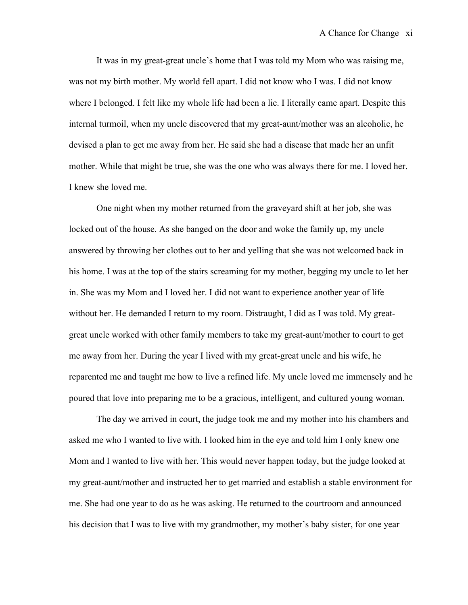It was in my great-great uncle's home that I was told my Mom who was raising me, was not my birth mother. My world fell apart. I did not know who I was. I did not know where I belonged. I felt like my whole life had been a lie. I literally came apart. Despite this internal turmoil, when my uncle discovered that my great-aunt/mother was an alcoholic, he devised a plan to get me away from her. He said she had a disease that made her an unfit mother. While that might be true, she was the one who was always there for me. I loved her. I knew she loved me.

One night when my mother returned from the graveyard shift at her job, she was locked out of the house. As she banged on the door and woke the family up, my uncle answered by throwing her clothes out to her and yelling that she was not welcomed back in his home. I was at the top of the stairs screaming for my mother, begging my uncle to let her in. She was my Mom and I loved her. I did not want to experience another year of life without her. He demanded I return to my room. Distraught, I did as I was told. My greatgreat uncle worked with other family members to take my great-aunt/mother to court to get me away from her. During the year I lived with my great-great uncle and his wife, he reparented me and taught me how to live a refined life. My uncle loved me immensely and he poured that love into preparing me to be a gracious, intelligent, and cultured young woman.

The day we arrived in court, the judge took me and my mother into his chambers and asked me who I wanted to live with. I looked him in the eye and told him I only knew one Mom and I wanted to live with her. This would never happen today, but the judge looked at my great-aunt/mother and instructed her to get married and establish a stable environment for me. She had one year to do as he was asking. He returned to the courtroom and announced his decision that I was to live with my grandmother, my mother's baby sister, for one year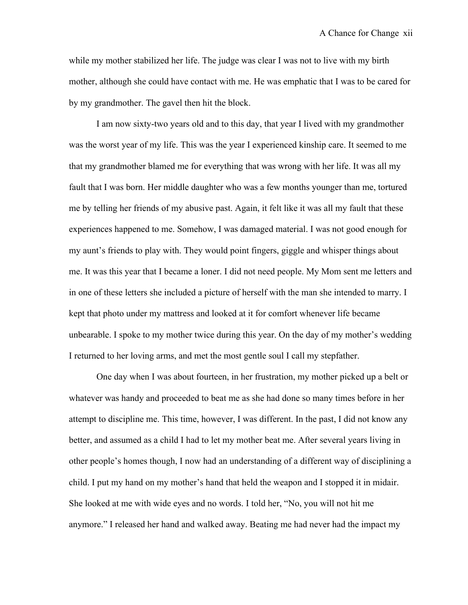while my mother stabilized her life. The judge was clear I was not to live with my birth mother, although she could have contact with me. He was emphatic that I was to be cared for by my grandmother. The gavel then hit the block.

I am now sixty-two years old and to this day, that year I lived with my grandmother was the worst year of my life. This was the year I experienced kinship care. It seemed to me that my grandmother blamed me for everything that was wrong with her life. It was all my fault that I was born. Her middle daughter who was a few months younger than me, tortured me by telling her friends of my abusive past. Again, it felt like it was all my fault that these experiences happened to me. Somehow, I was damaged material. I was not good enough for my aunt's friends to play with. They would point fingers, giggle and whisper things about me. It was this year that I became a loner. I did not need people. My Mom sent me letters and in one of these letters she included a picture of herself with the man she intended to marry. I kept that photo under my mattress and looked at it for comfort whenever life became unbearable. I spoke to my mother twice during this year. On the day of my mother's wedding I returned to her loving arms, and met the most gentle soul I call my stepfather.

One day when I was about fourteen, in her frustration, my mother picked up a belt or whatever was handy and proceeded to beat me as she had done so many times before in her attempt to discipline me. This time, however, I was different. In the past, I did not know any better, and assumed as a child I had to let my mother beat me. After several years living in other people's homes though, I now had an understanding of a different way of disciplining a child. I put my hand on my mother's hand that held the weapon and I stopped it in midair. She looked at me with wide eyes and no words. I told her, "No, you will not hit me anymore." I released her hand and walked away. Beating me had never had the impact my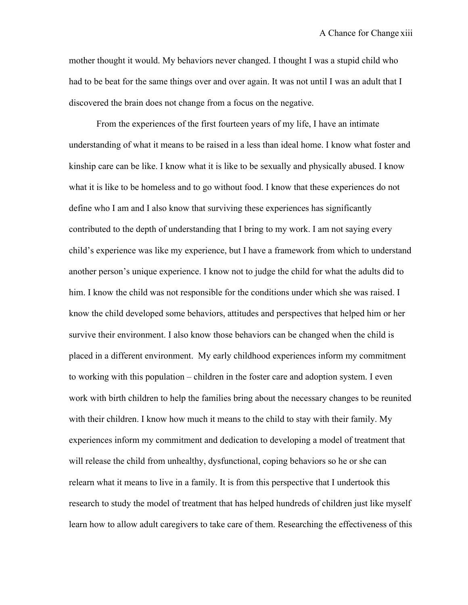mother thought it would. My behaviors never changed. I thought I was a stupid child who had to be beat for the same things over and over again. It was not until I was an adult that I discovered the brain does not change from a focus on the negative.

From the experiences of the first fourteen years of my life, I have an intimate understanding of what it means to be raised in a less than ideal home. I know what foster and kinship care can be like. I know what it is like to be sexually and physically abused. I know what it is like to be homeless and to go without food. I know that these experiences do not define who I am and I also know that surviving these experiences has significantly contributed to the depth of understanding that I bring to my work. I am not saying every child's experience was like my experience, but I have a framework from which to understand another person's unique experience. I know not to judge the child for what the adults did to him. I know the child was not responsible for the conditions under which she was raised. I know the child developed some behaviors, attitudes and perspectives that helped him or her survive their environment. I also know those behaviors can be changed when the child is placed in a different environment. My early childhood experiences inform my commitment to working with this population – children in the foster care and adoption system. I even work with birth children to help the families bring about the necessary changes to be reunited with their children. I know how much it means to the child to stay with their family. My experiences inform my commitment and dedication to developing a model of treatment that will release the child from unhealthy, dysfunctional, coping behaviors so he or she can relearn what it means to live in a family. It is from this perspective that I undertook this research to study the model of treatment that has helped hundreds of children just like myself learn how to allow adult caregivers to take care of them. Researching the effectiveness of this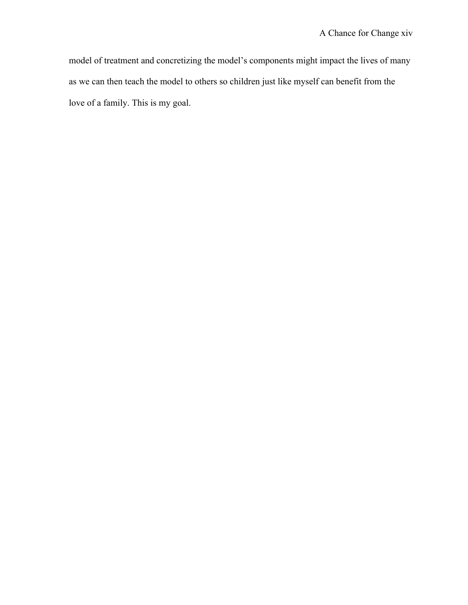model of treatment and concretizing the model's components might impact the lives of many as we can then teach the model to others so children just like myself can benefit from the love of a family. This is my goal.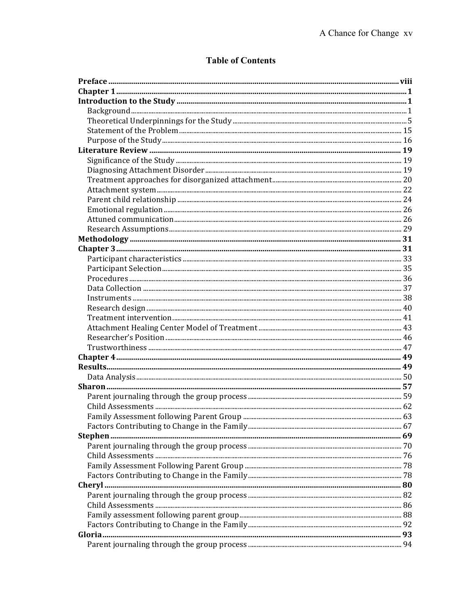# **Table of Contents**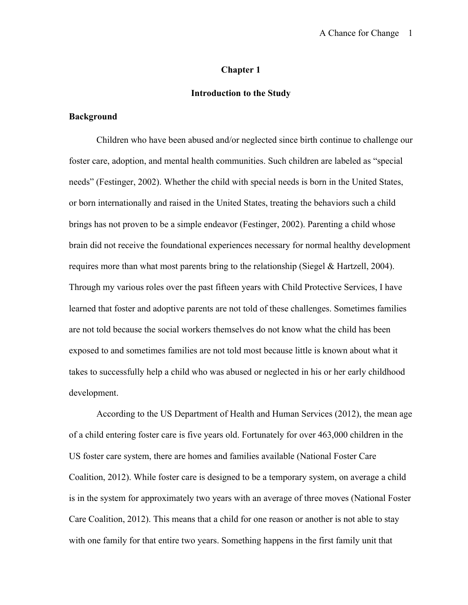#### **Chapter 1**

## **Introduction to the Study**

#### **Background**

Children who have been abused and/or neglected since birth continue to challenge our foster care, adoption, and mental health communities. Such children are labeled as "special needs" (Festinger, 2002). Whether the child with special needs is born in the United States, or born internationally and raised in the United States, treating the behaviors such a child brings has not proven to be a simple endeavor (Festinger, 2002). Parenting a child whose brain did not receive the foundational experiences necessary for normal healthy development requires more than what most parents bring to the relationship (Siegel & Hartzell, 2004). Through my various roles over the past fifteen years with Child Protective Services, I have learned that foster and adoptive parents are not told of these challenges. Sometimes families are not told because the social workers themselves do not know what the child has been exposed to and sometimes families are not told most because little is known about what it takes to successfully help a child who was abused or neglected in his or her early childhood development.

According to the US Department of Health and Human Services (2012), the mean age of a child entering foster care is five years old. Fortunately for over 463,000 children in the US foster care system, there are homes and families available (National Foster Care Coalition, 2012). While foster care is designed to be a temporary system, on average a child is in the system for approximately two years with an average of three moves (National Foster Care Coalition, 2012). This means that a child for one reason or another is not able to stay with one family for that entire two years. Something happens in the first family unit that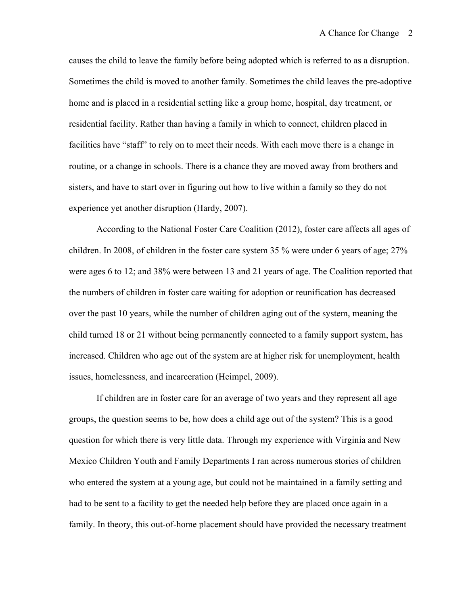causes the child to leave the family before being adopted which is referred to as a disruption. Sometimes the child is moved to another family. Sometimes the child leaves the pre-adoptive home and is placed in a residential setting like a group home, hospital, day treatment, or residential facility. Rather than having a family in which to connect, children placed in facilities have "staff" to rely on to meet their needs. With each move there is a change in routine, or a change in schools. There is a chance they are moved away from brothers and sisters, and have to start over in figuring out how to live within a family so they do not experience yet another disruption (Hardy, 2007).

According to the National Foster Care Coalition (2012), foster care affects all ages of children. In 2008, of children in the foster care system 35 % were under 6 years of age; 27% were ages 6 to 12; and 38% were between 13 and 21 years of age. The Coalition reported that the numbers of children in foster care waiting for adoption or reunification has decreased over the past 10 years, while the number of children aging out of the system, meaning the child turned 18 or 21 without being permanently connected to a family support system, has increased. Children who age out of the system are at higher risk for unemployment, health issues, homelessness, and incarceration (Heimpel, 2009).

If children are in foster care for an average of two years and they represent all age groups, the question seems to be, how does a child age out of the system? This is a good question for which there is very little data. Through my experience with Virginia and New Mexico Children Youth and Family Departments I ran across numerous stories of children who entered the system at a young age, but could not be maintained in a family setting and had to be sent to a facility to get the needed help before they are placed once again in a family. In theory, this out-of-home placement should have provided the necessary treatment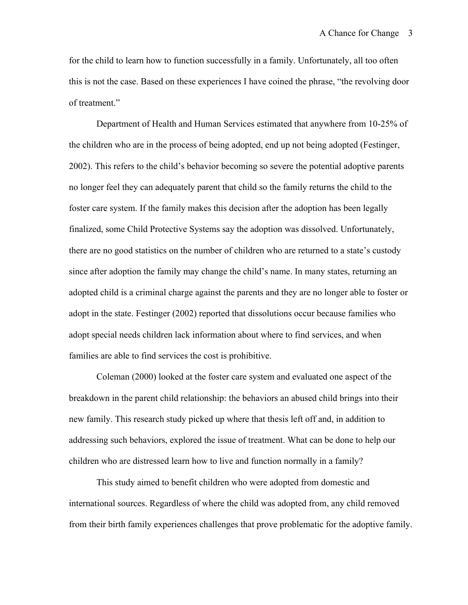for the child to learn how to function successfully in a family. Unfortunately, all too often this is not the case. Based on these experiences I have coined the phrase, "the revolving door of treatment."

Department of Health and Human Services estimated that anywhere from 10-25% of the children who are in the process of being adopted, end up not being adopted (Festinger, 2002). This refers to the child's behavior becoming so severe the potential adoptive parents no longer feel they can adequately parent that child so the family returns the child to the foster care system. If the family makes this decision after the adoption has been legally finalized, some Child Protective Systems say the adoption was dissolved. Unfortunately, there are no good statistics on the number of children who are returned to a state's custody since after adoption the family may change the child's name. In many states, returning an adopted child is a criminal charge against the parents and they are no longer able to foster or adopt in the state. Festinger (2002) reported that dissolutions occur because families who adopt special needs children lack information about where to find services, and when families are able to find services the cost is prohibitive.

Coleman (2000) looked at the foster care system and evaluated one aspect of the breakdown in the parent child relationship: the behaviors an abused child brings into their new family. This research study picked up where that thesis left off and, in addition to addressing such behaviors, explored the issue of treatment. What can be done to help our children who are distressed learn how to live and function normally in a family?

This study aimed to benefit children who were adopted from domestic and international sources. Regardless of where the child was adopted from, any child removed from their birth family experiences challenges that prove problematic for the adoptive family.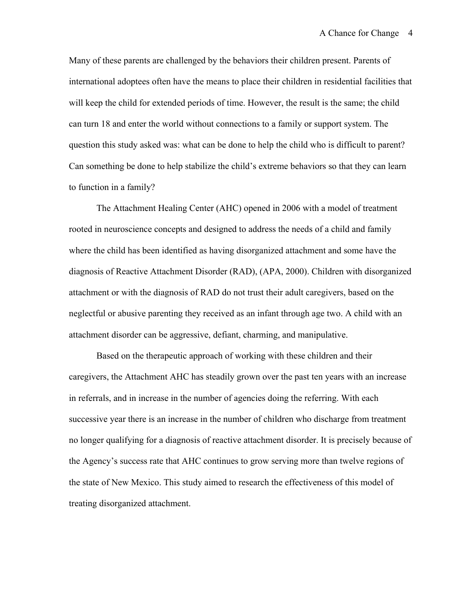Many of these parents are challenged by the behaviors their children present. Parents of international adoptees often have the means to place their children in residential facilities that will keep the child for extended periods of time. However, the result is the same; the child can turn 18 and enter the world without connections to a family or support system. The question this study asked was: what can be done to help the child who is difficult to parent? Can something be done to help stabilize the child's extreme behaviors so that they can learn to function in a family?

The Attachment Healing Center (AHC) opened in 2006 with a model of treatment rooted in neuroscience concepts and designed to address the needs of a child and family where the child has been identified as having disorganized attachment and some have the diagnosis of Reactive Attachment Disorder (RAD), (APA, 2000). Children with disorganized attachment or with the diagnosis of RAD do not trust their adult caregivers, based on the neglectful or abusive parenting they received as an infant through age two. A child with an attachment disorder can be aggressive, defiant, charming, and manipulative.

Based on the therapeutic approach of working with these children and their caregivers, the Attachment AHC has steadily grown over the past ten years with an increase in referrals, and in increase in the number of agencies doing the referring. With each successive year there is an increase in the number of children who discharge from treatment no longer qualifying for a diagnosis of reactive attachment disorder. It is precisely because of the Agency's success rate that AHC continues to grow serving more than twelve regions of the state of New Mexico. This study aimed to research the effectiveness of this model of treating disorganized attachment.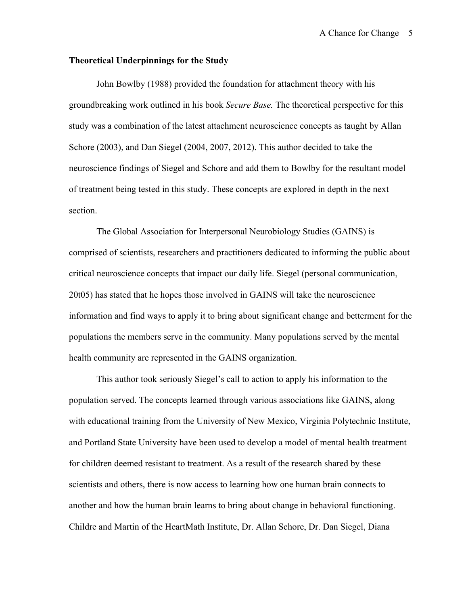#### **Theoretical Underpinnings for the Study**

John Bowlby (1988) provided the foundation for attachment theory with his groundbreaking work outlined in his book *Secure Base.* The theoretical perspective for this study was a combination of the latest attachment neuroscience concepts as taught by Allan Schore (2003), and Dan Siegel (2004, 2007, 2012). This author decided to take the neuroscience findings of Siegel and Schore and add them to Bowlby for the resultant model of treatment being tested in this study. These concepts are explored in depth in the next section.

The Global Association for Interpersonal Neurobiology Studies (GAINS) is comprised of scientists, researchers and practitioners dedicated to informing the public about critical neuroscience concepts that impact our daily life. Siegel (personal communication, 20t05) has stated that he hopes those involved in GAINS will take the neuroscience information and find ways to apply it to bring about significant change and betterment for the populations the members serve in the community. Many populations served by the mental health community are represented in the GAINS organization.

This author took seriously Siegel's call to action to apply his information to the population served. The concepts learned through various associations like GAINS, along with educational training from the University of New Mexico, Virginia Polytechnic Institute, and Portland State University have been used to develop a model of mental health treatment for children deemed resistant to treatment. As a result of the research shared by these scientists and others, there is now access to learning how one human brain connects to another and how the human brain learns to bring about change in behavioral functioning. Childre and Martin of the HeartMath Institute, Dr. Allan Schore, Dr. Dan Siegel, Diana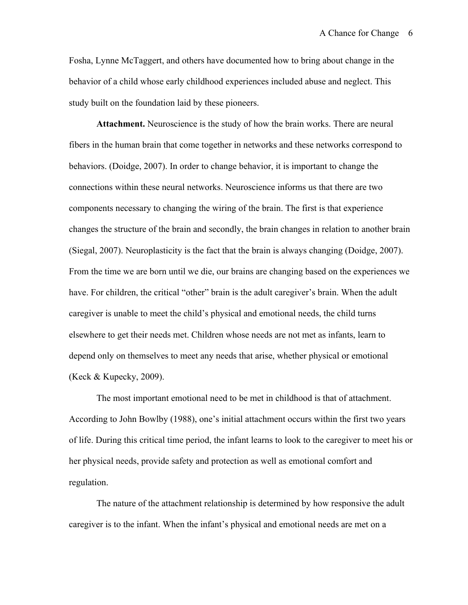Fosha, Lynne McTaggert, and others have documented how to bring about change in the behavior of a child whose early childhood experiences included abuse and neglect. This study built on the foundation laid by these pioneers.

**Attachment.** Neuroscience is the study of how the brain works. There are neural fibers in the human brain that come together in networks and these networks correspond to behaviors. (Doidge, 2007). In order to change behavior, it is important to change the connections within these neural networks. Neuroscience informs us that there are two components necessary to changing the wiring of the brain. The first is that experience changes the structure of the brain and secondly, the brain changes in relation to another brain (Siegal, 2007). Neuroplasticity is the fact that the brain is always changing (Doidge, 2007). From the time we are born until we die, our brains are changing based on the experiences we have. For children, the critical "other" brain is the adult caregiver's brain. When the adult caregiver is unable to meet the child's physical and emotional needs, the child turns elsewhere to get their needs met. Children whose needs are not met as infants, learn to depend only on themselves to meet any needs that arise, whether physical or emotional (Keck & Kupecky, 2009).

The most important emotional need to be met in childhood is that of attachment. According to John Bowlby (1988), one's initial attachment occurs within the first two years of life. During this critical time period, the infant learns to look to the caregiver to meet his or her physical needs, provide safety and protection as well as emotional comfort and regulation.

The nature of the attachment relationship is determined by how responsive the adult caregiver is to the infant. When the infant's physical and emotional needs are met on a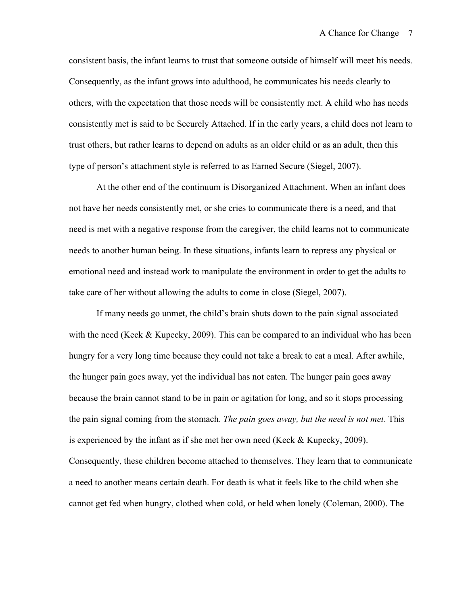consistent basis, the infant learns to trust that someone outside of himself will meet his needs. Consequently, as the infant grows into adulthood, he communicates his needs clearly to others, with the expectation that those needs will be consistently met. A child who has needs consistently met is said to be Securely Attached. If in the early years, a child does not learn to trust others, but rather learns to depend on adults as an older child or as an adult, then this type of person's attachment style is referred to as Earned Secure (Siegel, 2007).

At the other end of the continuum is Disorganized Attachment. When an infant does not have her needs consistently met, or she cries to communicate there is a need, and that need is met with a negative response from the caregiver, the child learns not to communicate needs to another human being. In these situations, infants learn to repress any physical or emotional need and instead work to manipulate the environment in order to get the adults to take care of her without allowing the adults to come in close (Siegel, 2007).

If many needs go unmet, the child's brain shuts down to the pain signal associated with the need (Keck & Kupecky, 2009). This can be compared to an individual who has been hungry for a very long time because they could not take a break to eat a meal. After awhile, the hunger pain goes away, yet the individual has not eaten. The hunger pain goes away because the brain cannot stand to be in pain or agitation for long, and so it stops processing the pain signal coming from the stomach. *The pain goes away, but the need is not met*. This is experienced by the infant as if she met her own need (Keck & Kupecky, 2009). Consequently, these children become attached to themselves. They learn that to communicate a need to another means certain death. For death is what it feels like to the child when she cannot get fed when hungry, clothed when cold, or held when lonely (Coleman, 2000). The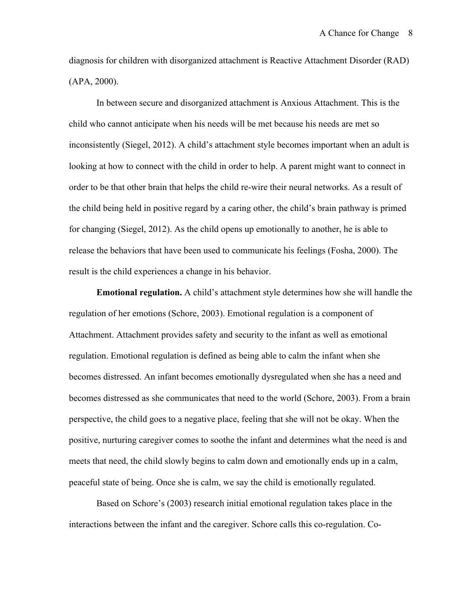diagnosis for children with disorganized attachment is Reactive Attachment Disorder (RAD) (APA, 2000).

In between secure and disorganized attachment is Anxious Attachment. This is the child who cannot anticipate when his needs will be met because his needs are met so inconsistently (Siegel, 2012). A child's attachment style becomes important when an adult is looking at how to connect with the child in order to help. A parent might want to connect in order to be that other brain that helps the child re-wire their neural networks. As a result of the child being held in positive regard by a caring other, the child's brain pathway is primed for changing (Siegel, 2012). As the child opens up emotionally to another, he is able to release the behaviors that have been used to communicate his feelings (Fosha, 2000). The result is the child experiences a change in his behavior.

**Emotional regulation.** A child's attachment style determines how she will handle the regulation of her emotions (Schore, 2003). Emotional regulation is a component of Attachment. Attachment provides safety and security to the infant as well as emotional regulation. Emotional regulation is defined as being able to calm the infant when she becomes distressed. An infant becomes emotionally dysregulated when she has a need and becomes distressed as she communicates that need to the world (Schore, 2003). From a brain perspective, the child goes to a negative place, feeling that she will not be okay. When the positive, nurturing caregiver comes to soothe the infant and determines what the need is and meets that need, the child slowly begins to calm down and emotionally ends up in a calm, peaceful state of being. Once she is calm, we say the child is emotionally regulated.

Based on Schore's (2003) research initial emotional regulation takes place in the interactions between the infant and the caregiver. Schore calls this co-regulation. Co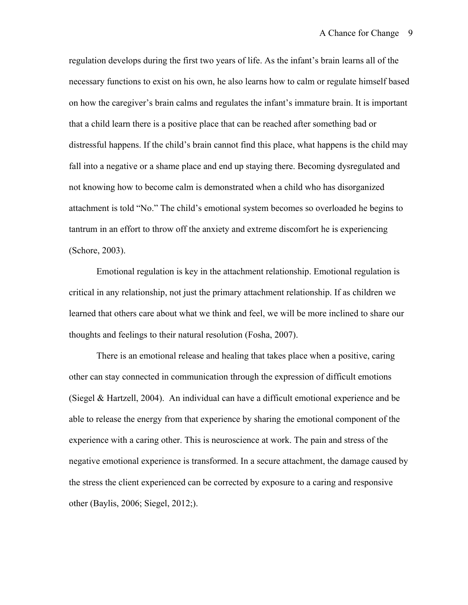regulation develops during the first two years of life. As the infant's brain learns all of the necessary functions to exist on his own, he also learns how to calm or regulate himself based on how the caregiver's brain calms and regulates the infant's immature brain. It is important that a child learn there is a positive place that can be reached after something bad or distressful happens. If the child's brain cannot find this place, what happens is the child may fall into a negative or a shame place and end up staying there. Becoming dysregulated and not knowing how to become calm is demonstrated when a child who has disorganized attachment is told "No." The child's emotional system becomes so overloaded he begins to tantrum in an effort to throw off the anxiety and extreme discomfort he is experiencing (Schore, 2003).

Emotional regulation is key in the attachment relationship. Emotional regulation is critical in any relationship, not just the primary attachment relationship. If as children we learned that others care about what we think and feel, we will be more inclined to share our thoughts and feelings to their natural resolution (Fosha, 2007).

There is an emotional release and healing that takes place when a positive, caring other can stay connected in communication through the expression of difficult emotions (Siegel & Hartzell, 2004). An individual can have a difficult emotional experience and be able to release the energy from that experience by sharing the emotional component of the experience with a caring other. This is neuroscience at work. The pain and stress of the negative emotional experience is transformed. In a secure attachment, the damage caused by the stress the client experienced can be corrected by exposure to a caring and responsive other (Baylis, 2006; Siegel, 2012;).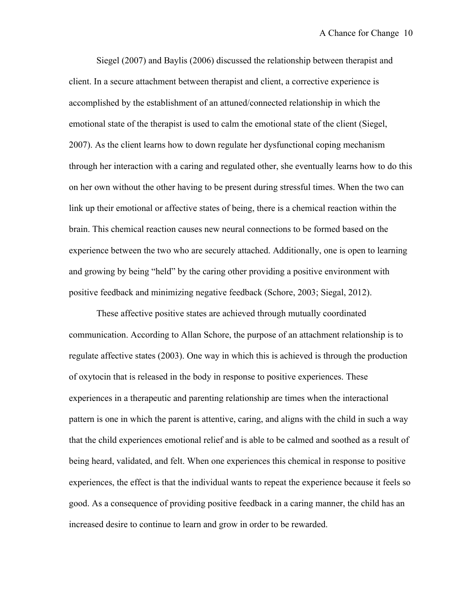Siegel (2007) and Baylis (2006) discussed the relationship between therapist and client. In a secure attachment between therapist and client, a corrective experience is accomplished by the establishment of an attuned/connected relationship in which the emotional state of the therapist is used to calm the emotional state of the client (Siegel, 2007). As the client learns how to down regulate her dysfunctional coping mechanism through her interaction with a caring and regulated other, she eventually learns how to do this on her own without the other having to be present during stressful times. When the two can link up their emotional or affective states of being, there is a chemical reaction within the brain. This chemical reaction causes new neural connections to be formed based on the experience between the two who are securely attached. Additionally, one is open to learning and growing by being "held" by the caring other providing a positive environment with positive feedback and minimizing negative feedback (Schore, 2003; Siegal, 2012).

These affective positive states are achieved through mutually coordinated communication. According to Allan Schore, the purpose of an attachment relationship is to regulate affective states (2003). One way in which this is achieved is through the production of oxytocin that is released in the body in response to positive experiences. These experiences in a therapeutic and parenting relationship are times when the interactional pattern is one in which the parent is attentive, caring, and aligns with the child in such a way that the child experiences emotional relief and is able to be calmed and soothed as a result of being heard, validated, and felt. When one experiences this chemical in response to positive experiences, the effect is that the individual wants to repeat the experience because it feels so good. As a consequence of providing positive feedback in a caring manner, the child has an increased desire to continue to learn and grow in order to be rewarded.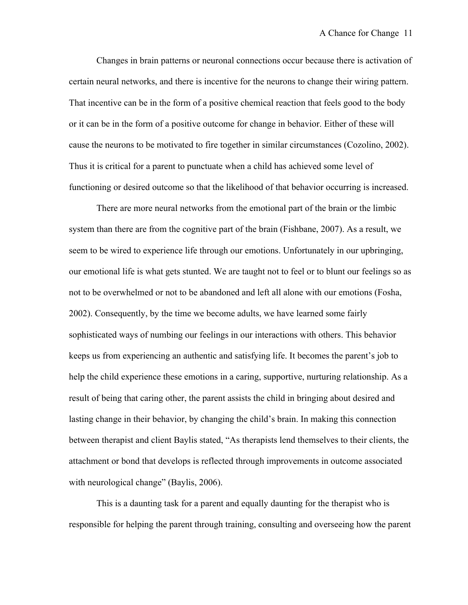Changes in brain patterns or neuronal connections occur because there is activation of certain neural networks, and there is incentive for the neurons to change their wiring pattern. That incentive can be in the form of a positive chemical reaction that feels good to the body or it can be in the form of a positive outcome for change in behavior. Either of these will cause the neurons to be motivated to fire together in similar circumstances (Cozolino, 2002). Thus it is critical for a parent to punctuate when a child has achieved some level of functioning or desired outcome so that the likelihood of that behavior occurring is increased.

There are more neural networks from the emotional part of the brain or the limbic system than there are from the cognitive part of the brain (Fishbane, 2007). As a result, we seem to be wired to experience life through our emotions. Unfortunately in our upbringing, our emotional life is what gets stunted. We are taught not to feel or to blunt our feelings so as not to be overwhelmed or not to be abandoned and left all alone with our emotions (Fosha, 2002). Consequently, by the time we become adults, we have learned some fairly sophisticated ways of numbing our feelings in our interactions with others. This behavior keeps us from experiencing an authentic and satisfying life. It becomes the parent's job to help the child experience these emotions in a caring, supportive, nurturing relationship. As a result of being that caring other, the parent assists the child in bringing about desired and lasting change in their behavior, by changing the child's brain. In making this connection between therapist and client Baylis stated, "As therapists lend themselves to their clients, the attachment or bond that develops is reflected through improvements in outcome associated with neurological change" (Baylis, 2006).

This is a daunting task for a parent and equally daunting for the therapist who is responsible for helping the parent through training, consulting and overseeing how the parent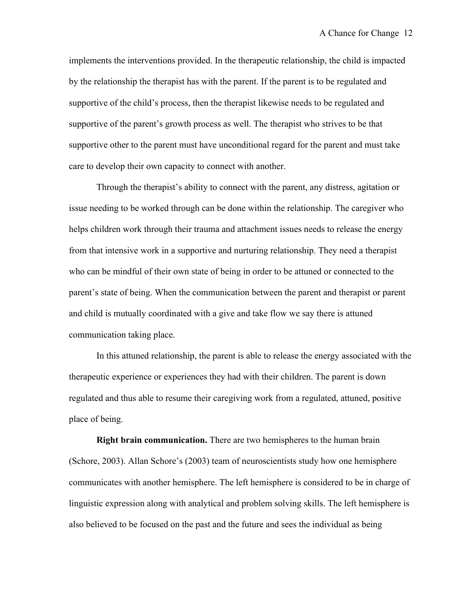implements the interventions provided. In the therapeutic relationship, the child is impacted by the relationship the therapist has with the parent. If the parent is to be regulated and supportive of the child's process, then the therapist likewise needs to be regulated and supportive of the parent's growth process as well. The therapist who strives to be that supportive other to the parent must have unconditional regard for the parent and must take care to develop their own capacity to connect with another.

Through the therapist's ability to connect with the parent, any distress, agitation or issue needing to be worked through can be done within the relationship. The caregiver who helps children work through their trauma and attachment issues needs to release the energy from that intensive work in a supportive and nurturing relationship. They need a therapist who can be mindful of their own state of being in order to be attuned or connected to the parent's state of being. When the communication between the parent and therapist or parent and child is mutually coordinated with a give and take flow we say there is attuned communication taking place.

In this attuned relationship, the parent is able to release the energy associated with the therapeutic experience or experiences they had with their children. The parent is down regulated and thus able to resume their caregiving work from a regulated, attuned, positive place of being.

**Right brain communication.** There are two hemispheres to the human brain (Schore, 2003). Allan Schore's (2003) team of neuroscientists study how one hemisphere communicates with another hemisphere. The left hemisphere is considered to be in charge of linguistic expression along with analytical and problem solving skills. The left hemisphere is also believed to be focused on the past and the future and sees the individual as being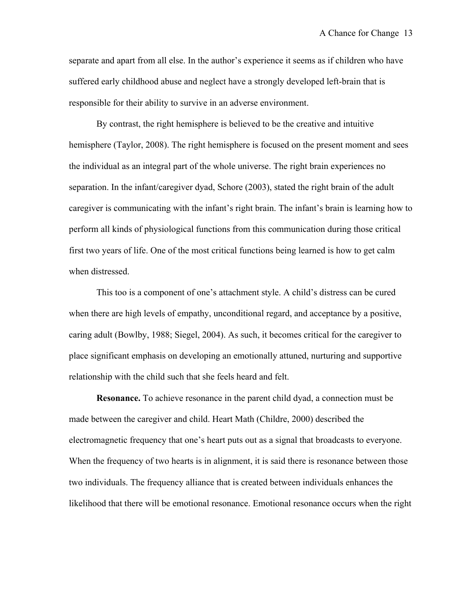separate and apart from all else. In the author's experience it seems as if children who have suffered early childhood abuse and neglect have a strongly developed left-brain that is responsible for their ability to survive in an adverse environment.

By contrast, the right hemisphere is believed to be the creative and intuitive hemisphere (Taylor, 2008). The right hemisphere is focused on the present moment and sees the individual as an integral part of the whole universe. The right brain experiences no separation. In the infant/caregiver dyad, Schore (2003), stated the right brain of the adult caregiver is communicating with the infant's right brain. The infant's brain is learning how to perform all kinds of physiological functions from this communication during those critical first two years of life. One of the most critical functions being learned is how to get calm when distressed.

This too is a component of one's attachment style. A child's distress can be cured when there are high levels of empathy, unconditional regard, and acceptance by a positive, caring adult (Bowlby, 1988; Siegel, 2004). As such, it becomes critical for the caregiver to place significant emphasis on developing an emotionally attuned, nurturing and supportive relationship with the child such that she feels heard and felt.

**Resonance.** To achieve resonance in the parent child dyad, a connection must be made between the caregiver and child. Heart Math (Childre, 2000) described the electromagnetic frequency that one's heart puts out as a signal that broadcasts to everyone. When the frequency of two hearts is in alignment, it is said there is resonance between those two individuals. The frequency alliance that is created between individuals enhances the likelihood that there will be emotional resonance. Emotional resonance occurs when the right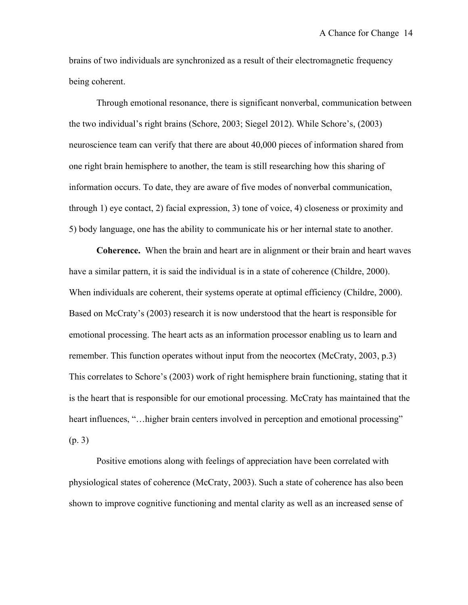brains of two individuals are synchronized as a result of their electromagnetic frequency being coherent.

Through emotional resonance, there is significant nonverbal, communication between the two individual's right brains (Schore, 2003; Siegel 2012). While Schore's, (2003) neuroscience team can verify that there are about 40,000 pieces of information shared from one right brain hemisphere to another, the team is still researching how this sharing of information occurs. To date, they are aware of five modes of nonverbal communication, through 1) eye contact, 2) facial expression, 3) tone of voice, 4) closeness or proximity and 5) body language, one has the ability to communicate his or her internal state to another.

**Coherence.** When the brain and heart are in alignment or their brain and heart waves have a similar pattern, it is said the individual is in a state of coherence (Childre, 2000). When individuals are coherent, their systems operate at optimal efficiency (Childre, 2000). Based on McCraty's (2003) research it is now understood that the heart is responsible for emotional processing. The heart acts as an information processor enabling us to learn and remember. This function operates without input from the neocortex (McCraty, 2003, p.3) This correlates to Schore's (2003) work of right hemisphere brain functioning, stating that it is the heart that is responsible for our emotional processing. McCraty has maintained that the heart influences, "... higher brain centers involved in perception and emotional processing" (p. 3)

Positive emotions along with feelings of appreciation have been correlated with physiological states of coherence (McCraty, 2003). Such a state of coherence has also been shown to improve cognitive functioning and mental clarity as well as an increased sense of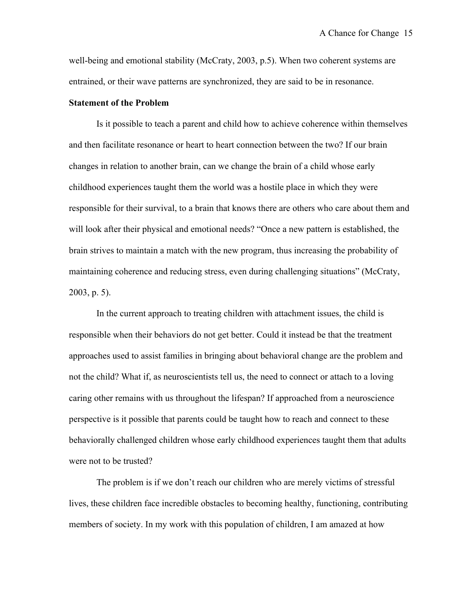well-being and emotional stability (McCraty, 2003, p.5). When two coherent systems are entrained, or their wave patterns are synchronized, they are said to be in resonance.

#### **Statement of the Problem**

Is it possible to teach a parent and child how to achieve coherence within themselves and then facilitate resonance or heart to heart connection between the two? If our brain changes in relation to another brain, can we change the brain of a child whose early childhood experiences taught them the world was a hostile place in which they were responsible for their survival, to a brain that knows there are others who care about them and will look after their physical and emotional needs? "Once a new pattern is established, the brain strives to maintain a match with the new program, thus increasing the probability of maintaining coherence and reducing stress, even during challenging situations" (McCraty, 2003, p. 5).

In the current approach to treating children with attachment issues, the child is responsible when their behaviors do not get better. Could it instead be that the treatment approaches used to assist families in bringing about behavioral change are the problem and not the child? What if, as neuroscientists tell us, the need to connect or attach to a loving caring other remains with us throughout the lifespan? If approached from a neuroscience perspective is it possible that parents could be taught how to reach and connect to these behaviorally challenged children whose early childhood experiences taught them that adults were not to be trusted?

The problem is if we don't reach our children who are merely victims of stressful lives, these children face incredible obstacles to becoming healthy, functioning, contributing members of society. In my work with this population of children, I am amazed at how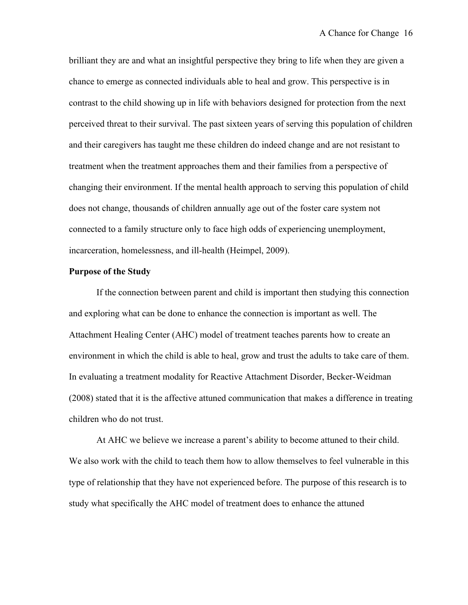brilliant they are and what an insightful perspective they bring to life when they are given a chance to emerge as connected individuals able to heal and grow. This perspective is in contrast to the child showing up in life with behaviors designed for protection from the next perceived threat to their survival. The past sixteen years of serving this population of children and their caregivers has taught me these children do indeed change and are not resistant to treatment when the treatment approaches them and their families from a perspective of changing their environment. If the mental health approach to serving this population of child does not change, thousands of children annually age out of the foster care system not connected to a family structure only to face high odds of experiencing unemployment, incarceration, homelessness, and ill-health (Heimpel, 2009).

#### **Purpose of the Study**

If the connection between parent and child is important then studying this connection and exploring what can be done to enhance the connection is important as well. The Attachment Healing Center (AHC) model of treatment teaches parents how to create an environment in which the child is able to heal, grow and trust the adults to take care of them. In evaluating a treatment modality for Reactive Attachment Disorder, Becker-Weidman (2008) stated that it is the affective attuned communication that makes a difference in treating children who do not trust.

At AHC we believe we increase a parent's ability to become attuned to their child. We also work with the child to teach them how to allow themselves to feel vulnerable in this type of relationship that they have not experienced before. The purpose of this research is to study what specifically the AHC model of treatment does to enhance the attuned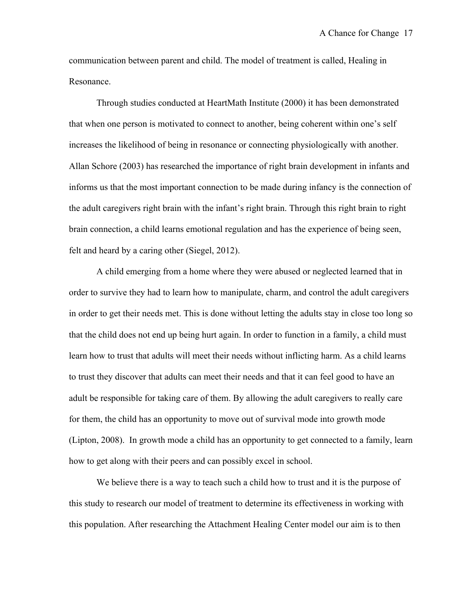communication between parent and child. The model of treatment is called, Healing in Resonance.

Through studies conducted at HeartMath Institute (2000) it has been demonstrated that when one person is motivated to connect to another, being coherent within one's self increases the likelihood of being in resonance or connecting physiologically with another. Allan Schore (2003) has researched the importance of right brain development in infants and informs us that the most important connection to be made during infancy is the connection of the adult caregivers right brain with the infant's right brain. Through this right brain to right brain connection, a child learns emotional regulation and has the experience of being seen, felt and heard by a caring other (Siegel, 2012).

A child emerging from a home where they were abused or neglected learned that in order to survive they had to learn how to manipulate, charm, and control the adult caregivers in order to get their needs met. This is done without letting the adults stay in close too long so that the child does not end up being hurt again. In order to function in a family, a child must learn how to trust that adults will meet their needs without inflicting harm. As a child learns to trust they discover that adults can meet their needs and that it can feel good to have an adult be responsible for taking care of them. By allowing the adult caregivers to really care for them, the child has an opportunity to move out of survival mode into growth mode (Lipton, 2008). In growth mode a child has an opportunity to get connected to a family, learn how to get along with their peers and can possibly excel in school.

We believe there is a way to teach such a child how to trust and it is the purpose of this study to research our model of treatment to determine its effectiveness in working with this population. After researching the Attachment Healing Center model our aim is to then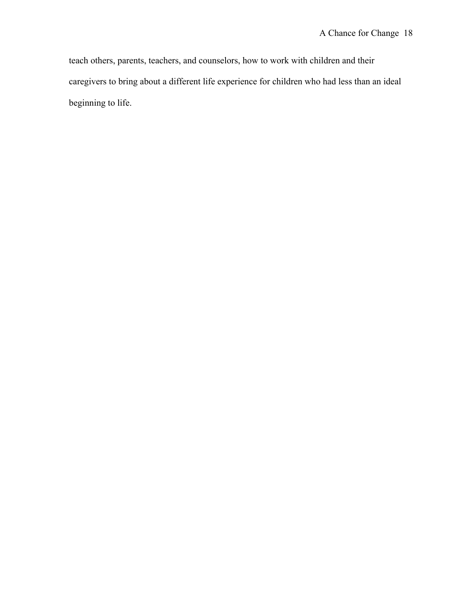teach others, parents, teachers, and counselors, how to work with children and their caregivers to bring about a different life experience for children who had less than an ideal beginning to life.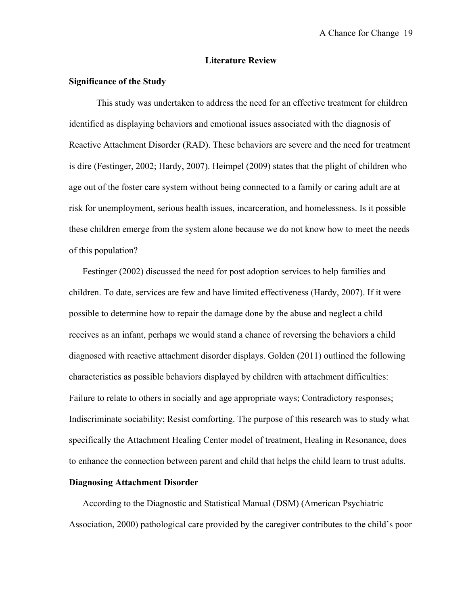#### **Literature Review**

# **Significance of the Study**

This study was undertaken to address the need for an effective treatment for children identified as displaying behaviors and emotional issues associated with the diagnosis of Reactive Attachment Disorder (RAD). These behaviors are severe and the need for treatment is dire (Festinger, 2002; Hardy, 2007). Heimpel (2009) states that the plight of children who age out of the foster care system without being connected to a family or caring adult are at risk for unemployment, serious health issues, incarceration, and homelessness. Is it possible these children emerge from the system alone because we do not know how to meet the needs of this population?

Festinger (2002) discussed the need for post adoption services to help families and children. To date, services are few and have limited effectiveness (Hardy, 2007). If it were possible to determine how to repair the damage done by the abuse and neglect a child receives as an infant, perhaps we would stand a chance of reversing the behaviors a child diagnosed with reactive attachment disorder displays. Golden (2011) outlined the following characteristics as possible behaviors displayed by children with attachment difficulties: Failure to relate to others in socially and age appropriate ways; Contradictory responses; Indiscriminate sociability; Resist comforting. The purpose of this research was to study what specifically the Attachment Healing Center model of treatment, Healing in Resonance, does to enhance the connection between parent and child that helps the child learn to trust adults.

## **Diagnosing Attachment Disorder**

According to the Diagnostic and Statistical Manual (DSM) (American Psychiatric Association, 2000) pathological care provided by the caregiver contributes to the child's poor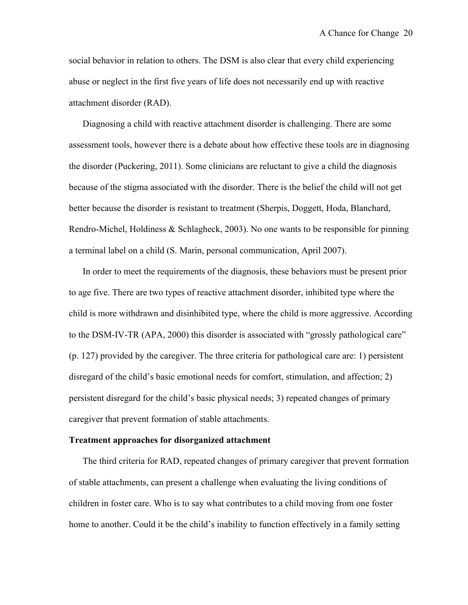social behavior in relation to others. The DSM is also clear that every child experiencing abuse or neglect in the first five years of life does not necessarily end up with reactive attachment disorder (RAD).

Diagnosing a child with reactive attachment disorder is challenging. There are some assessment tools, however there is a debate about how effective these tools are in diagnosing the disorder (Puckering, 2011). Some clinicians are reluctant to give a child the diagnosis because of the stigma associated with the disorder. There is the belief the child will not get better because the disorder is resistant to treatment (Sherpis, Doggett, Hoda, Blanchard, Rendro-Michel, Holdiness & Schlagheck, 2003). No one wants to be responsible for pinning a terminal label on a child (S. Marin, personal communication, April 2007).

In order to meet the requirements of the diagnosis, these behaviors must be present prior to age five. There are two types of reactive attachment disorder, inhibited type where the child is more withdrawn and disinhibited type, where the child is more aggressive. According to the DSM-IV-TR (APA, 2000) this disorder is associated with "grossly pathological care" (p. 127) provided by the caregiver. The three criteria for pathological care are: 1) persistent disregard of the child's basic emotional needs for comfort, stimulation, and affection; 2) persistent disregard for the child's basic physical needs; 3) repeated changes of primary caregiver that prevent formation of stable attachments.

#### **Treatment approaches for disorganized attachment**

The third criteria for RAD, repeated changes of primary caregiver that prevent formation of stable attachments, can present a challenge when evaluating the living conditions of children in foster care. Who is to say what contributes to a child moving from one foster home to another. Could it be the child's inability to function effectively in a family setting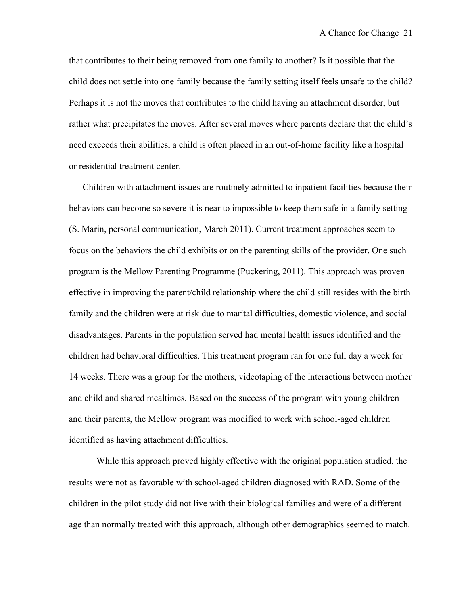that contributes to their being removed from one family to another? Is it possible that the child does not settle into one family because the family setting itself feels unsafe to the child? Perhaps it is not the moves that contributes to the child having an attachment disorder, but rather what precipitates the moves. After several moves where parents declare that the child's need exceeds their abilities, a child is often placed in an out-of-home facility like a hospital or residential treatment center.

Children with attachment issues are routinely admitted to inpatient facilities because their behaviors can become so severe it is near to impossible to keep them safe in a family setting (S. Marin, personal communication, March 2011). Current treatment approaches seem to focus on the behaviors the child exhibits or on the parenting skills of the provider. One such program is the Mellow Parenting Programme (Puckering, 2011). This approach was proven effective in improving the parent/child relationship where the child still resides with the birth family and the children were at risk due to marital difficulties, domestic violence, and social disadvantages. Parents in the population served had mental health issues identified and the children had behavioral difficulties. This treatment program ran for one full day a week for 14 weeks. There was a group for the mothers, videotaping of the interactions between mother and child and shared mealtimes. Based on the success of the program with young children and their parents, the Mellow program was modified to work with school-aged children identified as having attachment difficulties.

While this approach proved highly effective with the original population studied, the results were not as favorable with school-aged children diagnosed with RAD. Some of the children in the pilot study did not live with their biological families and were of a different age than normally treated with this approach, although other demographics seemed to match.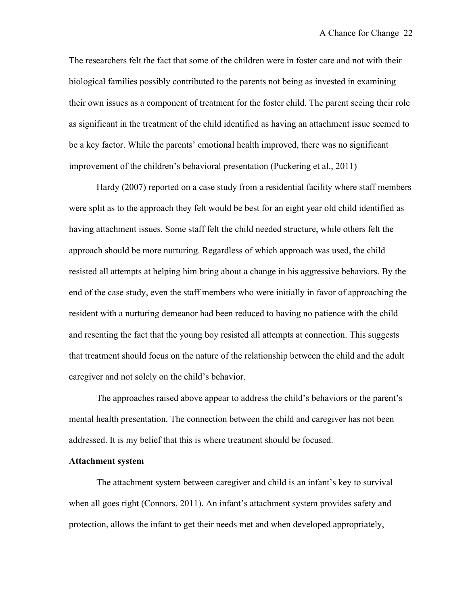The researchers felt the fact that some of the children were in foster care and not with their biological families possibly contributed to the parents not being as invested in examining their own issues as a component of treatment for the foster child. The parent seeing their role as significant in the treatment of the child identified as having an attachment issue seemed to be a key factor. While the parents' emotional health improved, there was no significant improvement of the children's behavioral presentation (Puckering et al., 2011)

Hardy (2007) reported on a case study from a residential facility where staff members were split as to the approach they felt would be best for an eight year old child identified as having attachment issues. Some staff felt the child needed structure, while others felt the approach should be more nurturing. Regardless of which approach was used, the child resisted all attempts at helping him bring about a change in his aggressive behaviors. By the end of the case study, even the staff members who were initially in favor of approaching the resident with a nurturing demeanor had been reduced to having no patience with the child and resenting the fact that the young boy resisted all attempts at connection. This suggests that treatment should focus on the nature of the relationship between the child and the adult caregiver and not solely on the child's behavior.

The approaches raised above appear to address the child's behaviors or the parent's mental health presentation. The connection between the child and caregiver has not been addressed. It is my belief that this is where treatment should be focused.

# **Attachment system**

The attachment system between caregiver and child is an infant's key to survival when all goes right (Connors, 2011). An infant's attachment system provides safety and protection, allows the infant to get their needs met and when developed appropriately,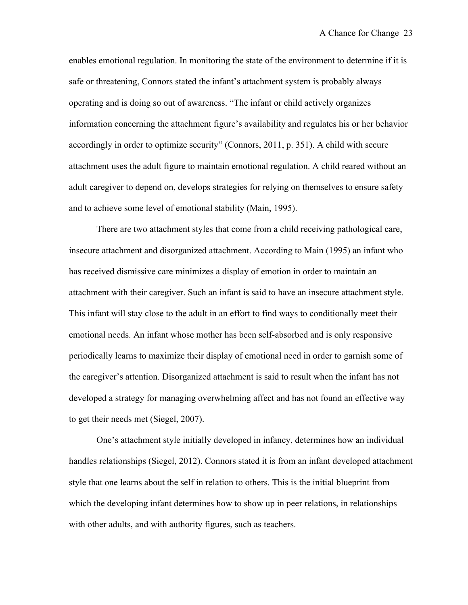enables emotional regulation. In monitoring the state of the environment to determine if it is safe or threatening, Connors stated the infant's attachment system is probably always operating and is doing so out of awareness. "The infant or child actively organizes information concerning the attachment figure's availability and regulates his or her behavior accordingly in order to optimize security" (Connors, 2011, p. 351). A child with secure attachment uses the adult figure to maintain emotional regulation. A child reared without an adult caregiver to depend on, develops strategies for relying on themselves to ensure safety and to achieve some level of emotional stability (Main, 1995).

There are two attachment styles that come from a child receiving pathological care, insecure attachment and disorganized attachment. According to Main (1995) an infant who has received dismissive care minimizes a display of emotion in order to maintain an attachment with their caregiver. Such an infant is said to have an insecure attachment style. This infant will stay close to the adult in an effort to find ways to conditionally meet their emotional needs. An infant whose mother has been self-absorbed and is only responsive periodically learns to maximize their display of emotional need in order to garnish some of the caregiver's attention. Disorganized attachment is said to result when the infant has not developed a strategy for managing overwhelming affect and has not found an effective way to get their needs met (Siegel, 2007).

One's attachment style initially developed in infancy, determines how an individual handles relationships (Siegel, 2012). Connors stated it is from an infant developed attachment style that one learns about the self in relation to others. This is the initial blueprint from which the developing infant determines how to show up in peer relations, in relationships with other adults, and with authority figures, such as teachers.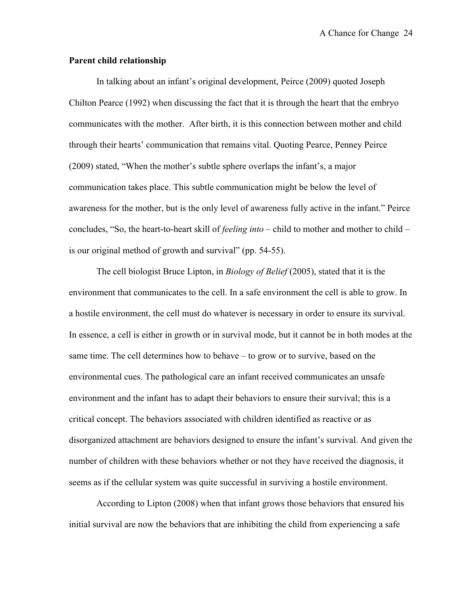## **Parent child relationship**

In talking about an infant's original development, Peirce (2009) quoted Joseph Chilton Pearce (1992) when discussing the fact that it is through the heart that the embryo communicates with the mother. After birth, it is this connection between mother and child through their hearts' communication that remains vital. Quoting Pearce, Penney Peirce (2009) stated, "When the mother's subtle sphere overlaps the infant's, a major communication takes place. This subtle communication might be below the level of awareness for the mother, but is the only level of awareness fully active in the infant." Peirce concludes, "So, the heart-to-heart skill of *feeling into* – child to mother and mother to child – is our original method of growth and survival" (pp. 54-55).

The cell biologist Bruce Lipton, in *Biology of Belief* (2005), stated that it is the environment that communicates to the cell. In a safe environment the cell is able to grow. In a hostile environment, the cell must do whatever is necessary in order to ensure its survival. In essence, a cell is either in growth or in survival mode, but it cannot be in both modes at the same time. The cell determines how to behave – to grow or to survive, based on the environmental cues. The pathological care an infant received communicates an unsafe environment and the infant has to adapt their behaviors to ensure their survival; this is a critical concept. The behaviors associated with children identified as reactive or as disorganized attachment are behaviors designed to ensure the infant's survival. And given the number of children with these behaviors whether or not they have received the diagnosis, it seems as if the cellular system was quite successful in surviving a hostile environment.

According to Lipton (2008) when that infant grows those behaviors that ensured his initial survival are now the behaviors that are inhibiting the child from experiencing a safe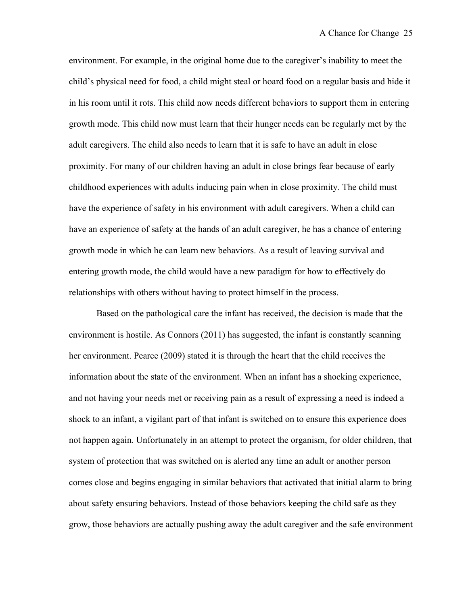environment. For example, in the original home due to the caregiver's inability to meet the child's physical need for food, a child might steal or hoard food on a regular basis and hide it in his room until it rots. This child now needs different behaviors to support them in entering growth mode. This child now must learn that their hunger needs can be regularly met by the adult caregivers. The child also needs to learn that it is safe to have an adult in close proximity. For many of our children having an adult in close brings fear because of early childhood experiences with adults inducing pain when in close proximity. The child must have the experience of safety in his environment with adult caregivers. When a child can have an experience of safety at the hands of an adult caregiver, he has a chance of entering growth mode in which he can learn new behaviors. As a result of leaving survival and entering growth mode, the child would have a new paradigm for how to effectively do relationships with others without having to protect himself in the process.

Based on the pathological care the infant has received, the decision is made that the environment is hostile. As Connors (2011) has suggested, the infant is constantly scanning her environment. Pearce (2009) stated it is through the heart that the child receives the information about the state of the environment. When an infant has a shocking experience, and not having your needs met or receiving pain as a result of expressing a need is indeed a shock to an infant, a vigilant part of that infant is switched on to ensure this experience does not happen again. Unfortunately in an attempt to protect the organism, for older children, that system of protection that was switched on is alerted any time an adult or another person comes close and begins engaging in similar behaviors that activated that initial alarm to bring about safety ensuring behaviors. Instead of those behaviors keeping the child safe as they grow, those behaviors are actually pushing away the adult caregiver and the safe environment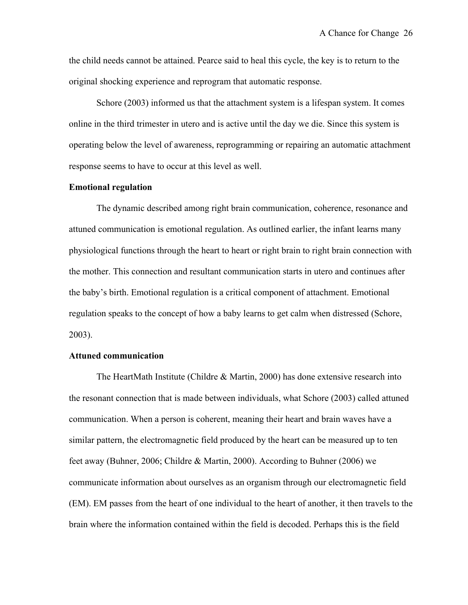the child needs cannot be attained. Pearce said to heal this cycle, the key is to return to the original shocking experience and reprogram that automatic response.

Schore (2003) informed us that the attachment system is a lifespan system. It comes online in the third trimester in utero and is active until the day we die. Since this system is operating below the level of awareness, reprogramming or repairing an automatic attachment response seems to have to occur at this level as well.

### **Emotional regulation**

The dynamic described among right brain communication, coherence, resonance and attuned communication is emotional regulation. As outlined earlier, the infant learns many physiological functions through the heart to heart or right brain to right brain connection with the mother. This connection and resultant communication starts in utero and continues after the baby's birth. Emotional regulation is a critical component of attachment. Emotional regulation speaks to the concept of how a baby learns to get calm when distressed (Schore, 2003).

### **Attuned communication**

The HeartMath Institute (Childre & Martin, 2000) has done extensive research into the resonant connection that is made between individuals, what Schore (2003) called attuned communication. When a person is coherent, meaning their heart and brain waves have a similar pattern, the electromagnetic field produced by the heart can be measured up to ten feet away (Buhner, 2006; Childre & Martin, 2000). According to Buhner (2006) we communicate information about ourselves as an organism through our electromagnetic field (EM). EM passes from the heart of one individual to the heart of another, it then travels to the brain where the information contained within the field is decoded. Perhaps this is the field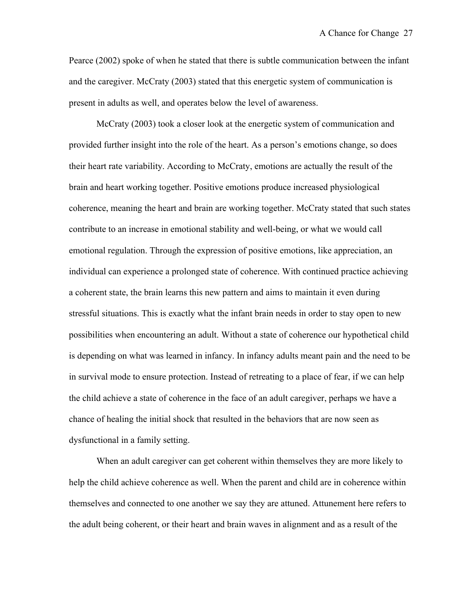Pearce (2002) spoke of when he stated that there is subtle communication between the infant and the caregiver. McCraty (2003) stated that this energetic system of communication is present in adults as well, and operates below the level of awareness.

McCraty (2003) took a closer look at the energetic system of communication and provided further insight into the role of the heart. As a person's emotions change, so does their heart rate variability. According to McCraty, emotions are actually the result of the brain and heart working together. Positive emotions produce increased physiological coherence, meaning the heart and brain are working together. McCraty stated that such states contribute to an increase in emotional stability and well-being, or what we would call emotional regulation. Through the expression of positive emotions, like appreciation, an individual can experience a prolonged state of coherence. With continued practice achieving a coherent state, the brain learns this new pattern and aims to maintain it even during stressful situations. This is exactly what the infant brain needs in order to stay open to new possibilities when encountering an adult. Without a state of coherence our hypothetical child is depending on what was learned in infancy. In infancy adults meant pain and the need to be in survival mode to ensure protection. Instead of retreating to a place of fear, if we can help the child achieve a state of coherence in the face of an adult caregiver, perhaps we have a chance of healing the initial shock that resulted in the behaviors that are now seen as dysfunctional in a family setting.

When an adult caregiver can get coherent within themselves they are more likely to help the child achieve coherence as well. When the parent and child are in coherence within themselves and connected to one another we say they are attuned. Attunement here refers to the adult being coherent, or their heart and brain waves in alignment and as a result of the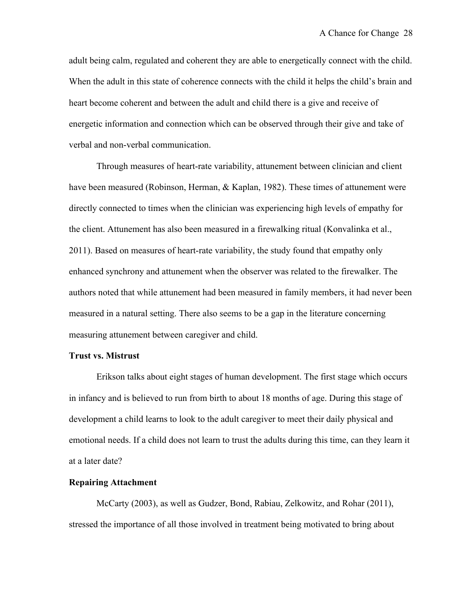adult being calm, regulated and coherent they are able to energetically connect with the child. When the adult in this state of coherence connects with the child it helps the child's brain and heart become coherent and between the adult and child there is a give and receive of energetic information and connection which can be observed through their give and take of verbal and non-verbal communication.

Through measures of heart-rate variability, attunement between clinician and client have been measured (Robinson, Herman, & Kaplan, 1982). These times of attunement were directly connected to times when the clinician was experiencing high levels of empathy for the client. Attunement has also been measured in a firewalking ritual (Konvalinka et al., 2011). Based on measures of heart-rate variability, the study found that empathy only enhanced synchrony and attunement when the observer was related to the firewalker. The authors noted that while attunement had been measured in family members, it had never been measured in a natural setting. There also seems to be a gap in the literature concerning measuring attunement between caregiver and child.

### **Trust vs. Mistrust**

Erikson talks about eight stages of human development. The first stage which occurs in infancy and is believed to run from birth to about 18 months of age. During this stage of development a child learns to look to the adult caregiver to meet their daily physical and emotional needs. If a child does not learn to trust the adults during this time, can they learn it at a later date?

# **Repairing Attachment**

McCarty (2003), as well as Gudzer, Bond, Rabiau, Zelkowitz, and Rohar (2011), stressed the importance of all those involved in treatment being motivated to bring about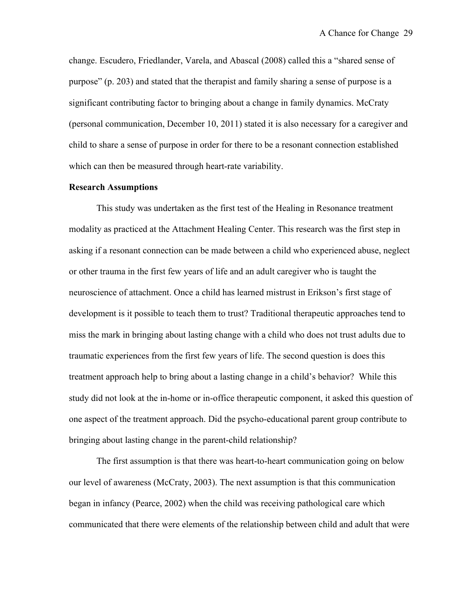change. Escudero, Friedlander, Varela, and Abascal (2008) called this a "shared sense of purpose" (p. 203) and stated that the therapist and family sharing a sense of purpose is a significant contributing factor to bringing about a change in family dynamics. McCraty (personal communication, December 10, 2011) stated it is also necessary for a caregiver and child to share a sense of purpose in order for there to be a resonant connection established which can then be measured through heart-rate variability.

# **Research Assumptions**

This study was undertaken as the first test of the Healing in Resonance treatment modality as practiced at the Attachment Healing Center. This research was the first step in asking if a resonant connection can be made between a child who experienced abuse, neglect or other trauma in the first few years of life and an adult caregiver who is taught the neuroscience of attachment. Once a child has learned mistrust in Erikson's first stage of development is it possible to teach them to trust? Traditional therapeutic approaches tend to miss the mark in bringing about lasting change with a child who does not trust adults due to traumatic experiences from the first few years of life. The second question is does this treatment approach help to bring about a lasting change in a child's behavior? While this study did not look at the in-home or in-office therapeutic component, it asked this question of one aspect of the treatment approach. Did the psycho-educational parent group contribute to bringing about lasting change in the parent-child relationship?

The first assumption is that there was heart-to-heart communication going on below our level of awareness (McCraty, 2003). The next assumption is that this communication began in infancy (Pearce, 2002) when the child was receiving pathological care which communicated that there were elements of the relationship between child and adult that were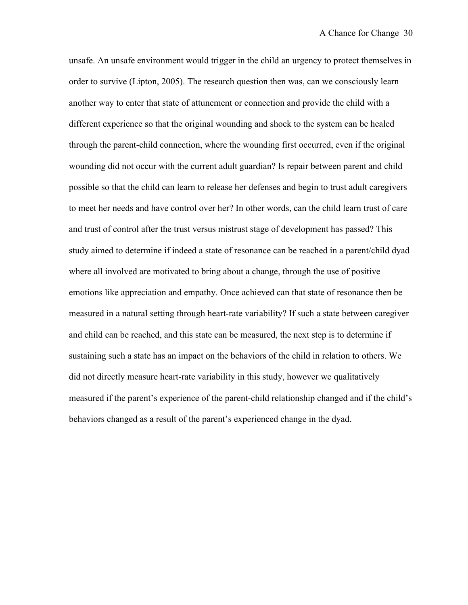unsafe. An unsafe environment would trigger in the child an urgency to protect themselves in order to survive (Lipton, 2005). The research question then was, can we consciously learn another way to enter that state of attunement or connection and provide the child with a different experience so that the original wounding and shock to the system can be healed through the parent-child connection, where the wounding first occurred, even if the original wounding did not occur with the current adult guardian? Is repair between parent and child possible so that the child can learn to release her defenses and begin to trust adult caregivers to meet her needs and have control over her? In other words, can the child learn trust of care and trust of control after the trust versus mistrust stage of development has passed? This study aimed to determine if indeed a state of resonance can be reached in a parent/child dyad where all involved are motivated to bring about a change, through the use of positive emotions like appreciation and empathy. Once achieved can that state of resonance then be measured in a natural setting through heart-rate variability? If such a state between caregiver and child can be reached, and this state can be measured, the next step is to determine if sustaining such a state has an impact on the behaviors of the child in relation to others. We did not directly measure heart-rate variability in this study, however we qualitatively measured if the parent's experience of the parent-child relationship changed and if the child's behaviors changed as a result of the parent's experienced change in the dyad.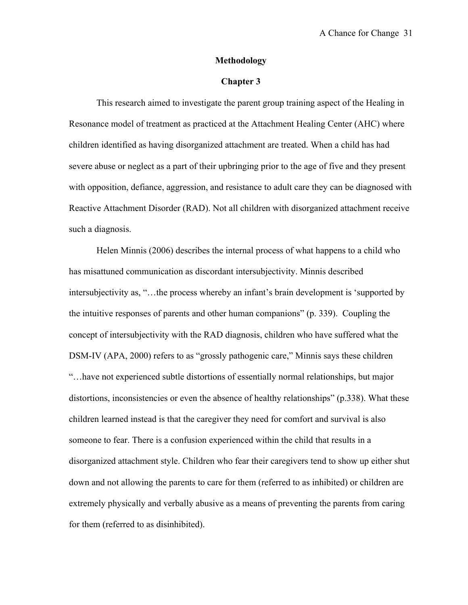## **Methodology**

# **Chapter 3**

This research aimed to investigate the parent group training aspect of the Healing in Resonance model of treatment as practiced at the Attachment Healing Center (AHC) where children identified as having disorganized attachment are treated. When a child has had severe abuse or neglect as a part of their upbringing prior to the age of five and they present with opposition, defiance, aggression, and resistance to adult care they can be diagnosed with Reactive Attachment Disorder (RAD). Not all children with disorganized attachment receive such a diagnosis.

Helen Minnis (2006) describes the internal process of what happens to a child who has misattuned communication as discordant intersubjectivity. Minnis described intersubjectivity as, "…the process whereby an infant's brain development is 'supported by the intuitive responses of parents and other human companions" (p. 339). Coupling the concept of intersubjectivity with the RAD diagnosis, children who have suffered what the DSM-IV (APA, 2000) refers to as "grossly pathogenic care," Minnis says these children "…have not experienced subtle distortions of essentially normal relationships, but major distortions, inconsistencies or even the absence of healthy relationships" (p.338). What these children learned instead is that the caregiver they need for comfort and survival is also someone to fear. There is a confusion experienced within the child that results in a disorganized attachment style. Children who fear their caregivers tend to show up either shut down and not allowing the parents to care for them (referred to as inhibited) or children are extremely physically and verbally abusive as a means of preventing the parents from caring for them (referred to as disinhibited).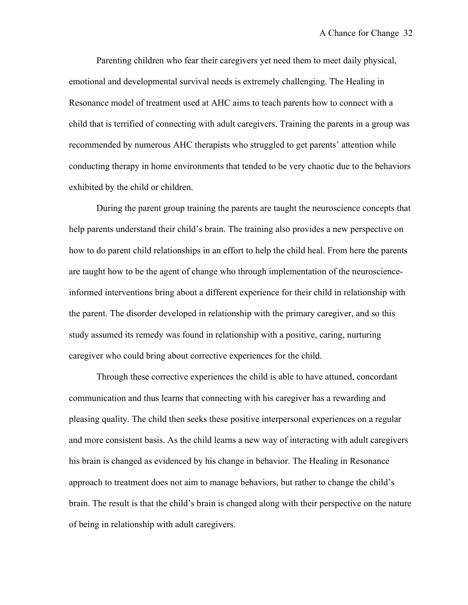Parenting children who fear their caregivers yet need them to meet daily physical, emotional and developmental survival needs is extremely challenging. The Healing in Resonance model of treatment used at AHC aims to teach parents how to connect with a child that is terrified of connecting with adult caregivers. Training the parents in a group was recommended by numerous AHC therapists who struggled to get parents' attention while conducting therapy in home environments that tended to be very chaotic due to the behaviors exhibited by the child or children.

During the parent group training the parents are taught the neuroscience concepts that help parents understand their child's brain. The training also provides a new perspective on how to do parent child relationships in an effort to help the child heal. From here the parents are taught how to be the agent of change who through implementation of the neuroscienceinformed interventions bring about a different experience for their child in relationship with the parent. The disorder developed in relationship with the primary caregiver, and so this study assumed its remedy was found in relationship with a positive, caring, nurturing caregiver who could bring about corrective experiences for the child.

Through these corrective experiences the child is able to have attuned, concordant communication and thus learns that connecting with his caregiver has a rewarding and pleasing quality. The child then seeks these positive interpersonal experiences on a regular and more consistent basis. As the child learns a new way of interacting with adult caregivers his brain is changed as evidenced by his change in behavior. The Healing in Resonance approach to treatment does not aim to manage behaviors, but rather to change the child's brain. The result is that the child's brain is changed along with their perspective on the nature of being in relationship with adult caregivers.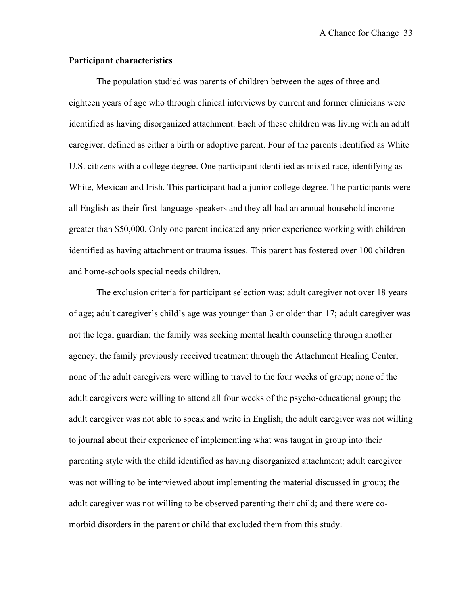# **Participant characteristics**

The population studied was parents of children between the ages of three and eighteen years of age who through clinical interviews by current and former clinicians were identified as having disorganized attachment. Each of these children was living with an adult caregiver, defined as either a birth or adoptive parent. Four of the parents identified as White U.S. citizens with a college degree. One participant identified as mixed race, identifying as White, Mexican and Irish. This participant had a junior college degree. The participants were all English-as-their-first-language speakers and they all had an annual household income greater than \$50,000. Only one parent indicated any prior experience working with children identified as having attachment or trauma issues. This parent has fostered over 100 children and home-schools special needs children.

The exclusion criteria for participant selection was: adult caregiver not over 18 years of age; adult caregiver's child's age was younger than 3 or older than 17; adult caregiver was not the legal guardian; the family was seeking mental health counseling through another agency; the family previously received treatment through the Attachment Healing Center; none of the adult caregivers were willing to travel to the four weeks of group; none of the adult caregivers were willing to attend all four weeks of the psycho-educational group; the adult caregiver was not able to speak and write in English; the adult caregiver was not willing to journal about their experience of implementing what was taught in group into their parenting style with the child identified as having disorganized attachment; adult caregiver was not willing to be interviewed about implementing the material discussed in group; the adult caregiver was not willing to be observed parenting their child; and there were comorbid disorders in the parent or child that excluded them from this study.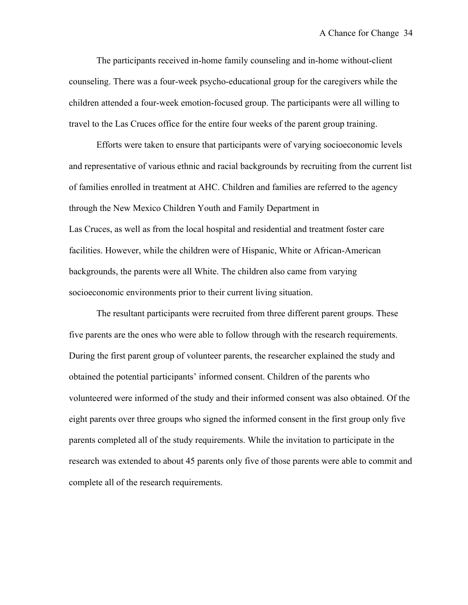The participants received in-home family counseling and in-home without-client counseling. There was a four-week psycho-educational group for the caregivers while the children attended a four-week emotion-focused group. The participants were all willing to travel to the Las Cruces office for the entire four weeks of the parent group training.

Efforts were taken to ensure that participants were of varying socioeconomic levels and representative of various ethnic and racial backgrounds by recruiting from the current list of families enrolled in treatment at AHC. Children and families are referred to the agency through the New Mexico Children Youth and Family Department in Las Cruces, as well as from the local hospital and residential and treatment foster care facilities. However, while the children were of Hispanic, White or African-American backgrounds, the parents were all White. The children also came from varying socioeconomic environments prior to their current living situation.

The resultant participants were recruited from three different parent groups. These five parents are the ones who were able to follow through with the research requirements. During the first parent group of volunteer parents, the researcher explained the study and obtained the potential participants' informed consent. Children of the parents who volunteered were informed of the study and their informed consent was also obtained. Of the eight parents over three groups who signed the informed consent in the first group only five parents completed all of the study requirements. While the invitation to participate in the research was extended to about 45 parents only five of those parents were able to commit and complete all of the research requirements.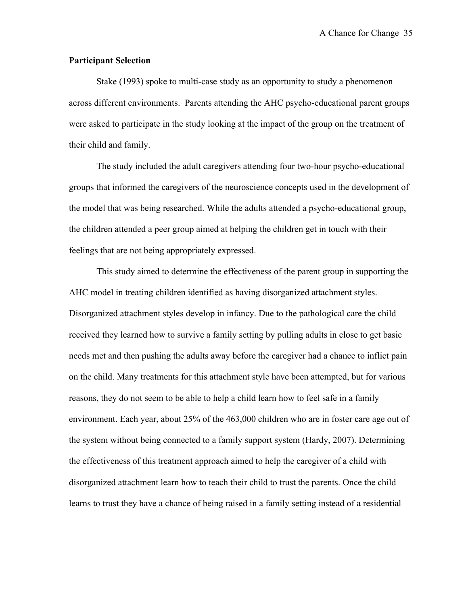## **Participant Selection**

Stake (1993) spoke to multi-case study as an opportunity to study a phenomenon across different environments. Parents attending the AHC psycho-educational parent groups were asked to participate in the study looking at the impact of the group on the treatment of their child and family.

The study included the adult caregivers attending four two-hour psycho-educational groups that informed the caregivers of the neuroscience concepts used in the development of the model that was being researched. While the adults attended a psycho-educational group, the children attended a peer group aimed at helping the children get in touch with their feelings that are not being appropriately expressed.

This study aimed to determine the effectiveness of the parent group in supporting the AHC model in treating children identified as having disorganized attachment styles. Disorganized attachment styles develop in infancy. Due to the pathological care the child received they learned how to survive a family setting by pulling adults in close to get basic needs met and then pushing the adults away before the caregiver had a chance to inflict pain on the child. Many treatments for this attachment style have been attempted, but for various reasons, they do not seem to be able to help a child learn how to feel safe in a family environment. Each year, about 25% of the 463,000 children who are in foster care age out of the system without being connected to a family support system (Hardy, 2007). Determining the effectiveness of this treatment approach aimed to help the caregiver of a child with disorganized attachment learn how to teach their child to trust the parents. Once the child learns to trust they have a chance of being raised in a family setting instead of a residential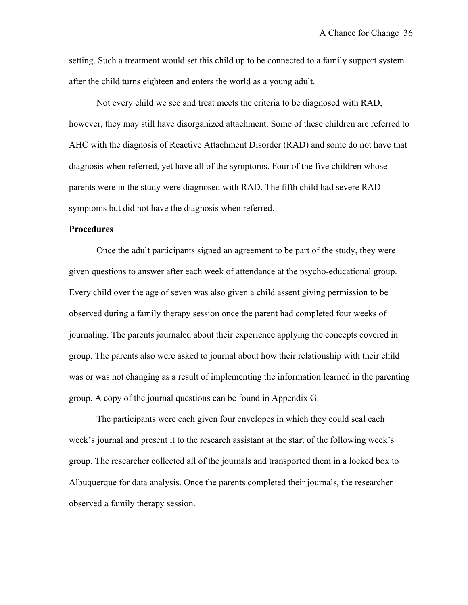setting. Such a treatment would set this child up to be connected to a family support system after the child turns eighteen and enters the world as a young adult.

Not every child we see and treat meets the criteria to be diagnosed with RAD, however, they may still have disorganized attachment. Some of these children are referred to AHC with the diagnosis of Reactive Attachment Disorder (RAD) and some do not have that diagnosis when referred, yet have all of the symptoms. Four of the five children whose parents were in the study were diagnosed with RAD. The fifth child had severe RAD symptoms but did not have the diagnosis when referred.

## **Procedures**

Once the adult participants signed an agreement to be part of the study, they were given questions to answer after each week of attendance at the psycho-educational group. Every child over the age of seven was also given a child assent giving permission to be observed during a family therapy session once the parent had completed four weeks of journaling. The parents journaled about their experience applying the concepts covered in group. The parents also were asked to journal about how their relationship with their child was or was not changing as a result of implementing the information learned in the parenting group. A copy of the journal questions can be found in Appendix G.

The participants were each given four envelopes in which they could seal each week's journal and present it to the research assistant at the start of the following week's group. The researcher collected all of the journals and transported them in a locked box to Albuquerque for data analysis. Once the parents completed their journals, the researcher observed a family therapy session.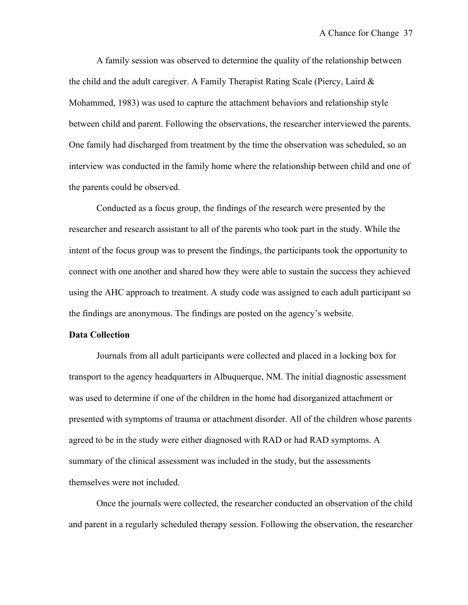A family session was observed to determine the quality of the relationship between the child and the adult caregiver. A Family Therapist Rating Scale (Piercy, Laird & Mohammed, 1983) was used to capture the attachment behaviors and relationship style between child and parent. Following the observations, the researcher interviewed the parents. One family had discharged from treatment by the time the observation was scheduled, so an interview was conducted in the family home where the relationship between child and one of the parents could be observed.

Conducted as a focus group, the findings of the research were presented by the researcher and research assistant to all of the parents who took part in the study. While the intent of the focus group was to present the findings, the participants took the opportunity to connect with one another and shared how they were able to sustain the success they achieved using the AHC approach to treatment. A study code was assigned to each adult participant so the findings are anonymous. The findings are posted on the agency's website.

### **Data Collection**

Journals from all adult participants were collected and placed in a locking box for transport to the agency headquarters in Albuquerque, NM. The initial diagnostic assessment was used to determine if one of the children in the home had disorganized attachment or presented with symptoms of trauma or attachment disorder. All of the children whose parents agreed to be in the study were either diagnosed with RAD or had RAD symptoms. A summary of the clinical assessment was included in the study, but the assessments themselves were not included.

Once the journals were collected, the researcher conducted an observation of the child and parent in a regularly scheduled therapy session. Following the observation, the researcher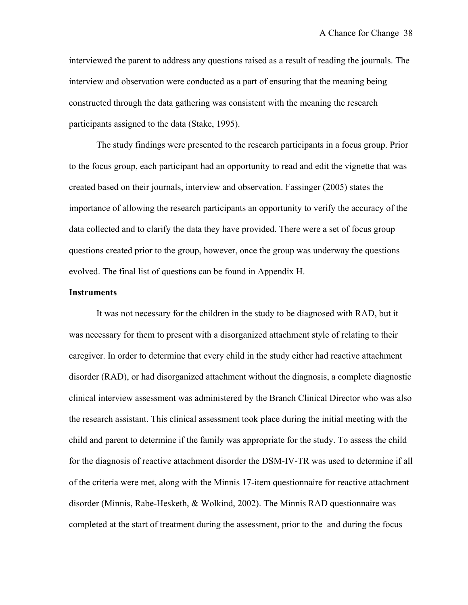interviewed the parent to address any questions raised as a result of reading the journals. The interview and observation were conducted as a part of ensuring that the meaning being constructed through the data gathering was consistent with the meaning the research participants assigned to the data (Stake, 1995).

The study findings were presented to the research participants in a focus group. Prior to the focus group, each participant had an opportunity to read and edit the vignette that was created based on their journals, interview and observation. Fassinger (2005) states the importance of allowing the research participants an opportunity to verify the accuracy of the data collected and to clarify the data they have provided. There were a set of focus group questions created prior to the group, however, once the group was underway the questions evolved. The final list of questions can be found in Appendix H.

## **Instruments**

It was not necessary for the children in the study to be diagnosed with RAD, but it was necessary for them to present with a disorganized attachment style of relating to their caregiver. In order to determine that every child in the study either had reactive attachment disorder (RAD), or had disorganized attachment without the diagnosis, a complete diagnostic clinical interview assessment was administered by the Branch Clinical Director who was also the research assistant. This clinical assessment took place during the initial meeting with the child and parent to determine if the family was appropriate for the study. To assess the child for the diagnosis of reactive attachment disorder the DSM-IV-TR was used to determine if all of the criteria were met, along with the Minnis 17-item questionnaire for reactive attachment disorder (Minnis, Rabe-Hesketh, & Wolkind, 2002). The Minnis RAD questionnaire was completed at the start of treatment during the assessment, prior to the and during the focus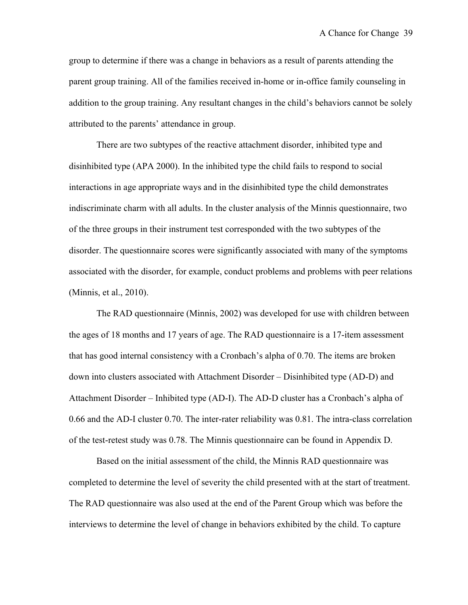group to determine if there was a change in behaviors as a result of parents attending the parent group training. All of the families received in-home or in-office family counseling in addition to the group training. Any resultant changes in the child's behaviors cannot be solely attributed to the parents' attendance in group.

There are two subtypes of the reactive attachment disorder, inhibited type and disinhibited type (APA 2000). In the inhibited type the child fails to respond to social interactions in age appropriate ways and in the disinhibited type the child demonstrates indiscriminate charm with all adults. In the cluster analysis of the Minnis questionnaire, two of the three groups in their instrument test corresponded with the two subtypes of the disorder. The questionnaire scores were significantly associated with many of the symptoms associated with the disorder, for example, conduct problems and problems with peer relations (Minnis, et al., 2010).

The RAD questionnaire (Minnis, 2002) was developed for use with children between the ages of 18 months and 17 years of age. The RAD questionnaire is a 17-item assessment that has good internal consistency with a Cronbach's alpha of 0.70. The items are broken down into clusters associated with Attachment Disorder – Disinhibited type (AD-D) and Attachment Disorder – Inhibited type (AD-I). The AD-D cluster has a Cronbach's alpha of 0.66 and the AD-I cluster 0.70. The inter-rater reliability was 0.81. The intra-class correlation of the test-retest study was 0.78. The Minnis questionnaire can be found in Appendix D.

Based on the initial assessment of the child, the Minnis RAD questionnaire was completed to determine the level of severity the child presented with at the start of treatment. The RAD questionnaire was also used at the end of the Parent Group which was before the interviews to determine the level of change in behaviors exhibited by the child. To capture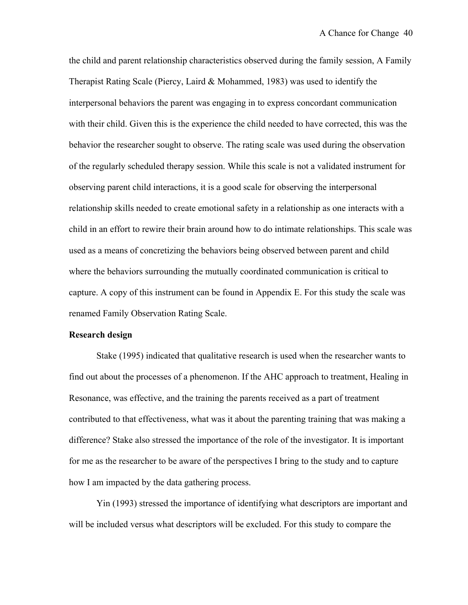the child and parent relationship characteristics observed during the family session, A Family Therapist Rating Scale (Piercy, Laird & Mohammed, 1983) was used to identify the interpersonal behaviors the parent was engaging in to express concordant communication with their child. Given this is the experience the child needed to have corrected, this was the behavior the researcher sought to observe. The rating scale was used during the observation of the regularly scheduled therapy session. While this scale is not a validated instrument for observing parent child interactions, it is a good scale for observing the interpersonal relationship skills needed to create emotional safety in a relationship as one interacts with a child in an effort to rewire their brain around how to do intimate relationships. This scale was used as a means of concretizing the behaviors being observed between parent and child where the behaviors surrounding the mutually coordinated communication is critical to capture. A copy of this instrument can be found in Appendix E. For this study the scale was renamed Family Observation Rating Scale.

#### **Research design**

Stake (1995) indicated that qualitative research is used when the researcher wants to find out about the processes of a phenomenon. If the AHC approach to treatment, Healing in Resonance, was effective, and the training the parents received as a part of treatment contributed to that effectiveness, what was it about the parenting training that was making a difference? Stake also stressed the importance of the role of the investigator. It is important for me as the researcher to be aware of the perspectives I bring to the study and to capture how I am impacted by the data gathering process.

Yin (1993) stressed the importance of identifying what descriptors are important and will be included versus what descriptors will be excluded. For this study to compare the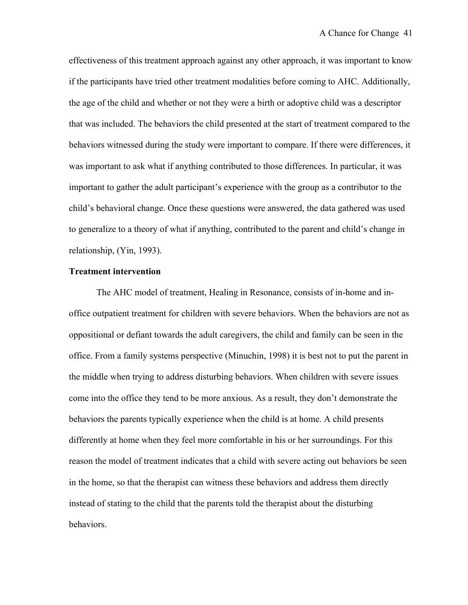effectiveness of this treatment approach against any other approach, it was important to know if the participants have tried other treatment modalities before coming to AHC. Additionally, the age of the child and whether or not they were a birth or adoptive child was a descriptor that was included. The behaviors the child presented at the start of treatment compared to the behaviors witnessed during the study were important to compare. If there were differences, it was important to ask what if anything contributed to those differences. In particular, it was important to gather the adult participant's experience with the group as a contributor to the child's behavioral change. Once these questions were answered, the data gathered was used to generalize to a theory of what if anything, contributed to the parent and child's change in relationship, (Yin, 1993).

### **Treatment intervention**

The AHC model of treatment, Healing in Resonance, consists of in-home and inoffice outpatient treatment for children with severe behaviors. When the behaviors are not as oppositional or defiant towards the adult caregivers, the child and family can be seen in the office. From a family systems perspective (Minuchin, 1998) it is best not to put the parent in the middle when trying to address disturbing behaviors. When children with severe issues come into the office they tend to be more anxious. As a result, they don't demonstrate the behaviors the parents typically experience when the child is at home. A child presents differently at home when they feel more comfortable in his or her surroundings. For this reason the model of treatment indicates that a child with severe acting out behaviors be seen in the home, so that the therapist can witness these behaviors and address them directly instead of stating to the child that the parents told the therapist about the disturbing behaviors.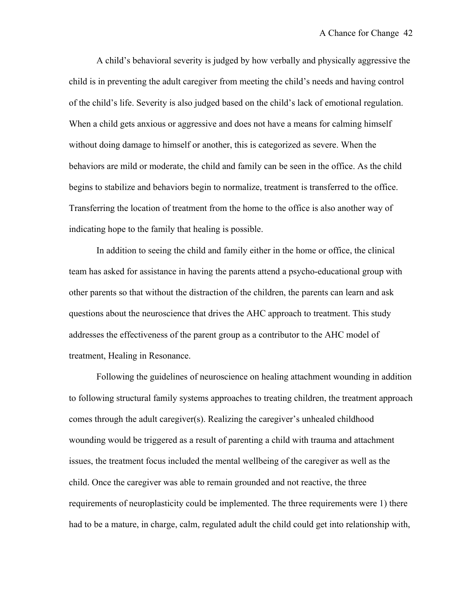A child's behavioral severity is judged by how verbally and physically aggressive the child is in preventing the adult caregiver from meeting the child's needs and having control of the child's life. Severity is also judged based on the child's lack of emotional regulation. When a child gets anxious or aggressive and does not have a means for calming himself without doing damage to himself or another, this is categorized as severe. When the behaviors are mild or moderate, the child and family can be seen in the office. As the child begins to stabilize and behaviors begin to normalize, treatment is transferred to the office. Transferring the location of treatment from the home to the office is also another way of indicating hope to the family that healing is possible.

In addition to seeing the child and family either in the home or office, the clinical team has asked for assistance in having the parents attend a psycho-educational group with other parents so that without the distraction of the children, the parents can learn and ask questions about the neuroscience that drives the AHC approach to treatment. This study addresses the effectiveness of the parent group as a contributor to the AHC model of treatment, Healing in Resonance.

Following the guidelines of neuroscience on healing attachment wounding in addition to following structural family systems approaches to treating children, the treatment approach comes through the adult caregiver(s). Realizing the caregiver's unhealed childhood wounding would be triggered as a result of parenting a child with trauma and attachment issues, the treatment focus included the mental wellbeing of the caregiver as well as the child. Once the caregiver was able to remain grounded and not reactive, the three requirements of neuroplasticity could be implemented. The three requirements were 1) there had to be a mature, in charge, calm, regulated adult the child could get into relationship with,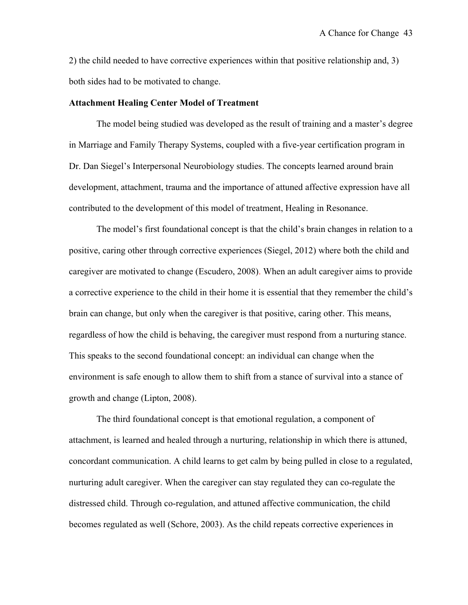2) the child needed to have corrective experiences within that positive relationship and, 3) both sides had to be motivated to change.

### **Attachment Healing Center Model of Treatment**

The model being studied was developed as the result of training and a master's degree in Marriage and Family Therapy Systems, coupled with a five-year certification program in Dr. Dan Siegel's Interpersonal Neurobiology studies. The concepts learned around brain development, attachment, trauma and the importance of attuned affective expression have all contributed to the development of this model of treatment, Healing in Resonance.

The model's first foundational concept is that the child's brain changes in relation to a positive, caring other through corrective experiences (Siegel, 2012) where both the child and caregiver are motivated to change (Escudero, 2008). When an adult caregiver aims to provide a corrective experience to the child in their home it is essential that they remember the child's brain can change, but only when the caregiver is that positive, caring other. This means, regardless of how the child is behaving, the caregiver must respond from a nurturing stance. This speaks to the second foundational concept: an individual can change when the environment is safe enough to allow them to shift from a stance of survival into a stance of growth and change (Lipton, 2008).

The third foundational concept is that emotional regulation, a component of attachment, is learned and healed through a nurturing, relationship in which there is attuned, concordant communication. A child learns to get calm by being pulled in close to a regulated, nurturing adult caregiver. When the caregiver can stay regulated they can co-regulate the distressed child. Through co-regulation, and attuned affective communication, the child becomes regulated as well (Schore, 2003). As the child repeats corrective experiences in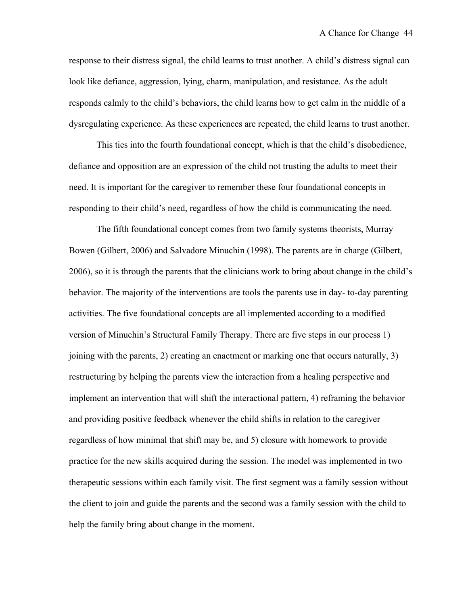response to their distress signal, the child learns to trust another. A child's distress signal can look like defiance, aggression, lying, charm, manipulation, and resistance. As the adult responds calmly to the child's behaviors, the child learns how to get calm in the middle of a dysregulating experience. As these experiences are repeated, the child learns to trust another.

This ties into the fourth foundational concept, which is that the child's disobedience, defiance and opposition are an expression of the child not trusting the adults to meet their need. It is important for the caregiver to remember these four foundational concepts in responding to their child's need, regardless of how the child is communicating the need.

The fifth foundational concept comes from two family systems theorists, Murray Bowen (Gilbert, 2006) and Salvadore Minuchin (1998). The parents are in charge (Gilbert, 2006), so it is through the parents that the clinicians work to bring about change in the child's behavior. The majority of the interventions are tools the parents use in day- to-day parenting activities. The five foundational concepts are all implemented according to a modified version of Minuchin's Structural Family Therapy. There are five steps in our process 1) joining with the parents, 2) creating an enactment or marking one that occurs naturally, 3) restructuring by helping the parents view the interaction from a healing perspective and implement an intervention that will shift the interactional pattern, 4) reframing the behavior and providing positive feedback whenever the child shifts in relation to the caregiver regardless of how minimal that shift may be, and 5) closure with homework to provide practice for the new skills acquired during the session. The model was implemented in two therapeutic sessions within each family visit. The first segment was a family session without the client to join and guide the parents and the second was a family session with the child to help the family bring about change in the moment.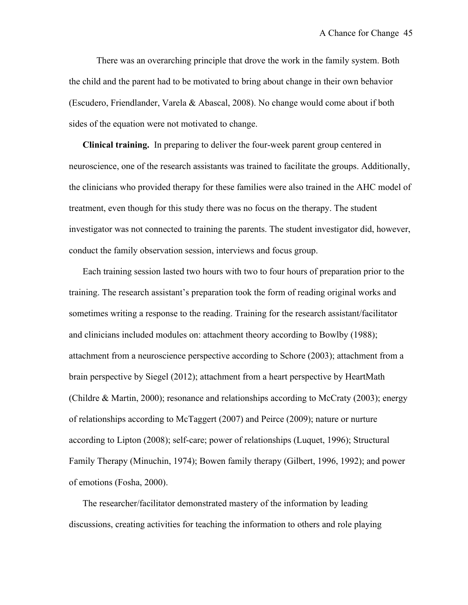There was an overarching principle that drove the work in the family system. Both the child and the parent had to be motivated to bring about change in their own behavior (Escudero, Friendlander, Varela & Abascal, 2008). No change would come about if both sides of the equation were not motivated to change.

**Clinical training.** In preparing to deliver the four-week parent group centered in neuroscience, one of the research assistants was trained to facilitate the groups. Additionally, the clinicians who provided therapy for these families were also trained in the AHC model of treatment, even though for this study there was no focus on the therapy. The student investigator was not connected to training the parents. The student investigator did, however, conduct the family observation session, interviews and focus group.

Each training session lasted two hours with two to four hours of preparation prior to the training. The research assistant's preparation took the form of reading original works and sometimes writing a response to the reading. Training for the research assistant/facilitator and clinicians included modules on: attachment theory according to Bowlby (1988); attachment from a neuroscience perspective according to Schore (2003); attachment from a brain perspective by Siegel (2012); attachment from a heart perspective by HeartMath (Childre & Martin, 2000); resonance and relationships according to McCraty (2003); energy of relationships according to McTaggert (2007) and Peirce (2009); nature or nurture according to Lipton (2008); self-care; power of relationships (Luquet, 1996); Structural Family Therapy (Minuchin, 1974); Bowen family therapy (Gilbert, 1996, 1992); and power of emotions (Fosha, 2000).

The researcher/facilitator demonstrated mastery of the information by leading discussions, creating activities for teaching the information to others and role playing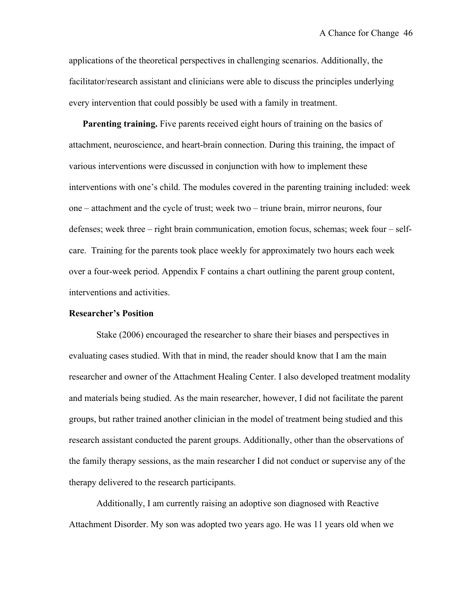applications of the theoretical perspectives in challenging scenarios. Additionally, the facilitator/research assistant and clinicians were able to discuss the principles underlying every intervention that could possibly be used with a family in treatment.

**Parenting training.** Five parents received eight hours of training on the basics of attachment, neuroscience, and heart-brain connection. During this training, the impact of various interventions were discussed in conjunction with how to implement these interventions with one's child. The modules covered in the parenting training included: week one – attachment and the cycle of trust; week two – triune brain, mirror neurons, four defenses; week three – right brain communication, emotion focus, schemas; week four – selfcare. Training for the parents took place weekly for approximately two hours each week over a four-week period. Appendix F contains a chart outlining the parent group content, interventions and activities.

#### **Researcher's Position**

Stake (2006) encouraged the researcher to share their biases and perspectives in evaluating cases studied. With that in mind, the reader should know that I am the main researcher and owner of the Attachment Healing Center. I also developed treatment modality and materials being studied. As the main researcher, however, I did not facilitate the parent groups, but rather trained another clinician in the model of treatment being studied and this research assistant conducted the parent groups. Additionally, other than the observations of the family therapy sessions, as the main researcher I did not conduct or supervise any of the therapy delivered to the research participants.

Additionally, I am currently raising an adoptive son diagnosed with Reactive Attachment Disorder. My son was adopted two years ago. He was 11 years old when we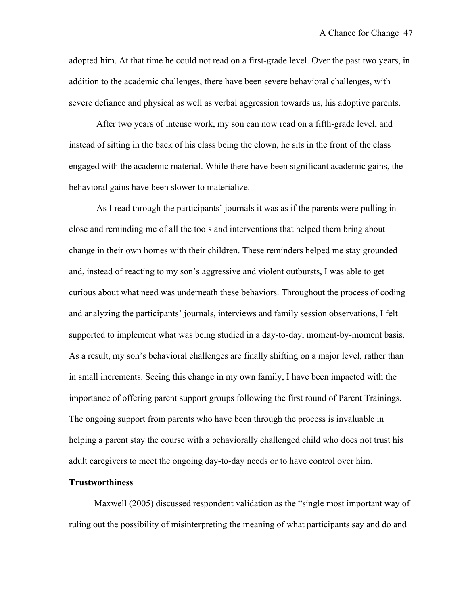adopted him. At that time he could not read on a first-grade level. Over the past two years, in addition to the academic challenges, there have been severe behavioral challenges, with severe defiance and physical as well as verbal aggression towards us, his adoptive parents.

After two years of intense work, my son can now read on a fifth-grade level, and instead of sitting in the back of his class being the clown, he sits in the front of the class engaged with the academic material. While there have been significant academic gains, the behavioral gains have been slower to materialize.

As I read through the participants' journals it was as if the parents were pulling in close and reminding me of all the tools and interventions that helped them bring about change in their own homes with their children. These reminders helped me stay grounded and, instead of reacting to my son's aggressive and violent outbursts, I was able to get curious about what need was underneath these behaviors. Throughout the process of coding and analyzing the participants' journals, interviews and family session observations, I felt supported to implement what was being studied in a day-to-day, moment-by-moment basis. As a result, my son's behavioral challenges are finally shifting on a major level, rather than in small increments. Seeing this change in my own family, I have been impacted with the importance of offering parent support groups following the first round of Parent Trainings. The ongoing support from parents who have been through the process is invaluable in helping a parent stay the course with a behaviorally challenged child who does not trust his adult caregivers to meet the ongoing day-to-day needs or to have control over him.

### **Trustworthiness**

Maxwell (2005) discussed respondent validation as the "single most important way of ruling out the possibility of misinterpreting the meaning of what participants say and do and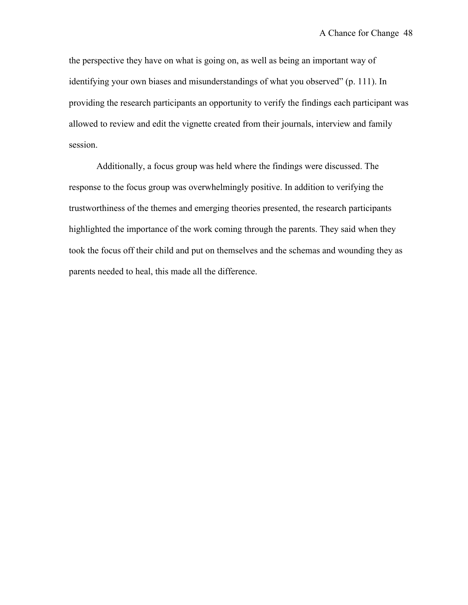the perspective they have on what is going on, as well as being an important way of identifying your own biases and misunderstandings of what you observed" (p. 111). In providing the research participants an opportunity to verify the findings each participant was allowed to review and edit the vignette created from their journals, interview and family session.

Additionally, a focus group was held where the findings were discussed. The response to the focus group was overwhelmingly positive. In addition to verifying the trustworthiness of the themes and emerging theories presented, the research participants highlighted the importance of the work coming through the parents. They said when they took the focus off their child and put on themselves and the schemas and wounding they as parents needed to heal, this made all the difference.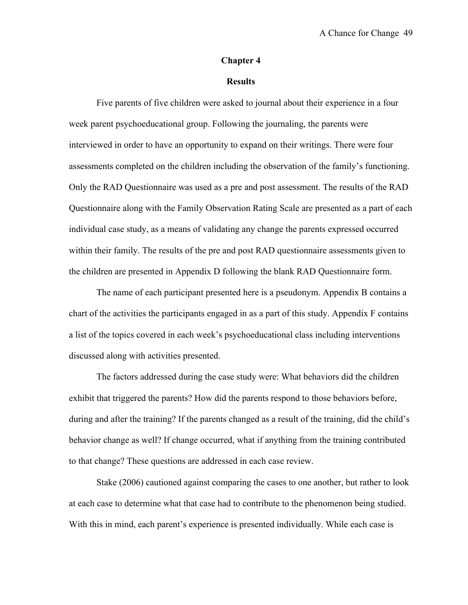#### **Chapter 4**

# **Results**

Five parents of five children were asked to journal about their experience in a four week parent psychoeducational group. Following the journaling, the parents were interviewed in order to have an opportunity to expand on their writings. There were four assessments completed on the children including the observation of the family's functioning. Only the RAD Questionnaire was used as a pre and post assessment. The results of the RAD Questionnaire along with the Family Observation Rating Scale are presented as a part of each individual case study, as a means of validating any change the parents expressed occurred within their family. The results of the pre and post RAD questionnaire assessments given to the children are presented in Appendix D following the blank RAD Questionnaire form.

The name of each participant presented here is a pseudonym. Appendix B contains a chart of the activities the participants engaged in as a part of this study. Appendix F contains a list of the topics covered in each week's psychoeducational class including interventions discussed along with activities presented.

The factors addressed during the case study were: What behaviors did the children exhibit that triggered the parents? How did the parents respond to those behaviors before, during and after the training? If the parents changed as a result of the training, did the child's behavior change as well? If change occurred, what if anything from the training contributed to that change? These questions are addressed in each case review.

Stake (2006) cautioned against comparing the cases to one another, but rather to look at each case to determine what that case had to contribute to the phenomenon being studied. With this in mind, each parent's experience is presented individually. While each case is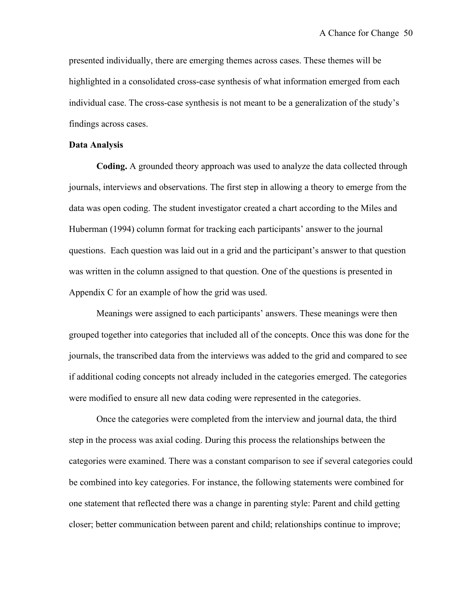presented individually, there are emerging themes across cases. These themes will be highlighted in a consolidated cross-case synthesis of what information emerged from each individual case. The cross-case synthesis is not meant to be a generalization of the study's findings across cases.

### **Data Analysis**

**Coding.** A grounded theory approach was used to analyze the data collected through journals, interviews and observations. The first step in allowing a theory to emerge from the data was open coding. The student investigator created a chart according to the Miles and Huberman (1994) column format for tracking each participants' answer to the journal questions. Each question was laid out in a grid and the participant's answer to that question was written in the column assigned to that question. One of the questions is presented in Appendix C for an example of how the grid was used.

Meanings were assigned to each participants' answers. These meanings were then grouped together into categories that included all of the concepts. Once this was done for the journals, the transcribed data from the interviews was added to the grid and compared to see if additional coding concepts not already included in the categories emerged. The categories were modified to ensure all new data coding were represented in the categories.

Once the categories were completed from the interview and journal data, the third step in the process was axial coding. During this process the relationships between the categories were examined. There was a constant comparison to see if several categories could be combined into key categories. For instance, the following statements were combined for one statement that reflected there was a change in parenting style: Parent and child getting closer; better communication between parent and child; relationships continue to improve;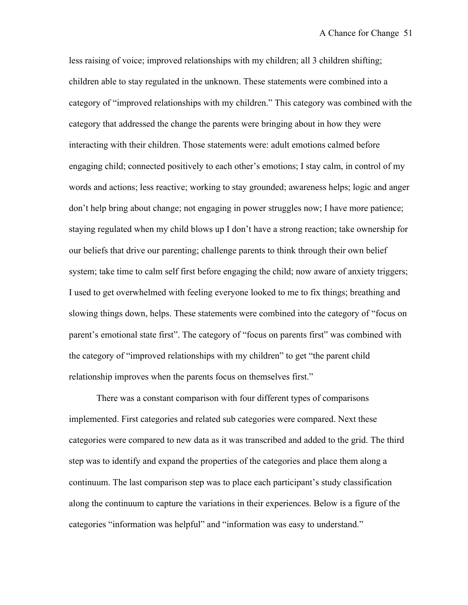less raising of voice; improved relationships with my children; all 3 children shifting; children able to stay regulated in the unknown. These statements were combined into a category of "improved relationships with my children." This category was combined with the category that addressed the change the parents were bringing about in how they were interacting with their children. Those statements were: adult emotions calmed before engaging child; connected positively to each other's emotions; I stay calm, in control of my words and actions; less reactive; working to stay grounded; awareness helps; logic and anger don't help bring about change; not engaging in power struggles now; I have more patience; staying regulated when my child blows up I don't have a strong reaction; take ownership for our beliefs that drive our parenting; challenge parents to think through their own belief system; take time to calm self first before engaging the child; now aware of anxiety triggers; I used to get overwhelmed with feeling everyone looked to me to fix things; breathing and slowing things down, helps. These statements were combined into the category of "focus on parent's emotional state first". The category of "focus on parents first" was combined with the category of "improved relationships with my children" to get "the parent child relationship improves when the parents focus on themselves first."

There was a constant comparison with four different types of comparisons implemented. First categories and related sub categories were compared. Next these categories were compared to new data as it was transcribed and added to the grid. The third step was to identify and expand the properties of the categories and place them along a continuum. The last comparison step was to place each participant's study classification along the continuum to capture the variations in their experiences. Below is a figure of the categories "information was helpful" and "information was easy to understand."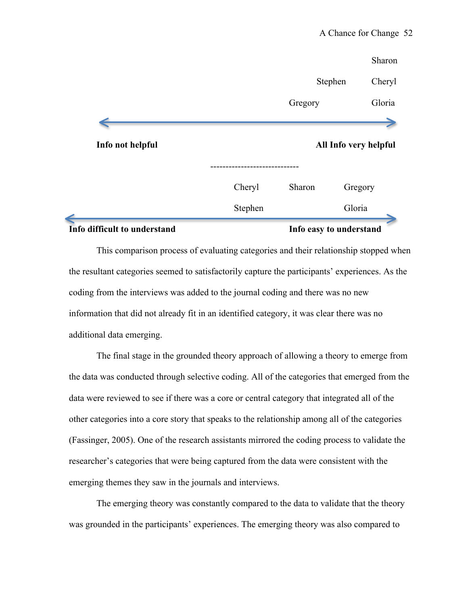| Info difficult to understand |                       | Info easy to understand |                   |
|------------------------------|-----------------------|-------------------------|-------------------|
|                              | Stephen               |                         | Gloria            |
|                              | Cheryl                | Sharon                  | Gregory           |
| Info not helpful             | All Info very helpful |                         |                   |
|                              |                       | Gregory                 | Gloria            |
|                              |                       |                         | Stephen<br>Cheryl |
|                              |                       |                         | Sharon            |

This comparison process of evaluating categories and their relationship stopped when the resultant categories seemed to satisfactorily capture the participants' experiences. As the coding from the interviews was added to the journal coding and there was no new information that did not already fit in an identified category, it was clear there was no additional data emerging.

The final stage in the grounded theory approach of allowing a theory to emerge from the data was conducted through selective coding. All of the categories that emerged from the data were reviewed to see if there was a core or central category that integrated all of the other categories into a core story that speaks to the relationship among all of the categories (Fassinger, 2005). One of the research assistants mirrored the coding process to validate the researcher's categories that were being captured from the data were consistent with the emerging themes they saw in the journals and interviews.

The emerging theory was constantly compared to the data to validate that the theory was grounded in the participants' experiences. The emerging theory was also compared to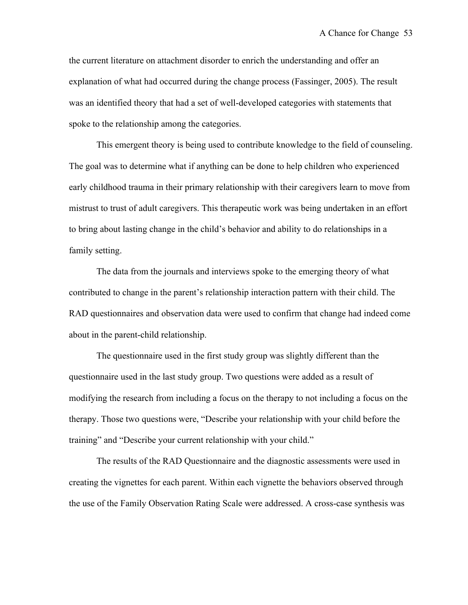the current literature on attachment disorder to enrich the understanding and offer an explanation of what had occurred during the change process (Fassinger, 2005). The result was an identified theory that had a set of well-developed categories with statements that spoke to the relationship among the categories.

This emergent theory is being used to contribute knowledge to the field of counseling. The goal was to determine what if anything can be done to help children who experienced early childhood trauma in their primary relationship with their caregivers learn to move from mistrust to trust of adult caregivers. This therapeutic work was being undertaken in an effort to bring about lasting change in the child's behavior and ability to do relationships in a family setting.

The data from the journals and interviews spoke to the emerging theory of what contributed to change in the parent's relationship interaction pattern with their child. The RAD questionnaires and observation data were used to confirm that change had indeed come about in the parent-child relationship.

The questionnaire used in the first study group was slightly different than the questionnaire used in the last study group. Two questions were added as a result of modifying the research from including a focus on the therapy to not including a focus on the therapy. Those two questions were, "Describe your relationship with your child before the training" and "Describe your current relationship with your child."

The results of the RAD Questionnaire and the diagnostic assessments were used in creating the vignettes for each parent. Within each vignette the behaviors observed through the use of the Family Observation Rating Scale were addressed. A cross-case synthesis was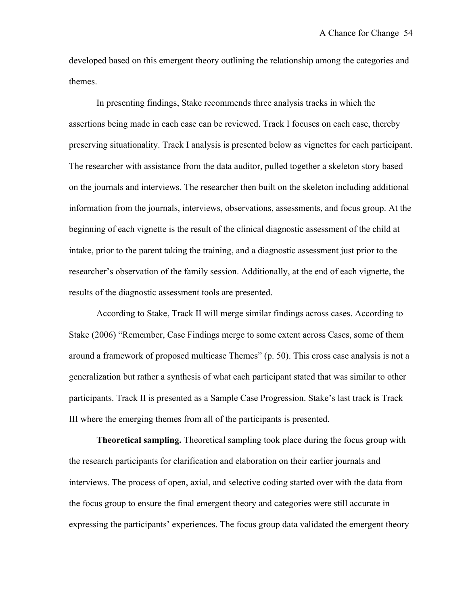developed based on this emergent theory outlining the relationship among the categories and themes.

In presenting findings, Stake recommends three analysis tracks in which the assertions being made in each case can be reviewed. Track I focuses on each case, thereby preserving situationality. Track I analysis is presented below as vignettes for each participant. The researcher with assistance from the data auditor, pulled together a skeleton story based on the journals and interviews. The researcher then built on the skeleton including additional information from the journals, interviews, observations, assessments, and focus group. At the beginning of each vignette is the result of the clinical diagnostic assessment of the child at intake, prior to the parent taking the training, and a diagnostic assessment just prior to the researcher's observation of the family session. Additionally, at the end of each vignette, the results of the diagnostic assessment tools are presented.

According to Stake, Track II will merge similar findings across cases. According to Stake (2006) "Remember, Case Findings merge to some extent across Cases, some of them around a framework of proposed multicase Themes" (p. 50). This cross case analysis is not a generalization but rather a synthesis of what each participant stated that was similar to other participants. Track II is presented as a Sample Case Progression. Stake's last track is Track III where the emerging themes from all of the participants is presented.

**Theoretical sampling.** Theoretical sampling took place during the focus group with the research participants for clarification and elaboration on their earlier journals and interviews. The process of open, axial, and selective coding started over with the data from the focus group to ensure the final emergent theory and categories were still accurate in expressing the participants' experiences. The focus group data validated the emergent theory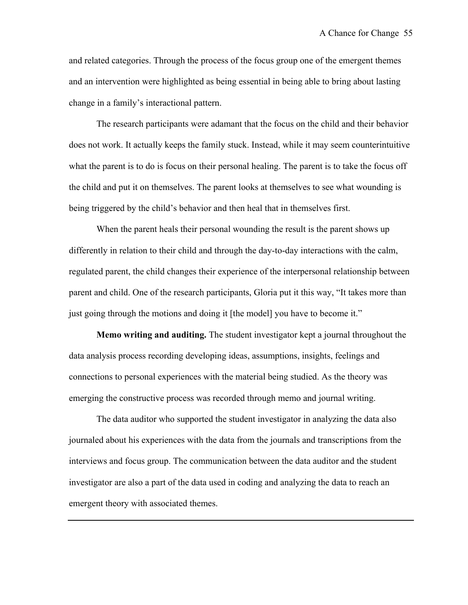and related categories. Through the process of the focus group one of the emergent themes and an intervention were highlighted as being essential in being able to bring about lasting change in a family's interactional pattern.

The research participants were adamant that the focus on the child and their behavior does not work. It actually keeps the family stuck. Instead, while it may seem counterintuitive what the parent is to do is focus on their personal healing. The parent is to take the focus off the child and put it on themselves. The parent looks at themselves to see what wounding is being triggered by the child's behavior and then heal that in themselves first.

When the parent heals their personal wounding the result is the parent shows up differently in relation to their child and through the day-to-day interactions with the calm, regulated parent, the child changes their experience of the interpersonal relationship between parent and child. One of the research participants, Gloria put it this way, "It takes more than just going through the motions and doing it [the model] you have to become it."

**Memo writing and auditing.** The student investigator kept a journal throughout the data analysis process recording developing ideas, assumptions, insights, feelings and connections to personal experiences with the material being studied. As the theory was emerging the constructive process was recorded through memo and journal writing.

The data auditor who supported the student investigator in analyzing the data also journaled about his experiences with the data from the journals and transcriptions from the interviews and focus group. The communication between the data auditor and the student investigator are also a part of the data used in coding and analyzing the data to reach an emergent theory with associated themes.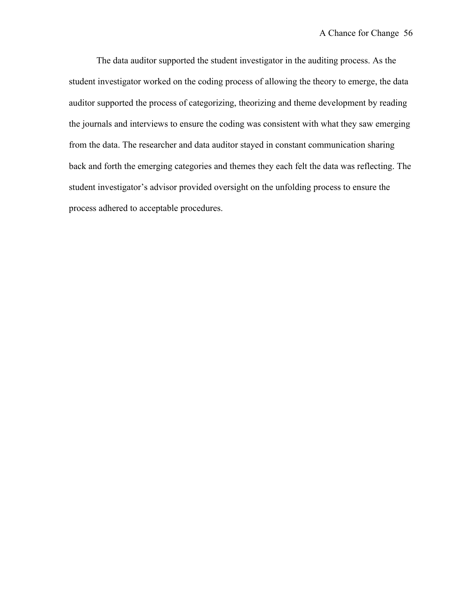The data auditor supported the student investigator in the auditing process. As the student investigator worked on the coding process of allowing the theory to emerge, the data auditor supported the process of categorizing, theorizing and theme development by reading the journals and interviews to ensure the coding was consistent with what they saw emerging from the data. The researcher and data auditor stayed in constant communication sharing back and forth the emerging categories and themes they each felt the data was reflecting. The student investigator's advisor provided oversight on the unfolding process to ensure the process adhered to acceptable procedures.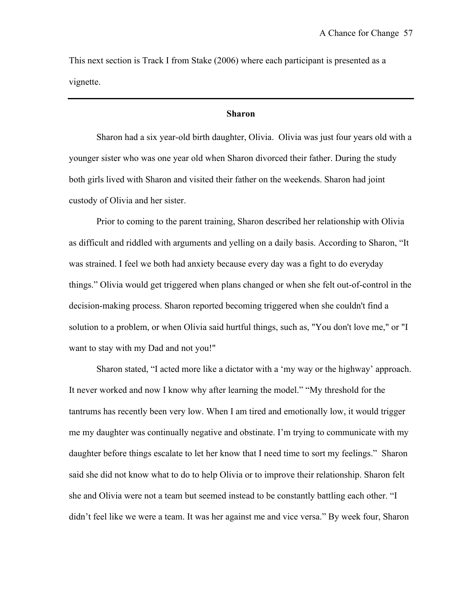This next section is Track I from Stake (2006) where each participant is presented as a vignette.

### **Sharon**

Sharon had a six year-old birth daughter, Olivia. Olivia was just four years old with a younger sister who was one year old when Sharon divorced their father. During the study both girls lived with Sharon and visited their father on the weekends. Sharon had joint custody of Olivia and her sister.

Prior to coming to the parent training, Sharon described her relationship with Olivia as difficult and riddled with arguments and yelling on a daily basis. According to Sharon, "It was strained. I feel we both had anxiety because every day was a fight to do everyday things." Olivia would get triggered when plans changed or when she felt out-of-control in the decision-making process. Sharon reported becoming triggered when she couldn't find a solution to a problem, or when Olivia said hurtful things, such as, "You don't love me," or "I want to stay with my Dad and not you!"

Sharon stated, "I acted more like a dictator with a 'my way or the highway' approach. It never worked and now I know why after learning the model." "My threshold for the tantrums has recently been very low. When I am tired and emotionally low, it would trigger me my daughter was continually negative and obstinate. I'm trying to communicate with my daughter before things escalate to let her know that I need time to sort my feelings." Sharon said she did not know what to do to help Olivia or to improve their relationship. Sharon felt she and Olivia were not a team but seemed instead to be constantly battling each other. "I didn't feel like we were a team. It was her against me and vice versa." By week four, Sharon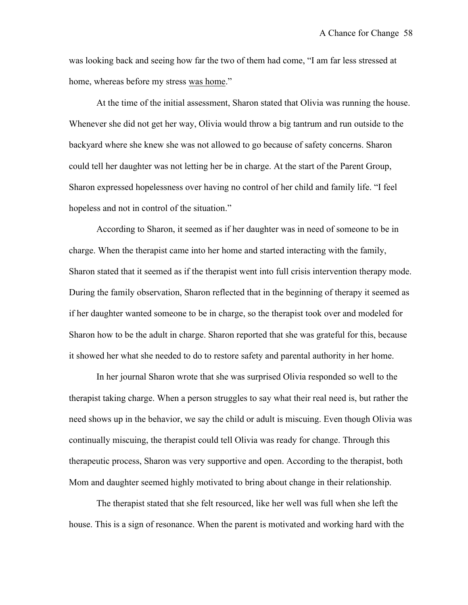was looking back and seeing how far the two of them had come, "I am far less stressed at home, whereas before my stress was home."

At the time of the initial assessment, Sharon stated that Olivia was running the house. Whenever she did not get her way, Olivia would throw a big tantrum and run outside to the backyard where she knew she was not allowed to go because of safety concerns. Sharon could tell her daughter was not letting her be in charge. At the start of the Parent Group, Sharon expressed hopelessness over having no control of her child and family life. "I feel hopeless and not in control of the situation."

According to Sharon, it seemed as if her daughter was in need of someone to be in charge. When the therapist came into her home and started interacting with the family, Sharon stated that it seemed as if the therapist went into full crisis intervention therapy mode. During the family observation, Sharon reflected that in the beginning of therapy it seemed as if her daughter wanted someone to be in charge, so the therapist took over and modeled for Sharon how to be the adult in charge. Sharon reported that she was grateful for this, because it showed her what she needed to do to restore safety and parental authority in her home.

In her journal Sharon wrote that she was surprised Olivia responded so well to the therapist taking charge. When a person struggles to say what their real need is, but rather the need shows up in the behavior, we say the child or adult is miscuing. Even though Olivia was continually miscuing, the therapist could tell Olivia was ready for change. Through this therapeutic process, Sharon was very supportive and open. According to the therapist, both Mom and daughter seemed highly motivated to bring about change in their relationship.

The therapist stated that she felt resourced, like her well was full when she left the house. This is a sign of resonance. When the parent is motivated and working hard with the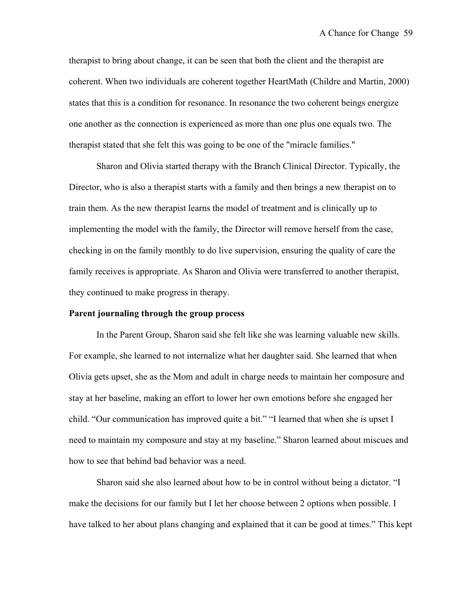therapist to bring about change, it can be seen that both the client and the therapist are coherent. When two individuals are coherent together HeartMath (Childre and Martin, 2000) states that this is a condition for resonance. In resonance the two coherent beings energize one another as the connection is experienced as more than one plus one equals two. The therapist stated that she felt this was going to be one of the "miracle families."

Sharon and Olivia started therapy with the Branch Clinical Director. Typically, the Director, who is also a therapist starts with a family and then brings a new therapist on to train them. As the new therapist learns the model of treatment and is clinically up to implementing the model with the family, the Director will remove herself from the case, checking in on the family monthly to do live supervision, ensuring the quality of care the family receives is appropriate. As Sharon and Olivia were transferred to another therapist, they continued to make progress in therapy.

## **Parent journaling through the group process**

In the Parent Group, Sharon said she felt like she was learning valuable new skills. For example, she learned to not internalize what her daughter said. She learned that when Olivia gets upset, she as the Mom and adult in charge needs to maintain her composure and stay at her baseline, making an effort to lower her own emotions before she engaged her child. "Our communication has improved quite a bit." "I learned that when she is upset I need to maintain my composure and stay at my baseline." Sharon learned about miscues and how to see that behind bad behavior was a need.

Sharon said she also learned about how to be in control without being a dictator. "I make the decisions for our family but I let her choose between 2 options when possible. I have talked to her about plans changing and explained that it can be good at times." This kept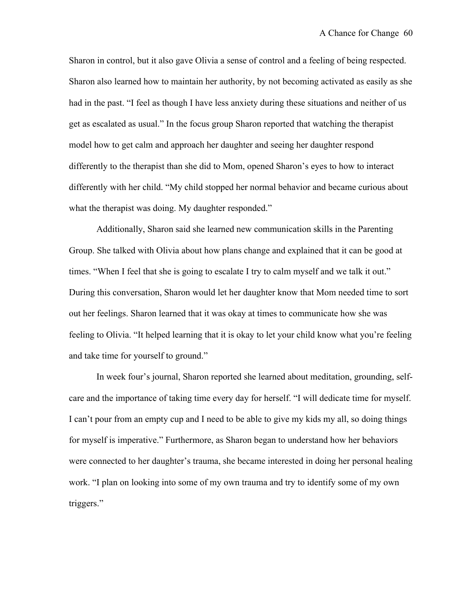Sharon in control, but it also gave Olivia a sense of control and a feeling of being respected. Sharon also learned how to maintain her authority, by not becoming activated as easily as she had in the past. "I feel as though I have less anxiety during these situations and neither of us get as escalated as usual." In the focus group Sharon reported that watching the therapist model how to get calm and approach her daughter and seeing her daughter respond differently to the therapist than she did to Mom, opened Sharon's eyes to how to interact differently with her child. "My child stopped her normal behavior and became curious about what the therapist was doing. My daughter responded."

Additionally, Sharon said she learned new communication skills in the Parenting Group. She talked with Olivia about how plans change and explained that it can be good at times. "When I feel that she is going to escalate I try to calm myself and we talk it out." During this conversation, Sharon would let her daughter know that Mom needed time to sort out her feelings. Sharon learned that it was okay at times to communicate how she was feeling to Olivia. "It helped learning that it is okay to let your child know what you're feeling and take time for yourself to ground."

In week four's journal, Sharon reported she learned about meditation, grounding, selfcare and the importance of taking time every day for herself. "I will dedicate time for myself. I can't pour from an empty cup and I need to be able to give my kids my all, so doing things for myself is imperative." Furthermore, as Sharon began to understand how her behaviors were connected to her daughter's trauma, she became interested in doing her personal healing work. "I plan on looking into some of my own trauma and try to identify some of my own triggers."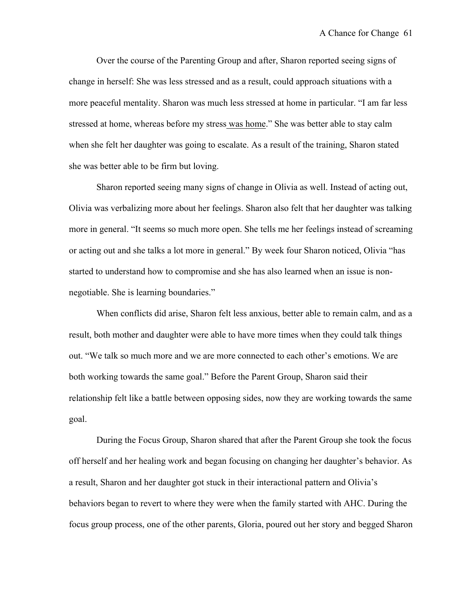Over the course of the Parenting Group and after, Sharon reported seeing signs of change in herself: She was less stressed and as a result, could approach situations with a more peaceful mentality. Sharon was much less stressed at home in particular. "I am far less stressed at home, whereas before my stress was home." She was better able to stay calm when she felt her daughter was going to escalate. As a result of the training, Sharon stated she was better able to be firm but loving.

Sharon reported seeing many signs of change in Olivia as well. Instead of acting out, Olivia was verbalizing more about her feelings. Sharon also felt that her daughter was talking more in general. "It seems so much more open. She tells me her feelings instead of screaming or acting out and she talks a lot more in general." By week four Sharon noticed, Olivia "has started to understand how to compromise and she has also learned when an issue is nonnegotiable. She is learning boundaries."

When conflicts did arise, Sharon felt less anxious, better able to remain calm, and as a result, both mother and daughter were able to have more times when they could talk things out. "We talk so much more and we are more connected to each other's emotions. We are both working towards the same goal." Before the Parent Group, Sharon said their relationship felt like a battle between opposing sides, now they are working towards the same goal.

During the Focus Group, Sharon shared that after the Parent Group she took the focus off herself and her healing work and began focusing on changing her daughter's behavior. As a result, Sharon and her daughter got stuck in their interactional pattern and Olivia's behaviors began to revert to where they were when the family started with AHC. During the focus group process, one of the other parents, Gloria, poured out her story and begged Sharon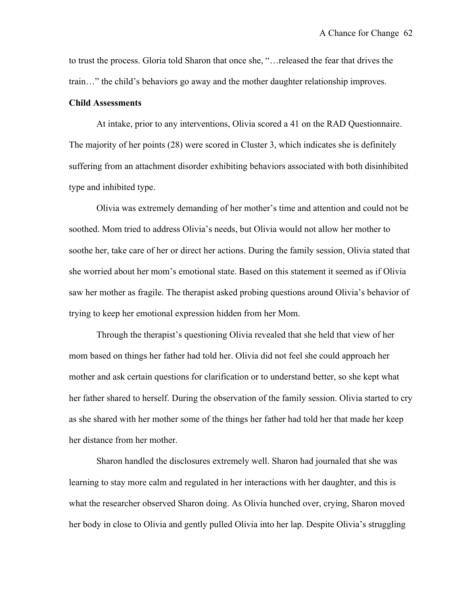to trust the process. Gloria told Sharon that once she, "…released the fear that drives the train…" the child's behaviors go away and the mother daughter relationship improves.

## **Child Assessments**

At intake, prior to any interventions, Olivia scored a 41 on the RAD Questionnaire. The majority of her points (28) were scored in Cluster 3, which indicates she is definitely suffering from an attachment disorder exhibiting behaviors associated with both disinhibited type and inhibited type.

Olivia was extremely demanding of her mother's time and attention and could not be soothed. Mom tried to address Olivia's needs, but Olivia would not allow her mother to soothe her, take care of her or direct her actions. During the family session, Olivia stated that she worried about her mom's emotional state. Based on this statement it seemed as if Olivia saw her mother as fragile. The therapist asked probing questions around Olivia's behavior of trying to keep her emotional expression hidden from her Mom.

Through the therapist's questioning Olivia revealed that she held that view of her mom based on things her father had told her. Olivia did not feel she could approach her mother and ask certain questions for clarification or to understand better, so she kept what her father shared to herself. During the observation of the family session. Olivia started to cry as she shared with her mother some of the things her father had told her that made her keep her distance from her mother.

Sharon handled the disclosures extremely well. Sharon had journaled that she was learning to stay more calm and regulated in her interactions with her daughter, and this is what the researcher observed Sharon doing. As Olivia hunched over, crying, Sharon moved her body in close to Olivia and gently pulled Olivia into her lap. Despite Olivia's struggling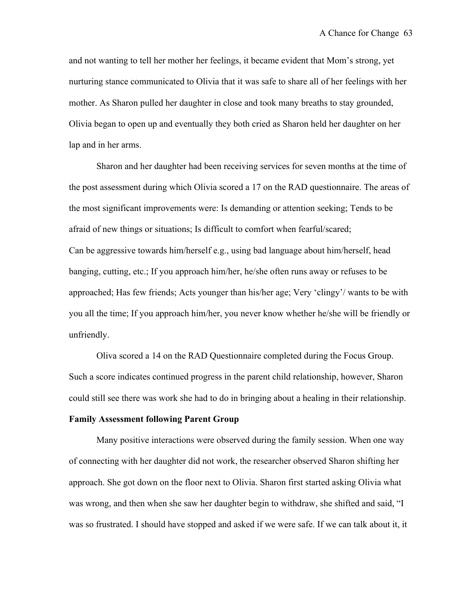and not wanting to tell her mother her feelings, it became evident that Mom's strong, yet nurturing stance communicated to Olivia that it was safe to share all of her feelings with her mother. As Sharon pulled her daughter in close and took many breaths to stay grounded, Olivia began to open up and eventually they both cried as Sharon held her daughter on her lap and in her arms.

Sharon and her daughter had been receiving services for seven months at the time of the post assessment during which Olivia scored a 17 on the RAD questionnaire. The areas of the most significant improvements were: Is demanding or attention seeking; Tends to be afraid of new things or situations; Is difficult to comfort when fearful/scared; Can be aggressive towards him/herself e.g., using bad language about him/herself, head banging, cutting, etc.; If you approach him/her, he/she often runs away or refuses to be approached; Has few friends; Acts younger than his/her age; Very 'clingy'/ wants to be with you all the time; If you approach him/her, you never know whether he/she will be friendly or unfriendly.

Oliva scored a 14 on the RAD Questionnaire completed during the Focus Group. Such a score indicates continued progress in the parent child relationship, however, Sharon could still see there was work she had to do in bringing about a healing in their relationship.

# **Family Assessment following Parent Group**

Many positive interactions were observed during the family session. When one way of connecting with her daughter did not work, the researcher observed Sharon shifting her approach. She got down on the floor next to Olivia. Sharon first started asking Olivia what was wrong, and then when she saw her daughter begin to withdraw, she shifted and said, "I was so frustrated. I should have stopped and asked if we were safe. If we can talk about it, it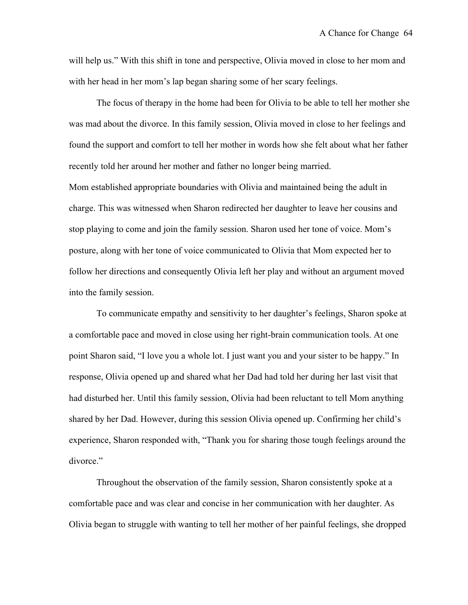will help us." With this shift in tone and perspective, Olivia moved in close to her mom and with her head in her mom's lap began sharing some of her scary feelings.

The focus of therapy in the home had been for Olivia to be able to tell her mother she was mad about the divorce. In this family session, Olivia moved in close to her feelings and found the support and comfort to tell her mother in words how she felt about what her father recently told her around her mother and father no longer being married.

Mom established appropriate boundaries with Olivia and maintained being the adult in charge. This was witnessed when Sharon redirected her daughter to leave her cousins and stop playing to come and join the family session. Sharon used her tone of voice. Mom's posture, along with her tone of voice communicated to Olivia that Mom expected her to follow her directions and consequently Olivia left her play and without an argument moved into the family session.

To communicate empathy and sensitivity to her daughter's feelings, Sharon spoke at a comfortable pace and moved in close using her right-brain communication tools. At one point Sharon said, "I love you a whole lot. I just want you and your sister to be happy." In response, Olivia opened up and shared what her Dad had told her during her last visit that had disturbed her. Until this family session, Olivia had been reluctant to tell Mom anything shared by her Dad. However, during this session Olivia opened up. Confirming her child's experience, Sharon responded with, "Thank you for sharing those tough feelings around the divorce."

Throughout the observation of the family session, Sharon consistently spoke at a comfortable pace and was clear and concise in her communication with her daughter. As Olivia began to struggle with wanting to tell her mother of her painful feelings, she dropped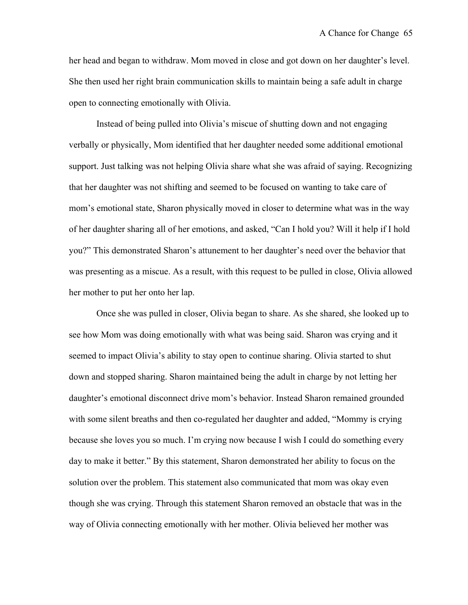her head and began to withdraw. Mom moved in close and got down on her daughter's level. She then used her right brain communication skills to maintain being a safe adult in charge open to connecting emotionally with Olivia.

Instead of being pulled into Olivia's miscue of shutting down and not engaging verbally or physically, Mom identified that her daughter needed some additional emotional support. Just talking was not helping Olivia share what she was afraid of saying. Recognizing that her daughter was not shifting and seemed to be focused on wanting to take care of mom's emotional state, Sharon physically moved in closer to determine what was in the way of her daughter sharing all of her emotions, and asked, "Can I hold you? Will it help if I hold you?" This demonstrated Sharon's attunement to her daughter's need over the behavior that was presenting as a miscue. As a result, with this request to be pulled in close, Olivia allowed her mother to put her onto her lap.

Once she was pulled in closer, Olivia began to share. As she shared, she looked up to see how Mom was doing emotionally with what was being said. Sharon was crying and it seemed to impact Olivia's ability to stay open to continue sharing. Olivia started to shut down and stopped sharing. Sharon maintained being the adult in charge by not letting her daughter's emotional disconnect drive mom's behavior. Instead Sharon remained grounded with some silent breaths and then co-regulated her daughter and added, "Mommy is crying because she loves you so much. I'm crying now because I wish I could do something every day to make it better." By this statement, Sharon demonstrated her ability to focus on the solution over the problem. This statement also communicated that mom was okay even though she was crying. Through this statement Sharon removed an obstacle that was in the way of Olivia connecting emotionally with her mother. Olivia believed her mother was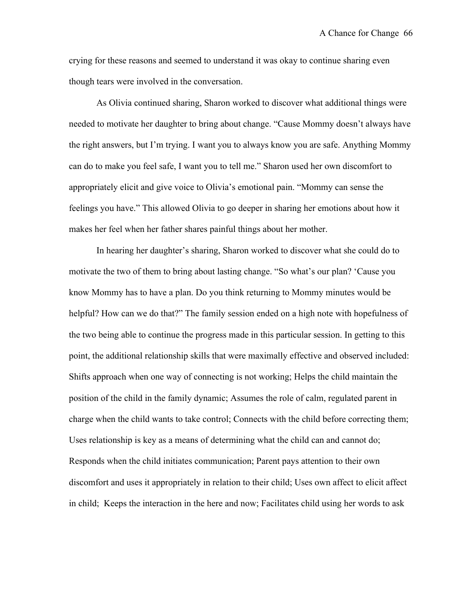crying for these reasons and seemed to understand it was okay to continue sharing even though tears were involved in the conversation.

As Olivia continued sharing, Sharon worked to discover what additional things were needed to motivate her daughter to bring about change. "Cause Mommy doesn't always have the right answers, but I'm trying. I want you to always know you are safe. Anything Mommy can do to make you feel safe, I want you to tell me." Sharon used her own discomfort to appropriately elicit and give voice to Olivia's emotional pain. "Mommy can sense the feelings you have." This allowed Olivia to go deeper in sharing her emotions about how it makes her feel when her father shares painful things about her mother.

In hearing her daughter's sharing, Sharon worked to discover what she could do to motivate the two of them to bring about lasting change. "So what's our plan? 'Cause you know Mommy has to have a plan. Do you think returning to Mommy minutes would be helpful? How can we do that?" The family session ended on a high note with hopefulness of the two being able to continue the progress made in this particular session. In getting to this point, the additional relationship skills that were maximally effective and observed included: Shifts approach when one way of connecting is not working; Helps the child maintain the position of the child in the family dynamic; Assumes the role of calm, regulated parent in charge when the child wants to take control; Connects with the child before correcting them; Uses relationship is key as a means of determining what the child can and cannot do; Responds when the child initiates communication; Parent pays attention to their own discomfort and uses it appropriately in relation to their child; Uses own affect to elicit affect in child; Keeps the interaction in the here and now; Facilitates child using her words to ask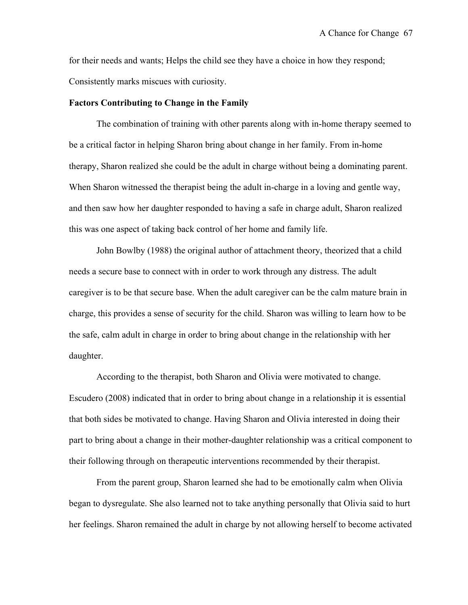for their needs and wants; Helps the child see they have a choice in how they respond; Consistently marks miscues with curiosity.

#### **Factors Contributing to Change in the Family**

The combination of training with other parents along with in-home therapy seemed to be a critical factor in helping Sharon bring about change in her family. From in-home therapy, Sharon realized she could be the adult in charge without being a dominating parent. When Sharon witnessed the therapist being the adult in-charge in a loving and gentle way, and then saw how her daughter responded to having a safe in charge adult, Sharon realized this was one aspect of taking back control of her home and family life.

John Bowlby (1988) the original author of attachment theory, theorized that a child needs a secure base to connect with in order to work through any distress. The adult caregiver is to be that secure base. When the adult caregiver can be the calm mature brain in charge, this provides a sense of security for the child. Sharon was willing to learn how to be the safe, calm adult in charge in order to bring about change in the relationship with her daughter.

According to the therapist, both Sharon and Olivia were motivated to change. Escudero (2008) indicated that in order to bring about change in a relationship it is essential that both sides be motivated to change. Having Sharon and Olivia interested in doing their part to bring about a change in their mother-daughter relationship was a critical component to their following through on therapeutic interventions recommended by their therapist.

From the parent group, Sharon learned she had to be emotionally calm when Olivia began to dysregulate. She also learned not to take anything personally that Olivia said to hurt her feelings. Sharon remained the adult in charge by not allowing herself to become activated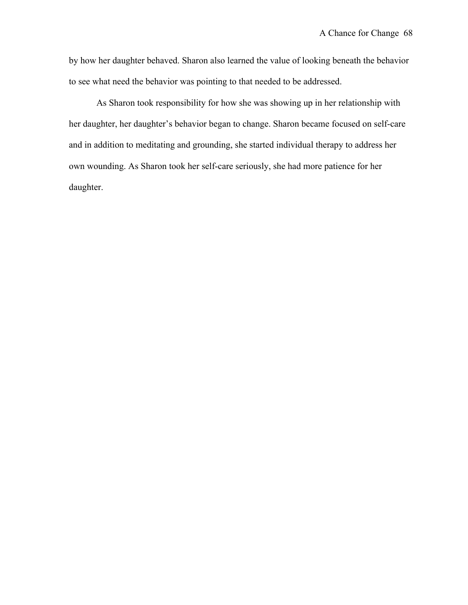by how her daughter behaved. Sharon also learned the value of looking beneath the behavior to see what need the behavior was pointing to that needed to be addressed.

As Sharon took responsibility for how she was showing up in her relationship with her daughter, her daughter's behavior began to change. Sharon became focused on self-care and in addition to meditating and grounding, she started individual therapy to address her own wounding. As Sharon took her self-care seriously, she had more patience for her daughter.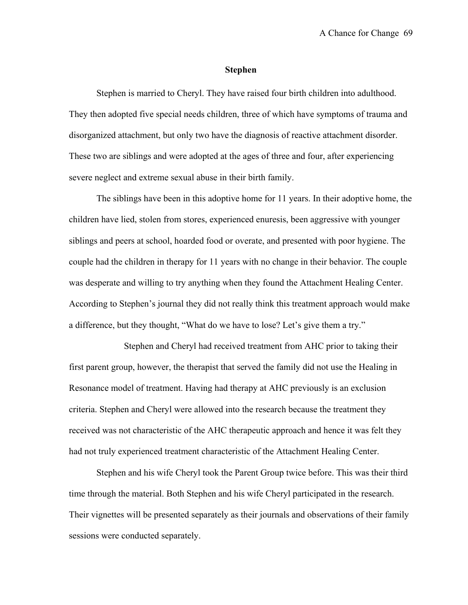#### **Stephen**

Stephen is married to Cheryl. They have raised four birth children into adulthood. They then adopted five special needs children, three of which have symptoms of trauma and disorganized attachment, but only two have the diagnosis of reactive attachment disorder. These two are siblings and were adopted at the ages of three and four, after experiencing severe neglect and extreme sexual abuse in their birth family.

The siblings have been in this adoptive home for 11 years. In their adoptive home, the children have lied, stolen from stores, experienced enuresis, been aggressive with younger siblings and peers at school, hoarded food or overate, and presented with poor hygiene. The couple had the children in therapy for 11 years with no change in their behavior. The couple was desperate and willing to try anything when they found the Attachment Healing Center. According to Stephen's journal they did not really think this treatment approach would make a difference, but they thought, "What do we have to lose? Let's give them a try."

Stephen and Cheryl had received treatment from AHC prior to taking their first parent group, however, the therapist that served the family did not use the Healing in Resonance model of treatment. Having had therapy at AHC previously is an exclusion criteria. Stephen and Cheryl were allowed into the research because the treatment they received was not characteristic of the AHC therapeutic approach and hence it was felt they had not truly experienced treatment characteristic of the Attachment Healing Center.

Stephen and his wife Cheryl took the Parent Group twice before. This was their third time through the material. Both Stephen and his wife Cheryl participated in the research. Their vignettes will be presented separately as their journals and observations of their family sessions were conducted separately.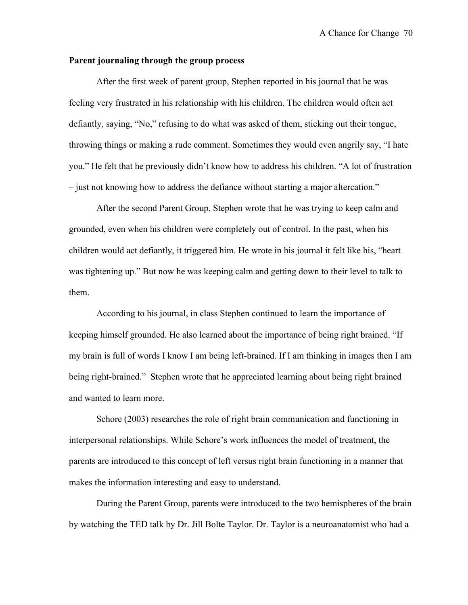## **Parent journaling through the group process**

After the first week of parent group, Stephen reported in his journal that he was feeling very frustrated in his relationship with his children. The children would often act defiantly, saying, "No," refusing to do what was asked of them, sticking out their tongue, throwing things or making a rude comment. Sometimes they would even angrily say, "I hate you." He felt that he previously didn't know how to address his children. "A lot of frustration – just not knowing how to address the defiance without starting a major altercation."

After the second Parent Group, Stephen wrote that he was trying to keep calm and grounded, even when his children were completely out of control. In the past, when his children would act defiantly, it triggered him. He wrote in his journal it felt like his, "heart was tightening up." But now he was keeping calm and getting down to their level to talk to them.

According to his journal, in class Stephen continued to learn the importance of keeping himself grounded. He also learned about the importance of being right brained. "If my brain is full of words I know I am being left-brained. If I am thinking in images then I am being right-brained." Stephen wrote that he appreciated learning about being right brained and wanted to learn more.

Schore (2003) researches the role of right brain communication and functioning in interpersonal relationships. While Schore's work influences the model of treatment, the parents are introduced to this concept of left versus right brain functioning in a manner that makes the information interesting and easy to understand.

During the Parent Group, parents were introduced to the two hemispheres of the brain by watching the TED talk by Dr. Jill Bolte Taylor. Dr. Taylor is a neuroanatomist who had a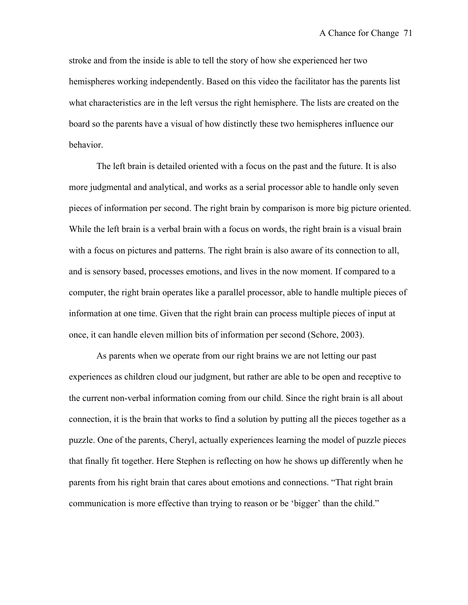stroke and from the inside is able to tell the story of how she experienced her two hemispheres working independently. Based on this video the facilitator has the parents list what characteristics are in the left versus the right hemisphere. The lists are created on the board so the parents have a visual of how distinctly these two hemispheres influence our behavior.

The left brain is detailed oriented with a focus on the past and the future. It is also more judgmental and analytical, and works as a serial processor able to handle only seven pieces of information per second. The right brain by comparison is more big picture oriented. While the left brain is a verbal brain with a focus on words, the right brain is a visual brain with a focus on pictures and patterns. The right brain is also aware of its connection to all, and is sensory based, processes emotions, and lives in the now moment. If compared to a computer, the right brain operates like a parallel processor, able to handle multiple pieces of information at one time. Given that the right brain can process multiple pieces of input at once, it can handle eleven million bits of information per second (Schore, 2003).

As parents when we operate from our right brains we are not letting our past experiences as children cloud our judgment, but rather are able to be open and receptive to the current non-verbal information coming from our child. Since the right brain is all about connection, it is the brain that works to find a solution by putting all the pieces together as a puzzle. One of the parents, Cheryl, actually experiences learning the model of puzzle pieces that finally fit together. Here Stephen is reflecting on how he shows up differently when he parents from his right brain that cares about emotions and connections. "That right brain communication is more effective than trying to reason or be 'bigger' than the child."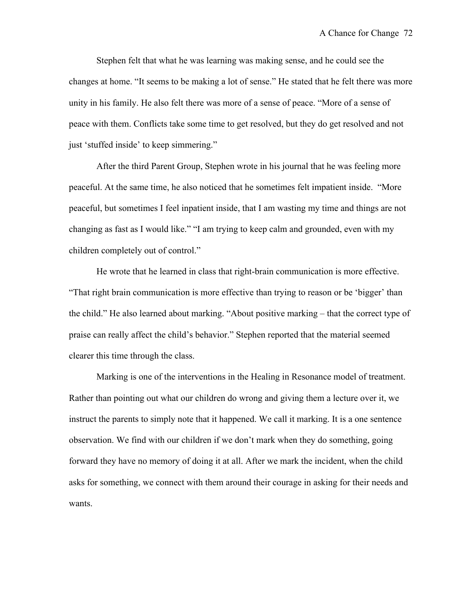Stephen felt that what he was learning was making sense, and he could see the changes at home. "It seems to be making a lot of sense." He stated that he felt there was more unity in his family. He also felt there was more of a sense of peace. "More of a sense of peace with them. Conflicts take some time to get resolved, but they do get resolved and not just 'stuffed inside' to keep simmering."

After the third Parent Group, Stephen wrote in his journal that he was feeling more peaceful. At the same time, he also noticed that he sometimes felt impatient inside. "More peaceful, but sometimes I feel inpatient inside, that I am wasting my time and things are not changing as fast as I would like." "I am trying to keep calm and grounded, even with my children completely out of control."

He wrote that he learned in class that right-brain communication is more effective. "That right brain communication is more effective than trying to reason or be 'bigger' than the child." He also learned about marking. "About positive marking – that the correct type of praise can really affect the child's behavior." Stephen reported that the material seemed clearer this time through the class.

Marking is one of the interventions in the Healing in Resonance model of treatment. Rather than pointing out what our children do wrong and giving them a lecture over it, we instruct the parents to simply note that it happened. We call it marking. It is a one sentence observation. We find with our children if we don't mark when they do something, going forward they have no memory of doing it at all. After we mark the incident, when the child asks for something, we connect with them around their courage in asking for their needs and wants.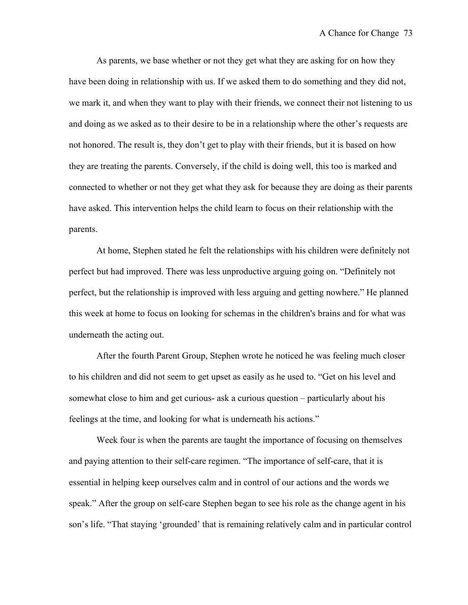As parents, we base whether or not they get what they are asking for on how they have been doing in relationship with us. If we asked them to do something and they did not, we mark it, and when they want to play with their friends, we connect their not listening to us and doing as we asked as to their desire to be in a relationship where the other's requests are not honored. The result is, they don't get to play with their friends, but it is based on how they are treating the parents. Conversely, if the child is doing well, this too is marked and connected to whether or not they get what they ask for because they are doing as their parents have asked. This intervention helps the child learn to focus on their relationship with the parents.

At home, Stephen stated he felt the relationships with his children were definitely not perfect but had improved. There was less unproductive arguing going on. "Definitely not perfect, but the relationship is improved with less arguing and getting nowhere." He planned this week at home to focus on looking for schemas in the children's brains and for what was underneath the acting out.

After the fourth Parent Group, Stephen wrote he noticed he was feeling much closer to his children and did not seem to get upset as easily as he used to. "Get on his level and somewhat close to him and get curious- ask a curious question – particularly about his feelings at the time, and looking for what is underneath his actions."

Week four is when the parents are taught the importance of focusing on themselves and paying attention to their self-care regimen. "The importance of self-care, that it is essential in helping keep ourselves calm and in control of our actions and the words we speak." After the group on self-care Stephen began to see his role as the change agent in his son's life. "That staying 'grounded' that is remaining relatively calm and in particular control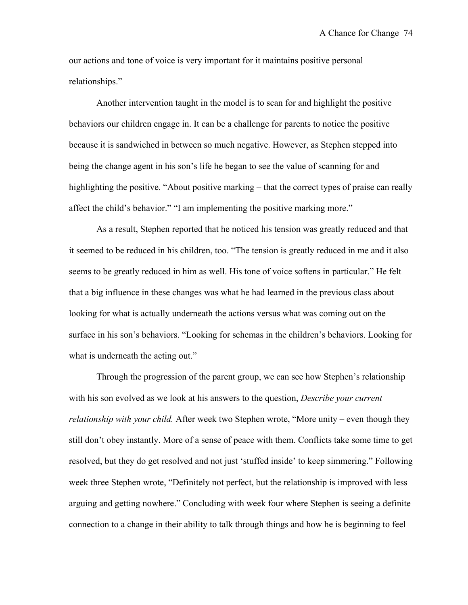our actions and tone of voice is very important for it maintains positive personal relationships."

Another intervention taught in the model is to scan for and highlight the positive behaviors our children engage in. It can be a challenge for parents to notice the positive because it is sandwiched in between so much negative. However, as Stephen stepped into being the change agent in his son's life he began to see the value of scanning for and highlighting the positive. "About positive marking – that the correct types of praise can really affect the child's behavior." "I am implementing the positive marking more."

As a result, Stephen reported that he noticed his tension was greatly reduced and that it seemed to be reduced in his children, too. "The tension is greatly reduced in me and it also seems to be greatly reduced in him as well. His tone of voice softens in particular." He felt that a big influence in these changes was what he had learned in the previous class about looking for what is actually underneath the actions versus what was coming out on the surface in his son's behaviors. "Looking for schemas in the children's behaviors. Looking for what is underneath the acting out."

Through the progression of the parent group, we can see how Stephen's relationship with his son evolved as we look at his answers to the question, *Describe your current relationship with your child.* After week two Stephen wrote, "More unity – even though they still don't obey instantly. More of a sense of peace with them. Conflicts take some time to get resolved, but they do get resolved and not just 'stuffed inside' to keep simmering." Following week three Stephen wrote, "Definitely not perfect, but the relationship is improved with less arguing and getting nowhere." Concluding with week four where Stephen is seeing a definite connection to a change in their ability to talk through things and how he is beginning to feel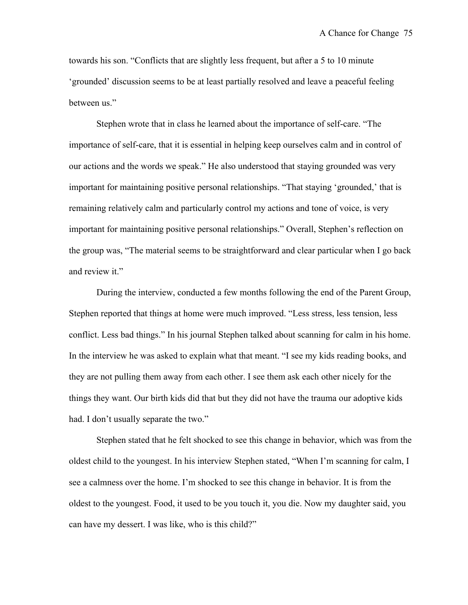towards his son. "Conflicts that are slightly less frequent, but after a 5 to 10 minute 'grounded' discussion seems to be at least partially resolved and leave a peaceful feeling between us."

Stephen wrote that in class he learned about the importance of self-care. "The importance of self-care, that it is essential in helping keep ourselves calm and in control of our actions and the words we speak." He also understood that staying grounded was very important for maintaining positive personal relationships. "That staying 'grounded,' that is remaining relatively calm and particularly control my actions and tone of voice, is very important for maintaining positive personal relationships." Overall, Stephen's reflection on the group was, "The material seems to be straightforward and clear particular when I go back and review it."

During the interview, conducted a few months following the end of the Parent Group, Stephen reported that things at home were much improved. "Less stress, less tension, less conflict. Less bad things." In his journal Stephen talked about scanning for calm in his home. In the interview he was asked to explain what that meant. "I see my kids reading books, and they are not pulling them away from each other. I see them ask each other nicely for the things they want. Our birth kids did that but they did not have the trauma our adoptive kids had. I don't usually separate the two."

Stephen stated that he felt shocked to see this change in behavior, which was from the oldest child to the youngest. In his interview Stephen stated, "When I'm scanning for calm, I see a calmness over the home. I'm shocked to see this change in behavior. It is from the oldest to the youngest. Food, it used to be you touch it, you die. Now my daughter said, you can have my dessert. I was like, who is this child?"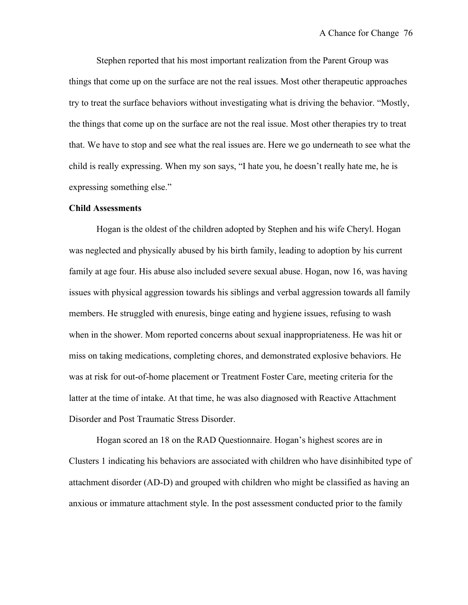Stephen reported that his most important realization from the Parent Group was things that come up on the surface are not the real issues. Most other therapeutic approaches try to treat the surface behaviors without investigating what is driving the behavior. "Mostly, the things that come up on the surface are not the real issue. Most other therapies try to treat that. We have to stop and see what the real issues are. Here we go underneath to see what the child is really expressing. When my son says, "I hate you, he doesn't really hate me, he is expressing something else."

### **Child Assessments**

Hogan is the oldest of the children adopted by Stephen and his wife Cheryl. Hogan was neglected and physically abused by his birth family, leading to adoption by his current family at age four. His abuse also included severe sexual abuse. Hogan, now 16, was having issues with physical aggression towards his siblings and verbal aggression towards all family members. He struggled with enuresis, binge eating and hygiene issues, refusing to wash when in the shower. Mom reported concerns about sexual inappropriateness. He was hit or miss on taking medications, completing chores, and demonstrated explosive behaviors. He was at risk for out-of-home placement or Treatment Foster Care, meeting criteria for the latter at the time of intake. At that time, he was also diagnosed with Reactive Attachment Disorder and Post Traumatic Stress Disorder.

Hogan scored an 18 on the RAD Questionnaire. Hogan's highest scores are in Clusters 1 indicating his behaviors are associated with children who have disinhibited type of attachment disorder (AD-D) and grouped with children who might be classified as having an anxious or immature attachment style. In the post assessment conducted prior to the family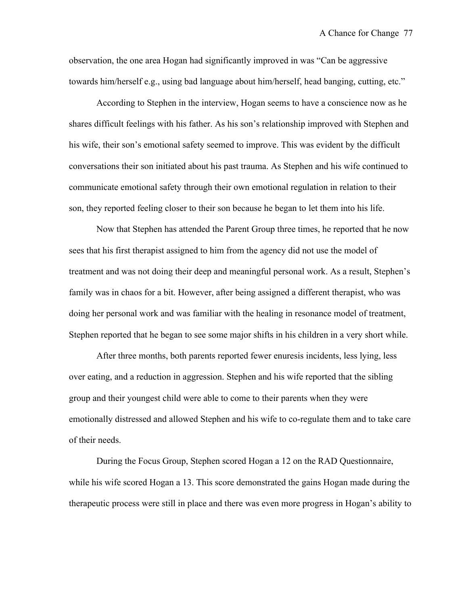observation, the one area Hogan had significantly improved in was "Can be aggressive towards him/herself e.g., using bad language about him/herself, head banging, cutting, etc."

According to Stephen in the interview, Hogan seems to have a conscience now as he shares difficult feelings with his father. As his son's relationship improved with Stephen and his wife, their son's emotional safety seemed to improve. This was evident by the difficult conversations their son initiated about his past trauma. As Stephen and his wife continued to communicate emotional safety through their own emotional regulation in relation to their son, they reported feeling closer to their son because he began to let them into his life.

Now that Stephen has attended the Parent Group three times, he reported that he now sees that his first therapist assigned to him from the agency did not use the model of treatment and was not doing their deep and meaningful personal work. As a result, Stephen's family was in chaos for a bit. However, after being assigned a different therapist, who was doing her personal work and was familiar with the healing in resonance model of treatment, Stephen reported that he began to see some major shifts in his children in a very short while.

After three months, both parents reported fewer enuresis incidents, less lying, less over eating, and a reduction in aggression. Stephen and his wife reported that the sibling group and their youngest child were able to come to their parents when they were emotionally distressed and allowed Stephen and his wife to co-regulate them and to take care of their needs.

During the Focus Group, Stephen scored Hogan a 12 on the RAD Questionnaire, while his wife scored Hogan a 13. This score demonstrated the gains Hogan made during the therapeutic process were still in place and there was even more progress in Hogan's ability to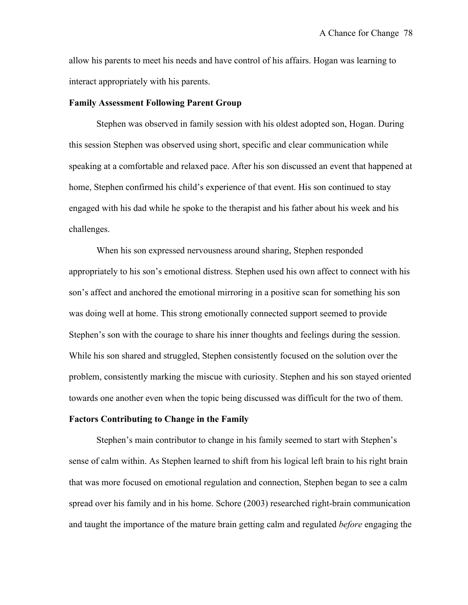allow his parents to meet his needs and have control of his affairs. Hogan was learning to interact appropriately with his parents.

#### **Family Assessment Following Parent Group**

Stephen was observed in family session with his oldest adopted son, Hogan. During this session Stephen was observed using short, specific and clear communication while speaking at a comfortable and relaxed pace. After his son discussed an event that happened at home, Stephen confirmed his child's experience of that event. His son continued to stay engaged with his dad while he spoke to the therapist and his father about his week and his challenges.

When his son expressed nervousness around sharing, Stephen responded appropriately to his son's emotional distress. Stephen used his own affect to connect with his son's affect and anchored the emotional mirroring in a positive scan for something his son was doing well at home. This strong emotionally connected support seemed to provide Stephen's son with the courage to share his inner thoughts and feelings during the session. While his son shared and struggled, Stephen consistently focused on the solution over the problem, consistently marking the miscue with curiosity. Stephen and his son stayed oriented towards one another even when the topic being discussed was difficult for the two of them.

## **Factors Contributing to Change in the Family**

Stephen's main contributor to change in his family seemed to start with Stephen's sense of calm within. As Stephen learned to shift from his logical left brain to his right brain that was more focused on emotional regulation and connection, Stephen began to see a calm spread over his family and in his home. Schore (2003) researched right-brain communication and taught the importance of the mature brain getting calm and regulated *before* engaging the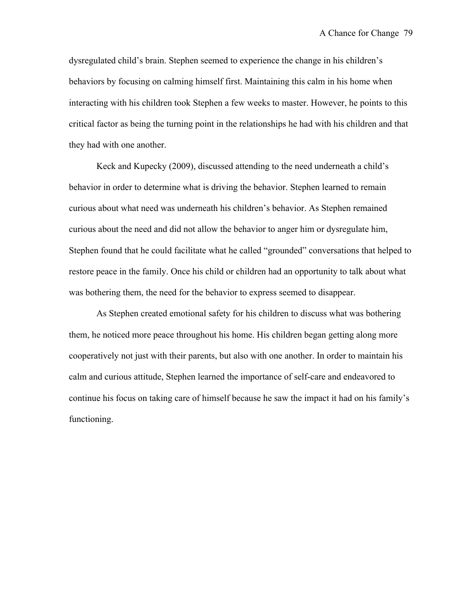dysregulated child's brain. Stephen seemed to experience the change in his children's behaviors by focusing on calming himself first. Maintaining this calm in his home when interacting with his children took Stephen a few weeks to master. However, he points to this critical factor as being the turning point in the relationships he had with his children and that they had with one another.

Keck and Kupecky (2009), discussed attending to the need underneath a child's behavior in order to determine what is driving the behavior. Stephen learned to remain curious about what need was underneath his children's behavior. As Stephen remained curious about the need and did not allow the behavior to anger him or dysregulate him, Stephen found that he could facilitate what he called "grounded" conversations that helped to restore peace in the family. Once his child or children had an opportunity to talk about what was bothering them, the need for the behavior to express seemed to disappear.

As Stephen created emotional safety for his children to discuss what was bothering them, he noticed more peace throughout his home. His children began getting along more cooperatively not just with their parents, but also with one another. In order to maintain his calm and curious attitude, Stephen learned the importance of self-care and endeavored to continue his focus on taking care of himself because he saw the impact it had on his family's functioning.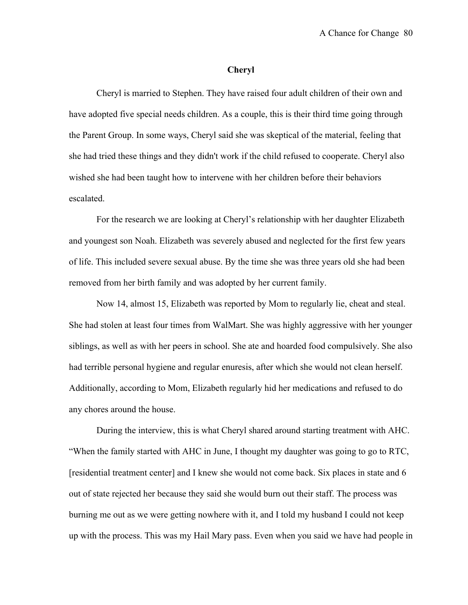#### **Cheryl**

Cheryl is married to Stephen. They have raised four adult children of their own and have adopted five special needs children. As a couple, this is their third time going through the Parent Group. In some ways, Cheryl said she was skeptical of the material, feeling that she had tried these things and they didn't work if the child refused to cooperate. Cheryl also wished she had been taught how to intervene with her children before their behaviors escalated.

For the research we are looking at Cheryl's relationship with her daughter Elizabeth and youngest son Noah. Elizabeth was severely abused and neglected for the first few years of life. This included severe sexual abuse. By the time she was three years old she had been removed from her birth family and was adopted by her current family.

Now 14, almost 15, Elizabeth was reported by Mom to regularly lie, cheat and steal. She had stolen at least four times from WalMart. She was highly aggressive with her younger siblings, as well as with her peers in school. She ate and hoarded food compulsively. She also had terrible personal hygiene and regular enuresis, after which she would not clean herself. Additionally, according to Mom, Elizabeth regularly hid her medications and refused to do any chores around the house.

During the interview, this is what Cheryl shared around starting treatment with AHC. "When the family started with AHC in June, I thought my daughter was going to go to RTC, [residential treatment center] and I knew she would not come back. Six places in state and 6 out of state rejected her because they said she would burn out their staff. The process was burning me out as we were getting nowhere with it, and I told my husband I could not keep up with the process. This was my Hail Mary pass. Even when you said we have had people in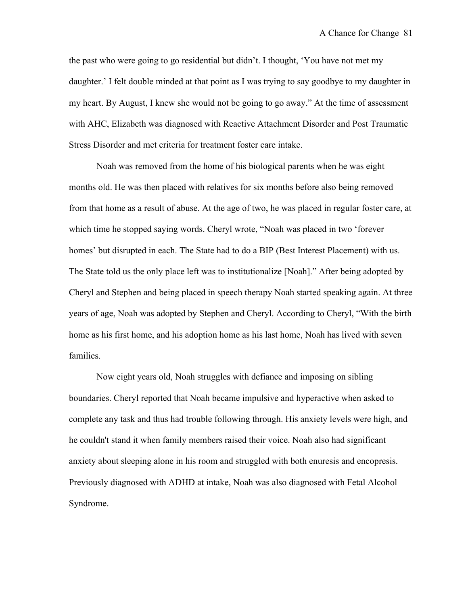the past who were going to go residential but didn't. I thought, 'You have not met my daughter.' I felt double minded at that point as I was trying to say goodbye to my daughter in my heart. By August, I knew she would not be going to go away." At the time of assessment with AHC, Elizabeth was diagnosed with Reactive Attachment Disorder and Post Traumatic Stress Disorder and met criteria for treatment foster care intake.

Noah was removed from the home of his biological parents when he was eight months old. He was then placed with relatives for six months before also being removed from that home as a result of abuse. At the age of two, he was placed in regular foster care, at which time he stopped saying words. Cheryl wrote, "Noah was placed in two 'forever homes' but disrupted in each. The State had to do a BIP (Best Interest Placement) with us. The State told us the only place left was to institutionalize [Noah]." After being adopted by Cheryl and Stephen and being placed in speech therapy Noah started speaking again. At three years of age, Noah was adopted by Stephen and Cheryl. According to Cheryl, "With the birth home as his first home, and his adoption home as his last home, Noah has lived with seven families.

Now eight years old, Noah struggles with defiance and imposing on sibling boundaries. Cheryl reported that Noah became impulsive and hyperactive when asked to complete any task and thus had trouble following through. His anxiety levels were high, and he couldn't stand it when family members raised their voice. Noah also had significant anxiety about sleeping alone in his room and struggled with both enuresis and encopresis. Previously diagnosed with ADHD at intake, Noah was also diagnosed with Fetal Alcohol Syndrome.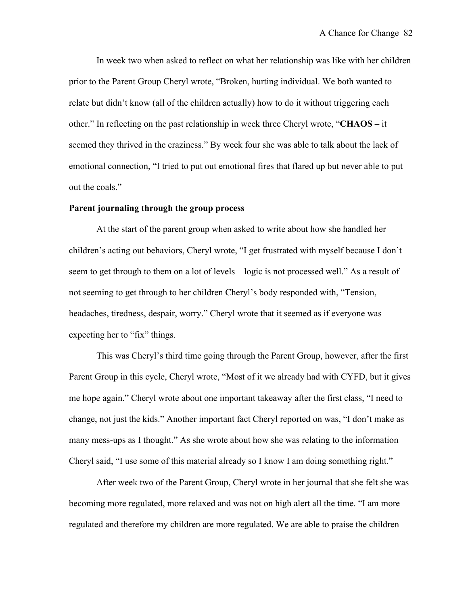In week two when asked to reflect on what her relationship was like with her children prior to the Parent Group Cheryl wrote, "Broken, hurting individual. We both wanted to relate but didn't know (all of the children actually) how to do it without triggering each other." In reflecting on the past relationship in week three Cheryl wrote, "**CHAOS –** it seemed they thrived in the craziness." By week four she was able to talk about the lack of emotional connection, "I tried to put out emotional fires that flared up but never able to put out the coals."

## **Parent journaling through the group process**

At the start of the parent group when asked to write about how she handled her children's acting out behaviors, Cheryl wrote, "I get frustrated with myself because I don't seem to get through to them on a lot of levels – logic is not processed well." As a result of not seeming to get through to her children Cheryl's body responded with, "Tension, headaches, tiredness, despair, worry." Cheryl wrote that it seemed as if everyone was expecting her to "fix" things.

This was Cheryl's third time going through the Parent Group, however, after the first Parent Group in this cycle, Cheryl wrote, "Most of it we already had with CYFD, but it gives me hope again." Cheryl wrote about one important takeaway after the first class, "I need to change, not just the kids." Another important fact Cheryl reported on was, "I don't make as many mess-ups as I thought." As she wrote about how she was relating to the information Cheryl said, "I use some of this material already so I know I am doing something right."

After week two of the Parent Group, Cheryl wrote in her journal that she felt she was becoming more regulated, more relaxed and was not on high alert all the time. "I am more regulated and therefore my children are more regulated. We are able to praise the children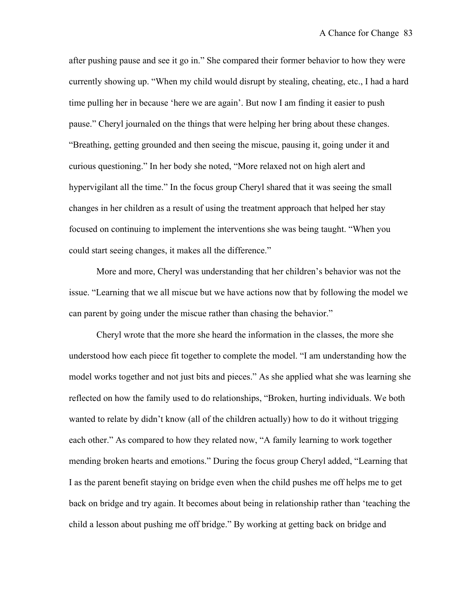after pushing pause and see it go in." She compared their former behavior to how they were currently showing up. "When my child would disrupt by stealing, cheating, etc., I had a hard time pulling her in because 'here we are again'. But now I am finding it easier to push pause." Cheryl journaled on the things that were helping her bring about these changes. "Breathing, getting grounded and then seeing the miscue, pausing it, going under it and curious questioning." In her body she noted, "More relaxed not on high alert and hypervigilant all the time." In the focus group Cheryl shared that it was seeing the small changes in her children as a result of using the treatment approach that helped her stay focused on continuing to implement the interventions she was being taught. "When you could start seeing changes, it makes all the difference."

More and more, Cheryl was understanding that her children's behavior was not the issue. "Learning that we all miscue but we have actions now that by following the model we can parent by going under the miscue rather than chasing the behavior."

Cheryl wrote that the more she heard the information in the classes, the more she understood how each piece fit together to complete the model. "I am understanding how the model works together and not just bits and pieces." As she applied what she was learning she reflected on how the family used to do relationships, "Broken, hurting individuals. We both wanted to relate by didn't know (all of the children actually) how to do it without trigging each other." As compared to how they related now, "A family learning to work together mending broken hearts and emotions." During the focus group Cheryl added, "Learning that I as the parent benefit staying on bridge even when the child pushes me off helps me to get back on bridge and try again. It becomes about being in relationship rather than 'teaching the child a lesson about pushing me off bridge." By working at getting back on bridge and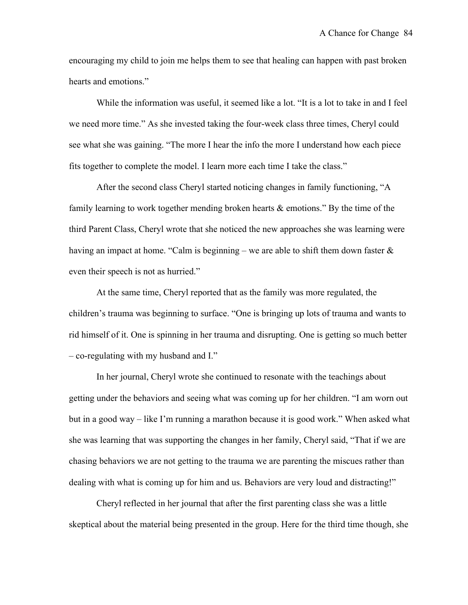encouraging my child to join me helps them to see that healing can happen with past broken hearts and emotions."

While the information was useful, it seemed like a lot. "It is a lot to take in and I feel we need more time." As she invested taking the four-week class three times, Cheryl could see what she was gaining. "The more I hear the info the more I understand how each piece fits together to complete the model. I learn more each time I take the class."

After the second class Cheryl started noticing changes in family functioning, "A family learning to work together mending broken hearts & emotions." By the time of the third Parent Class, Cheryl wrote that she noticed the new approaches she was learning were having an impact at home. "Calm is beginning – we are able to shift them down faster  $\&$ even their speech is not as hurried."

At the same time, Cheryl reported that as the family was more regulated, the children's trauma was beginning to surface. "One is bringing up lots of trauma and wants to rid himself of it. One is spinning in her trauma and disrupting. One is getting so much better – co-regulating with my husband and I."

In her journal, Cheryl wrote she continued to resonate with the teachings about getting under the behaviors and seeing what was coming up for her children. "I am worn out but in a good way – like I'm running a marathon because it is good work." When asked what she was learning that was supporting the changes in her family, Cheryl said, "That if we are chasing behaviors we are not getting to the trauma we are parenting the miscues rather than dealing with what is coming up for him and us. Behaviors are very loud and distracting!"

Cheryl reflected in her journal that after the first parenting class she was a little skeptical about the material being presented in the group. Here for the third time though, she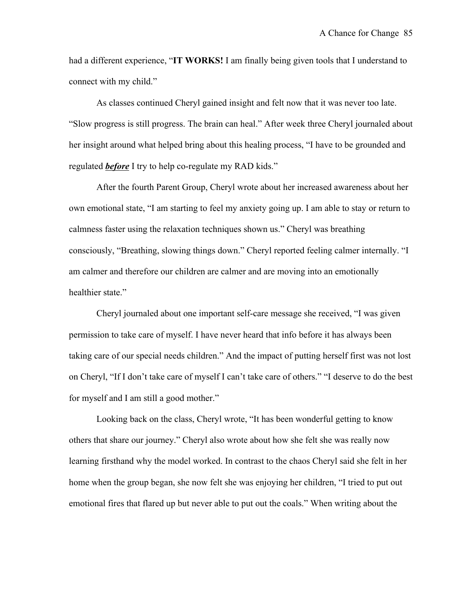had a different experience, "**IT WORKS!** I am finally being given tools that I understand to connect with my child."

As classes continued Cheryl gained insight and felt now that it was never too late. "Slow progress is still progress. The brain can heal." After week three Cheryl journaled about her insight around what helped bring about this healing process, "I have to be grounded and regulated *before* I try to help co-regulate my RAD kids."

After the fourth Parent Group, Cheryl wrote about her increased awareness about her own emotional state, "I am starting to feel my anxiety going up. I am able to stay or return to calmness faster using the relaxation techniques shown us." Cheryl was breathing consciously, "Breathing, slowing things down." Cheryl reported feeling calmer internally. "I am calmer and therefore our children are calmer and are moving into an emotionally healthier state."

Cheryl journaled about one important self-care message she received, "I was given permission to take care of myself. I have never heard that info before it has always been taking care of our special needs children." And the impact of putting herself first was not lost on Cheryl, "If I don't take care of myself I can't take care of others." "I deserve to do the best for myself and I am still a good mother."

Looking back on the class, Cheryl wrote, "It has been wonderful getting to know others that share our journey." Cheryl also wrote about how she felt she was really now learning firsthand why the model worked. In contrast to the chaos Cheryl said she felt in her home when the group began, she now felt she was enjoying her children, "I tried to put out emotional fires that flared up but never able to put out the coals." When writing about the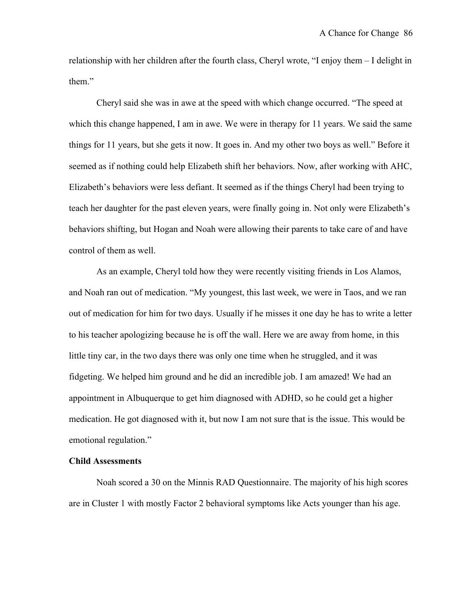relationship with her children after the fourth class, Cheryl wrote, "I enjoy them – I delight in them."

Cheryl said she was in awe at the speed with which change occurred. "The speed at which this change happened, I am in awe. We were in therapy for 11 years. We said the same things for 11 years, but she gets it now. It goes in. And my other two boys as well." Before it seemed as if nothing could help Elizabeth shift her behaviors. Now, after working with AHC, Elizabeth's behaviors were less defiant. It seemed as if the things Cheryl had been trying to teach her daughter for the past eleven years, were finally going in. Not only were Elizabeth's behaviors shifting, but Hogan and Noah were allowing their parents to take care of and have control of them as well.

As an example, Cheryl told how they were recently visiting friends in Los Alamos, and Noah ran out of medication. "My youngest, this last week, we were in Taos, and we ran out of medication for him for two days. Usually if he misses it one day he has to write a letter to his teacher apologizing because he is off the wall. Here we are away from home, in this little tiny car, in the two days there was only one time when he struggled, and it was fidgeting. We helped him ground and he did an incredible job. I am amazed! We had an appointment in Albuquerque to get him diagnosed with ADHD, so he could get a higher medication. He got diagnosed with it, but now I am not sure that is the issue. This would be emotional regulation."

## **Child Assessments**

Noah scored a 30 on the Minnis RAD Questionnaire. The majority of his high scores are in Cluster 1 with mostly Factor 2 behavioral symptoms like Acts younger than his age.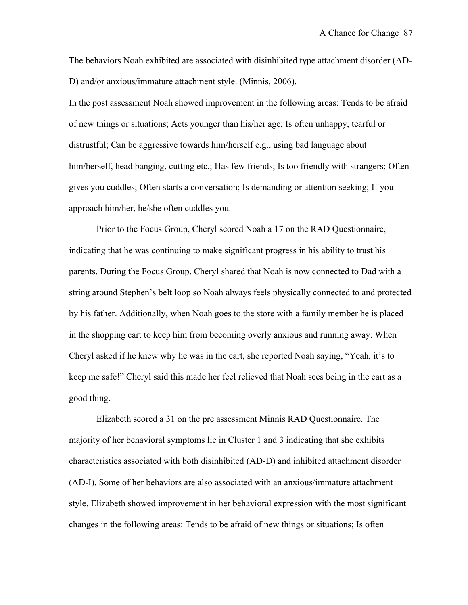The behaviors Noah exhibited are associated with disinhibited type attachment disorder (AD-D) and/or anxious/immature attachment style. (Minnis, 2006).

In the post assessment Noah showed improvement in the following areas: Tends to be afraid of new things or situations; Acts younger than his/her age; Is often unhappy, tearful or distrustful; Can be aggressive towards him/herself e.g., using bad language about him/herself, head banging, cutting etc.; Has few friends; Is too friendly with strangers; Often gives you cuddles; Often starts a conversation; Is demanding or attention seeking; If you approach him/her, he/she often cuddles you.

Prior to the Focus Group, Cheryl scored Noah a 17 on the RAD Questionnaire, indicating that he was continuing to make significant progress in his ability to trust his parents. During the Focus Group, Cheryl shared that Noah is now connected to Dad with a string around Stephen's belt loop so Noah always feels physically connected to and protected by his father. Additionally, when Noah goes to the store with a family member he is placed in the shopping cart to keep him from becoming overly anxious and running away. When Cheryl asked if he knew why he was in the cart, she reported Noah saying, "Yeah, it's to keep me safe!" Cheryl said this made her feel relieved that Noah sees being in the cart as a good thing.

Elizabeth scored a 31 on the pre assessment Minnis RAD Questionnaire. The majority of her behavioral symptoms lie in Cluster 1 and 3 indicating that she exhibits characteristics associated with both disinhibited (AD-D) and inhibited attachment disorder (AD-I). Some of her behaviors are also associated with an anxious/immature attachment style. Elizabeth showed improvement in her behavioral expression with the most significant changes in the following areas: Tends to be afraid of new things or situations; Is often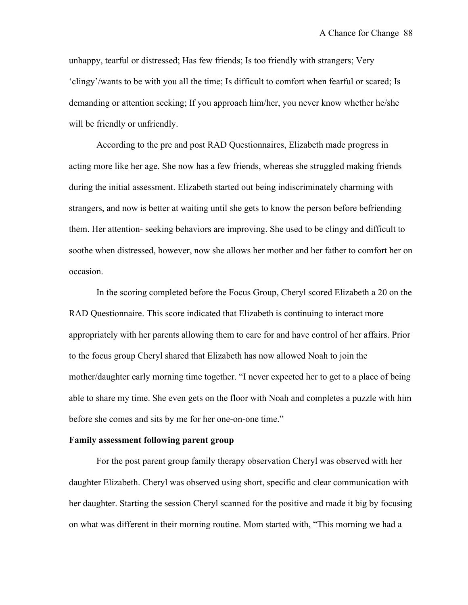unhappy, tearful or distressed; Has few friends; Is too friendly with strangers; Very 'clingy'/wants to be with you all the time; Is difficult to comfort when fearful or scared; Is demanding or attention seeking; If you approach him/her, you never know whether he/she will be friendly or unfriendly.

According to the pre and post RAD Questionnaires, Elizabeth made progress in acting more like her age. She now has a few friends, whereas she struggled making friends during the initial assessment. Elizabeth started out being indiscriminately charming with strangers, and now is better at waiting until she gets to know the person before befriending them. Her attention- seeking behaviors are improving. She used to be clingy and difficult to soothe when distressed, however, now she allows her mother and her father to comfort her on occasion.

In the scoring completed before the Focus Group, Cheryl scored Elizabeth a 20 on the RAD Questionnaire. This score indicated that Elizabeth is continuing to interact more appropriately with her parents allowing them to care for and have control of her affairs. Prior to the focus group Cheryl shared that Elizabeth has now allowed Noah to join the mother/daughter early morning time together. "I never expected her to get to a place of being able to share my time. She even gets on the floor with Noah and completes a puzzle with him before she comes and sits by me for her one-on-one time."

#### **Family assessment following parent group**

For the post parent group family therapy observation Cheryl was observed with her daughter Elizabeth. Cheryl was observed using short, specific and clear communication with her daughter. Starting the session Cheryl scanned for the positive and made it big by focusing on what was different in their morning routine. Mom started with, "This morning we had a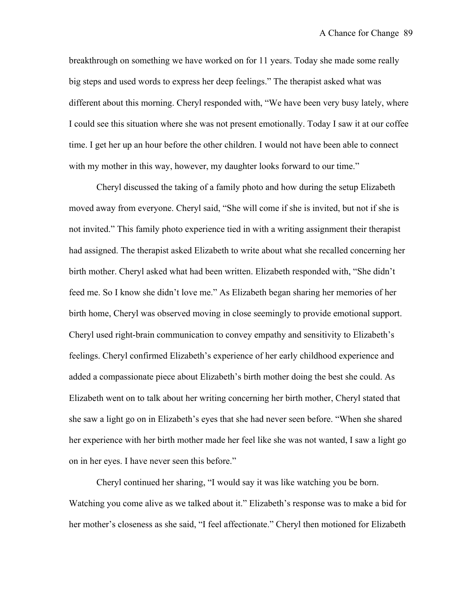breakthrough on something we have worked on for 11 years. Today she made some really big steps and used words to express her deep feelings." The therapist asked what was different about this morning. Cheryl responded with, "We have been very busy lately, where I could see this situation where she was not present emotionally. Today I saw it at our coffee time. I get her up an hour before the other children. I would not have been able to connect with my mother in this way, however, my daughter looks forward to our time."

Cheryl discussed the taking of a family photo and how during the setup Elizabeth moved away from everyone. Cheryl said, "She will come if she is invited, but not if she is not invited." This family photo experience tied in with a writing assignment their therapist had assigned. The therapist asked Elizabeth to write about what she recalled concerning her birth mother. Cheryl asked what had been written. Elizabeth responded with, "She didn't feed me. So I know she didn't love me." As Elizabeth began sharing her memories of her birth home, Cheryl was observed moving in close seemingly to provide emotional support. Cheryl used right-brain communication to convey empathy and sensitivity to Elizabeth's feelings. Cheryl confirmed Elizabeth's experience of her early childhood experience and added a compassionate piece about Elizabeth's birth mother doing the best she could. As Elizabeth went on to talk about her writing concerning her birth mother, Cheryl stated that she saw a light go on in Elizabeth's eyes that she had never seen before. "When she shared her experience with her birth mother made her feel like she was not wanted, I saw a light go on in her eyes. I have never seen this before."

Cheryl continued her sharing, "I would say it was like watching you be born. Watching you come alive as we talked about it." Elizabeth's response was to make a bid for her mother's closeness as she said, "I feel affectionate." Cheryl then motioned for Elizabeth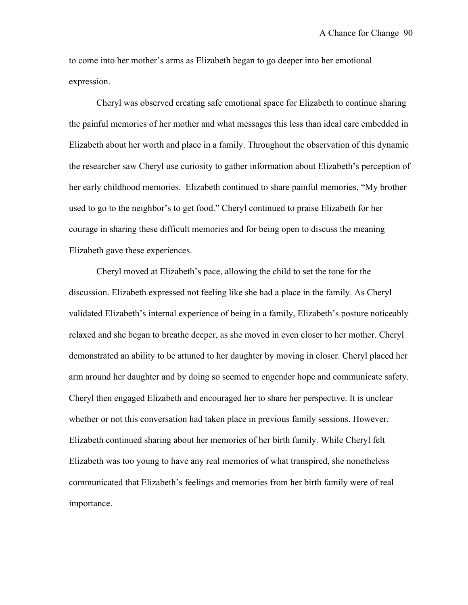to come into her mother's arms as Elizabeth began to go deeper into her emotional expression.

Cheryl was observed creating safe emotional space for Elizabeth to continue sharing the painful memories of her mother and what messages this less than ideal care embedded in Elizabeth about her worth and place in a family. Throughout the observation of this dynamic the researcher saw Cheryl use curiosity to gather information about Elizabeth's perception of her early childhood memories. Elizabeth continued to share painful memories, "My brother used to go to the neighbor's to get food." Cheryl continued to praise Elizabeth for her courage in sharing these difficult memories and for being open to discuss the meaning Elizabeth gave these experiences.

Cheryl moved at Elizabeth's pace, allowing the child to set the tone for the discussion. Elizabeth expressed not feeling like she had a place in the family. As Cheryl validated Elizabeth's internal experience of being in a family, Elizabeth's posture noticeably relaxed and she began to breathe deeper, as she moved in even closer to her mother. Cheryl demonstrated an ability to be attuned to her daughter by moving in closer. Cheryl placed her arm around her daughter and by doing so seemed to engender hope and communicate safety. Cheryl then engaged Elizabeth and encouraged her to share her perspective. It is unclear whether or not this conversation had taken place in previous family sessions. However, Elizabeth continued sharing about her memories of her birth family. While Cheryl felt Elizabeth was too young to have any real memories of what transpired, she nonetheless communicated that Elizabeth's feelings and memories from her birth family were of real importance.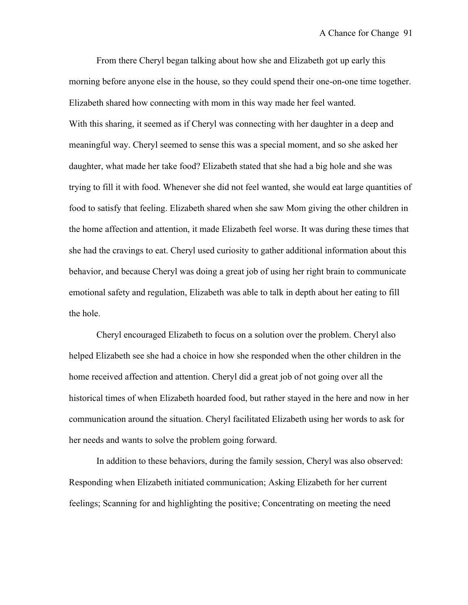From there Cheryl began talking about how she and Elizabeth got up early this morning before anyone else in the house, so they could spend their one-on-one time together. Elizabeth shared how connecting with mom in this way made her feel wanted. With this sharing, it seemed as if Cheryl was connecting with her daughter in a deep and meaningful way. Cheryl seemed to sense this was a special moment, and so she asked her daughter, what made her take food? Elizabeth stated that she had a big hole and she was trying to fill it with food. Whenever she did not feel wanted, she would eat large quantities of food to satisfy that feeling. Elizabeth shared when she saw Mom giving the other children in the home affection and attention, it made Elizabeth feel worse. It was during these times that she had the cravings to eat. Cheryl used curiosity to gather additional information about this behavior, and because Cheryl was doing a great job of using her right brain to communicate emotional safety and regulation, Elizabeth was able to talk in depth about her eating to fill the hole.

Cheryl encouraged Elizabeth to focus on a solution over the problem. Cheryl also helped Elizabeth see she had a choice in how she responded when the other children in the home received affection and attention. Cheryl did a great job of not going over all the historical times of when Elizabeth hoarded food, but rather stayed in the here and now in her communication around the situation. Cheryl facilitated Elizabeth using her words to ask for her needs and wants to solve the problem going forward.

In addition to these behaviors, during the family session, Cheryl was also observed: Responding when Elizabeth initiated communication; Asking Elizabeth for her current feelings; Scanning for and highlighting the positive; Concentrating on meeting the need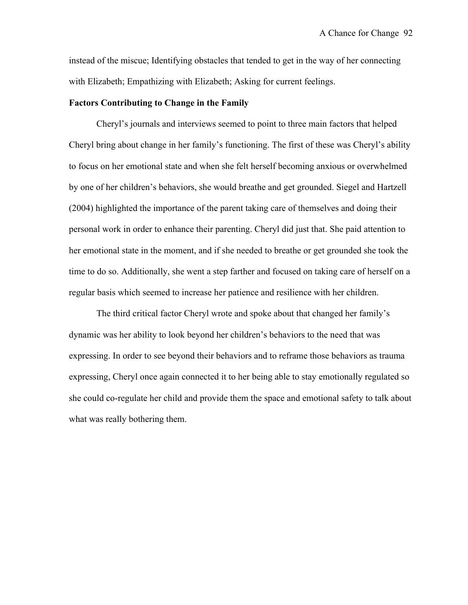instead of the miscue; Identifying obstacles that tended to get in the way of her connecting with Elizabeth; Empathizing with Elizabeth; Asking for current feelings.

## **Factors Contributing to Change in the Family**

Cheryl's journals and interviews seemed to point to three main factors that helped Cheryl bring about change in her family's functioning. The first of these was Cheryl's ability to focus on her emotional state and when she felt herself becoming anxious or overwhelmed by one of her children's behaviors, she would breathe and get grounded. Siegel and Hartzell (2004) highlighted the importance of the parent taking care of themselves and doing their personal work in order to enhance their parenting. Cheryl did just that. She paid attention to her emotional state in the moment, and if she needed to breathe or get grounded she took the time to do so. Additionally, she went a step farther and focused on taking care of herself on a regular basis which seemed to increase her patience and resilience with her children.

The third critical factor Cheryl wrote and spoke about that changed her family's dynamic was her ability to look beyond her children's behaviors to the need that was expressing. In order to see beyond their behaviors and to reframe those behaviors as trauma expressing, Cheryl once again connected it to her being able to stay emotionally regulated so she could co-regulate her child and provide them the space and emotional safety to talk about what was really bothering them.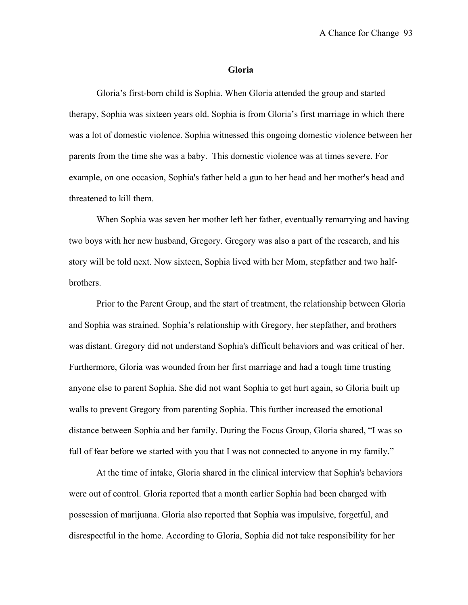#### **Gloria**

Gloria's first-born child is Sophia. When Gloria attended the group and started therapy, Sophia was sixteen years old. Sophia is from Gloria's first marriage in which there was a lot of domestic violence. Sophia witnessed this ongoing domestic violence between her parents from the time she was a baby. This domestic violence was at times severe. For example, on one occasion, Sophia's father held a gun to her head and her mother's head and threatened to kill them.

When Sophia was seven her mother left her father, eventually remarrying and having two boys with her new husband, Gregory. Gregory was also a part of the research, and his story will be told next. Now sixteen, Sophia lived with her Mom, stepfather and two halfbrothers.

Prior to the Parent Group, and the start of treatment, the relationship between Gloria and Sophia was strained. Sophia's relationship with Gregory, her stepfather, and brothers was distant. Gregory did not understand Sophia's difficult behaviors and was critical of her. Furthermore, Gloria was wounded from her first marriage and had a tough time trusting anyone else to parent Sophia. She did not want Sophia to get hurt again, so Gloria built up walls to prevent Gregory from parenting Sophia. This further increased the emotional distance between Sophia and her family. During the Focus Group, Gloria shared, "I was so full of fear before we started with you that I was not connected to anyone in my family."

At the time of intake, Gloria shared in the clinical interview that Sophia's behaviors were out of control. Gloria reported that a month earlier Sophia had been charged with possession of marijuana. Gloria also reported that Sophia was impulsive, forgetful, and disrespectful in the home. According to Gloria, Sophia did not take responsibility for her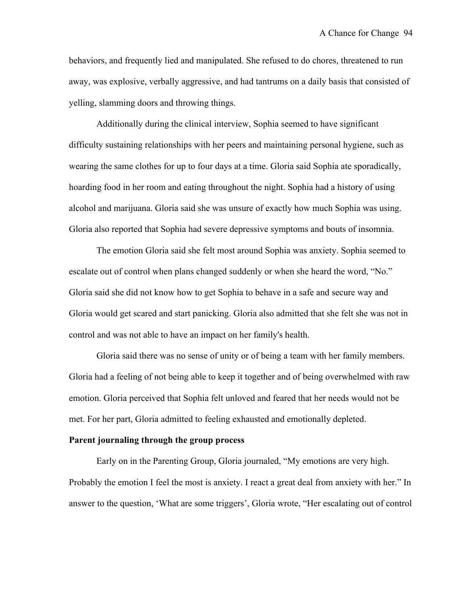behaviors, and frequently lied and manipulated. She refused to do chores, threatened to run away, was explosive, verbally aggressive, and had tantrums on a daily basis that consisted of yelling, slamming doors and throwing things.

Additionally during the clinical interview, Sophia seemed to have significant difficulty sustaining relationships with her peers and maintaining personal hygiene, such as wearing the same clothes for up to four days at a time. Gloria said Sophia ate sporadically, hoarding food in her room and eating throughout the night. Sophia had a history of using alcohol and marijuana. Gloria said she was unsure of exactly how much Sophia was using. Gloria also reported that Sophia had severe depressive symptoms and bouts of insomnia.

The emotion Gloria said she felt most around Sophia was anxiety. Sophia seemed to escalate out of control when plans changed suddenly or when she heard the word, "No." Gloria said she did not know how to get Sophia to behave in a safe and secure way and Gloria would get scared and start panicking. Gloria also admitted that she felt she was not in control and was not able to have an impact on her family's health.

Gloria said there was no sense of unity or of being a team with her family members. Gloria had a feeling of not being able to keep it together and of being overwhelmed with raw emotion. Gloria perceived that Sophia felt unloved and feared that her needs would not be met. For her part, Gloria admitted to feeling exhausted and emotionally depleted.

#### **Parent journaling through the group process**

Early on in the Parenting Group, Gloria journaled, "My emotions are very high. Probably the emotion I feel the most is anxiety. I react a great deal from anxiety with her." In answer to the question, 'What are some triggers', Gloria wrote, "Her escalating out of control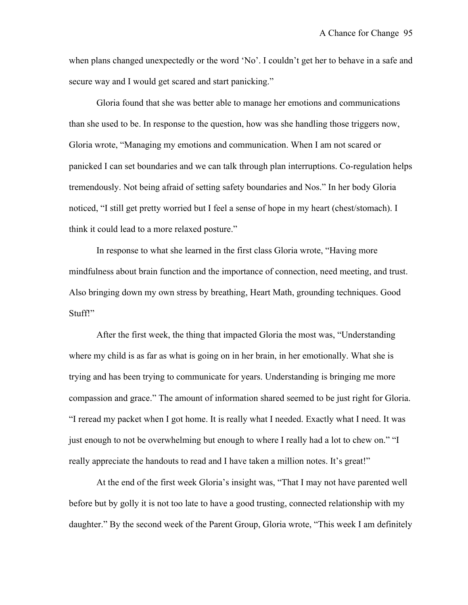when plans changed unexpectedly or the word 'No'. I couldn't get her to behave in a safe and secure way and I would get scared and start panicking."

Gloria found that she was better able to manage her emotions and communications than she used to be. In response to the question, how was she handling those triggers now, Gloria wrote, "Managing my emotions and communication. When I am not scared or panicked I can set boundaries and we can talk through plan interruptions. Co-regulation helps tremendously. Not being afraid of setting safety boundaries and Nos." In her body Gloria noticed, "I still get pretty worried but I feel a sense of hope in my heart (chest/stomach). I think it could lead to a more relaxed posture."

In response to what she learned in the first class Gloria wrote, "Having more mindfulness about brain function and the importance of connection, need meeting, and trust. Also bringing down my own stress by breathing, Heart Math, grounding techniques. Good Stuff!"

After the first week, the thing that impacted Gloria the most was, "Understanding where my child is as far as what is going on in her brain, in her emotionally. What she is trying and has been trying to communicate for years. Understanding is bringing me more compassion and grace." The amount of information shared seemed to be just right for Gloria. "I reread my packet when I got home. It is really what I needed. Exactly what I need. It was just enough to not be overwhelming but enough to where I really had a lot to chew on." "I really appreciate the handouts to read and I have taken a million notes. It's great!"

At the end of the first week Gloria's insight was, "That I may not have parented well before but by golly it is not too late to have a good trusting, connected relationship with my daughter." By the second week of the Parent Group, Gloria wrote, "This week I am definitely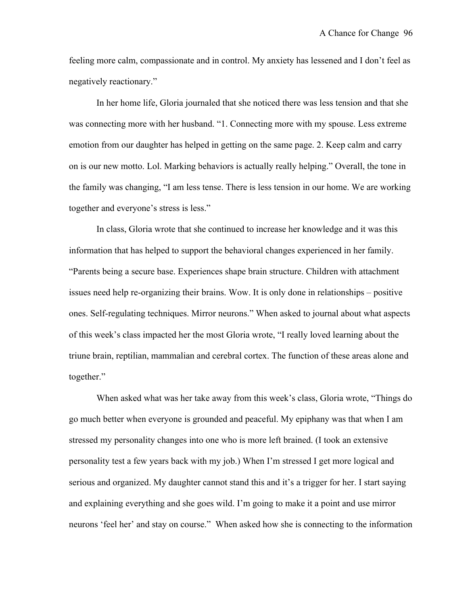feeling more calm, compassionate and in control. My anxiety has lessened and I don't feel as negatively reactionary."

In her home life, Gloria journaled that she noticed there was less tension and that she was connecting more with her husband. "1. Connecting more with my spouse. Less extreme emotion from our daughter has helped in getting on the same page. 2. Keep calm and carry on is our new motto. Lol. Marking behaviors is actually really helping." Overall, the tone in the family was changing, "I am less tense. There is less tension in our home. We are working together and everyone's stress is less."

In class, Gloria wrote that she continued to increase her knowledge and it was this information that has helped to support the behavioral changes experienced in her family. "Parents being a secure base. Experiences shape brain structure. Children with attachment issues need help re-organizing their brains. Wow. It is only done in relationships – positive ones. Self-regulating techniques. Mirror neurons." When asked to journal about what aspects of this week's class impacted her the most Gloria wrote, "I really loved learning about the triune brain, reptilian, mammalian and cerebral cortex. The function of these areas alone and together."

When asked what was her take away from this week's class, Gloria wrote, "Things do go much better when everyone is grounded and peaceful. My epiphany was that when I am stressed my personality changes into one who is more left brained. (I took an extensive personality test a few years back with my job.) When I'm stressed I get more logical and serious and organized. My daughter cannot stand this and it's a trigger for her. I start saying and explaining everything and she goes wild. I'm going to make it a point and use mirror neurons 'feel her' and stay on course." When asked how she is connecting to the information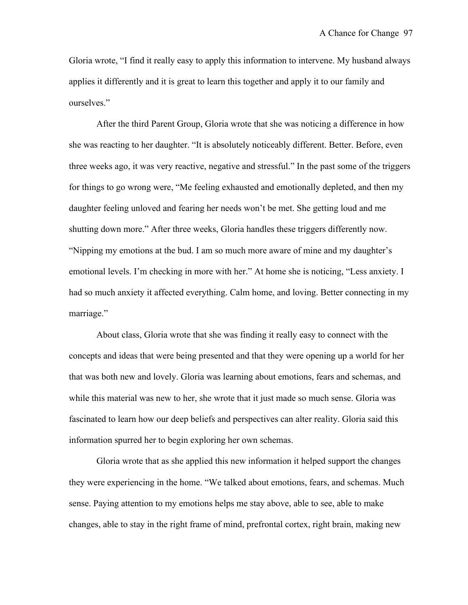Gloria wrote, "I find it really easy to apply this information to intervene. My husband always applies it differently and it is great to learn this together and apply it to our family and ourselves."

After the third Parent Group, Gloria wrote that she was noticing a difference in how she was reacting to her daughter. "It is absolutely noticeably different. Better. Before, even three weeks ago, it was very reactive, negative and stressful." In the past some of the triggers for things to go wrong were, "Me feeling exhausted and emotionally depleted, and then my daughter feeling unloved and fearing her needs won't be met. She getting loud and me shutting down more." After three weeks, Gloria handles these triggers differently now. "Nipping my emotions at the bud. I am so much more aware of mine and my daughter's emotional levels. I'm checking in more with her." At home she is noticing, "Less anxiety. I had so much anxiety it affected everything. Calm home, and loving. Better connecting in my marriage."

About class, Gloria wrote that she was finding it really easy to connect with the concepts and ideas that were being presented and that they were opening up a world for her that was both new and lovely. Gloria was learning about emotions, fears and schemas, and while this material was new to her, she wrote that it just made so much sense. Gloria was fascinated to learn how our deep beliefs and perspectives can alter reality. Gloria said this information spurred her to begin exploring her own schemas.

Gloria wrote that as she applied this new information it helped support the changes they were experiencing in the home. "We talked about emotions, fears, and schemas. Much sense. Paying attention to my emotions helps me stay above, able to see, able to make changes, able to stay in the right frame of mind, prefrontal cortex, right brain, making new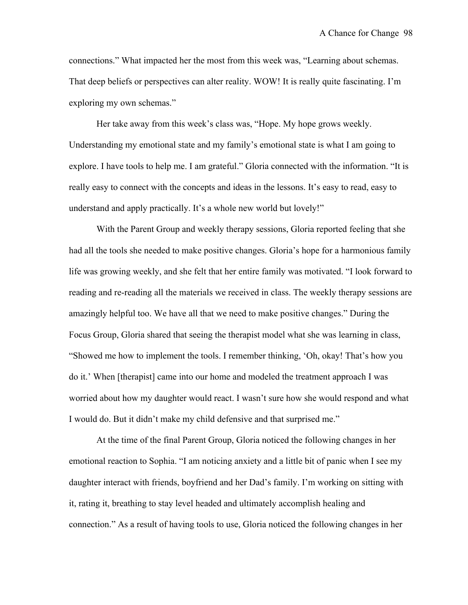connections." What impacted her the most from this week was, "Learning about schemas. That deep beliefs or perspectives can alter reality. WOW! It is really quite fascinating. I'm exploring my own schemas."

Her take away from this week's class was, "Hope. My hope grows weekly. Understanding my emotional state and my family's emotional state is what I am going to explore. I have tools to help me. I am grateful." Gloria connected with the information. "It is really easy to connect with the concepts and ideas in the lessons. It's easy to read, easy to understand and apply practically. It's a whole new world but lovely!"

With the Parent Group and weekly therapy sessions, Gloria reported feeling that she had all the tools she needed to make positive changes. Gloria's hope for a harmonious family life was growing weekly, and she felt that her entire family was motivated. "I look forward to reading and re-reading all the materials we received in class. The weekly therapy sessions are amazingly helpful too. We have all that we need to make positive changes." During the Focus Group, Gloria shared that seeing the therapist model what she was learning in class, "Showed me how to implement the tools. I remember thinking, 'Oh, okay! That's how you do it.' When [therapist] came into our home and modeled the treatment approach I was worried about how my daughter would react. I wasn't sure how she would respond and what I would do. But it didn't make my child defensive and that surprised me."

At the time of the final Parent Group, Gloria noticed the following changes in her emotional reaction to Sophia. "I am noticing anxiety and a little bit of panic when I see my daughter interact with friends, boyfriend and her Dad's family. I'm working on sitting with it, rating it, breathing to stay level headed and ultimately accomplish healing and connection." As a result of having tools to use, Gloria noticed the following changes in her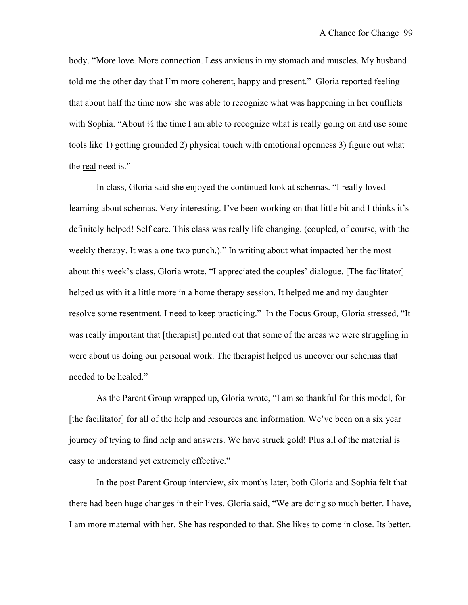body. "More love. More connection. Less anxious in my stomach and muscles. My husband told me the other day that I'm more coherent, happy and present." Gloria reported feeling that about half the time now she was able to recognize what was happening in her conflicts with Sophia. "About  $\frac{1}{2}$  the time I am able to recognize what is really going on and use some tools like 1) getting grounded 2) physical touch with emotional openness 3) figure out what the real need is."

In class, Gloria said she enjoyed the continued look at schemas. "I really loved learning about schemas. Very interesting. I've been working on that little bit and I thinks it's definitely helped! Self care. This class was really life changing. (coupled, of course, with the weekly therapy. It was a one two punch.)." In writing about what impacted her the most about this week's class, Gloria wrote, "I appreciated the couples' dialogue. [The facilitator] helped us with it a little more in a home therapy session. It helped me and my daughter resolve some resentment. I need to keep practicing." In the Focus Group, Gloria stressed, "It was really important that [therapist] pointed out that some of the areas we were struggling in were about us doing our personal work. The therapist helped us uncover our schemas that needed to be healed."

As the Parent Group wrapped up, Gloria wrote, "I am so thankful for this model, for [the facilitator] for all of the help and resources and information. We've been on a six year journey of trying to find help and answers. We have struck gold! Plus all of the material is easy to understand yet extremely effective."

In the post Parent Group interview, six months later, both Gloria and Sophia felt that there had been huge changes in their lives. Gloria said, "We are doing so much better. I have, I am more maternal with her. She has responded to that. She likes to come in close. Its better.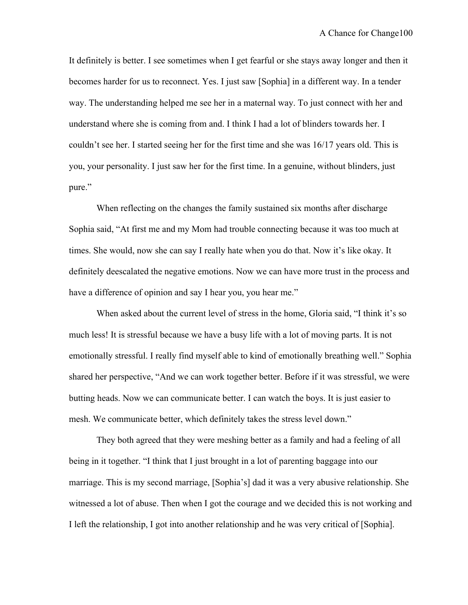It definitely is better. I see sometimes when I get fearful or she stays away longer and then it becomes harder for us to reconnect. Yes. I just saw [Sophia] in a different way. In a tender way. The understanding helped me see her in a maternal way. To just connect with her and understand where she is coming from and. I think I had a lot of blinders towards her. I couldn't see her. I started seeing her for the first time and she was 16/17 years old. This is you, your personality. I just saw her for the first time. In a genuine, without blinders, just pure."

When reflecting on the changes the family sustained six months after discharge Sophia said, "At first me and my Mom had trouble connecting because it was too much at times. She would, now she can say I really hate when you do that. Now it's like okay. It definitely deescalated the negative emotions. Now we can have more trust in the process and have a difference of opinion and say I hear you, you hear me."

When asked about the current level of stress in the home, Gloria said, "I think it's so much less! It is stressful because we have a busy life with a lot of moving parts. It is not emotionally stressful. I really find myself able to kind of emotionally breathing well." Sophia shared her perspective, "And we can work together better. Before if it was stressful, we were butting heads. Now we can communicate better. I can watch the boys. It is just easier to mesh. We communicate better, which definitely takes the stress level down."

They both agreed that they were meshing better as a family and had a feeling of all being in it together. "I think that I just brought in a lot of parenting baggage into our marriage. This is my second marriage, [Sophia's] dad it was a very abusive relationship. She witnessed a lot of abuse. Then when I got the courage and we decided this is not working and I left the relationship, I got into another relationship and he was very critical of [Sophia].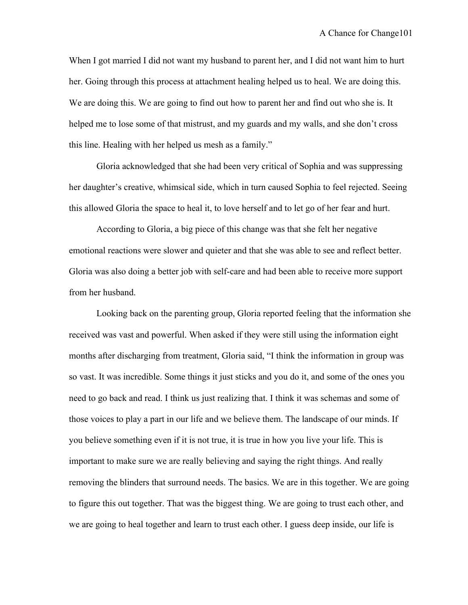When I got married I did not want my husband to parent her, and I did not want him to hurt her. Going through this process at attachment healing helped us to heal. We are doing this. We are doing this. We are going to find out how to parent her and find out who she is. It helped me to lose some of that mistrust, and my guards and my walls, and she don't cross this line. Healing with her helped us mesh as a family."

Gloria acknowledged that she had been very critical of Sophia and was suppressing her daughter's creative, whimsical side, which in turn caused Sophia to feel rejected. Seeing this allowed Gloria the space to heal it, to love herself and to let go of her fear and hurt.

According to Gloria, a big piece of this change was that she felt her negative emotional reactions were slower and quieter and that she was able to see and reflect better. Gloria was also doing a better job with self-care and had been able to receive more support from her husband.

Looking back on the parenting group, Gloria reported feeling that the information she received was vast and powerful. When asked if they were still using the information eight months after discharging from treatment, Gloria said, "I think the information in group was so vast. It was incredible. Some things it just sticks and you do it, and some of the ones you need to go back and read. I think us just realizing that. I think it was schemas and some of those voices to play a part in our life and we believe them. The landscape of our minds. If you believe something even if it is not true, it is true in how you live your life. This is important to make sure we are really believing and saying the right things. And really removing the blinders that surround needs. The basics. We are in this together. We are going to figure this out together. That was the biggest thing. We are going to trust each other, and we are going to heal together and learn to trust each other. I guess deep inside, our life is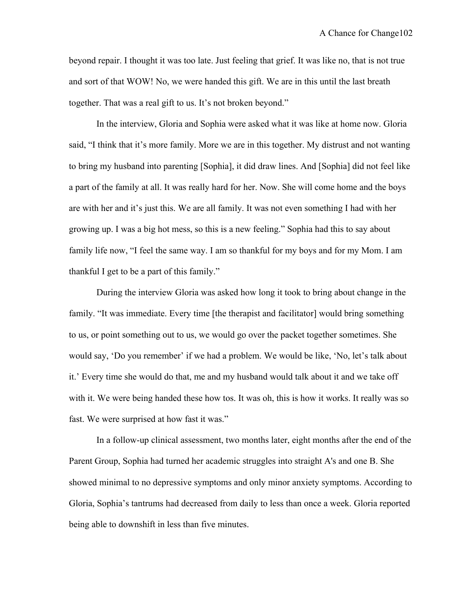beyond repair. I thought it was too late. Just feeling that grief. It was like no, that is not true and sort of that WOW! No, we were handed this gift. We are in this until the last breath together. That was a real gift to us. It's not broken beyond."

In the interview, Gloria and Sophia were asked what it was like at home now. Gloria said, "I think that it's more family. More we are in this together. My distrust and not wanting to bring my husband into parenting [Sophia], it did draw lines. And [Sophia] did not feel like a part of the family at all. It was really hard for her. Now. She will come home and the boys are with her and it's just this. We are all family. It was not even something I had with her growing up. I was a big hot mess, so this is a new feeling." Sophia had this to say about family life now, "I feel the same way. I am so thankful for my boys and for my Mom. I am thankful I get to be a part of this family."

During the interview Gloria was asked how long it took to bring about change in the family. "It was immediate. Every time [the therapist and facilitator] would bring something to us, or point something out to us, we would go over the packet together sometimes. She would say, 'Do you remember' if we had a problem. We would be like, 'No, let's talk about it.' Every time she would do that, me and my husband would talk about it and we take off with it. We were being handed these how tos. It was oh, this is how it works. It really was so fast. We were surprised at how fast it was."

In a follow-up clinical assessment, two months later, eight months after the end of the Parent Group, Sophia had turned her academic struggles into straight A's and one B. She showed minimal to no depressive symptoms and only minor anxiety symptoms. According to Gloria, Sophia's tantrums had decreased from daily to less than once a week. Gloria reported being able to downshift in less than five minutes.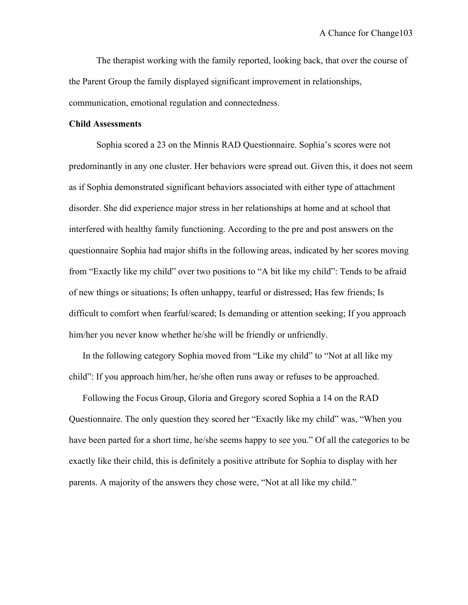The therapist working with the family reported, looking back, that over the course of the Parent Group the family displayed significant improvement in relationships, communication, emotional regulation and connectedness.

## **Child Assessments**

Sophia scored a 23 on the Minnis RAD Questionnaire. Sophia's scores were not predominantly in any one cluster. Her behaviors were spread out. Given this, it does not seem as if Sophia demonstrated significant behaviors associated with either type of attachment disorder. She did experience major stress in her relationships at home and at school that interfered with healthy family functioning. According to the pre and post answers on the questionnaire Sophia had major shifts in the following areas, indicated by her scores moving from "Exactly like my child" over two positions to "A bit like my child": Tends to be afraid of new things or situations; Is often unhappy, tearful or distressed; Has few friends; Is difficult to comfort when fearful/scared; Is demanding or attention seeking; If you approach him/her you never know whether he/she will be friendly or unfriendly.

In the following category Sophia moved from "Like my child" to "Not at all like my child": If you approach him/her, he/she often runs away or refuses to be approached.

Following the Focus Group, Gloria and Gregory scored Sophia a 14 on the RAD Questionnaire. The only question they scored her "Exactly like my child" was, "When you have been parted for a short time, he/she seems happy to see you." Of all the categories to be exactly like their child, this is definitely a positive attribute for Sophia to display with her parents. A majority of the answers they chose were, "Not at all like my child."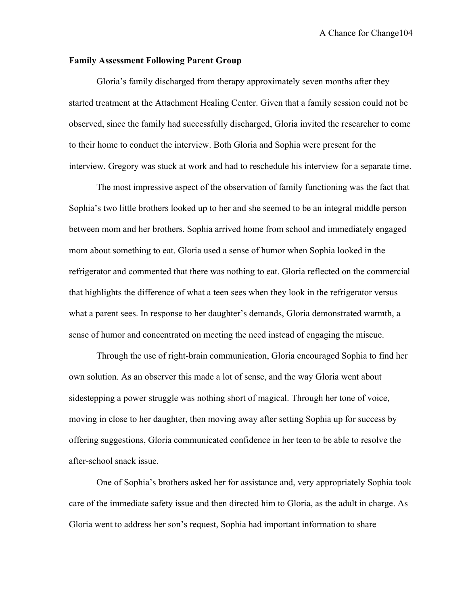## **Family Assessment Following Parent Group**

Gloria's family discharged from therapy approximately seven months after they started treatment at the Attachment Healing Center. Given that a family session could not be observed, since the family had successfully discharged, Gloria invited the researcher to come to their home to conduct the interview. Both Gloria and Sophia were present for the interview. Gregory was stuck at work and had to reschedule his interview for a separate time.

The most impressive aspect of the observation of family functioning was the fact that Sophia's two little brothers looked up to her and she seemed to be an integral middle person between mom and her brothers. Sophia arrived home from school and immediately engaged mom about something to eat. Gloria used a sense of humor when Sophia looked in the refrigerator and commented that there was nothing to eat. Gloria reflected on the commercial that highlights the difference of what a teen sees when they look in the refrigerator versus what a parent sees. In response to her daughter's demands, Gloria demonstrated warmth, a sense of humor and concentrated on meeting the need instead of engaging the miscue.

Through the use of right-brain communication, Gloria encouraged Sophia to find her own solution. As an observer this made a lot of sense, and the way Gloria went about sidestepping a power struggle was nothing short of magical. Through her tone of voice, moving in close to her daughter, then moving away after setting Sophia up for success by offering suggestions, Gloria communicated confidence in her teen to be able to resolve the after-school snack issue.

One of Sophia's brothers asked her for assistance and, very appropriately Sophia took care of the immediate safety issue and then directed him to Gloria, as the adult in charge. As Gloria went to address her son's request, Sophia had important information to share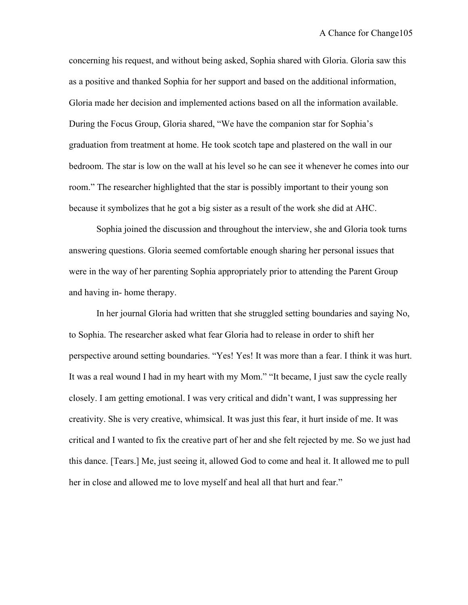concerning his request, and without being asked, Sophia shared with Gloria. Gloria saw this as a positive and thanked Sophia for her support and based on the additional information, Gloria made her decision and implemented actions based on all the information available. During the Focus Group, Gloria shared, "We have the companion star for Sophia's graduation from treatment at home. He took scotch tape and plastered on the wall in our bedroom. The star is low on the wall at his level so he can see it whenever he comes into our room." The researcher highlighted that the star is possibly important to their young son because it symbolizes that he got a big sister as a result of the work she did at AHC.

Sophia joined the discussion and throughout the interview, she and Gloria took turns answering questions. Gloria seemed comfortable enough sharing her personal issues that were in the way of her parenting Sophia appropriately prior to attending the Parent Group and having in- home therapy.

In her journal Gloria had written that she struggled setting boundaries and saying No, to Sophia. The researcher asked what fear Gloria had to release in order to shift her perspective around setting boundaries. "Yes! Yes! It was more than a fear. I think it was hurt. It was a real wound I had in my heart with my Mom." "It became, I just saw the cycle really closely. I am getting emotional. I was very critical and didn't want, I was suppressing her creativity. She is very creative, whimsical. It was just this fear, it hurt inside of me. It was critical and I wanted to fix the creative part of her and she felt rejected by me. So we just had this dance. [Tears.] Me, just seeing it, allowed God to come and heal it. It allowed me to pull her in close and allowed me to love myself and heal all that hurt and fear."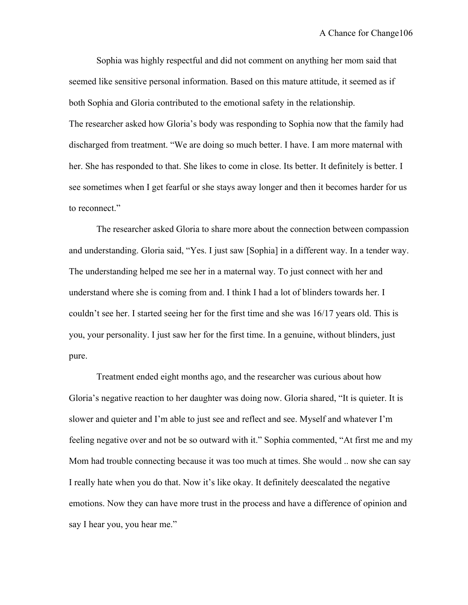Sophia was highly respectful and did not comment on anything her mom said that seemed like sensitive personal information. Based on this mature attitude, it seemed as if both Sophia and Gloria contributed to the emotional safety in the relationship. The researcher asked how Gloria's body was responding to Sophia now that the family had discharged from treatment. "We are doing so much better. I have. I am more maternal with her. She has responded to that. She likes to come in close. Its better. It definitely is better. I see sometimes when I get fearful or she stays away longer and then it becomes harder for us to reconnect."

The researcher asked Gloria to share more about the connection between compassion and understanding. Gloria said, "Yes. I just saw [Sophia] in a different way. In a tender way. The understanding helped me see her in a maternal way. To just connect with her and understand where she is coming from and. I think I had a lot of blinders towards her. I couldn't see her. I started seeing her for the first time and she was 16/17 years old. This is you, your personality. I just saw her for the first time. In a genuine, without blinders, just pure.

Treatment ended eight months ago, and the researcher was curious about how Gloria's negative reaction to her daughter was doing now. Gloria shared, "It is quieter. It is slower and quieter and I'm able to just see and reflect and see. Myself and whatever I'm feeling negative over and not be so outward with it." Sophia commented, "At first me and my Mom had trouble connecting because it was too much at times. She would .. now she can say I really hate when you do that. Now it's like okay. It definitely deescalated the negative emotions. Now they can have more trust in the process and have a difference of opinion and say I hear you, you hear me."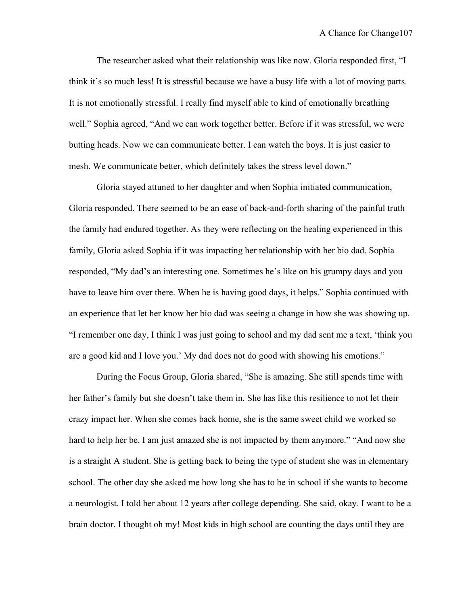The researcher asked what their relationship was like now. Gloria responded first, "I think it's so much less! It is stressful because we have a busy life with a lot of moving parts. It is not emotionally stressful. I really find myself able to kind of emotionally breathing well." Sophia agreed, "And we can work together better. Before if it was stressful, we were butting heads. Now we can communicate better. I can watch the boys. It is just easier to mesh. We communicate better, which definitely takes the stress level down."

Gloria stayed attuned to her daughter and when Sophia initiated communication, Gloria responded. There seemed to be an ease of back-and-forth sharing of the painful truth the family had endured together. As they were reflecting on the healing experienced in this family, Gloria asked Sophia if it was impacting her relationship with her bio dad. Sophia responded, "My dad's an interesting one. Sometimes he's like on his grumpy days and you have to leave him over there. When he is having good days, it helps." Sophia continued with an experience that let her know her bio dad was seeing a change in how she was showing up. "I remember one day, I think I was just going to school and my dad sent me a text, 'think you are a good kid and I love you.' My dad does not do good with showing his emotions."

During the Focus Group, Gloria shared, "She is amazing. She still spends time with her father's family but she doesn't take them in. She has like this resilience to not let their crazy impact her. When she comes back home, she is the same sweet child we worked so hard to help her be. I am just amazed she is not impacted by them anymore." "And now she is a straight A student. She is getting back to being the type of student she was in elementary school. The other day she asked me how long she has to be in school if she wants to become a neurologist. I told her about 12 years after college depending. She said, okay. I want to be a brain doctor. I thought oh my! Most kids in high school are counting the days until they are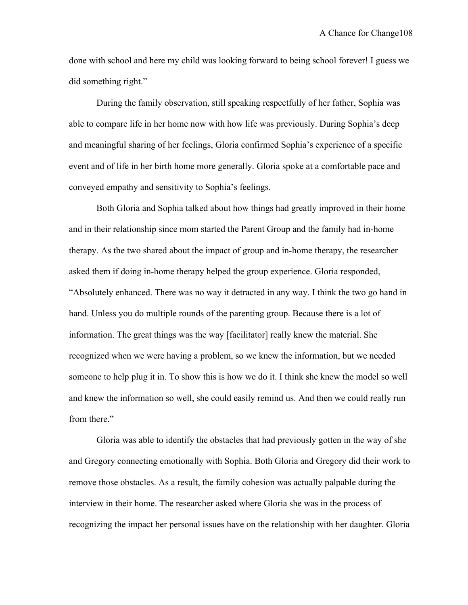done with school and here my child was looking forward to being school forever! I guess we did something right."

During the family observation, still speaking respectfully of her father, Sophia was able to compare life in her home now with how life was previously. During Sophia's deep and meaningful sharing of her feelings, Gloria confirmed Sophia's experience of a specific event and of life in her birth home more generally. Gloria spoke at a comfortable pace and conveyed empathy and sensitivity to Sophia's feelings.

Both Gloria and Sophia talked about how things had greatly improved in their home and in their relationship since mom started the Parent Group and the family had in-home therapy. As the two shared about the impact of group and in-home therapy, the researcher asked them if doing in-home therapy helped the group experience. Gloria responded, "Absolutely enhanced. There was no way it detracted in any way. I think the two go hand in hand. Unless you do multiple rounds of the parenting group. Because there is a lot of information. The great things was the way [facilitator] really knew the material. She recognized when we were having a problem, so we knew the information, but we needed someone to help plug it in. To show this is how we do it. I think she knew the model so well and knew the information so well, she could easily remind us. And then we could really run from there."

Gloria was able to identify the obstacles that had previously gotten in the way of she and Gregory connecting emotionally with Sophia. Both Gloria and Gregory did their work to remove those obstacles. As a result, the family cohesion was actually palpable during the interview in their home. The researcher asked where Gloria she was in the process of recognizing the impact her personal issues have on the relationship with her daughter. Gloria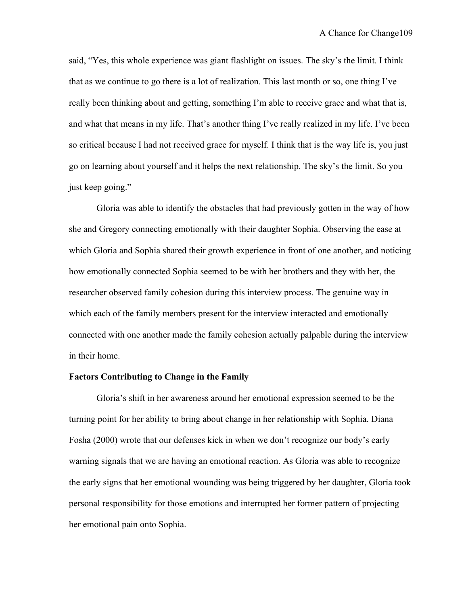said, "Yes, this whole experience was giant flashlight on issues. The sky's the limit. I think that as we continue to go there is a lot of realization. This last month or so, one thing I've really been thinking about and getting, something I'm able to receive grace and what that is, and what that means in my life. That's another thing I've really realized in my life. I've been so critical because I had not received grace for myself. I think that is the way life is, you just go on learning about yourself and it helps the next relationship. The sky's the limit. So you just keep going."

Gloria was able to identify the obstacles that had previously gotten in the way of how she and Gregory connecting emotionally with their daughter Sophia. Observing the ease at which Gloria and Sophia shared their growth experience in front of one another, and noticing how emotionally connected Sophia seemed to be with her brothers and they with her, the researcher observed family cohesion during this interview process. The genuine way in which each of the family members present for the interview interacted and emotionally connected with one another made the family cohesion actually palpable during the interview in their home.

### **Factors Contributing to Change in the Family**

Gloria's shift in her awareness around her emotional expression seemed to be the turning point for her ability to bring about change in her relationship with Sophia. Diana Fosha (2000) wrote that our defenses kick in when we don't recognize our body's early warning signals that we are having an emotional reaction. As Gloria was able to recognize the early signs that her emotional wounding was being triggered by her daughter, Gloria took personal responsibility for those emotions and interrupted her former pattern of projecting her emotional pain onto Sophia.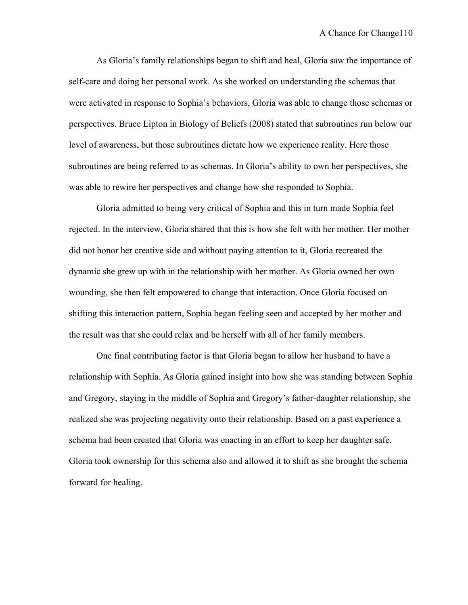As Gloria's family relationships began to shift and heal, Gloria saw the importance of self-care and doing her personal work. As she worked on understanding the schemas that were activated in response to Sophia's behaviors, Gloria was able to change those schemas or perspectives. Bruce Lipton in Biology of Beliefs (2008) stated that subroutines run below our level of awareness, but those subroutines dictate how we experience reality. Here those subroutines are being referred to as schemas. In Gloria's ability to own her perspectives, she was able to rewire her perspectives and change how she responded to Sophia.

Gloria admitted to being very critical of Sophia and this in turn made Sophia feel rejected. In the interview, Gloria shared that this is how she felt with her mother. Her mother did not honor her creative side and without paying attention to it, Gloria recreated the dynamic she grew up with in the relationship with her mother. As Gloria owned her own wounding, she then felt empowered to change that interaction. Once Gloria focused on shifting this interaction pattern, Sophia began feeling seen and accepted by her mother and the result was that she could relax and be herself with all of her family members.

One final contributing factor is that Gloria began to allow her husband to have a relationship with Sophia. As Gloria gained insight into how she was standing between Sophia and Gregory, staying in the middle of Sophia and Gregory's father-daughter relationship, she realized she was projecting negativity onto their relationship. Based on a past experience a schema had been created that Gloria was enacting in an effort to keep her daughter safe. Gloria took ownership for this schema also and allowed it to shift as she brought the schema forward for healing.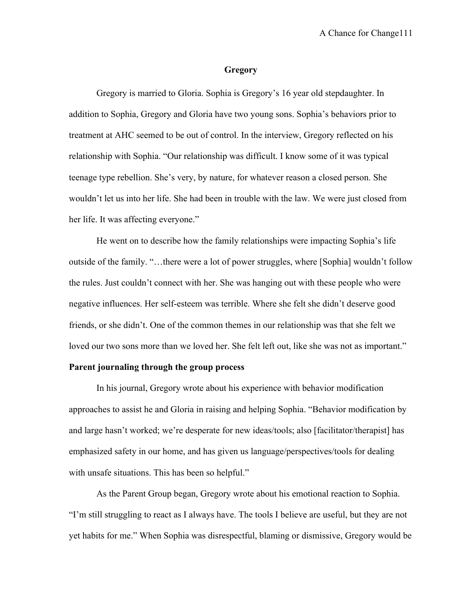#### **Gregory**

Gregory is married to Gloria. Sophia is Gregory's 16 year old stepdaughter. In addition to Sophia, Gregory and Gloria have two young sons. Sophia's behaviors prior to treatment at AHC seemed to be out of control. In the interview, Gregory reflected on his relationship with Sophia. "Our relationship was difficult. I know some of it was typical teenage type rebellion. She's very, by nature, for whatever reason a closed person. She wouldn't let us into her life. She had been in trouble with the law. We were just closed from her life. It was affecting everyone."

He went on to describe how the family relationships were impacting Sophia's life outside of the family. "…there were a lot of power struggles, where [Sophia] wouldn't follow the rules. Just couldn't connect with her. She was hanging out with these people who were negative influences. Her self-esteem was terrible. Where she felt she didn't deserve good friends, or she didn't. One of the common themes in our relationship was that she felt we loved our two sons more than we loved her. She felt left out, like she was not as important."

#### **Parent journaling through the group process**

In his journal, Gregory wrote about his experience with behavior modification approaches to assist he and Gloria in raising and helping Sophia. "Behavior modification by and large hasn't worked; we're desperate for new ideas/tools; also [facilitator/therapist] has emphasized safety in our home, and has given us language/perspectives/tools for dealing with unsafe situations. This has been so helpful."

As the Parent Group began, Gregory wrote about his emotional reaction to Sophia. "I'm still struggling to react as I always have. The tools I believe are useful, but they are not yet habits for me." When Sophia was disrespectful, blaming or dismissive, Gregory would be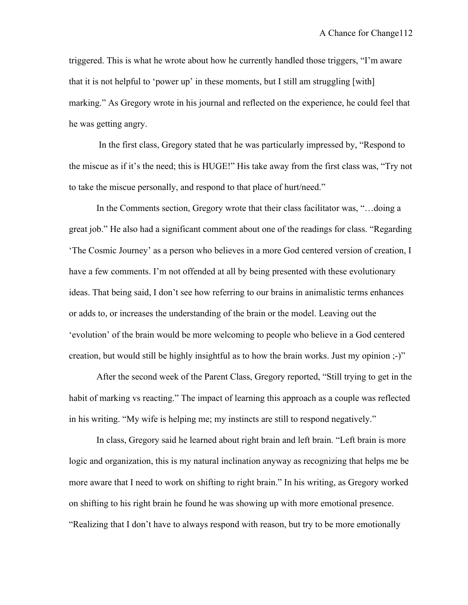triggered. This is what he wrote about how he currently handled those triggers, "I'm aware that it is not helpful to 'power up' in these moments, but I still am struggling [with] marking." As Gregory wrote in his journal and reflected on the experience, he could feel that he was getting angry.

In the first class, Gregory stated that he was particularly impressed by, "Respond to the miscue as if it's the need; this is HUGE!" His take away from the first class was, "Try not to take the miscue personally, and respond to that place of hurt/need."

In the Comments section, Gregory wrote that their class facilitator was, "…doing a great job." He also had a significant comment about one of the readings for class. "Regarding 'The Cosmic Journey' as a person who believes in a more God centered version of creation, I have a few comments. I'm not offended at all by being presented with these evolutionary ideas. That being said, I don't see how referring to our brains in animalistic terms enhances or adds to, or increases the understanding of the brain or the model. Leaving out the 'evolution' of the brain would be more welcoming to people who believe in a God centered creation, but would still be highly insightful as to how the brain works. Just my opinion ;-)"

After the second week of the Parent Class, Gregory reported, "Still trying to get in the habit of marking vs reacting." The impact of learning this approach as a couple was reflected in his writing. "My wife is helping me; my instincts are still to respond negatively."

In class, Gregory said he learned about right brain and left brain. "Left brain is more logic and organization, this is my natural inclination anyway as recognizing that helps me be more aware that I need to work on shifting to right brain." In his writing, as Gregory worked on shifting to his right brain he found he was showing up with more emotional presence. "Realizing that I don't have to always respond with reason, but try to be more emotionally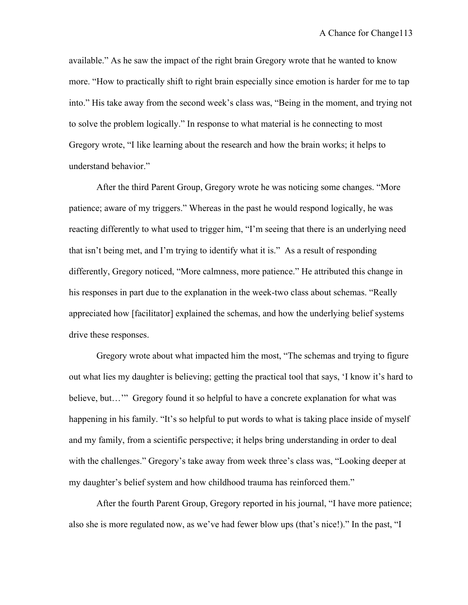available." As he saw the impact of the right brain Gregory wrote that he wanted to know more. "How to practically shift to right brain especially since emotion is harder for me to tap into." His take away from the second week's class was, "Being in the moment, and trying not to solve the problem logically." In response to what material is he connecting to most Gregory wrote, "I like learning about the research and how the brain works; it helps to understand behavior."

After the third Parent Group, Gregory wrote he was noticing some changes. "More patience; aware of my triggers." Whereas in the past he would respond logically, he was reacting differently to what used to trigger him, "I'm seeing that there is an underlying need that isn't being met, and I'm trying to identify what it is." As a result of responding differently, Gregory noticed, "More calmness, more patience." He attributed this change in his responses in part due to the explanation in the week-two class about schemas. "Really appreciated how [facilitator] explained the schemas, and how the underlying belief systems drive these responses.

Gregory wrote about what impacted him the most, "The schemas and trying to figure out what lies my daughter is believing; getting the practical tool that says, 'I know it's hard to believe, but..." Gregory found it so helpful to have a concrete explanation for what was happening in his family. "It's so helpful to put words to what is taking place inside of myself and my family, from a scientific perspective; it helps bring understanding in order to deal with the challenges." Gregory's take away from week three's class was, "Looking deeper at my daughter's belief system and how childhood trauma has reinforced them."

After the fourth Parent Group, Gregory reported in his journal, "I have more patience; also she is more regulated now, as we've had fewer blow ups (that's nice!)." In the past, "I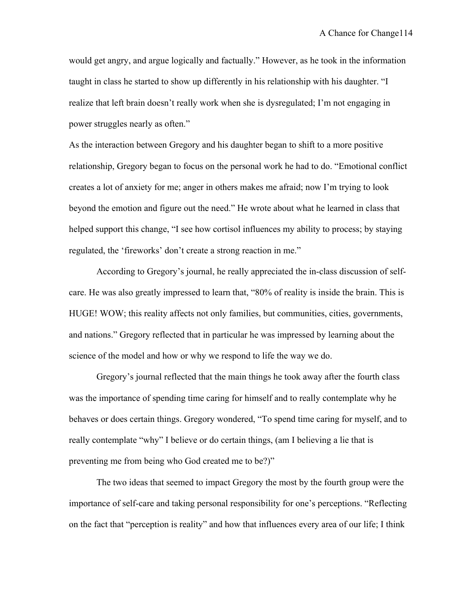would get angry, and argue logically and factually." However, as he took in the information taught in class he started to show up differently in his relationship with his daughter. "I realize that left brain doesn't really work when she is dysregulated; I'm not engaging in power struggles nearly as often."

As the interaction between Gregory and his daughter began to shift to a more positive relationship, Gregory began to focus on the personal work he had to do. "Emotional conflict creates a lot of anxiety for me; anger in others makes me afraid; now I'm trying to look beyond the emotion and figure out the need." He wrote about what he learned in class that helped support this change, "I see how cortisol influences my ability to process; by staying regulated, the 'fireworks' don't create a strong reaction in me."

According to Gregory's journal, he really appreciated the in-class discussion of selfcare. He was also greatly impressed to learn that, "80% of reality is inside the brain. This is HUGE! WOW; this reality affects not only families, but communities, cities, governments, and nations." Gregory reflected that in particular he was impressed by learning about the science of the model and how or why we respond to life the way we do.

Gregory's journal reflected that the main things he took away after the fourth class was the importance of spending time caring for himself and to really contemplate why he behaves or does certain things. Gregory wondered, "To spend time caring for myself, and to really contemplate "why" I believe or do certain things, (am I believing a lie that is preventing me from being who God created me to be?)"

The two ideas that seemed to impact Gregory the most by the fourth group were the importance of self-care and taking personal responsibility for one's perceptions. "Reflecting on the fact that "perception is reality" and how that influences every area of our life; I think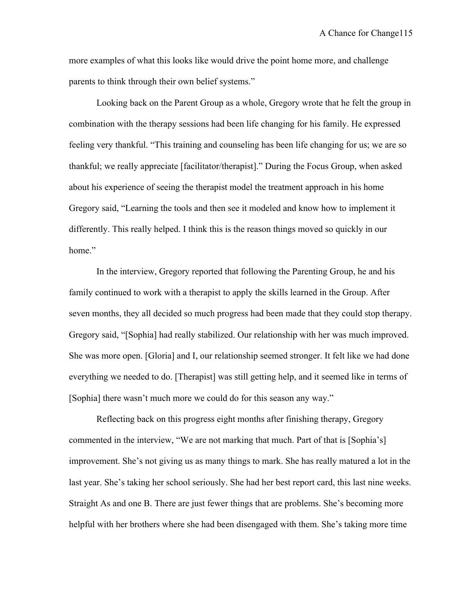more examples of what this looks like would drive the point home more, and challenge parents to think through their own belief systems."

Looking back on the Parent Group as a whole, Gregory wrote that he felt the group in combination with the therapy sessions had been life changing for his family. He expressed feeling very thankful. "This training and counseling has been life changing for us; we are so thankful; we really appreciate [facilitator/therapist]." During the Focus Group, when asked about his experience of seeing the therapist model the treatment approach in his home Gregory said, "Learning the tools and then see it modeled and know how to implement it differently. This really helped. I think this is the reason things moved so quickly in our home."

In the interview, Gregory reported that following the Parenting Group, he and his family continued to work with a therapist to apply the skills learned in the Group. After seven months, they all decided so much progress had been made that they could stop therapy. Gregory said, "[Sophia] had really stabilized. Our relationship with her was much improved. She was more open. [Gloria] and I, our relationship seemed stronger. It felt like we had done everything we needed to do. [Therapist] was still getting help, and it seemed like in terms of [Sophia] there wasn't much more we could do for this season any way."

Reflecting back on this progress eight months after finishing therapy, Gregory commented in the interview, "We are not marking that much. Part of that is [Sophia's] improvement. She's not giving us as many things to mark. She has really matured a lot in the last year. She's taking her school seriously. She had her best report card, this last nine weeks. Straight As and one B. There are just fewer things that are problems. She's becoming more helpful with her brothers where she had been disengaged with them. She's taking more time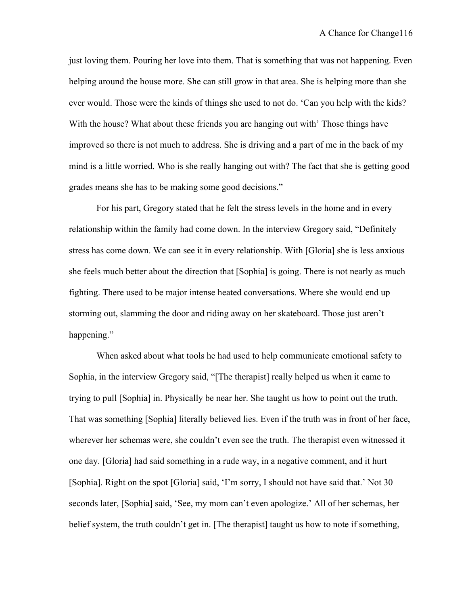just loving them. Pouring her love into them. That is something that was not happening. Even helping around the house more. She can still grow in that area. She is helping more than she ever would. Those were the kinds of things she used to not do. 'Can you help with the kids? With the house? What about these friends you are hanging out with' Those things have improved so there is not much to address. She is driving and a part of me in the back of my mind is a little worried. Who is she really hanging out with? The fact that she is getting good grades means she has to be making some good decisions."

For his part, Gregory stated that he felt the stress levels in the home and in every relationship within the family had come down. In the interview Gregory said, "Definitely stress has come down. We can see it in every relationship. With [Gloria] she is less anxious she feels much better about the direction that [Sophia] is going. There is not nearly as much fighting. There used to be major intense heated conversations. Where she would end up storming out, slamming the door and riding away on her skateboard. Those just aren't happening."

When asked about what tools he had used to help communicate emotional safety to Sophia, in the interview Gregory said, "[The therapist] really helped us when it came to trying to pull [Sophia] in. Physically be near her. She taught us how to point out the truth. That was something [Sophia] literally believed lies. Even if the truth was in front of her face, wherever her schemas were, she couldn't even see the truth. The therapist even witnessed it one day. [Gloria] had said something in a rude way, in a negative comment, and it hurt [Sophia]. Right on the spot [Gloria] said, 'I'm sorry, I should not have said that.' Not 30 seconds later, [Sophia] said, 'See, my mom can't even apologize.' All of her schemas, her belief system, the truth couldn't get in. [The therapist] taught us how to note if something,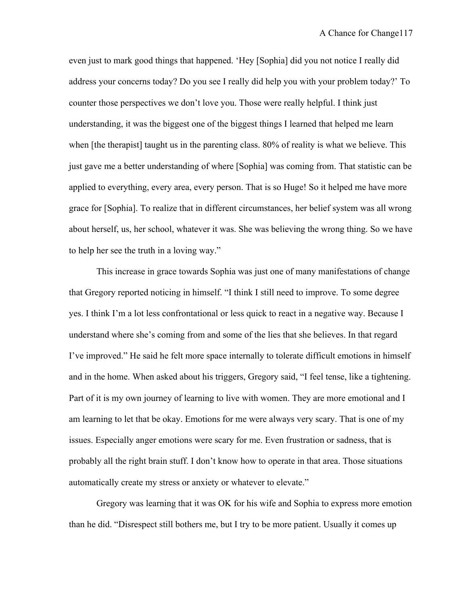even just to mark good things that happened. 'Hey [Sophia] did you not notice I really did address your concerns today? Do you see I really did help you with your problem today?' To counter those perspectives we don't love you. Those were really helpful. I think just understanding, it was the biggest one of the biggest things I learned that helped me learn when [the therapist] taught us in the parenting class. 80% of reality is what we believe. This just gave me a better understanding of where [Sophia] was coming from. That statistic can be applied to everything, every area, every person. That is so Huge! So it helped me have more grace for [Sophia]. To realize that in different circumstances, her belief system was all wrong about herself, us, her school, whatever it was. She was believing the wrong thing. So we have to help her see the truth in a loving way."

This increase in grace towards Sophia was just one of many manifestations of change that Gregory reported noticing in himself. "I think I still need to improve. To some degree yes. I think I'm a lot less confrontational or less quick to react in a negative way. Because I understand where she's coming from and some of the lies that she believes. In that regard I've improved." He said he felt more space internally to tolerate difficult emotions in himself and in the home. When asked about his triggers, Gregory said, "I feel tense, like a tightening. Part of it is my own journey of learning to live with women. They are more emotional and I am learning to let that be okay. Emotions for me were always very scary. That is one of my issues. Especially anger emotions were scary for me. Even frustration or sadness, that is probably all the right brain stuff. I don't know how to operate in that area. Those situations automatically create my stress or anxiety or whatever to elevate."

Gregory was learning that it was OK for his wife and Sophia to express more emotion than he did. "Disrespect still bothers me, but I try to be more patient. Usually it comes up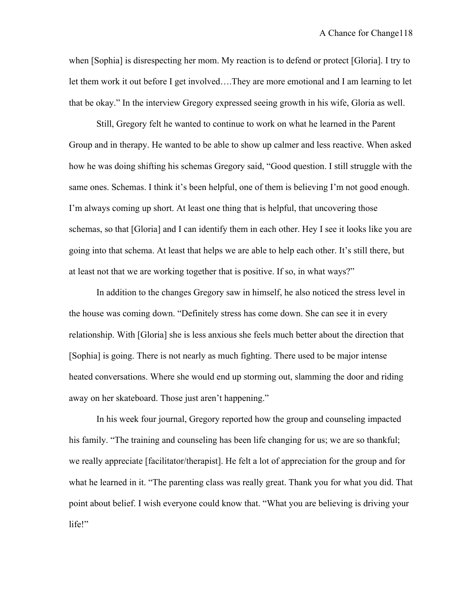when [Sophia] is disrespecting her mom. My reaction is to defend or protect [Gloria]. I try to let them work it out before I get involved….They are more emotional and I am learning to let that be okay." In the interview Gregory expressed seeing growth in his wife, Gloria as well.

Still, Gregory felt he wanted to continue to work on what he learned in the Parent Group and in therapy. He wanted to be able to show up calmer and less reactive. When asked how he was doing shifting his schemas Gregory said, "Good question. I still struggle with the same ones. Schemas. I think it's been helpful, one of them is believing I'm not good enough. I'm always coming up short. At least one thing that is helpful, that uncovering those schemas, so that [Gloria] and I can identify them in each other. Hey I see it looks like you are going into that schema. At least that helps we are able to help each other. It's still there, but at least not that we are working together that is positive. If so, in what ways?"

In addition to the changes Gregory saw in himself, he also noticed the stress level in the house was coming down. "Definitely stress has come down. She can see it in every relationship. With [Gloria] she is less anxious she feels much better about the direction that [Sophia] is going. There is not nearly as much fighting. There used to be major intense heated conversations. Where she would end up storming out, slamming the door and riding away on her skateboard. Those just aren't happening."

In his week four journal, Gregory reported how the group and counseling impacted his family. "The training and counseling has been life changing for us; we are so thankful; we really appreciate [facilitator/therapist]. He felt a lot of appreciation for the group and for what he learned in it. "The parenting class was really great. Thank you for what you did. That point about belief. I wish everyone could know that. "What you are believing is driving your life!"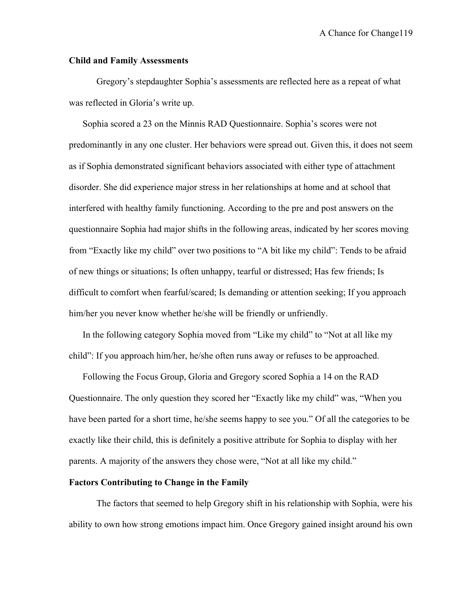## **Child and Family Assessments**

Gregory's stepdaughter Sophia's assessments are reflected here as a repeat of what was reflected in Gloria's write up.

Sophia scored a 23 on the Minnis RAD Questionnaire. Sophia's scores were not predominantly in any one cluster. Her behaviors were spread out. Given this, it does not seem as if Sophia demonstrated significant behaviors associated with either type of attachment disorder. She did experience major stress in her relationships at home and at school that interfered with healthy family functioning. According to the pre and post answers on the questionnaire Sophia had major shifts in the following areas, indicated by her scores moving from "Exactly like my child" over two positions to "A bit like my child": Tends to be afraid of new things or situations; Is often unhappy, tearful or distressed; Has few friends; Is difficult to comfort when fearful/scared; Is demanding or attention seeking; If you approach him/her you never know whether he/she will be friendly or unfriendly.

In the following category Sophia moved from "Like my child" to "Not at all like my child": If you approach him/her, he/she often runs away or refuses to be approached.

Following the Focus Group, Gloria and Gregory scored Sophia a 14 on the RAD Questionnaire. The only question they scored her "Exactly like my child" was, "When you have been parted for a short time, he/she seems happy to see you." Of all the categories to be exactly like their child, this is definitely a positive attribute for Sophia to display with her parents. A majority of the answers they chose were, "Not at all like my child."

# **Factors Contributing to Change in the Family**

The factors that seemed to help Gregory shift in his relationship with Sophia, were his ability to own how strong emotions impact him. Once Gregory gained insight around his own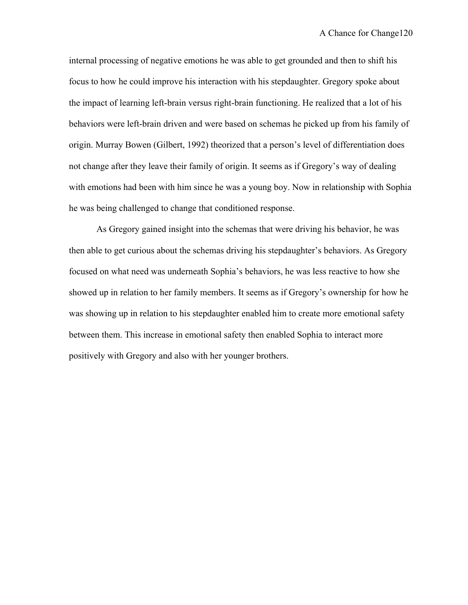internal processing of negative emotions he was able to get grounded and then to shift his focus to how he could improve his interaction with his stepdaughter. Gregory spoke about the impact of learning left-brain versus right-brain functioning. He realized that a lot of his behaviors were left-brain driven and were based on schemas he picked up from his family of origin. Murray Bowen (Gilbert, 1992) theorized that a person's level of differentiation does not change after they leave their family of origin. It seems as if Gregory's way of dealing with emotions had been with him since he was a young boy. Now in relationship with Sophia he was being challenged to change that conditioned response.

As Gregory gained insight into the schemas that were driving his behavior, he was then able to get curious about the schemas driving his stepdaughter's behaviors. As Gregory focused on what need was underneath Sophia's behaviors, he was less reactive to how she showed up in relation to her family members. It seems as if Gregory's ownership for how he was showing up in relation to his stepdaughter enabled him to create more emotional safety between them. This increase in emotional safety then enabled Sophia to interact more positively with Gregory and also with her younger brothers.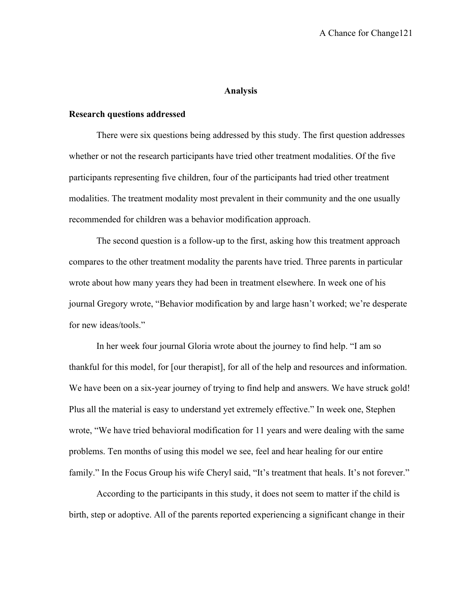#### **Analysis**

# **Research questions addressed**

There were six questions being addressed by this study. The first question addresses whether or not the research participants have tried other treatment modalities. Of the five participants representing five children, four of the participants had tried other treatment modalities. The treatment modality most prevalent in their community and the one usually recommended for children was a behavior modification approach.

The second question is a follow-up to the first, asking how this treatment approach compares to the other treatment modality the parents have tried. Three parents in particular wrote about how many years they had been in treatment elsewhere. In week one of his journal Gregory wrote, "Behavior modification by and large hasn't worked; we're desperate for new ideas/tools."

In her week four journal Gloria wrote about the journey to find help. "I am so thankful for this model, for [our therapist], for all of the help and resources and information. We have been on a six-year journey of trying to find help and answers. We have struck gold! Plus all the material is easy to understand yet extremely effective." In week one, Stephen wrote, "We have tried behavioral modification for 11 years and were dealing with the same problems. Ten months of using this model we see, feel and hear healing for our entire family." In the Focus Group his wife Cheryl said, "It's treatment that heals. It's not forever."

According to the participants in this study, it does not seem to matter if the child is birth, step or adoptive. All of the parents reported experiencing a significant change in their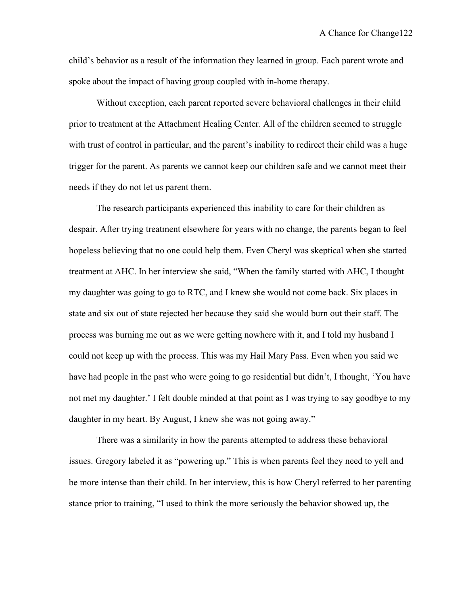child's behavior as a result of the information they learned in group. Each parent wrote and spoke about the impact of having group coupled with in-home therapy.

Without exception, each parent reported severe behavioral challenges in their child prior to treatment at the Attachment Healing Center. All of the children seemed to struggle with trust of control in particular, and the parent's inability to redirect their child was a huge trigger for the parent. As parents we cannot keep our children safe and we cannot meet their needs if they do not let us parent them.

The research participants experienced this inability to care for their children as despair. After trying treatment elsewhere for years with no change, the parents began to feel hopeless believing that no one could help them. Even Cheryl was skeptical when she started treatment at AHC. In her interview she said, "When the family started with AHC, I thought my daughter was going to go to RTC, and I knew she would not come back. Six places in state and six out of state rejected her because they said she would burn out their staff. The process was burning me out as we were getting nowhere with it, and I told my husband I could not keep up with the process. This was my Hail Mary Pass. Even when you said we have had people in the past who were going to go residential but didn't, I thought, 'You have not met my daughter.' I felt double minded at that point as I was trying to say goodbye to my daughter in my heart. By August, I knew she was not going away."

There was a similarity in how the parents attempted to address these behavioral issues. Gregory labeled it as "powering up." This is when parents feel they need to yell and be more intense than their child. In her interview, this is how Cheryl referred to her parenting stance prior to training, "I used to think the more seriously the behavior showed up, the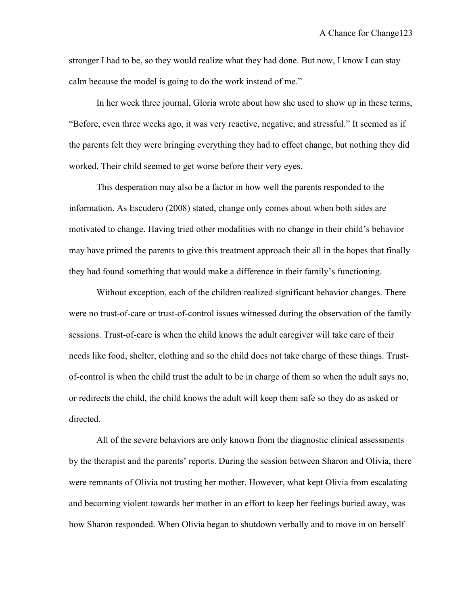stronger I had to be, so they would realize what they had done. But now, I know I can stay calm because the model is going to do the work instead of me."

In her week three journal, Gloria wrote about how she used to show up in these terms, "Before, even three weeks ago, it was very reactive, negative, and stressful." It seemed as if the parents felt they were bringing everything they had to effect change, but nothing they did worked. Their child seemed to get worse before their very eyes.

This desperation may also be a factor in how well the parents responded to the information. As Escudero (2008) stated, change only comes about when both sides are motivated to change. Having tried other modalities with no change in their child's behavior may have primed the parents to give this treatment approach their all in the hopes that finally they had found something that would make a difference in their family's functioning.

Without exception, each of the children realized significant behavior changes. There were no trust-of-care or trust-of-control issues witnessed during the observation of the family sessions. Trust-of-care is when the child knows the adult caregiver will take care of their needs like food, shelter, clothing and so the child does not take charge of these things. Trustof-control is when the child trust the adult to be in charge of them so when the adult says no, or redirects the child, the child knows the adult will keep them safe so they do as asked or directed.

All of the severe behaviors are only known from the diagnostic clinical assessments by the therapist and the parents' reports. During the session between Sharon and Olivia, there were remnants of Olivia not trusting her mother. However, what kept Olivia from escalating and becoming violent towards her mother in an effort to keep her feelings buried away, was how Sharon responded. When Olivia began to shutdown verbally and to move in on herself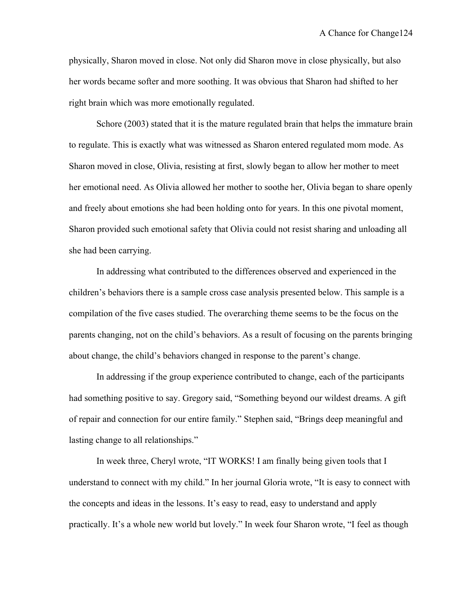physically, Sharon moved in close. Not only did Sharon move in close physically, but also her words became softer and more soothing. It was obvious that Sharon had shifted to her right brain which was more emotionally regulated.

Schore (2003) stated that it is the mature regulated brain that helps the immature brain to regulate. This is exactly what was witnessed as Sharon entered regulated mom mode. As Sharon moved in close, Olivia, resisting at first, slowly began to allow her mother to meet her emotional need. As Olivia allowed her mother to soothe her, Olivia began to share openly and freely about emotions she had been holding onto for years. In this one pivotal moment, Sharon provided such emotional safety that Olivia could not resist sharing and unloading all she had been carrying.

In addressing what contributed to the differences observed and experienced in the children's behaviors there is a sample cross case analysis presented below. This sample is a compilation of the five cases studied. The overarching theme seems to be the focus on the parents changing, not on the child's behaviors. As a result of focusing on the parents bringing about change, the child's behaviors changed in response to the parent's change.

In addressing if the group experience contributed to change, each of the participants had something positive to say. Gregory said, "Something beyond our wildest dreams. A gift of repair and connection for our entire family." Stephen said, "Brings deep meaningful and lasting change to all relationships."

In week three, Cheryl wrote, "IT WORKS! I am finally being given tools that I understand to connect with my child." In her journal Gloria wrote, "It is easy to connect with the concepts and ideas in the lessons. It's easy to read, easy to understand and apply practically. It's a whole new world but lovely." In week four Sharon wrote, "I feel as though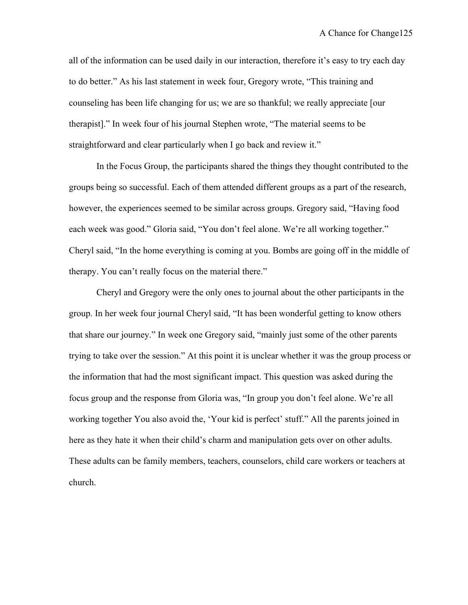all of the information can be used daily in our interaction, therefore it's easy to try each day to do better." As his last statement in week four, Gregory wrote, "This training and counseling has been life changing for us; we are so thankful; we really appreciate [our therapist]." In week four of his journal Stephen wrote, "The material seems to be straightforward and clear particularly when I go back and review it."

In the Focus Group, the participants shared the things they thought contributed to the groups being so successful. Each of them attended different groups as a part of the research, however, the experiences seemed to be similar across groups. Gregory said, "Having food each week was good." Gloria said, "You don't feel alone. We're all working together." Cheryl said, "In the home everything is coming at you. Bombs are going off in the middle of therapy. You can't really focus on the material there."

Cheryl and Gregory were the only ones to journal about the other participants in the group. In her week four journal Cheryl said, "It has been wonderful getting to know others that share our journey." In week one Gregory said, "mainly just some of the other parents trying to take over the session." At this point it is unclear whether it was the group process or the information that had the most significant impact. This question was asked during the focus group and the response from Gloria was, "In group you don't feel alone. We're all working together You also avoid the, 'Your kid is perfect' stuff." All the parents joined in here as they hate it when their child's charm and manipulation gets over on other adults. These adults can be family members, teachers, counselors, child care workers or teachers at church.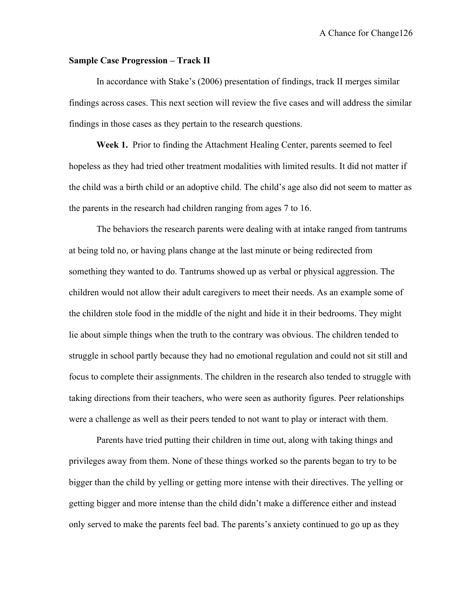## **Sample Case Progression – Track II**

In accordance with Stake's (2006) presentation of findings, track II merges similar findings across cases. This next section will review the five cases and will address the similar findings in those cases as they pertain to the research questions.

**Week 1.** Prior to finding the Attachment Healing Center, parents seemed to feel hopeless as they had tried other treatment modalities with limited results. It did not matter if the child was a birth child or an adoptive child. The child's age also did not seem to matter as the parents in the research had children ranging from ages 7 to 16.

The behaviors the research parents were dealing with at intake ranged from tantrums at being told no, or having plans change at the last minute or being redirected from something they wanted to do. Tantrums showed up as verbal or physical aggression. The children would not allow their adult caregivers to meet their needs. As an example some of the children stole food in the middle of the night and hide it in their bedrooms. They might lie about simple things when the truth to the contrary was obvious. The children tended to struggle in school partly because they had no emotional regulation and could not sit still and focus to complete their assignments. The children in the research also tended to struggle with taking directions from their teachers, who were seen as authority figures. Peer relationships were a challenge as well as their peers tended to not want to play or interact with them.

Parents have tried putting their children in time out, along with taking things and privileges away from them. None of these things worked so the parents began to try to be bigger than the child by yelling or getting more intense with their directives. The yelling or getting bigger and more intense than the child didn't make a difference either and instead only served to make the parents feel bad. The parents's anxiety continued to go up as they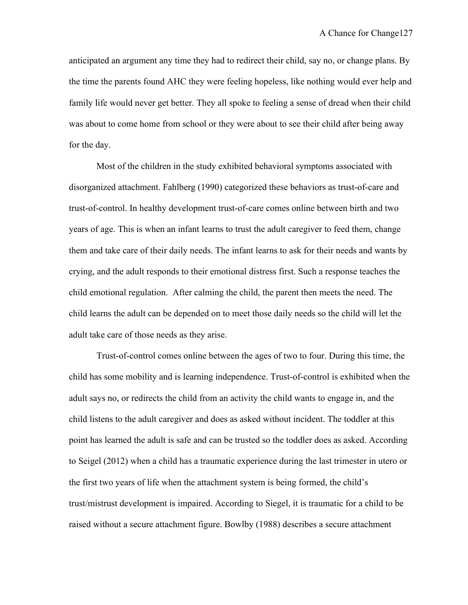anticipated an argument any time they had to redirect their child, say no, or change plans. By the time the parents found AHC they were feeling hopeless, like nothing would ever help and family life would never get better. They all spoke to feeling a sense of dread when their child was about to come home from school or they were about to see their child after being away for the day.

Most of the children in the study exhibited behavioral symptoms associated with disorganized attachment. Fahlberg (1990) categorized these behaviors as trust-of-care and trust-of-control. In healthy development trust-of-care comes online between birth and two years of age. This is when an infant learns to trust the adult caregiver to feed them, change them and take care of their daily needs. The infant learns to ask for their needs and wants by crying, and the adult responds to their emotional distress first. Such a response teaches the child emotional regulation. After calming the child, the parent then meets the need. The child learns the adult can be depended on to meet those daily needs so the child will let the adult take care of those needs as they arise.

Trust-of-control comes online between the ages of two to four. During this time, the child has some mobility and is learning independence. Trust-of-control is exhibited when the adult says no, or redirects the child from an activity the child wants to engage in, and the child listens to the adult caregiver and does as asked without incident. The toddler at this point has learned the adult is safe and can be trusted so the toddler does as asked. According to Seigel (2012) when a child has a traumatic experience during the last trimester in utero or the first two years of life when the attachment system is being formed, the child's trust/mistrust development is impaired. According to Siegel, it is traumatic for a child to be raised without a secure attachment figure. Bowlby (1988) describes a secure attachment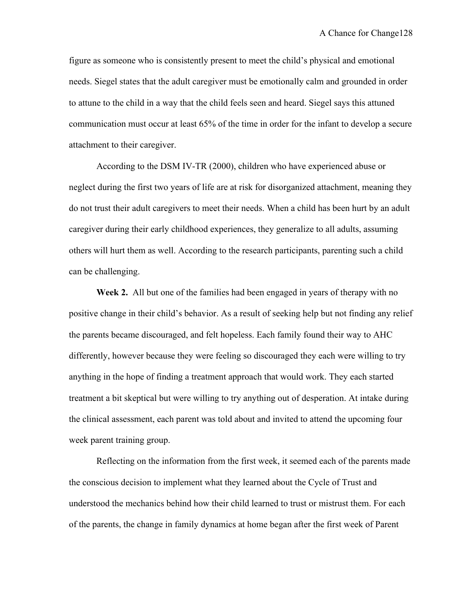figure as someone who is consistently present to meet the child's physical and emotional needs. Siegel states that the adult caregiver must be emotionally calm and grounded in order to attune to the child in a way that the child feels seen and heard. Siegel says this attuned communication must occur at least 65% of the time in order for the infant to develop a secure attachment to their caregiver.

According to the DSM IV-TR (2000), children who have experienced abuse or neglect during the first two years of life are at risk for disorganized attachment, meaning they do not trust their adult caregivers to meet their needs. When a child has been hurt by an adult caregiver during their early childhood experiences, they generalize to all adults, assuming others will hurt them as well. According to the research participants, parenting such a child can be challenging.

**Week 2.** All but one of the families had been engaged in years of therapy with no positive change in their child's behavior. As a result of seeking help but not finding any relief the parents became discouraged, and felt hopeless. Each family found their way to AHC differently, however because they were feeling so discouraged they each were willing to try anything in the hope of finding a treatment approach that would work. They each started treatment a bit skeptical but were willing to try anything out of desperation. At intake during the clinical assessment, each parent was told about and invited to attend the upcoming four week parent training group.

Reflecting on the information from the first week, it seemed each of the parents made the conscious decision to implement what they learned about the Cycle of Trust and understood the mechanics behind how their child learned to trust or mistrust them. For each of the parents, the change in family dynamics at home began after the first week of Parent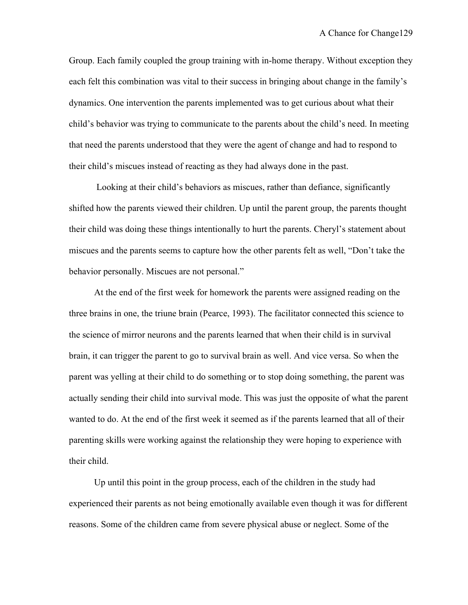Group. Each family coupled the group training with in-home therapy. Without exception they each felt this combination was vital to their success in bringing about change in the family's dynamics. One intervention the parents implemented was to get curious about what their child's behavior was trying to communicate to the parents about the child's need. In meeting that need the parents understood that they were the agent of change and had to respond to their child's miscues instead of reacting as they had always done in the past.

Looking at their child's behaviors as miscues, rather than defiance, significantly shifted how the parents viewed their children. Up until the parent group, the parents thought their child was doing these things intentionally to hurt the parents. Cheryl's statement about miscues and the parents seems to capture how the other parents felt as well, "Don't take the behavior personally. Miscues are not personal."

 At the end of the first week for homework the parents were assigned reading on the three brains in one, the triune brain (Pearce, 1993). The facilitator connected this science to the science of mirror neurons and the parents learned that when their child is in survival brain, it can trigger the parent to go to survival brain as well. And vice versa. So when the parent was yelling at their child to do something or to stop doing something, the parent was actually sending their child into survival mode. This was just the opposite of what the parent wanted to do. At the end of the first week it seemed as if the parents learned that all of their parenting skills were working against the relationship they were hoping to experience with their child.

 Up until this point in the group process, each of the children in the study had experienced their parents as not being emotionally available even though it was for different reasons. Some of the children came from severe physical abuse or neglect. Some of the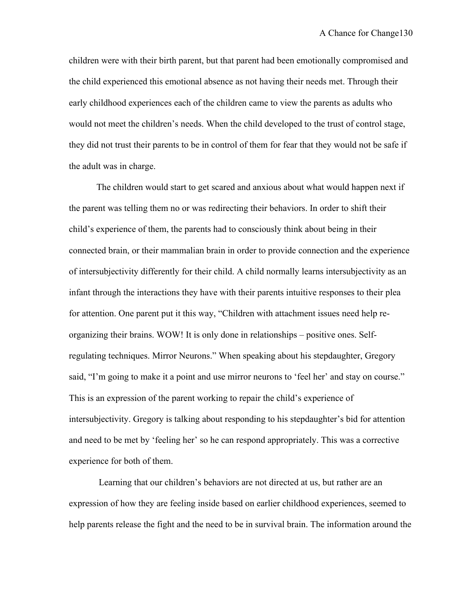children were with their birth parent, but that parent had been emotionally compromised and the child experienced this emotional absence as not having their needs met. Through their early childhood experiences each of the children came to view the parents as adults who would not meet the children's needs. When the child developed to the trust of control stage, they did not trust their parents to be in control of them for fear that they would not be safe if the adult was in charge.

 The children would start to get scared and anxious about what would happen next if the parent was telling them no or was redirecting their behaviors. In order to shift their child's experience of them, the parents had to consciously think about being in their connected brain, or their mammalian brain in order to provide connection and the experience of intersubjectivity differently for their child. A child normally learns intersubjectivity as an infant through the interactions they have with their parents intuitive responses to their plea for attention. One parent put it this way, "Children with attachment issues need help reorganizing their brains. WOW! It is only done in relationships – positive ones. Selfregulating techniques. Mirror Neurons." When speaking about his stepdaughter, Gregory said, "I'm going to make it a point and use mirror neurons to 'feel her' and stay on course." This is an expression of the parent working to repair the child's experience of intersubjectivity. Gregory is talking about responding to his stepdaughter's bid for attention and need to be met by 'feeling her' so he can respond appropriately. This was a corrective experience for both of them.

 Learning that our children's behaviors are not directed at us, but rather are an expression of how they are feeling inside based on earlier childhood experiences, seemed to help parents release the fight and the need to be in survival brain. The information around the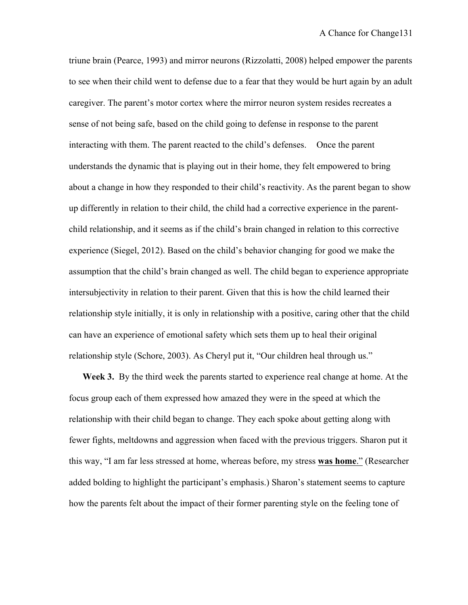triune brain (Pearce, 1993) and mirror neurons (Rizzolatti, 2008) helped empower the parents to see when their child went to defense due to a fear that they would be hurt again by an adult caregiver. The parent's motor cortex where the mirror neuron system resides recreates a sense of not being safe, based on the child going to defense in response to the parent interacting with them. The parent reacted to the child's defenses. Once the parent understands the dynamic that is playing out in their home, they felt empowered to bring about a change in how they responded to their child's reactivity. As the parent began to show up differently in relation to their child, the child had a corrective experience in the parentchild relationship, and it seems as if the child's brain changed in relation to this corrective experience (Siegel, 2012). Based on the child's behavior changing for good we make the assumption that the child's brain changed as well. The child began to experience appropriate intersubjectivity in relation to their parent. Given that this is how the child learned their relationship style initially, it is only in relationship with a positive, caring other that the child can have an experience of emotional safety which sets them up to heal their original relationship style (Schore, 2003). As Cheryl put it, "Our children heal through us."

 **Week 3.** By the third week the parents started to experience real change at home. At the focus group each of them expressed how amazed they were in the speed at which the relationship with their child began to change. They each spoke about getting along with fewer fights, meltdowns and aggression when faced with the previous triggers. Sharon put it this way, "I am far less stressed at home, whereas before, my stress **was home**." (Researcher added bolding to highlight the participant's emphasis.) Sharon's statement seems to capture how the parents felt about the impact of their former parenting style on the feeling tone of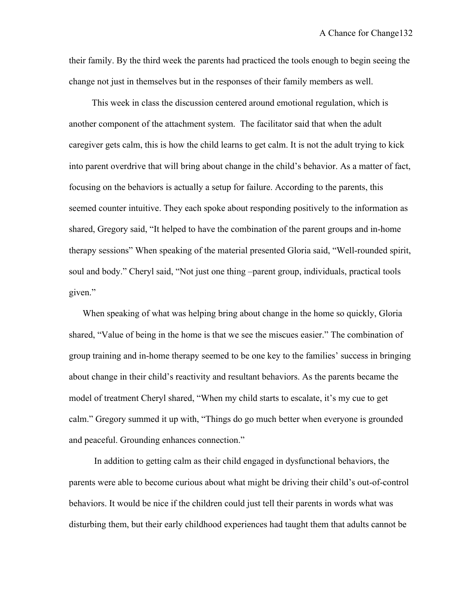their family. By the third week the parents had practiced the tools enough to begin seeing the change not just in themselves but in the responses of their family members as well.

 This week in class the discussion centered around emotional regulation, which is another component of the attachment system. The facilitator said that when the adult caregiver gets calm, this is how the child learns to get calm. It is not the adult trying to kick into parent overdrive that will bring about change in the child's behavior. As a matter of fact, focusing on the behaviors is actually a setup for failure. According to the parents, this seemed counter intuitive. They each spoke about responding positively to the information as shared, Gregory said, "It helped to have the combination of the parent groups and in-home therapy sessions" When speaking of the material presented Gloria said, "Well-rounded spirit, soul and body." Cheryl said, "Not just one thing –parent group, individuals, practical tools given."

 When speaking of what was helping bring about change in the home so quickly, Gloria shared, "Value of being in the home is that we see the miscues easier." The combination of group training and in-home therapy seemed to be one key to the families' success in bringing about change in their child's reactivity and resultant behaviors. As the parents became the model of treatment Cheryl shared, "When my child starts to escalate, it's my cue to get calm." Gregory summed it up with, "Things do go much better when everyone is grounded and peaceful. Grounding enhances connection."

 In addition to getting calm as their child engaged in dysfunctional behaviors, the parents were able to become curious about what might be driving their child's out-of-control behaviors. It would be nice if the children could just tell their parents in words what was disturbing them, but their early childhood experiences had taught them that adults cannot be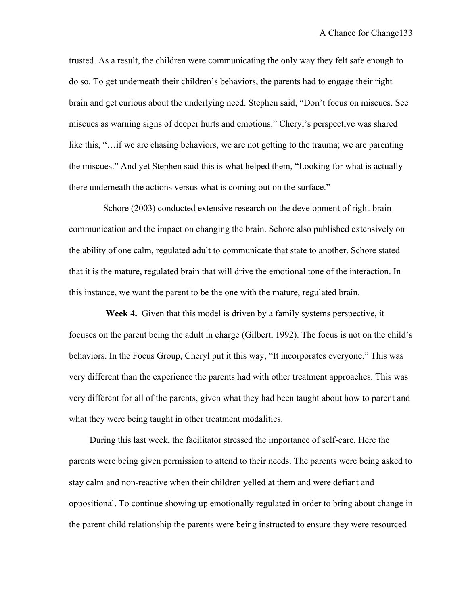trusted. As a result, the children were communicating the only way they felt safe enough to do so. To get underneath their children's behaviors, the parents had to engage their right brain and get curious about the underlying need. Stephen said, "Don't focus on miscues. See miscues as warning signs of deeper hurts and emotions." Cheryl's perspective was shared like this, "…if we are chasing behaviors, we are not getting to the trauma; we are parenting the miscues." And yet Stephen said this is what helped them, "Looking for what is actually there underneath the actions versus what is coming out on the surface."

 Schore (2003) conducted extensive research on the development of right-brain communication and the impact on changing the brain. Schore also published extensively on the ability of one calm, regulated adult to communicate that state to another. Schore stated that it is the mature, regulated brain that will drive the emotional tone of the interaction. In this instance, we want the parent to be the one with the mature, regulated brain.

 **Week 4.** Given that this model is driven by a family systems perspective, it focuses on the parent being the adult in charge (Gilbert, 1992). The focus is not on the child's behaviors. In the Focus Group, Cheryl put it this way, "It incorporates everyone." This was very different than the experience the parents had with other treatment approaches. This was very different for all of the parents, given what they had been taught about how to parent and what they were being taught in other treatment modalities.

 During this last week, the facilitator stressed the importance of self-care. Here the parents were being given permission to attend to their needs. The parents were being asked to stay calm and non-reactive when their children yelled at them and were defiant and oppositional. To continue showing up emotionally regulated in order to bring about change in the parent child relationship the parents were being instructed to ensure they were resourced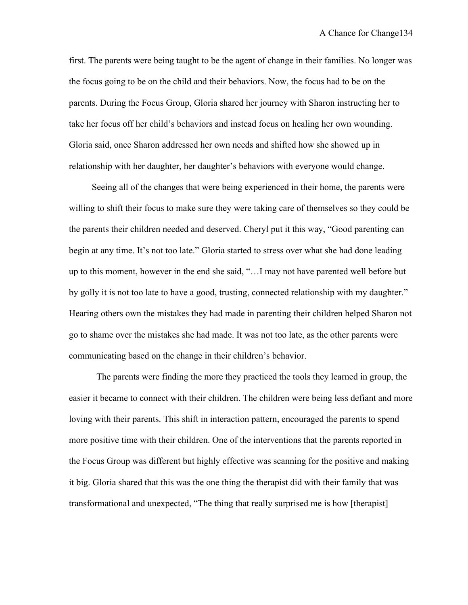first. The parents were being taught to be the agent of change in their families. No longer was the focus going to be on the child and their behaviors. Now, the focus had to be on the parents. During the Focus Group, Gloria shared her journey with Sharon instructing her to take her focus off her child's behaviors and instead focus on healing her own wounding. Gloria said, once Sharon addressed her own needs and shifted how she showed up in relationship with her daughter, her daughter's behaviors with everyone would change.

 Seeing all of the changes that were being experienced in their home, the parents were willing to shift their focus to make sure they were taking care of themselves so they could be the parents their children needed and deserved. Cheryl put it this way, "Good parenting can begin at any time. It's not too late." Gloria started to stress over what she had done leading up to this moment, however in the end she said, "…I may not have parented well before but by golly it is not too late to have a good, trusting, connected relationship with my daughter." Hearing others own the mistakes they had made in parenting their children helped Sharon not go to shame over the mistakes she had made. It was not too late, as the other parents were communicating based on the change in their children's behavior.

 The parents were finding the more they practiced the tools they learned in group, the easier it became to connect with their children. The children were being less defiant and more loving with their parents. This shift in interaction pattern, encouraged the parents to spend more positive time with their children. One of the interventions that the parents reported in the Focus Group was different but highly effective was scanning for the positive and making it big. Gloria shared that this was the one thing the therapist did with their family that was transformational and unexpected, "The thing that really surprised me is how [therapist]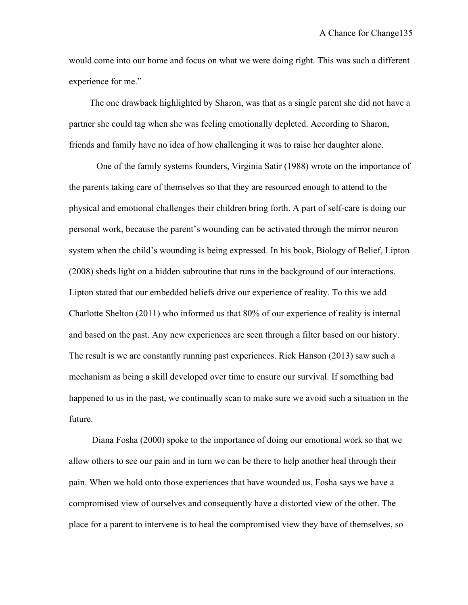would come into our home and focus on what we were doing right. This was such a different experience for me."

 The one drawback highlighted by Sharon, was that as a single parent she did not have a partner she could tag when she was feeling emotionally depleted. According to Sharon, friends and family have no idea of how challenging it was to raise her daughter alone.

 One of the family systems founders, Virginia Satir (1988) wrote on the importance of the parents taking care of themselves so that they are resourced enough to attend to the physical and emotional challenges their children bring forth. A part of self-care is doing our personal work, because the parent's wounding can be activated through the mirror neuron system when the child's wounding is being expressed. In his book, Biology of Belief, Lipton (2008) sheds light on a hidden subroutine that runs in the background of our interactions. Lipton stated that our embedded beliefs drive our experience of reality. To this we add Charlotte Shelton (2011) who informed us that 80% of our experience of reality is internal and based on the past. Any new experiences are seen through a filter based on our history. The result is we are constantly running past experiences. Rick Hanson (2013) saw such a mechanism as being a skill developed over time to ensure our survival. If something bad happened to us in the past, we continually scan to make sure we avoid such a situation in the future.

 Diana Fosha (2000) spoke to the importance of doing our emotional work so that we allow others to see our pain and in turn we can be there to help another heal through their pain. When we hold onto those experiences that have wounded us, Fosha says we have a compromised view of ourselves and consequently have a distorted view of the other. The place for a parent to intervene is to heal the compromised view they have of themselves, so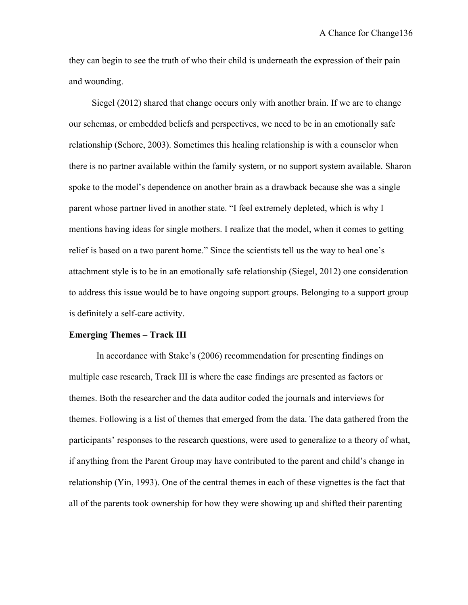they can begin to see the truth of who their child is underneath the expression of their pain and wounding.

 Siegel (2012) shared that change occurs only with another brain. If we are to change our schemas, or embedded beliefs and perspectives, we need to be in an emotionally safe relationship (Schore, 2003). Sometimes this healing relationship is with a counselor when there is no partner available within the family system, or no support system available. Sharon spoke to the model's dependence on another brain as a drawback because she was a single parent whose partner lived in another state. "I feel extremely depleted, which is why I mentions having ideas for single mothers. I realize that the model, when it comes to getting relief is based on a two parent home." Since the scientists tell us the way to heal one's attachment style is to be in an emotionally safe relationship (Siegel, 2012) one consideration to address this issue would be to have ongoing support groups. Belonging to a support group is definitely a self-care activity.

#### **Emerging Themes – Track III**

In accordance with Stake's (2006) recommendation for presenting findings on multiple case research, Track III is where the case findings are presented as factors or themes. Both the researcher and the data auditor coded the journals and interviews for themes. Following is a list of themes that emerged from the data. The data gathered from the participants' responses to the research questions, were used to generalize to a theory of what, if anything from the Parent Group may have contributed to the parent and child's change in relationship (Yin, 1993). One of the central themes in each of these vignettes is the fact that all of the parents took ownership for how they were showing up and shifted their parenting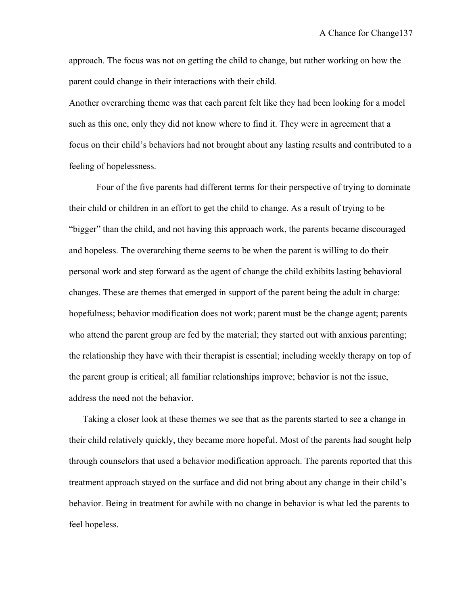approach. The focus was not on getting the child to change, but rather working on how the parent could change in their interactions with their child.

Another overarching theme was that each parent felt like they had been looking for a model such as this one, only they did not know where to find it. They were in agreement that a focus on their child's behaviors had not brought about any lasting results and contributed to a feeling of hopelessness.

Four of the five parents had different terms for their perspective of trying to dominate their child or children in an effort to get the child to change. As a result of trying to be "bigger" than the child, and not having this approach work, the parents became discouraged and hopeless. The overarching theme seems to be when the parent is willing to do their personal work and step forward as the agent of change the child exhibits lasting behavioral changes. These are themes that emerged in support of the parent being the adult in charge: hopefulness; behavior modification does not work; parent must be the change agent; parents who attend the parent group are fed by the material; they started out with anxious parenting; the relationship they have with their therapist is essential; including weekly therapy on top of the parent group is critical; all familiar relationships improve; behavior is not the issue, address the need not the behavior.

Taking a closer look at these themes we see that as the parents started to see a change in their child relatively quickly, they became more hopeful. Most of the parents had sought help through counselors that used a behavior modification approach. The parents reported that this treatment approach stayed on the surface and did not bring about any change in their child's behavior. Being in treatment for awhile with no change in behavior is what led the parents to feel hopeless.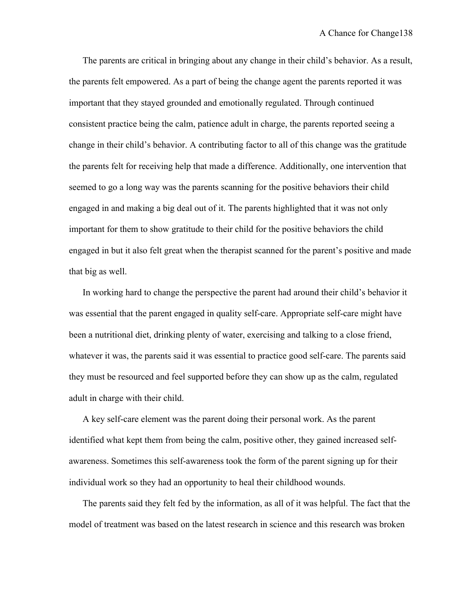The parents are critical in bringing about any change in their child's behavior. As a result, the parents felt empowered. As a part of being the change agent the parents reported it was important that they stayed grounded and emotionally regulated. Through continued consistent practice being the calm, patience adult in charge, the parents reported seeing a change in their child's behavior. A contributing factor to all of this change was the gratitude the parents felt for receiving help that made a difference. Additionally, one intervention that seemed to go a long way was the parents scanning for the positive behaviors their child engaged in and making a big deal out of it. The parents highlighted that it was not only important for them to show gratitude to their child for the positive behaviors the child engaged in but it also felt great when the therapist scanned for the parent's positive and made that big as well.

In working hard to change the perspective the parent had around their child's behavior it was essential that the parent engaged in quality self-care. Appropriate self-care might have been a nutritional diet, drinking plenty of water, exercising and talking to a close friend, whatever it was, the parents said it was essential to practice good self-care. The parents said they must be resourced and feel supported before they can show up as the calm, regulated adult in charge with their child.

A key self-care element was the parent doing their personal work. As the parent identified what kept them from being the calm, positive other, they gained increased selfawareness. Sometimes this self-awareness took the form of the parent signing up for their individual work so they had an opportunity to heal their childhood wounds.

The parents said they felt fed by the information, as all of it was helpful. The fact that the model of treatment was based on the latest research in science and this research was broken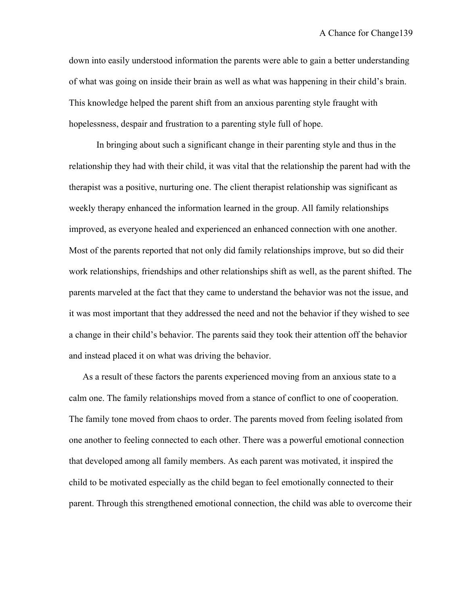down into easily understood information the parents were able to gain a better understanding of what was going on inside their brain as well as what was happening in their child's brain. This knowledge helped the parent shift from an anxious parenting style fraught with hopelessness, despair and frustration to a parenting style full of hope.

In bringing about such a significant change in their parenting style and thus in the relationship they had with their child, it was vital that the relationship the parent had with the therapist was a positive, nurturing one. The client therapist relationship was significant as weekly therapy enhanced the information learned in the group. All family relationships improved, as everyone healed and experienced an enhanced connection with one another. Most of the parents reported that not only did family relationships improve, but so did their work relationships, friendships and other relationships shift as well, as the parent shifted. The parents marveled at the fact that they came to understand the behavior was not the issue, and it was most important that they addressed the need and not the behavior if they wished to see a change in their child's behavior. The parents said they took their attention off the behavior and instead placed it on what was driving the behavior.

As a result of these factors the parents experienced moving from an anxious state to a calm one. The family relationships moved from a stance of conflict to one of cooperation. The family tone moved from chaos to order. The parents moved from feeling isolated from one another to feeling connected to each other. There was a powerful emotional connection that developed among all family members. As each parent was motivated, it inspired the child to be motivated especially as the child began to feel emotionally connected to their parent. Through this strengthened emotional connection, the child was able to overcome their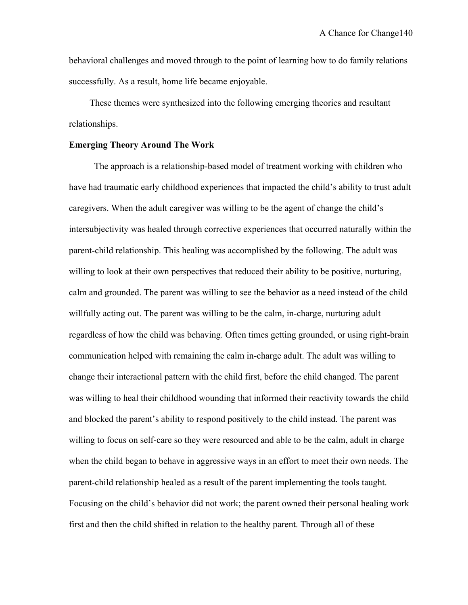behavioral challenges and moved through to the point of learning how to do family relations successfully. As a result, home life became enjoyable.

 These themes were synthesized into the following emerging theories and resultant relationships.

#### **Emerging Theory Around The Work**

 The approach is a relationship-based model of treatment working with children who have had traumatic early childhood experiences that impacted the child's ability to trust adult caregivers. When the adult caregiver was willing to be the agent of change the child's intersubjectivity was healed through corrective experiences that occurred naturally within the parent-child relationship. This healing was accomplished by the following. The adult was willing to look at their own perspectives that reduced their ability to be positive, nurturing, calm and grounded. The parent was willing to see the behavior as a need instead of the child willfully acting out. The parent was willing to be the calm, in-charge, nurturing adult regardless of how the child was behaving. Often times getting grounded, or using right-brain communication helped with remaining the calm in-charge adult. The adult was willing to change their interactional pattern with the child first, before the child changed. The parent was willing to heal their childhood wounding that informed their reactivity towards the child and blocked the parent's ability to respond positively to the child instead. The parent was willing to focus on self-care so they were resourced and able to be the calm, adult in charge when the child began to behave in aggressive ways in an effort to meet their own needs. The parent-child relationship healed as a result of the parent implementing the tools taught. Focusing on the child's behavior did not work; the parent owned their personal healing work first and then the child shifted in relation to the healthy parent. Through all of these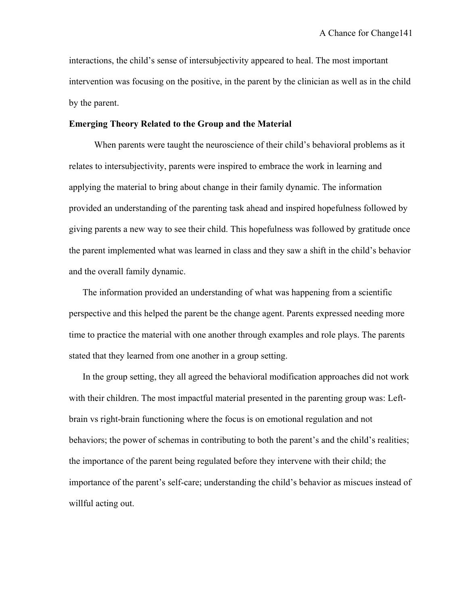interactions, the child's sense of intersubjectivity appeared to heal. The most important intervention was focusing on the positive, in the parent by the clinician as well as in the child by the parent.

#### **Emerging Theory Related to the Group and the Material**

When parents were taught the neuroscience of their child's behavioral problems as it relates to intersubjectivity, parents were inspired to embrace the work in learning and applying the material to bring about change in their family dynamic. The information provided an understanding of the parenting task ahead and inspired hopefulness followed by giving parents a new way to see their child. This hopefulness was followed by gratitude once the parent implemented what was learned in class and they saw a shift in the child's behavior and the overall family dynamic.

The information provided an understanding of what was happening from a scientific perspective and this helped the parent be the change agent. Parents expressed needing more time to practice the material with one another through examples and role plays. The parents stated that they learned from one another in a group setting.

In the group setting, they all agreed the behavioral modification approaches did not work with their children. The most impactful material presented in the parenting group was: Leftbrain vs right-brain functioning where the focus is on emotional regulation and not behaviors; the power of schemas in contributing to both the parent's and the child's realities; the importance of the parent being regulated before they intervene with their child; the importance of the parent's self-care; understanding the child's behavior as miscues instead of willful acting out.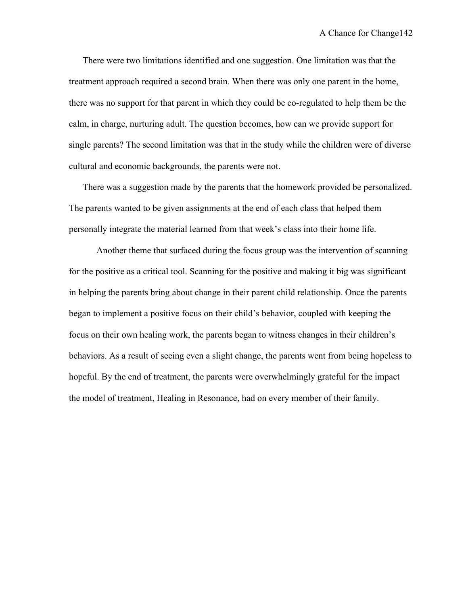There were two limitations identified and one suggestion. One limitation was that the treatment approach required a second brain. When there was only one parent in the home, there was no support for that parent in which they could be co-regulated to help them be the calm, in charge, nurturing adult. The question becomes, how can we provide support for single parents? The second limitation was that in the study while the children were of diverse cultural and economic backgrounds, the parents were not.

There was a suggestion made by the parents that the homework provided be personalized. The parents wanted to be given assignments at the end of each class that helped them personally integrate the material learned from that week's class into their home life.

Another theme that surfaced during the focus group was the intervention of scanning for the positive as a critical tool. Scanning for the positive and making it big was significant in helping the parents bring about change in their parent child relationship. Once the parents began to implement a positive focus on their child's behavior, coupled with keeping the focus on their own healing work, the parents began to witness changes in their children's behaviors. As a result of seeing even a slight change, the parents went from being hopeless to hopeful. By the end of treatment, the parents were overwhelmingly grateful for the impact the model of treatment, Healing in Resonance, had on every member of their family.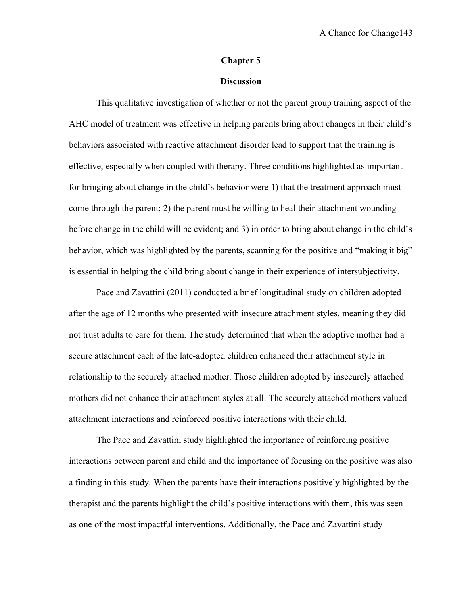#### **Chapter 5**

### **Discussion**

This qualitative investigation of whether or not the parent group training aspect of the AHC model of treatment was effective in helping parents bring about changes in their child's behaviors associated with reactive attachment disorder lead to support that the training is effective, especially when coupled with therapy. Three conditions highlighted as important for bringing about change in the child's behavior were 1) that the treatment approach must come through the parent; 2) the parent must be willing to heal their attachment wounding before change in the child will be evident; and 3) in order to bring about change in the child's behavior, which was highlighted by the parents, scanning for the positive and "making it big" is essential in helping the child bring about change in their experience of intersubjectivity.

Pace and Zavattini (2011) conducted a brief longitudinal study on children adopted after the age of 12 months who presented with insecure attachment styles, meaning they did not trust adults to care for them. The study determined that when the adoptive mother had a secure attachment each of the late-adopted children enhanced their attachment style in relationship to the securely attached mother. Those children adopted by insecurely attached mothers did not enhance their attachment styles at all. The securely attached mothers valued attachment interactions and reinforced positive interactions with their child.

The Pace and Zavattini study highlighted the importance of reinforcing positive interactions between parent and child and the importance of focusing on the positive was also a finding in this study. When the parents have their interactions positively highlighted by the therapist and the parents highlight the child's positive interactions with them, this was seen as one of the most impactful interventions. Additionally, the Pace and Zavattini study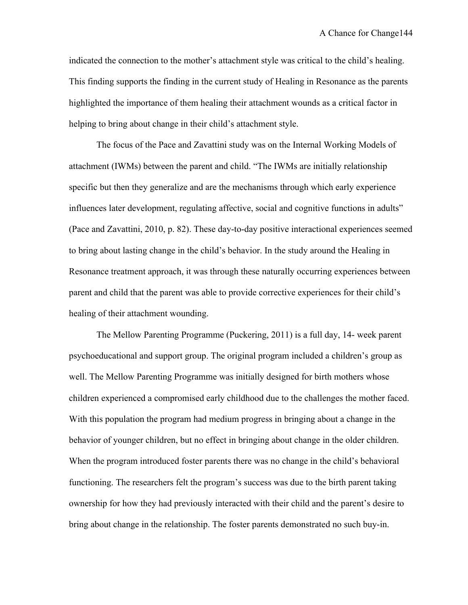indicated the connection to the mother's attachment style was critical to the child's healing. This finding supports the finding in the current study of Healing in Resonance as the parents highlighted the importance of them healing their attachment wounds as a critical factor in helping to bring about change in their child's attachment style.

The focus of the Pace and Zavattini study was on the Internal Working Models of attachment (IWMs) between the parent and child. "The IWMs are initially relationship specific but then they generalize and are the mechanisms through which early experience influences later development, regulating affective, social and cognitive functions in adults" (Pace and Zavattini, 2010, p. 82). These day-to-day positive interactional experiences seemed to bring about lasting change in the child's behavior. In the study around the Healing in Resonance treatment approach, it was through these naturally occurring experiences between parent and child that the parent was able to provide corrective experiences for their child's healing of their attachment wounding.

The Mellow Parenting Programme (Puckering, 2011) is a full day, 14- week parent psychoeducational and support group. The original program included a children's group as well. The Mellow Parenting Programme was initially designed for birth mothers whose children experienced a compromised early childhood due to the challenges the mother faced. With this population the program had medium progress in bringing about a change in the behavior of younger children, but no effect in bringing about change in the older children. When the program introduced foster parents there was no change in the child's behavioral functioning. The researchers felt the program's success was due to the birth parent taking ownership for how they had previously interacted with their child and the parent's desire to bring about change in the relationship. The foster parents demonstrated no such buy-in.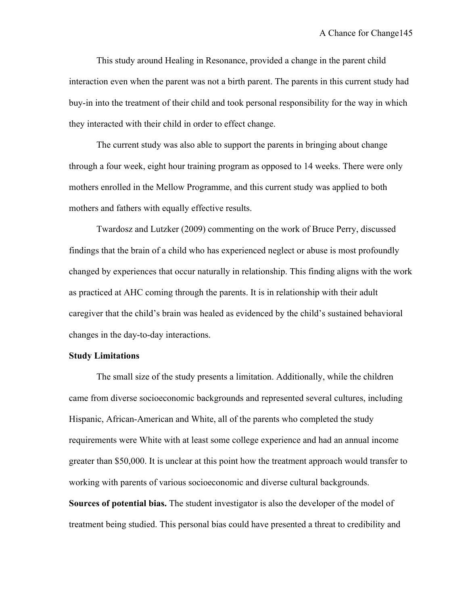This study around Healing in Resonance, provided a change in the parent child interaction even when the parent was not a birth parent. The parents in this current study had buy-in into the treatment of their child and took personal responsibility for the way in which they interacted with their child in order to effect change.

The current study was also able to support the parents in bringing about change through a four week, eight hour training program as opposed to 14 weeks. There were only mothers enrolled in the Mellow Programme, and this current study was applied to both mothers and fathers with equally effective results.

Twardosz and Lutzker (2009) commenting on the work of Bruce Perry, discussed findings that the brain of a child who has experienced neglect or abuse is most profoundly changed by experiences that occur naturally in relationship. This finding aligns with the work as practiced at AHC coming through the parents. It is in relationship with their adult caregiver that the child's brain was healed as evidenced by the child's sustained behavioral changes in the day-to-day interactions.

#### **Study Limitations**

The small size of the study presents a limitation. Additionally, while the children came from diverse socioeconomic backgrounds and represented several cultures, including Hispanic, African-American and White, all of the parents who completed the study requirements were White with at least some college experience and had an annual income greater than \$50,000. It is unclear at this point how the treatment approach would transfer to working with parents of various socioeconomic and diverse cultural backgrounds. **Sources of potential bias.** The student investigator is also the developer of the model of treatment being studied. This personal bias could have presented a threat to credibility and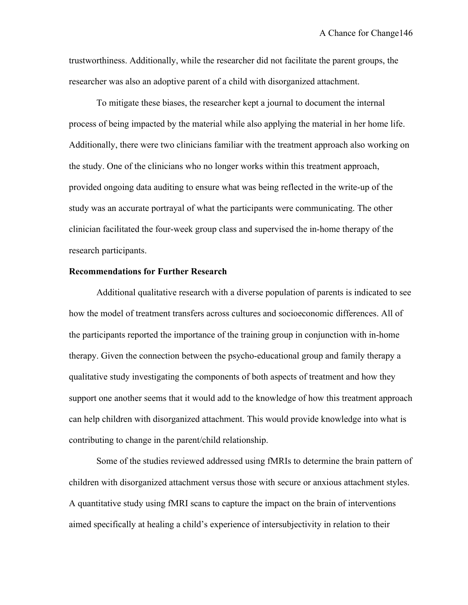trustworthiness. Additionally, while the researcher did not facilitate the parent groups, the researcher was also an adoptive parent of a child with disorganized attachment.

To mitigate these biases, the researcher kept a journal to document the internal process of being impacted by the material while also applying the material in her home life. Additionally, there were two clinicians familiar with the treatment approach also working on the study. One of the clinicians who no longer works within this treatment approach, provided ongoing data auditing to ensure what was being reflected in the write-up of the study was an accurate portrayal of what the participants were communicating. The other clinician facilitated the four-week group class and supervised the in-home therapy of the research participants.

#### **Recommendations for Further Research**

Additional qualitative research with a diverse population of parents is indicated to see how the model of treatment transfers across cultures and socioeconomic differences. All of the participants reported the importance of the training group in conjunction with in-home therapy. Given the connection between the psycho-educational group and family therapy a qualitative study investigating the components of both aspects of treatment and how they support one another seems that it would add to the knowledge of how this treatment approach can help children with disorganized attachment. This would provide knowledge into what is contributing to change in the parent/child relationship.

Some of the studies reviewed addressed using fMRIs to determine the brain pattern of children with disorganized attachment versus those with secure or anxious attachment styles. A quantitative study using fMRI scans to capture the impact on the brain of interventions aimed specifically at healing a child's experience of intersubjectivity in relation to their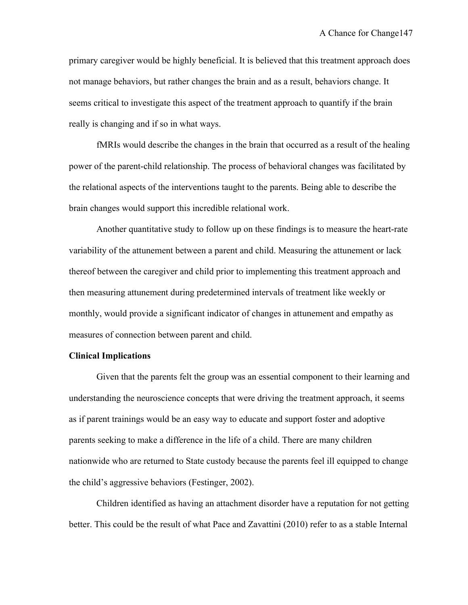primary caregiver would be highly beneficial. It is believed that this treatment approach does not manage behaviors, but rather changes the brain and as a result, behaviors change. It seems critical to investigate this aspect of the treatment approach to quantify if the brain really is changing and if so in what ways.

fMRIs would describe the changes in the brain that occurred as a result of the healing power of the parent-child relationship. The process of behavioral changes was facilitated by the relational aspects of the interventions taught to the parents. Being able to describe the brain changes would support this incredible relational work.

Another quantitative study to follow up on these findings is to measure the heart-rate variability of the attunement between a parent and child. Measuring the attunement or lack thereof between the caregiver and child prior to implementing this treatment approach and then measuring attunement during predetermined intervals of treatment like weekly or monthly, would provide a significant indicator of changes in attunement and empathy as measures of connection between parent and child.

#### **Clinical Implications**

Given that the parents felt the group was an essential component to their learning and understanding the neuroscience concepts that were driving the treatment approach, it seems as if parent trainings would be an easy way to educate and support foster and adoptive parents seeking to make a difference in the life of a child. There are many children nationwide who are returned to State custody because the parents feel ill equipped to change the child's aggressive behaviors (Festinger, 2002).

Children identified as having an attachment disorder have a reputation for not getting better. This could be the result of what Pace and Zavattini (2010) refer to as a stable Internal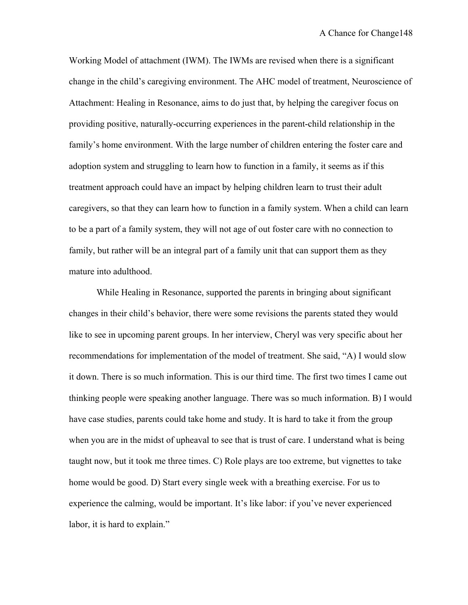Working Model of attachment (IWM). The IWMs are revised when there is a significant change in the child's caregiving environment. The AHC model of treatment, Neuroscience of Attachment: Healing in Resonance, aims to do just that, by helping the caregiver focus on providing positive, naturally-occurring experiences in the parent-child relationship in the family's home environment. With the large number of children entering the foster care and adoption system and struggling to learn how to function in a family, it seems as if this treatment approach could have an impact by helping children learn to trust their adult caregivers, so that they can learn how to function in a family system. When a child can learn to be a part of a family system, they will not age of out foster care with no connection to family, but rather will be an integral part of a family unit that can support them as they mature into adulthood.

While Healing in Resonance, supported the parents in bringing about significant changes in their child's behavior, there were some revisions the parents stated they would like to see in upcoming parent groups. In her interview, Cheryl was very specific about her recommendations for implementation of the model of treatment. She said, "A) I would slow it down. There is so much information. This is our third time. The first two times I came out thinking people were speaking another language. There was so much information. B) I would have case studies, parents could take home and study. It is hard to take it from the group when you are in the midst of upheaval to see that is trust of care. I understand what is being taught now, but it took me three times. C) Role plays are too extreme, but vignettes to take home would be good. D) Start every single week with a breathing exercise. For us to experience the calming, would be important. It's like labor: if you've never experienced labor, it is hard to explain."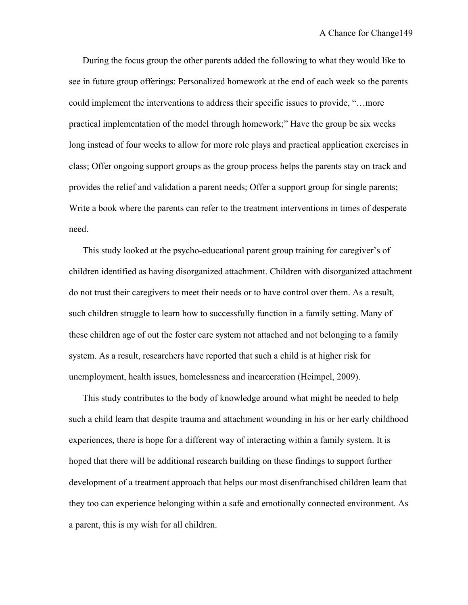During the focus group the other parents added the following to what they would like to see in future group offerings: Personalized homework at the end of each week so the parents could implement the interventions to address their specific issues to provide, "…more practical implementation of the model through homework;" Have the group be six weeks long instead of four weeks to allow for more role plays and practical application exercises in class; Offer ongoing support groups as the group process helps the parents stay on track and provides the relief and validation a parent needs; Offer a support group for single parents; Write a book where the parents can refer to the treatment interventions in times of desperate need.

This study looked at the psycho-educational parent group training for caregiver's of children identified as having disorganized attachment. Children with disorganized attachment do not trust their caregivers to meet their needs or to have control over them. As a result, such children struggle to learn how to successfully function in a family setting. Many of these children age of out the foster care system not attached and not belonging to a family system. As a result, researchers have reported that such a child is at higher risk for unemployment, health issues, homelessness and incarceration (Heimpel, 2009).

This study contributes to the body of knowledge around what might be needed to help such a child learn that despite trauma and attachment wounding in his or her early childhood experiences, there is hope for a different way of interacting within a family system. It is hoped that there will be additional research building on these findings to support further development of a treatment approach that helps our most disenfranchised children learn that they too can experience belonging within a safe and emotionally connected environment. As a parent, this is my wish for all children.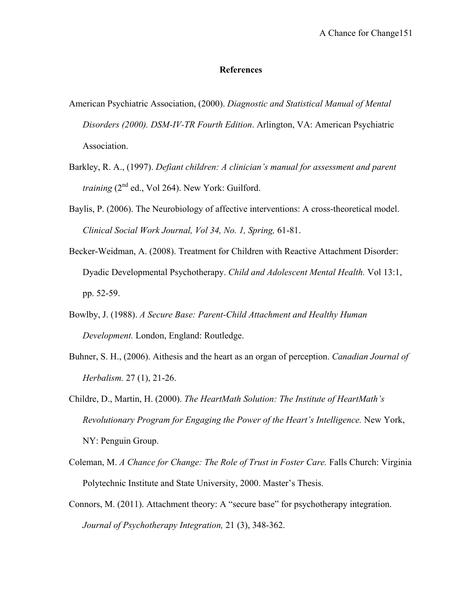#### **References**

- American Psychiatric Association, (2000). *Diagnostic and Statistical Manual of Mental Disorders (2000). DSM-IV-TR Fourth Edition*. Arlington, VA: American Psychiatric Association.
- Barkley, R. A., (1997). *Defiant children: A clinician's manual for assessment and parent training* (2<sup>nd</sup> ed., Vol 264). New York: Guilford.
- Baylis, P. (2006). The Neurobiology of affective interventions: A cross-theoretical model. *Clinical Social Work Journal, Vol 34, No. 1, Spring,* 61-81.
- Becker-Weidman, A. (2008). Treatment for Children with Reactive Attachment Disorder: Dyadic Developmental Psychotherapy. *Child and Adolescent Mental Health.* Vol 13:1, pp. 52-59.
- Bowlby, J. (1988). *A Secure Base: Parent-Child Attachment and Healthy Human Development.* London, England: Routledge.
- Buhner, S. H., (2006). Aithesis and the heart as an organ of perception. *Canadian Journal of Herbalism.* 27 (1), 21-26.
- Childre, D., Martin, H. (2000). *The HeartMath Solution: The Institute of HeartMath's Revolutionary Program for Engaging the Power of the Heart's Intelligence.* New York, NY: Penguin Group.
- Coleman, M. *A Chance for Change: The Role of Trust in Foster Care.* Falls Church: Virginia Polytechnic Institute and State University, 2000. Master's Thesis.
- Connors, M. (2011). Attachment theory: A "secure base" for psychotherapy integration. *Journal of Psychotherapy Integration,* 21 (3), 348-362.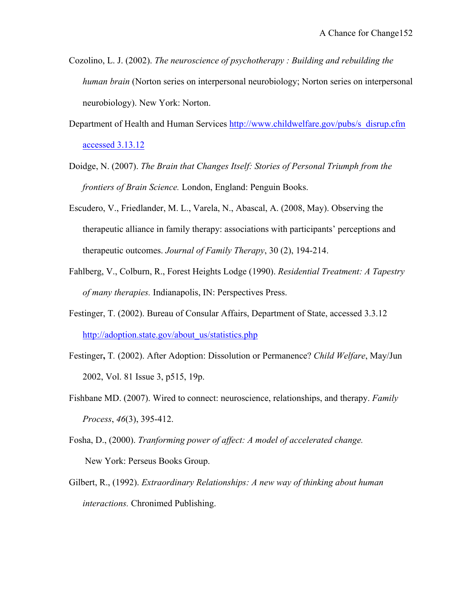- Cozolino, L. J. (2002). *The neuroscience of psychotherapy : Building and rebuilding the human brain* (Norton series on interpersonal neurobiology; Norton series on interpersonal neurobiology). New York: Norton.
- Department of Health and Human Services http://www.childwelfare.gov/pubs/s\_disrup.cfm accessed 3.13.12
- Doidge, N. (2007). *The Brain that Changes Itself: Stories of Personal Triumph from the frontiers of Brain Science.* London, England: Penguin Books.
- Escudero, V., Friedlander, M. L., Varela, N., Abascal, A. (2008, May). Observing the therapeutic alliance in family therapy: associations with participants' perceptions and therapeutic outcomes. *Journal of Family Therapy*, 30 (2), 194-214.
- Fahlberg, V., Colburn, R., Forest Heights Lodge (1990). *Residential Treatment: A Tapestry of many therapies.* Indianapolis, IN: Perspectives Press.
- Festinger, T. (2002). Bureau of Consular Affairs, Department of State, accessed 3.3.12 http://adoption.state.gov/about\_us/statistics.php
- Festinger**,** T*.* (2002). After Adoption: Dissolution or Permanence? *Child Welfare*, May/Jun 2002, Vol. 81 Issue 3, p515, 19p.
- Fishbane MD. (2007). Wired to connect: neuroscience, relationships, and therapy. *Family Process*, *46*(3), 395-412.
- Fosha, D., (2000). *Tranforming power of affect: A model of accelerated change.* New York: Perseus Books Group.
- Gilbert, R., (1992). *Extraordinary Relationships: A new way of thinking about human interactions.* Chronimed Publishing.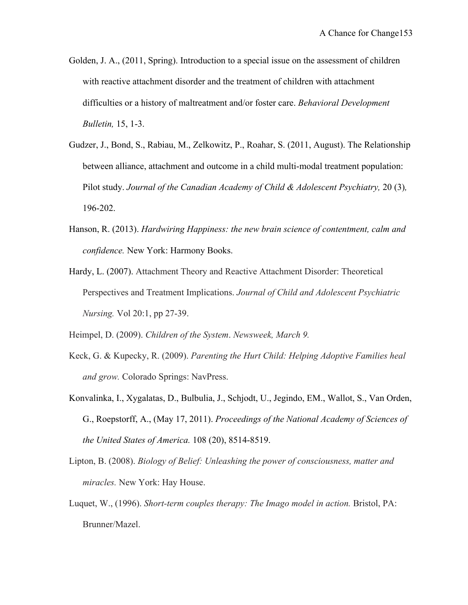- Golden, J. A., (2011, Spring). Introduction to a special issue on the assessment of children with reactive attachment disorder and the treatment of children with attachment difficulties or a history of maltreatment and/or foster care. *Behavioral Development Bulletin,* 15, 1-3.
- Gudzer, J., Bond, S., Rabiau, M., Zelkowitz, P., Roahar, S. (2011, August). The Relationship between alliance, attachment and outcome in a child multi-modal treatment population: Pilot study. *Journal of the Canadian Academy of Child & Adolescent Psychiatry,* 20 (3)*,*  196-202.
- Hanson, R. (2013). *Hardwiring Happiness: the new brain science of contentment, calm and confidence.* New York: Harmony Books.
- Hardy, L. (2007). Attachment Theory and Reactive Attachment Disorder: Theoretical Perspectives and Treatment Implications. *Journal of Child and Adolescent Psychiatric Nursing.* Vol 20:1, pp 27-39.

Heimpel, D. (2009). *Children of the System*. *Newsweek, March 9.*

- Keck, G. & Kupecky, R. (2009). *Parenting the Hurt Child: Helping Adoptive Families heal and grow.* Colorado Springs: NavPress.
- Konvalinka, I., Xygalatas, D., Bulbulia, J., Schjodt, U., Jegindo, EM., Wallot, S., Van Orden, G., Roepstorff, A., (May 17, 2011). *Proceedings of the National Academy of Sciences of the United States of America.* 108 (20), 8514-8519.
- Lipton, B. (2008). *Biology of Belief: Unleashing the power of consciousness, matter and miracles.* New York: Hay House.
- Luquet, W., (1996). *Short-term couples therapy: The Imago model in action.* Bristol, PA: Brunner/Mazel.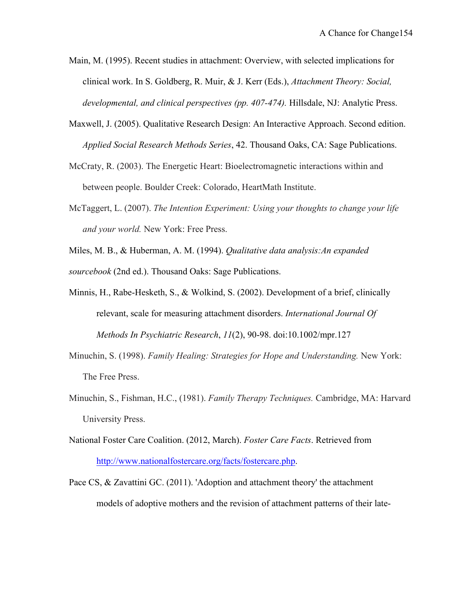- Main, M. (1995). Recent studies in attachment: Overview, with selected implications for clinical work. In S. Goldberg, R. Muir, & J. Kerr (Eds.), *Attachment Theory: Social, developmental, and clinical perspectives (pp. 407-474).* Hillsdale, NJ: Analytic Press.
- Maxwell, J. (2005). Qualitative Research Design: An Interactive Approach. Second edition. *Applied Social Research Methods Series*, 42. Thousand Oaks, CA: Sage Publications.
- McCraty, R. (2003). The Energetic Heart: Bioelectromagnetic interactions within and between people. Boulder Creek: Colorado, HeartMath Institute.
- McTaggert, L. (2007). *The Intention Experiment: Using your thoughts to change your life and your world.* New York: Free Press.
- Miles, M. B., & Huberman, A. M. (1994). *Qualitative data analysis:An expanded sourcebook* (2nd ed.). Thousand Oaks: Sage Publications.
- Minnis, H., Rabe-Hesketh, S., & Wolkind, S. (2002). Development of a brief, clinically relevant, scale for measuring attachment disorders. *International Journal Of Methods In Psychiatric Research*, *11*(2), 90-98. doi:10.1002/mpr.127
- Minuchin, S. (1998). *Family Healing: Strategies for Hope and Understanding.* New York: The Free Press.
- Minuchin, S., Fishman, H.C., (1981). *Family Therapy Techniques.* Cambridge, MA: Harvard University Press.
- National Foster Care Coalition. (2012, March). *Foster Care Facts*. Retrieved from http://www.nationalfostercare.org/facts/fostercare.php.
- Pace CS, & Zavattini GC. (2011). 'Adoption and attachment theory' the attachment models of adoptive mothers and the revision of attachment patterns of their late-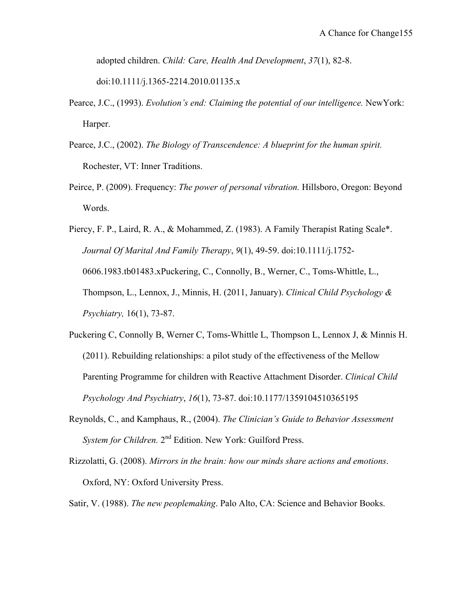adopted children. *Child: Care, Health And Development*, *37*(1), 82-8. doi:10.1111/j.1365-2214.2010.01135.x

- Pearce, J.C., (1993). *Evolution's end: Claiming the potential of our intelligence.* NewYork: Harper.
- Pearce, J.C., (2002). *The Biology of Transcendence: A blueprint for the human spirit.* Rochester, VT: Inner Traditions.
- Peirce, P. (2009). Frequency: *The power of personal vibration.* Hillsboro, Oregon: Beyond Words.

Piercy, F. P., Laird, R. A., & Mohammed, Z. (1983). A Family Therapist Rating Scale\*. *Journal Of Marital And Family Therapy*, *9*(1), 49-59. doi:10.1111/j.1752- 0606.1983.tb01483.xPuckering, C., Connolly, B., Werner, C., Toms-Whittle, L., Thompson, L., Lennox, J., Minnis, H. (2011, January). *Clinical Child Psychology & Psychiatry,* 16(1), 73-87.

- Puckering C, Connolly B, Werner C, Toms-Whittle L, Thompson L, Lennox J, & Minnis H. (2011). Rebuilding relationships: a pilot study of the effectiveness of the Mellow Parenting Programme for children with Reactive Attachment Disorder. *Clinical Child Psychology And Psychiatry*, *16*(1), 73-87. doi:10.1177/1359104510365195
- Reynolds, C., and Kamphaus, R., (2004). *The Clinician's Guide to Behavior Assessment System for Children.* 2nd Edition. New York: Guilford Press.
- Rizzolatti, G. (2008). *Mirrors in the brain: how our minds share actions and emotions*. Oxford, NY: Oxford University Press.
- Satir, V. (1988). *The new peoplemaking*. Palo Alto, CA: Science and Behavior Books.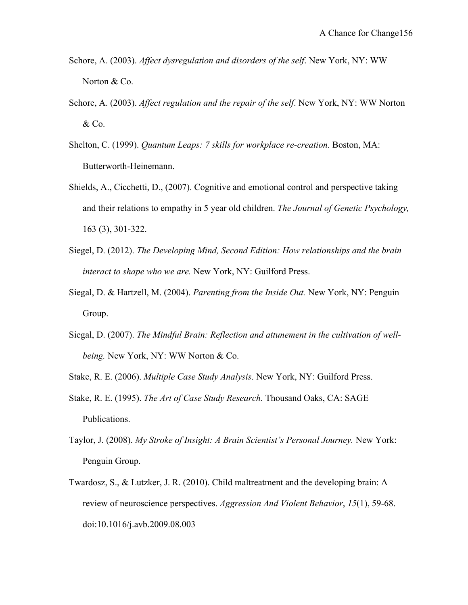- Schore, A. (2003). *Affect dysregulation and disorders of the self*. New York, NY: WW Norton & Co.
- Schore, A. (2003). *Affect regulation and the repair of the self*. New York, NY: WW Norton & Co.
- Shelton, C. (1999). *Quantum Leaps: 7 skills for workplace re-creation.* Boston, MA: Butterworth-Heinemann.
- Shields, A., Cicchetti, D., (2007). Cognitive and emotional control and perspective taking and their relations to empathy in 5 year old children. *The Journal of Genetic Psychology,*  163 (3), 301-322.
- Siegel, D. (2012). *The Developing Mind, Second Edition: How relationships and the brain interact to shape who we are.* New York, NY: Guilford Press.
- Siegal, D. & Hartzell, M. (2004). *Parenting from the Inside Out.* New York, NY: Penguin Group.
- Siegal, D. (2007). *The Mindful Brain: Reflection and attunement in the cultivation of wellbeing.* New York, NY: WW Norton & Co.
- Stake, R. E. (2006). *Multiple Case Study Analysis*. New York, NY: Guilford Press.
- Stake, R. E. (1995). *The Art of Case Study Research.* Thousand Oaks, CA: SAGE Publications.
- Taylor, J. (2008). *My Stroke of Insight: A Brain Scientist's Personal Journey.* New York: Penguin Group.
- Twardosz, S., & Lutzker, J. R. (2010). Child maltreatment and the developing brain: A review of neuroscience perspectives. *Aggression And Violent Behavior*, *15*(1), 59-68. doi:10.1016/j.avb.2009.08.003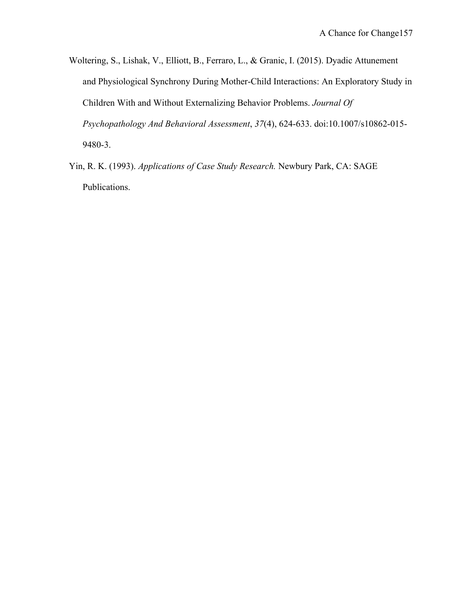- Woltering, S., Lishak, V., Elliott, B., Ferraro, L., & Granic, I. (2015). Dyadic Attunement and Physiological Synchrony During Mother-Child Interactions: An Exploratory Study in Children With and Without Externalizing Behavior Problems. *Journal Of Psychopathology And Behavioral Assessment*, *37*(4), 624-633. doi:10.1007/s10862-015- 9480-3.
- Yin, R. K. (1993). *Applications of Case Study Research.* Newbury Park, CA: SAGE Publications.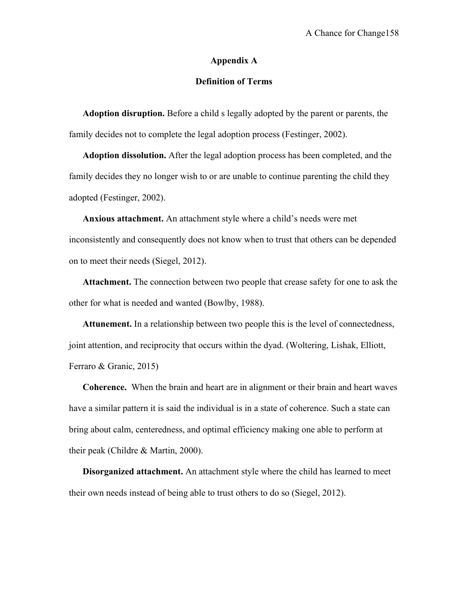#### **Appendix A**

### **Definition of Terms**

**Adoption disruption.** Before a child s legally adopted by the parent or parents, the family decides not to complete the legal adoption process (Festinger, 2002).

**Adoption dissolution.** After the legal adoption process has been completed, and the family decides they no longer wish to or are unable to continue parenting the child they adopted (Festinger, 2002).

**Anxious attachment.** An attachment style where a child's needs were met inconsistently and consequently does not know when to trust that others can be depended on to meet their needs (Siegel, 2012).

**Attachment.** The connection between two people that crease safety for one to ask the other for what is needed and wanted (Bowlby, 1988).

**Attunement.** In a relationship between two people this is the level of connectedness, joint attention, and reciprocity that occurs within the dyad. (Woltering, Lishak, Elliott, Ferraro & Granic, 2015)

**Coherence.** When the brain and heart are in alignment or their brain and heart waves have a similar pattern it is said the individual is in a state of coherence. Such a state can bring about calm, centeredness, and optimal efficiency making one able to perform at their peak (Childre & Martin, 2000).

**Disorganized attachment.** An attachment style where the child has learned to meet their own needs instead of being able to trust others to do so (Siegel, 2012).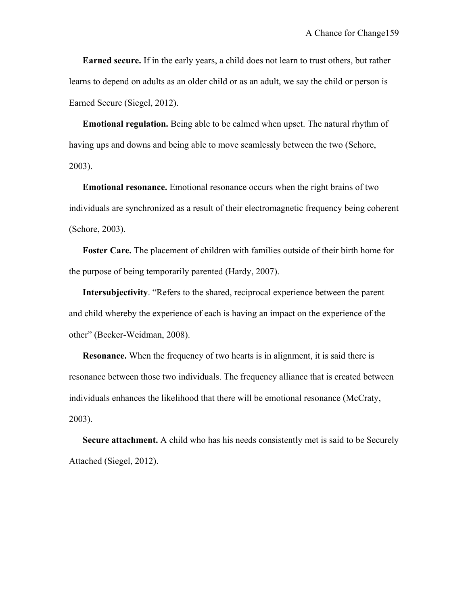**Earned secure.** If in the early years, a child does not learn to trust others, but rather learns to depend on adults as an older child or as an adult, we say the child or person is Earned Secure (Siegel, 2012).

**Emotional regulation.** Being able to be calmed when upset. The natural rhythm of having ups and downs and being able to move seamlessly between the two (Schore, 2003).

**Emotional resonance.** Emotional resonance occurs when the right brains of two individuals are synchronized as a result of their electromagnetic frequency being coherent (Schore, 2003).

**Foster Care.** The placement of children with families outside of their birth home for the purpose of being temporarily parented (Hardy, 2007).

**Intersubjectivity**. "Refers to the shared, reciprocal experience between the parent and child whereby the experience of each is having an impact on the experience of the other" (Becker-Weidman, 2008).

**Resonance.** When the frequency of two hearts is in alignment, it is said there is resonance between those two individuals. The frequency alliance that is created between individuals enhances the likelihood that there will be emotional resonance (McCraty, 2003).

**Secure attachment.** A child who has his needs consistently met is said to be Securely Attached (Siegel, 2012).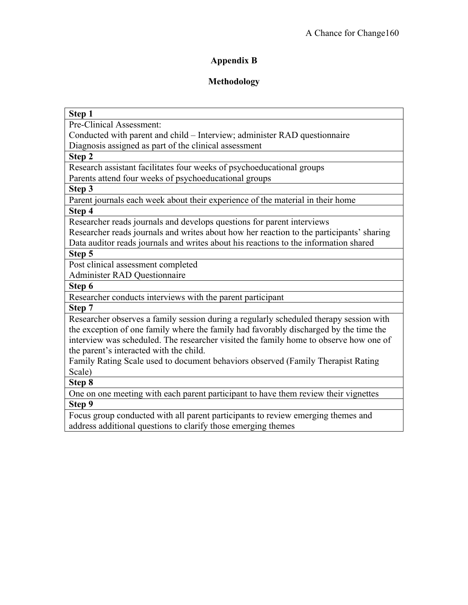# **Appendix B**

# **Methodology**

| Step 1                                                                                   |
|------------------------------------------------------------------------------------------|
| Pre-Clinical Assessment:                                                                 |
| Conducted with parent and child - Interview; administer RAD questionnaire                |
| Diagnosis assigned as part of the clinical assessment                                    |
| Step 2                                                                                   |
| Research assistant facilitates four weeks of psychoeducational groups                    |
| Parents attend four weeks of psychoeducational groups                                    |
| Step 3                                                                                   |
| Parent journals each week about their experience of the material in their home           |
| Step 4                                                                                   |
| Researcher reads journals and develops questions for parent interviews                   |
| Researcher reads journals and writes about how her reaction to the participants' sharing |
| Data auditor reads journals and writes about his reactions to the information shared     |
| Step 5                                                                                   |
| Post clinical assessment completed                                                       |
| <b>Administer RAD Questionnaire</b>                                                      |
| Step 6                                                                                   |
| Researcher conducts interviews with the parent participant                               |
| Step 7                                                                                   |
| Researcher observes a family session during a regularly scheduled therapy session with   |
| the exception of one family where the family had favorably discharged by the time the    |
| interview was scheduled. The researcher visited the family home to observe how one of    |
| the parent's interacted with the child.                                                  |
| Family Rating Scale used to document behaviors observed (Family Therapist Rating         |
| Scale)                                                                                   |
| Step 8                                                                                   |
| One on one meeting with each parent participant to have them review their vignettes      |
| Step 9                                                                                   |
| Focus group conducted with all parent participants to review emerging themes and         |
| address additional questions to clarify those emerging themes                            |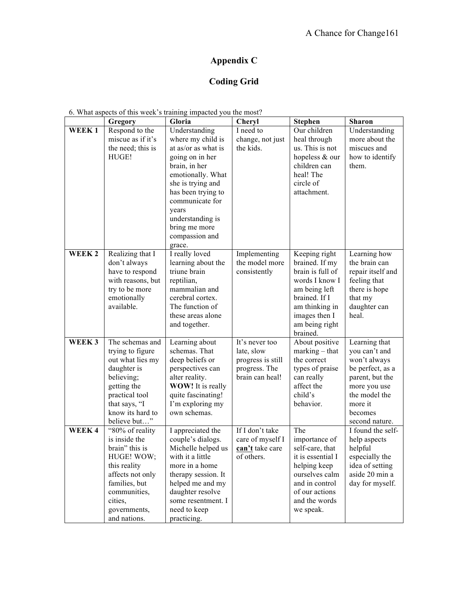# **Appendix C**

# **Coding Grid**

|  |  |  | 6. What aspects of this week's training impacted you the most? |
|--|--|--|----------------------------------------------------------------|
|  |  |  |                                                                |

|                   | Gregory                                                                                                                                                                          | Gloria                                                                                                                                                                                                                                                     | Cheryl                                                                                | <b>Stephen</b>                                                                                                                                                           | <b>Sharon</b>                                                                                                                                                  |
|-------------------|----------------------------------------------------------------------------------------------------------------------------------------------------------------------------------|------------------------------------------------------------------------------------------------------------------------------------------------------------------------------------------------------------------------------------------------------------|---------------------------------------------------------------------------------------|--------------------------------------------------------------------------------------------------------------------------------------------------------------------------|----------------------------------------------------------------------------------------------------------------------------------------------------------------|
| WEEK1             | Respond to the<br>miscue as if it's<br>the need; this is<br>HUGE!                                                                                                                | Understanding<br>where my child is<br>at as/or as what is<br>going on in her<br>brain, in her<br>emotionally. What<br>she is trying and<br>has been trying to<br>communicate for<br>years<br>understanding is<br>bring me more<br>compassion and<br>grace. | I need to<br>change, not just<br>the kids.                                            | Our children<br>heal through<br>us. This is not<br>hopeless & our<br>children can<br>heal! The<br>circle of<br>attachment.                                               | Understanding<br>more about the<br>miscues and<br>how to identify<br>them.                                                                                     |
| WEEK <sub>2</sub> | Realizing that I<br>don't always<br>have to respond<br>with reasons, but<br>try to be more<br>emotionally<br>available.                                                          | I really loved<br>learning about the<br>triune brain<br>reptilian,<br>mammalian and<br>cerebral cortex.<br>The function of<br>these areas alone<br>and together.                                                                                           | Implementing<br>the model more<br>consistently                                        | Keeping right<br>brained. If my<br>brain is full of<br>words I know I<br>am being left<br>brained. If I<br>am thinking in<br>images then I<br>am being right<br>brained. | Learning how<br>the brain can<br>repair itself and<br>feeling that<br>there is hope<br>that my<br>daughter can<br>heal.                                        |
| WEEK <sub>3</sub> | The schemas and<br>trying to figure<br>out what lies my<br>daughter is<br>believing;<br>getting the<br>practical tool<br>that says, "I<br>know its hard to<br>believe but"       | Learning about<br>schemas. That<br>deep beliefs or<br>perspectives can<br>alter reality.<br><b>WOW!</b> It is really<br>quite fascinating!<br>I'm exploring my<br>own schemas.                                                                             | It's never too<br>late, slow<br>progress is still<br>progress. The<br>brain can heal! | About positive<br>$marking - that$<br>the correct<br>types of praise<br>can really<br>affect the<br>child's<br>behavior.                                                 | Learning that<br>you can't and<br>won't always<br>be perfect, as a<br>parent, but the<br>more you use<br>the model the<br>more it<br>becomes<br>second nature. |
| WEEK4             | "80% of reality<br>is inside the<br>brain" this is<br>HUGE! WOW;<br>this reality<br>affects not only<br>families, but<br>communities,<br>cities,<br>governments,<br>and nations. | I appreciated the<br>couple's dialogs.<br>Michelle helped us<br>with it a little<br>more in a home<br>therapy session. It<br>helped me and my<br>daughter resolve<br>some resentment. I<br>need to keep<br>practicing.                                     | If I don't take<br>care of myself I<br>can't take care<br>of others.                  | The<br>importance of<br>self-care, that<br>it is essential I<br>helping keep<br>ourselves calm<br>and in control<br>of our actions<br>and the words<br>we speak.         | I found the self-<br>help aspects<br>helpful<br>especially the<br>idea of setting<br>aside 20 min a<br>day for myself.                                         |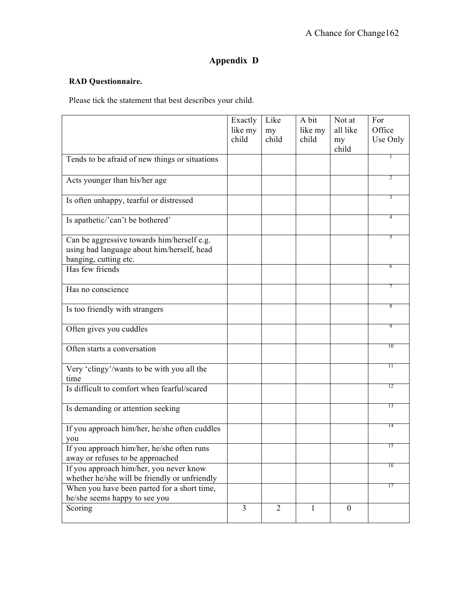# **Appendix D**

### **RAD Questionnaire.**

Please tick the statement that best describes your child.

|                                                                                | Exactly        | Like           | A bit   | Not at           | For             |
|--------------------------------------------------------------------------------|----------------|----------------|---------|------------------|-----------------|
|                                                                                | like my        | my             | like my | all like         | Office          |
|                                                                                | child          | child          | child   | my<br>child      | Use Only        |
| Tends to be afraid of new things or situations                                 |                |                |         |                  |                 |
|                                                                                |                |                |         |                  |                 |
| Acts younger than his/her age                                                  |                |                |         |                  | 2               |
|                                                                                |                |                |         |                  |                 |
| Is often unhappy, tearful or distressed                                        |                |                |         |                  | 3               |
| Is apathetic/'can't be bothered'                                               |                |                |         |                  | 4               |
| Can be aggressive towards him/herself e.g.                                     |                |                |         |                  |                 |
| using bad language about him/herself, head                                     |                |                |         |                  |                 |
| banging, cutting etc.                                                          |                |                |         |                  | 6               |
| Has few friends                                                                |                |                |         |                  |                 |
| Has no conscience                                                              |                |                |         |                  |                 |
| Is too friendly with strangers                                                 |                |                |         |                  | 8               |
| Often gives you cuddles                                                        |                |                |         |                  | 9               |
| Often starts a conversation                                                    |                |                |         |                  | 10              |
| Very 'clingy'/wants to be with you all the                                     |                |                |         |                  | $\overline{11}$ |
| time                                                                           |                |                |         |                  |                 |
| Is difficult to comfort when fearful/scared                                    |                |                |         |                  | 12              |
| Is demanding or attention seeking                                              |                |                |         |                  | 13              |
| If you approach him/her, he/she often cuddles                                  |                |                |         |                  | 14              |
| you                                                                            |                |                |         |                  |                 |
| If you approach him/her, he/she often runs<br>away or refuses to be approached |                |                |         |                  | 15              |
| If you approach him/her, you never know                                        |                |                |         |                  | 16              |
| whether he/she will be friendly or unfriendly                                  |                |                |         |                  |                 |
| When you have been parted for a short time,                                    |                |                |         |                  | 17              |
| he/she seems happy to see you                                                  |                |                |         |                  |                 |
| Scoring                                                                        | $\overline{3}$ | $\overline{2}$ | 1       | $\boldsymbol{0}$ |                 |
|                                                                                |                |                |         |                  |                 |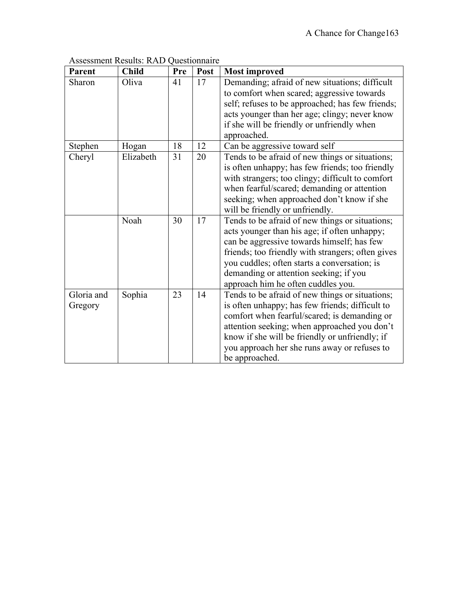| <b>Parent</b>         | <b>Child</b> | Pre | Post | <b>Most improved</b>                                                                                                                                                                                                                                                                                                               |
|-----------------------|--------------|-----|------|------------------------------------------------------------------------------------------------------------------------------------------------------------------------------------------------------------------------------------------------------------------------------------------------------------------------------------|
| Sharon                | Oliva        | 41  | 17   | Demanding; afraid of new situations; difficult<br>to comfort when scared; aggressive towards<br>self; refuses to be approached; has few friends;<br>acts younger than her age; clingy; never know<br>if she will be friendly or unfriendly when<br>approached.                                                                     |
| Stephen               | Hogan        | 18  | 12   | Can be aggressive toward self                                                                                                                                                                                                                                                                                                      |
| Cheryl                | Elizabeth    | 31  | 20   | Tends to be afraid of new things or situations;<br>is often unhappy; has few friends; too friendly<br>with strangers; too clingy; difficult to comfort<br>when fearful/scared; demanding or attention<br>seeking; when approached don't know if she<br>will be friendly or unfriendly.                                             |
|                       | Noah         | 30  | 17   | Tends to be afraid of new things or situations;<br>acts younger than his age; if often unhappy;<br>can be aggressive towards himself; has few<br>friends; too friendly with strangers; often gives<br>you cuddles; often starts a conversation; is<br>demanding or attention seeking; if you<br>approach him he often cuddles you. |
| Gloria and<br>Gregory | Sophia       | 23  | 14   | Tends to be afraid of new things or situations;<br>is often unhappy; has few friends; difficult to<br>comfort when fearful/scared; is demanding or<br>attention seeking; when approached you don't<br>know if she will be friendly or unfriendly; if<br>you approach her she runs away or refuses to<br>be approached.             |

### Assessment Results: RAD Questionnaire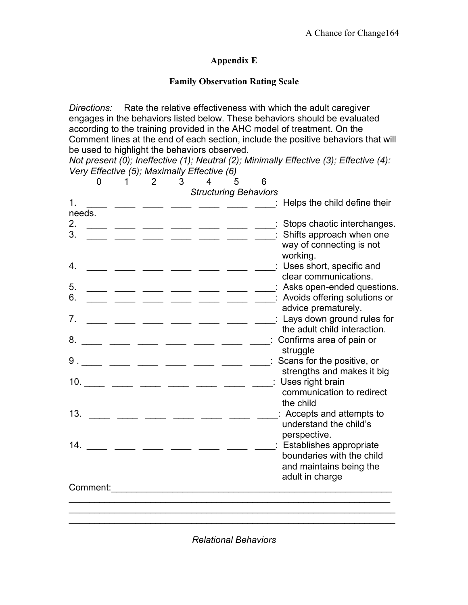### **Appendix E**

### **Family Observation Rating Scale**

*Directions:* Rate the relative effectiveness with which the adult caregiver engages in the behaviors listed below. These behaviors should be evaluated according to the training provided in the AHC model of treatment. On the Comment lines at the end of each section, include the positive behaviors that will be used to highlight the behaviors observed.

*Not present (0); Ineffective (1); Neutral (2); Minimally Effective (3); Effective (4): Very Effective (5); Maximally Effective (6)*

|                    | 0        | 1                               | $\overline{2}$ | 3 | 4 | 5                                      | 6 |                                                                                                                |
|--------------------|----------|---------------------------------|----------------|---|---|----------------------------------------|---|----------------------------------------------------------------------------------------------------------------|
|                    |          |                                 |                |   |   | <b>Structuring Behaviors</b>           |   |                                                                                                                |
| $\mathbf 1$ .      |          |                                 |                |   |   | وتواري المستور المستور المستور المستور |   | Helps the child define their                                                                                   |
| needs.<br>2.<br>3. |          |                                 |                |   |   | ___ __ __ __ __ __                     |   | : Stops chaotic interchanges.<br>: Shifts approach when one<br>way of connecting is not                        |
| 4.                 |          | __ ___ ___ ___ ___ ___ ___      |                |   |   |                                        |   | working.<br>: Uses short, specific and                                                                         |
| 5.<br>6.           |          | _ ____ ___ ___                  |                |   |   |                                        |   | clear communications.<br>: Asks open-ended questions.<br>: Avoids offering solutions or<br>advice prematurely. |
| 7 <sub>1</sub>     |          | _ __ __ __ __ __                |                |   |   |                                        |   | : Lays down ground rules for<br>the adult child interaction.                                                   |
| 8.                 |          | _ ___ ___ ___ ___ ___           |                |   |   |                                        |   | : Confirms area of pain or                                                                                     |
| 9                  |          | _ ___ ___ ___ ___ ___           |                |   |   |                                        |   | struggle<br>Scans for the positive, or                                                                         |
| 10.                |          | __ ___ ___ ___ ___ ___          |                |   |   |                                        |   | strengths and makes it big<br>: Uses right brain<br>communication to redirect<br>the child                     |
| 13.                |          |                                 |                |   |   |                                        |   | Accepts and attempts to<br>understand the child's<br>perspective.                                              |
| 14.                |          | <u>. ______ _____ _____ ___</u> |                |   |   |                                        |   | : Establishes appropriate<br>boundaries with the child<br>and maintains being the<br>adult in charge           |
|                    | Comment: |                                 |                |   |   |                                        |   |                                                                                                                |
|                    |          |                                 |                |   |   |                                        |   |                                                                                                                |

*Relational Behaviors*

 $\mathcal{L}_\text{max}$  and  $\mathcal{L}_\text{max}$  and  $\mathcal{L}_\text{max}$  and  $\mathcal{L}_\text{max}$  and  $\mathcal{L}_\text{max}$  and  $\mathcal{L}_\text{max}$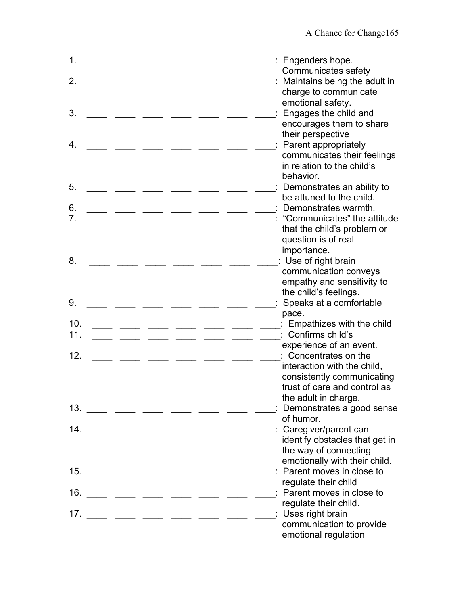| $\mathbf 1$ .<br>2. |  |                                 |  | : Engenders hope.<br>Communicates safety<br>Maintains being the adult in<br>charge to communicate |
|---------------------|--|---------------------------------|--|---------------------------------------------------------------------------------------------------|
| 3.                  |  |                                 |  | emotional safety.<br>: Engages the child and<br>encourages them to share<br>their perspective     |
| 4.                  |  |                                 |  | : Parent appropriately<br>communicates their feelings<br>in relation to the child's               |
| 5.                  |  |                                 |  | behavior.<br>Demonstrates an ability to                                                           |
| 6.                  |  |                                 |  | be attuned to the child.<br>Demonstrates warmth.                                                  |
| 7 <sub>1</sub>      |  |                                 |  | : "Communicates" the attitude                                                                     |
|                     |  |                                 |  | that the child's problem or<br>question is of real                                                |
|                     |  |                                 |  | importance.                                                                                       |
| 8.                  |  |                                 |  | : Use of right brain<br>communication conveys                                                     |
|                     |  |                                 |  | empathy and sensitivity to                                                                        |
|                     |  |                                 |  | the child's feelings.                                                                             |
| 9.                  |  |                                 |  | Speaks at a comfortable<br>pace.                                                                  |
| 10.                 |  |                                 |  | Empathizes with the child                                                                         |
| 11.                 |  |                                 |  | Confirms child's<br>experience of an event.                                                       |
| 12.                 |  |                                 |  | Concentrates on the                                                                               |
|                     |  |                                 |  | interaction with the child,                                                                       |
|                     |  |                                 |  | consistently communicating<br>trust of care and control as                                        |
|                     |  |                                 |  | the adult in charge.                                                                              |
|                     |  | $13.$ _____ ____ ____ ____ ____ |  | Demonstrates a good sense                                                                         |
| 14.                 |  | ___ ___ ___ ___ ___ ___ ___     |  | of humor.<br>: Caregiver/parent can                                                               |
|                     |  |                                 |  | identify obstacles that get in                                                                    |
|                     |  |                                 |  | the way of connecting                                                                             |
|                     |  | $15.$ ____ ___ ___ ___ ___ ___  |  | emotionally with their child.<br>Parent moves in close to                                         |
|                     |  |                                 |  | regulate their child                                                                              |
| 16.                 |  |                                 |  | : Parent moves in close to                                                                        |
| 17.                 |  |                                 |  | regulate their child.<br>: Uses right brain                                                       |
|                     |  |                                 |  | communication to provide                                                                          |
|                     |  |                                 |  | emotional regulation                                                                              |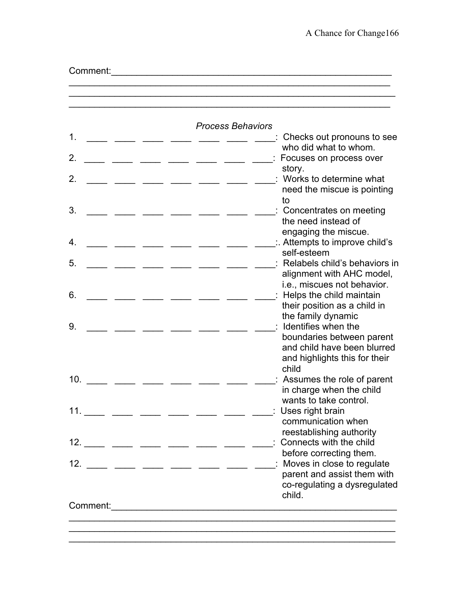| 1.             |                                                                                                     | <b>Process Behaviors</b>                                                                                                                                                                                                                                                                                              | : Checks out pronouns to see<br>who did what to whom.                                                                                 |
|----------------|-----------------------------------------------------------------------------------------------------|-----------------------------------------------------------------------------------------------------------------------------------------------------------------------------------------------------------------------------------------------------------------------------------------------------------------------|---------------------------------------------------------------------------------------------------------------------------------------|
| $\mathbf{2}$ . | ___ _____ _____ ____                                                                                |                                                                                                                                                                                                                                                                                                                       | Focuses on process over                                                                                                               |
| 2.             |                                                                                                     |                                                                                                                                                                                                                                                                                                                       | story.<br>: Works to determine what<br>need the miscue is pointing<br>to                                                              |
| 3.             |                                                                                                     |                                                                                                                                                                                                                                                                                                                       | : Concentrates on meeting<br>the need instead of<br>engaging the miscue.                                                              |
| 4.             |                                                                                                     |                                                                                                                                                                                                                                                                                                                       | $\therefore$ Attempts to improve child's<br>self-esteem                                                                               |
| 5.             |                                                                                                     |                                                                                                                                                                                                                                                                                                                       | Relabels child's behaviors in<br>alignment with AHC model,<br>i.e., miscues not behavior.                                             |
| 6.             | $\overline{\phantom{a}}$ $\overline{\phantom{a}}$ $\overline{\phantom{a}}$ $\overline{\phantom{a}}$ |                                                                                                                                                                                                                                                                                                                       | : Helps the child maintain<br>their position as a child in<br>the family dynamic                                                      |
| 9.             |                                                                                                     |                                                                                                                                                                                                                                                                                                                       | Identifies when the<br>boundaries between parent<br>and child have been blurred<br>and highlights this for their<br>child             |
| 10.            |                                                                                                     |                                                                                                                                                                                                                                                                                                                       | Assumes the role of parent<br>in charge when the child<br>wants to take control.                                                      |
| 11.            |                                                                                                     |                                                                                                                                                                                                                                                                                                                       | : Uses right brain<br>communication when<br>reestablishing authority                                                                  |
|                |                                                                                                     | $12.$ ____ ___ ___ ___ ___ ___                                                                                                                                                                                                                                                                                        | : Connects with the child                                                                                                             |
|                |                                                                                                     | $12.$ $\frac{1}{2}$ $\frac{1}{2}$ $\frac{1}{2}$ $\frac{1}{2}$ $\frac{1}{2}$ $\frac{1}{2}$ $\frac{1}{2}$ $\frac{1}{2}$ $\frac{1}{2}$ $\frac{1}{2}$ $\frac{1}{2}$ $\frac{1}{2}$ $\frac{1}{2}$ $\frac{1}{2}$ $\frac{1}{2}$ $\frac{1}{2}$ $\frac{1}{2}$ $\frac{1}{2}$ $\frac{1}{2}$ $\frac{1}{2}$ $\frac{1}{2}$ $\frac{1$ | before correcting them.<br>_____: Moves in close to regulate<br>parent and assist them with<br>co-regulating a dysregulated<br>child. |

\_\_\_\_\_\_\_\_\_\_\_\_\_\_\_\_\_\_\_\_\_\_\_\_\_\_\_\_\_\_\_\_\_\_\_\_\_\_\_\_\_\_\_\_\_\_\_\_\_\_\_\_\_\_\_\_\_\_\_\_\_\_\_\_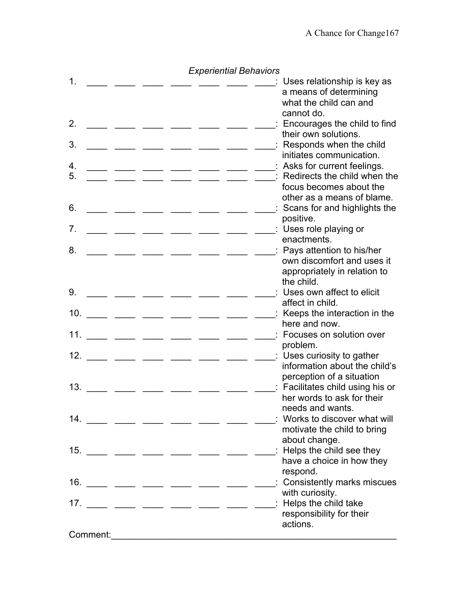| 1.             |  |                                                                                                                                                                                                                                                                                                                       |  | : Uses relationship is key as<br>a means of determining        |
|----------------|--|-----------------------------------------------------------------------------------------------------------------------------------------------------------------------------------------------------------------------------------------------------------------------------------------------------------------------|--|----------------------------------------------------------------|
|                |  |                                                                                                                                                                                                                                                                                                                       |  | what the child can and<br>cannot do.                           |
| 2.             |  |                                                                                                                                                                                                                                                                                                                       |  | : Encourages the child to find<br>their own solutions.         |
| 3.             |  |                                                                                                                                                                                                                                                                                                                       |  | Responds when the child<br>initiates communication.            |
| 4.             |  |                                                                                                                                                                                                                                                                                                                       |  | : Asks for current feelings.                                   |
| 5.             |  | ___ _____ ____ ____ ____                                                                                                                                                                                                                                                                                              |  | Redirects the child when the<br>focus becomes about the        |
|                |  |                                                                                                                                                                                                                                                                                                                       |  | other as a means of blame.                                     |
| 6.             |  |                                                                                                                                                                                                                                                                                                                       |  | Scans for and highlights the<br>positive.                      |
| 7 <sub>1</sub> |  | _ __ __ __ __ __ __                                                                                                                                                                                                                                                                                                   |  | : Uses role playing or                                         |
|                |  |                                                                                                                                                                                                                                                                                                                       |  | enactments.                                                    |
| 8.             |  |                                                                                                                                                                                                                                                                                                                       |  | : Pays attention to his/her<br>own discomfort and uses it      |
|                |  |                                                                                                                                                                                                                                                                                                                       |  | appropriately in relation to                                   |
| 9.             |  |                                                                                                                                                                                                                                                                                                                       |  | the child.<br>: Uses own affect to elicit                      |
|                |  |                                                                                                                                                                                                                                                                                                                       |  | affect in child.                                               |
| 10.            |  | ___ ____ ____ ____ ____ __                                                                                                                                                                                                                                                                                            |  | : Keeps the interaction in the<br>here and now.                |
| 11.            |  | ___ ___ ___ ___ ___ ___                                                                                                                                                                                                                                                                                               |  | : Focuses on solution over                                     |
| 12.            |  |                                                                                                                                                                                                                                                                                                                       |  | problem.                                                       |
|                |  | ___ ___ ___ ___ ___ ___                                                                                                                                                                                                                                                                                               |  | : Uses curiosity to gather<br>information about the child's    |
|                |  |                                                                                                                                                                                                                                                                                                                       |  | perception of a situation                                      |
| 13.            |  | __ ___ ___ ___ __                                                                                                                                                                                                                                                                                                     |  | : Facilitates child using his or<br>her words to ask for their |
|                |  |                                                                                                                                                                                                                                                                                                                       |  | needs and wants.                                               |
|                |  | 14. ___ ___ ___ ___ ___ ___ ___                                                                                                                                                                                                                                                                                       |  | Works to discover what will<br>motivate the child to bring     |
|                |  |                                                                                                                                                                                                                                                                                                                       |  | about change.                                                  |
|                |  | $15.$ ____ ___ ___ ___ ___ ___                                                                                                                                                                                                                                                                                        |  | $\therefore$ Helps the child see they                          |
|                |  |                                                                                                                                                                                                                                                                                                                       |  | have a choice in how they<br>respond.                          |
|                |  | $16.$ ____ ___ ___ ___ ___ ___                                                                                                                                                                                                                                                                                        |  | : Consistently marks miscues                                   |
|                |  |                                                                                                                                                                                                                                                                                                                       |  | with curiosity.<br>: Helps the child take                      |
|                |  | $17.$ $\frac{1}{2}$ $\frac{1}{2}$ $\frac{1}{2}$ $\frac{1}{2}$ $\frac{1}{2}$ $\frac{1}{2}$ $\frac{1}{2}$ $\frac{1}{2}$ $\frac{1}{2}$ $\frac{1}{2}$ $\frac{1}{2}$ $\frac{1}{2}$ $\frac{1}{2}$ $\frac{1}{2}$ $\frac{1}{2}$ $\frac{1}{2}$ $\frac{1}{2}$ $\frac{1}{2}$ $\frac{1}{2}$ $\frac{1}{2}$ $\frac{1}{2}$ $\frac{1$ |  | responsibility for their                                       |
|                |  |                                                                                                                                                                                                                                                                                                                       |  | actions.                                                       |
|                |  | Comment: Executive Comments and the comments of the contract of the contract of the contract of the contract of the contract of the contract of the contract of the contract of the contract of the contract of the contract o                                                                                        |  |                                                                |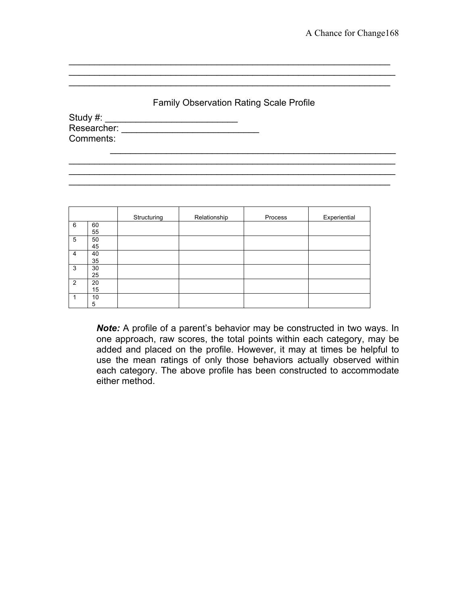### Family Observation Rating Scale Profile

\_\_\_\_\_\_\_\_\_\_\_\_\_\_\_\_\_\_\_\_\_\_\_\_\_\_\_\_\_\_\_\_\_\_\_\_\_\_\_\_\_\_\_\_\_\_\_\_\_\_\_\_\_\_\_\_\_\_\_\_\_\_\_\_

\_\_\_\_\_\_\_\_\_\_\_\_\_\_\_\_\_\_\_\_\_\_\_\_\_\_\_\_\_\_\_\_\_\_\_\_\_\_\_\_\_\_\_\_\_\_\_\_\_\_\_\_\_\_\_\_\_\_\_\_\_\_\_

 $\mathcal{L}_\text{max}$  and  $\mathcal{L}_\text{max}$  and  $\mathcal{L}_\text{max}$  and  $\mathcal{L}_\text{max}$  and  $\mathcal{L}_\text{max}$  and  $\mathcal{L}_\text{max}$ 

Study #: \_\_\_\_\_\_\_\_\_\_\_\_\_\_\_\_\_\_\_\_\_\_\_\_\_\_ Researcher: \_\_\_\_\_\_\_\_\_\_\_\_\_\_\_\_\_\_\_\_\_\_\_\_\_\_\_ Comments:  $\mathcal{L}_\text{max}$  and  $\mathcal{L}_\text{max}$  and  $\mathcal{L}_\text{max}$  and  $\mathcal{L}_\text{max}$  and  $\mathcal{L}_\text{max}$ 

|                |          | Structuring | Relationship | Process | Experiential |
|----------------|----------|-------------|--------------|---------|--------------|
| 6              | 60<br>55 |             |              |         |              |
| 5              | 50<br>45 |             |              |         |              |
| $\overline{4}$ | 40<br>35 |             |              |         |              |
| 3              | 30<br>25 |             |              |         |              |
| 2              | 20<br>15 |             |              |         |              |
| 1              | 10<br>5  |             |              |         |              |

*Note:* A profile of a parent's behavior may be constructed in two ways. In one approach, raw scores, the total points within each category, may be added and placed on the profile. However, it may at times be helpful to use the mean ratings of only those behaviors actually observed within each category. The above profile has been constructed to accommodate either method.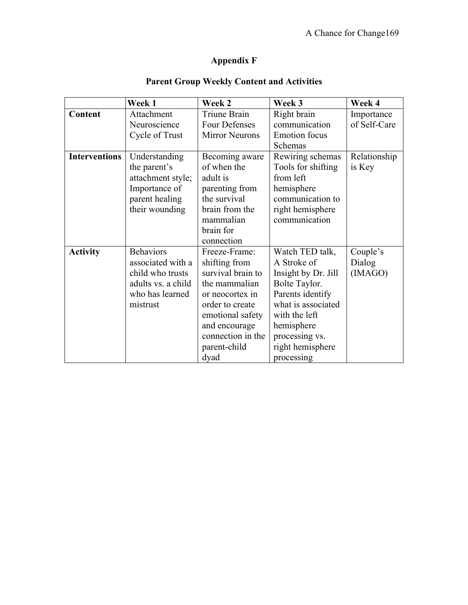# **Appendix F**

|                      | Week 1             | Week 2                | Week 3               | Week 4       |
|----------------------|--------------------|-----------------------|----------------------|--------------|
| Content              | Attachment         | Triune Brain          | Right brain          | Importance   |
|                      | Neuroscience       | <b>Four Defenses</b>  | communication        | of Self-Care |
|                      | Cycle of Trust     | <b>Mirror Neurons</b> | <b>Emotion</b> focus |              |
|                      |                    |                       | Schemas              |              |
| <b>Interventions</b> | Understanding      | Becoming aware        | Rewiring schemas     | Relationship |
|                      | the parent's       | of when the           | Tools for shifting   | is Key       |
|                      | attachment style;  | adult is              | from left            |              |
|                      | Importance of      | parenting from        | hemisphere           |              |
|                      | parent healing     | the survival          | communication to     |              |
|                      | their wounding     | brain from the        | right hemisphere     |              |
|                      |                    | mammalian             | communication        |              |
|                      |                    | brain for             |                      |              |
|                      |                    | connection            |                      |              |
| <b>Activity</b>      | <b>Behaviors</b>   | Freeze-Frame:         | Watch TED talk,      | Couple's     |
|                      | associated with a  | shifting from         | A Stroke of          | Dialog       |
|                      | child who trusts   | survival brain to     | Insight by Dr. Jill  | (IMAGO)      |
|                      | adults vs. a child | the mammalian         | Bolte Taylor.        |              |
|                      | who has learned    | or neocortex in       | Parents identify     |              |
|                      | mistrust           | order to create       | what is associated   |              |
|                      |                    | emotional safety      | with the left        |              |
|                      |                    | and encourage         | hemisphere           |              |
|                      |                    | connection in the     | processing vs.       |              |
|                      |                    | parent-child          | right hemisphere     |              |
|                      |                    | dyad                  | processing           |              |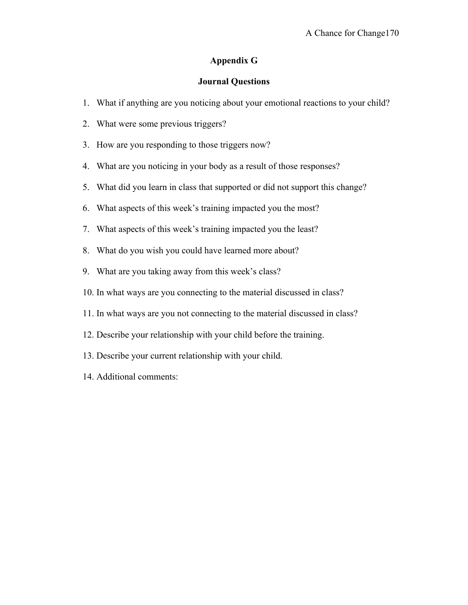#### **Appendix G**

#### **Journal Questions**

- 1. What if anything are you noticing about your emotional reactions to your child?
- 2. What were some previous triggers?
- 3. How are you responding to those triggers now?
- 4. What are you noticing in your body as a result of those responses?
- 5. What did you learn in class that supported or did not support this change?
- 6. What aspects of this week's training impacted you the most?
- 7. What aspects of this week's training impacted you the least?
- 8. What do you wish you could have learned more about?
- 9. What are you taking away from this week's class?
- 10. In what ways are you connecting to the material discussed in class?
- 11. In what ways are you not connecting to the material discussed in class?
- 12. Describe your relationship with your child before the training.
- 13. Describe your current relationship with your child.
- 14. Additional comments: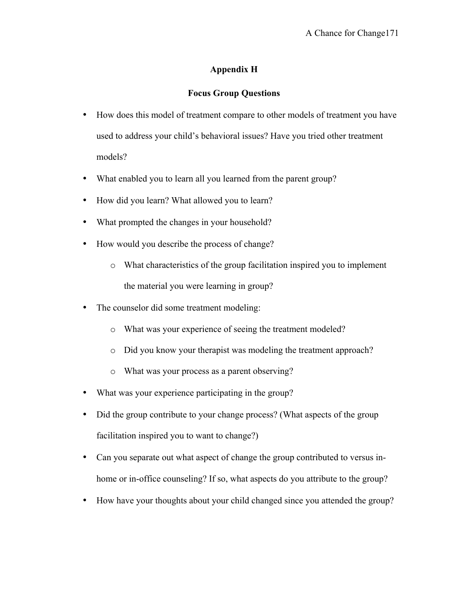# **Appendix H**

### **Focus Group Questions**

- How does this model of treatment compare to other models of treatment you have used to address your child's behavioral issues? Have you tried other treatment models?
- What enabled you to learn all you learned from the parent group?
- How did you learn? What allowed you to learn?
- What prompted the changes in your household?
- How would you describe the process of change?
	- o What characteristics of the group facilitation inspired you to implement the material you were learning in group?
- The counselor did some treatment modeling:
	- o What was your experience of seeing the treatment modeled?
	- o Did you know your therapist was modeling the treatment approach?
	- o What was your process as a parent observing?
- What was your experience participating in the group?
- Did the group contribute to your change process? (What aspects of the group facilitation inspired you to want to change?)
- Can you separate out what aspect of change the group contributed to versus inhome or in-office counseling? If so, what aspects do you attribute to the group?
- How have your thoughts about your child changed since you attended the group?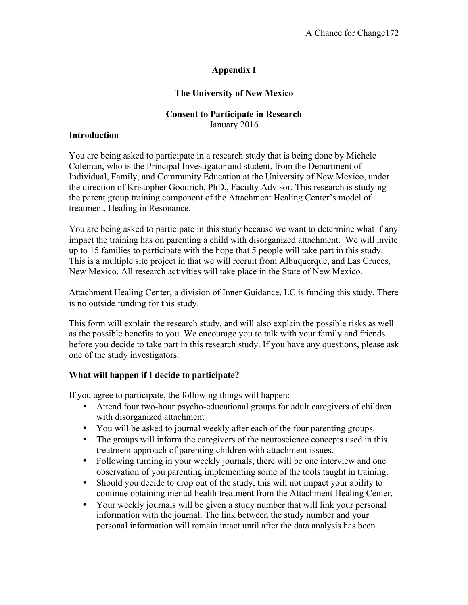# **Appendix I**

### **The University of New Mexico**

### **Consent to Participate in Research** January 2016

#### **Introduction**

You are being asked to participate in a research study that is being done by Michele Coleman, who is the Principal Investigator and student, from the Department of Individual, Family, and Community Education at the University of New Mexico, under the direction of Kristopher Goodrich, PhD., Faculty Advisor. This research is studying the parent group training component of the Attachment Healing Center's model of treatment, Healing in Resonance.

You are being asked to participate in this study because we want to determine what if any impact the training has on parenting a child with disorganized attachment. We will invite up to 15 families to participate with the hope that 5 people will take part in this study. This is a multiple site project in that we will recruit from Albuquerque, and Las Cruces, New Mexico. All research activities will take place in the State of New Mexico.

Attachment Healing Center, a division of Inner Guidance, LC is funding this study. There is no outside funding for this study.

This form will explain the research study, and will also explain the possible risks as well as the possible benefits to you. We encourage you to talk with your family and friends before you decide to take part in this research study. If you have any questions, please ask one of the study investigators.

### **What will happen if I decide to participate?**

If you agree to participate, the following things will happen:

- Attend four two-hour psycho-educational groups for adult caregivers of children with disorganized attachment
- You will be asked to journal weekly after each of the four parenting groups.
- The groups will inform the caregivers of the neuroscience concepts used in this treatment approach of parenting children with attachment issues.
- Following turning in your weekly journals, there will be one interview and one observation of you parenting implementing some of the tools taught in training.
- Should you decide to drop out of the study, this will not impact your ability to continue obtaining mental health treatment from the Attachment Healing Center.
- Your weekly journals will be given a study number that will link your personal information with the journal. The link between the study number and your personal information will remain intact until after the data analysis has been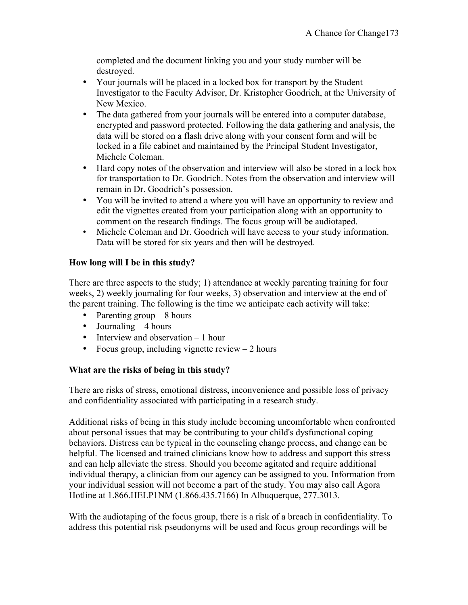completed and the document linking you and your study number will be destroyed.

- Your journals will be placed in a locked box for transport by the Student Investigator to the Faculty Advisor, Dr. Kristopher Goodrich, at the University of New Mexico.
- The data gathered from your journals will be entered into a computer database, encrypted and password protected. Following the data gathering and analysis, the data will be stored on a flash drive along with your consent form and will be locked in a file cabinet and maintained by the Principal Student Investigator, Michele Coleman.
- Hard copy notes of the observation and interview will also be stored in a lock box for transportation to Dr. Goodrich. Notes from the observation and interview will remain in Dr. Goodrich's possession.
- You will be invited to attend a where you will have an opportunity to review and edit the vignettes created from your participation along with an opportunity to comment on the research findings. The focus group will be audiotaped.
- Michele Coleman and Dr. Goodrich will have access to your study information. Data will be stored for six years and then will be destroyed.

# **How long will I be in this study?**

There are three aspects to the study; 1) attendance at weekly parenting training for four weeks, 2) weekly journaling for four weeks, 3) observation and interview at the end of the parent training. The following is the time we anticipate each activity will take:

- Parenting group  $-8$  hours
- Journaling  $-4$  hours
- Interview and observation 1 hour
- Focus group, including vignette review  $-2$  hours

### **What are the risks of being in this study?**

There are risks of stress, emotional distress, inconvenience and possible loss of privacy and confidentiality associated with participating in a research study.

Additional risks of being in this study include becoming uncomfortable when confronted about personal issues that may be contributing to your child's dysfunctional coping behaviors. Distress can be typical in the counseling change process, and change can be helpful. The licensed and trained clinicians know how to address and support this stress and can help alleviate the stress. Should you become agitated and require additional individual therapy, a clinician from our agency can be assigned to you. Information from your individual session will not become a part of the study. You may also call Agora Hotline at 1.866.HELP1NM (1.866.435.7166) In Albuquerque, 277.3013.

With the audiotaping of the focus group, there is a risk of a breach in confidentiality. To address this potential risk pseudonyms will be used and focus group recordings will be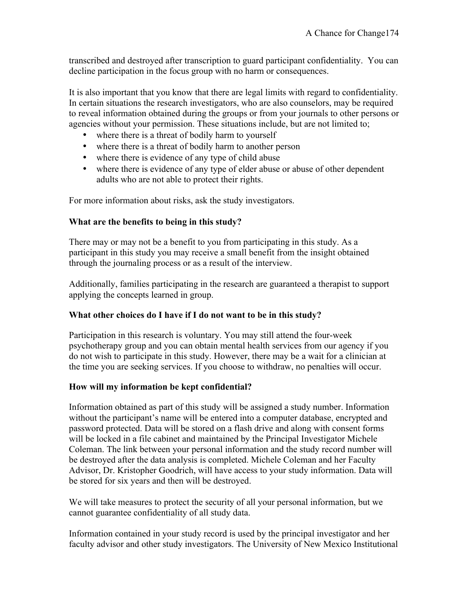transcribed and destroyed after transcription to guard participant confidentiality. You can decline participation in the focus group with no harm or consequences.

It is also important that you know that there are legal limits with regard to confidentiality. In certain situations the research investigators, who are also counselors, may be required to reveal information obtained during the groups or from your journals to other persons or agencies without your permission. These situations include, but are not limited to;

- where there is a threat of bodily harm to yourself
- where there is a threat of bodily harm to another person
- where there is evidence of any type of child abuse
- where there is evidence of any type of elder abuse or abuse of other dependent adults who are not able to protect their rights.

For more information about risks, ask the study investigators.

### **What are the benefits to being in this study?**

There may or may not be a benefit to you from participating in this study. As a participant in this study you may receive a small benefit from the insight obtained through the journaling process or as a result of the interview.

Additionally, families participating in the research are guaranteed a therapist to support applying the concepts learned in group.

### **What other choices do I have if I do not want to be in this study?**

Participation in this research is voluntary. You may still attend the four-week psychotherapy group and you can obtain mental health services from our agency if you do not wish to participate in this study. However, there may be a wait for a clinician at the time you are seeking services. If you choose to withdraw, no penalties will occur.

### **How will my information be kept confidential?**

Information obtained as part of this study will be assigned a study number. Information without the participant's name will be entered into a computer database, encrypted and password protected. Data will be stored on a flash drive and along with consent forms will be locked in a file cabinet and maintained by the Principal Investigator Michele Coleman. The link between your personal information and the study record number will be destroyed after the data analysis is completed. Michele Coleman and her Faculty Advisor, Dr. Kristopher Goodrich, will have access to your study information. Data will be stored for six years and then will be destroyed.

We will take measures to protect the security of all your personal information, but we cannot guarantee confidentiality of all study data.

Information contained in your study record is used by the principal investigator and her faculty advisor and other study investigators. The University of New Mexico Institutional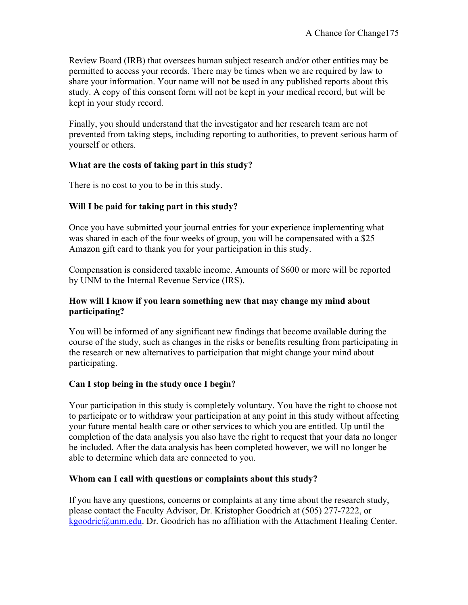Review Board (IRB) that oversees human subject research and/or other entities may be permitted to access your records. There may be times when we are required by law to share your information. Your name will not be used in any published reports about this study. A copy of this consent form will not be kept in your medical record, but will be kept in your study record.

Finally, you should understand that the investigator and her research team are not prevented from taking steps, including reporting to authorities, to prevent serious harm of yourself or others.

### **What are the costs of taking part in this study?**

There is no cost to you to be in this study.

### **Will I be paid for taking part in this study?**

Once you have submitted your journal entries for your experience implementing what was shared in each of the four weeks of group, you will be compensated with a \$25 Amazon gift card to thank you for your participation in this study.

Compensation is considered taxable income. Amounts of \$600 or more will be reported by UNM to the Internal Revenue Service (IRS).

### **How will I know if you learn something new that may change my mind about participating?**

You will be informed of any significant new findings that become available during the course of the study, such as changes in the risks or benefits resulting from participating in the research or new alternatives to participation that might change your mind about participating.

### **Can I stop being in the study once I begin?**

Your participation in this study is completely voluntary. You have the right to choose not to participate or to withdraw your participation at any point in this study without affecting your future mental health care or other services to which you are entitled. Up until the completion of the data analysis you also have the right to request that your data no longer be included. After the data analysis has been completed however, we will no longer be able to determine which data are connected to you.

### **Whom can I call with questions or complaints about this study?**

If you have any questions, concerns or complaints at any time about the research study, please contact the Faculty Advisor, Dr. Kristopher Goodrich at (505) 277-7222, or kgoodric@unm.edu. Dr. Goodrich has no affiliation with the Attachment Healing Center.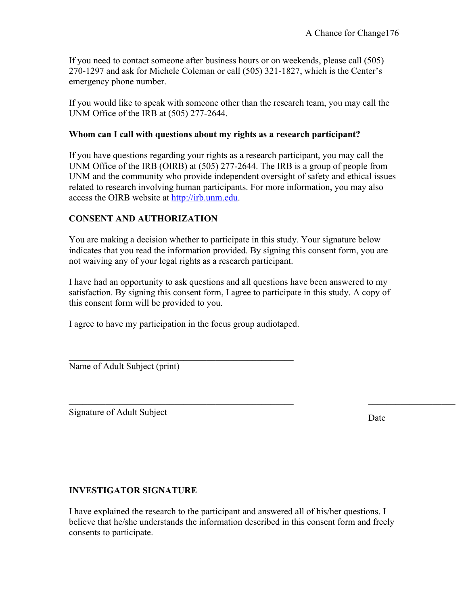If you need to contact someone after business hours or on weekends, please call (505) 270-1297 and ask for Michele Coleman or call (505) 321-1827, which is the Center's emergency phone number.

If you would like to speak with someone other than the research team, you may call the UNM Office of the IRB at (505) 277-2644.

### **Whom can I call with questions about my rights as a research participant?**

If you have questions regarding your rights as a research participant, you may call the UNM Office of the IRB (OIRB) at (505) 277-2644. The IRB is a group of people from UNM and the community who provide independent oversight of safety and ethical issues related to research involving human participants. For more information, you may also access the OIRB website at http://irb.unm.edu.

### **CONSENT AND AUTHORIZATION**

You are making a decision whether to participate in this study. Your signature below indicates that you read the information provided. By signing this consent form, you are not waiving any of your legal rights as a research participant.

I have had an opportunity to ask questions and all questions have been answered to my satisfaction. By signing this consent form, I agree to participate in this study. A copy of this consent form will be provided to you.

 $\_$  , and the contribution of the contribution of  $\mathcal{L}_\mathcal{A}$  , and the contribution of  $\mathcal{L}_\mathcal{A}$  , and the contribution of  $\mathcal{L}_\mathcal{A}$ 

I agree to have my participation in the focus group audiotaped.

 $\mathcal{L}_\text{max}$  , and the set of the set of the set of the set of the set of the set of the set of the set of the set of the set of the set of the set of the set of the set of the set of the set of the set of the set of the

Name of Adult Subject (print)

Signature of Adult Subject Date

### **INVESTIGATOR SIGNATURE**

I have explained the research to the participant and answered all of his/her questions. I believe that he/she understands the information described in this consent form and freely consents to participate.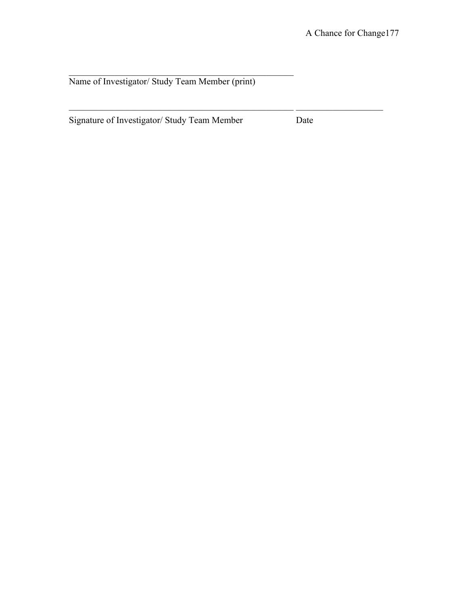Name of Investigator/ Study Team Member (print)

 $\mathcal{L}_\text{max}$  and the contract of the contract of the contract of the contract of the contract of the contract of the contract of the contract of the contract of the contract of the contract of the contract of the contrac

Signature of Investigator/ Study Team Member Date

 $\mathcal{L}_\text{max} = \mathcal{L}_\text{max} = \mathcal{L}_\text{max} = \mathcal{L}_\text{max} = \mathcal{L}_\text{max} = \mathcal{L}_\text{max} = \mathcal{L}_\text{max} = \mathcal{L}_\text{max} = \mathcal{L}_\text{max} = \mathcal{L}_\text{max} = \mathcal{L}_\text{max} = \mathcal{L}_\text{max} = \mathcal{L}_\text{max} = \mathcal{L}_\text{max} = \mathcal{L}_\text{max} = \mathcal{L}_\text{max} = \mathcal{L}_\text{max} = \mathcal{L}_\text{max} = \mathcal{$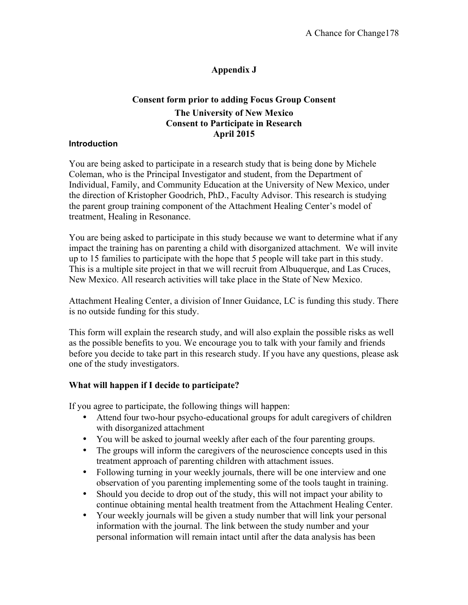# **Appendix J**

### **Consent form prior to adding Focus Group Consent The University of New Mexico Consent to Participate in Research April 2015**

#### **Introduction**

You are being asked to participate in a research study that is being done by Michele Coleman, who is the Principal Investigator and student, from the Department of Individual, Family, and Community Education at the University of New Mexico, under the direction of Kristopher Goodrich, PhD., Faculty Advisor. This research is studying the parent group training component of the Attachment Healing Center's model of treatment, Healing in Resonance.

You are being asked to participate in this study because we want to determine what if any impact the training has on parenting a child with disorganized attachment. We will invite up to 15 families to participate with the hope that 5 people will take part in this study. This is a multiple site project in that we will recruit from Albuquerque, and Las Cruces, New Mexico. All research activities will take place in the State of New Mexico.

Attachment Healing Center, a division of Inner Guidance, LC is funding this study. There is no outside funding for this study.

This form will explain the research study, and will also explain the possible risks as well as the possible benefits to you. We encourage you to talk with your family and friends before you decide to take part in this research study. If you have any questions, please ask one of the study investigators.

### **What will happen if I decide to participate?**

If you agree to participate, the following things will happen:

- Attend four two-hour psycho-educational groups for adult caregivers of children with disorganized attachment
- You will be asked to journal weekly after each of the four parenting groups.
- The groups will inform the caregivers of the neuroscience concepts used in this treatment approach of parenting children with attachment issues.
- Following turning in your weekly journals, there will be one interview and one observation of you parenting implementing some of the tools taught in training.
- Should you decide to drop out of the study, this will not impact your ability to continue obtaining mental health treatment from the Attachment Healing Center.
- Your weekly journals will be given a study number that will link your personal information with the journal. The link between the study number and your personal information will remain intact until after the data analysis has been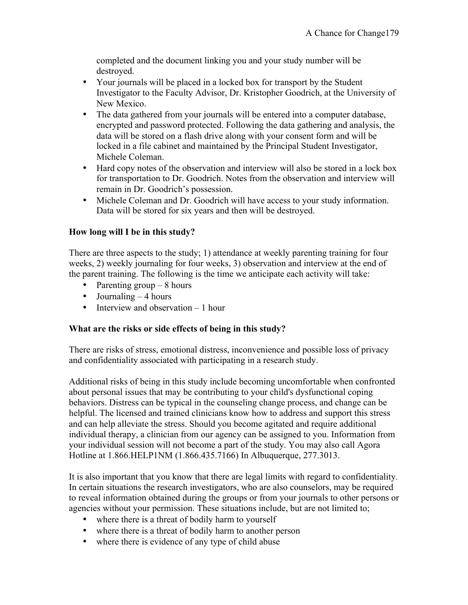completed and the document linking you and your study number will be destroyed.

- Your journals will be placed in a locked box for transport by the Student Investigator to the Faculty Advisor, Dr. Kristopher Goodrich, at the University of New Mexico.
- The data gathered from your journals will be entered into a computer database, encrypted and password protected. Following the data gathering and analysis, the data will be stored on a flash drive along with your consent form and will be locked in a file cabinet and maintained by the Principal Student Investigator, Michele Coleman.
- Hard copy notes of the observation and interview will also be stored in a lock box for transportation to Dr. Goodrich. Notes from the observation and interview will remain in Dr. Goodrich's possession.
- Michele Coleman and Dr. Goodrich will have access to your study information. Data will be stored for six years and then will be destroyed.

### **How long will I be in this study?**

There are three aspects to the study; 1) attendance at weekly parenting training for four weeks, 2) weekly journaling for four weeks, 3) observation and interview at the end of the parent training. The following is the time we anticipate each activity will take:

- Parenting group  $-8$  hours
- Journaling  $-4$  hours
- Interview and observation 1 hour

### **What are the risks or side effects of being in this study?**

There are risks of stress, emotional distress, inconvenience and possible loss of privacy and confidentiality associated with participating in a research study.

Additional risks of being in this study include becoming uncomfortable when confronted about personal issues that may be contributing to your child's dysfunctional coping behaviors. Distress can be typical in the counseling change process, and change can be helpful. The licensed and trained clinicians know how to address and support this stress and can help alleviate the stress. Should you become agitated and require additional individual therapy, a clinician from our agency can be assigned to you. Information from your individual session will not become a part of the study. You may also call Agora Hotline at 1.866.HELP1NM (1.866.435.7166) In Albuquerque, 277.3013.

It is also important that you know that there are legal limits with regard to confidentiality. In certain situations the research investigators, who are also counselors, may be required to reveal information obtained during the groups or from your journals to other persons or agencies without your permission. These situations include, but are not limited to;

- where there is a threat of bodily harm to yourself
- where there is a threat of bodily harm to another person
- where there is evidence of any type of child abuse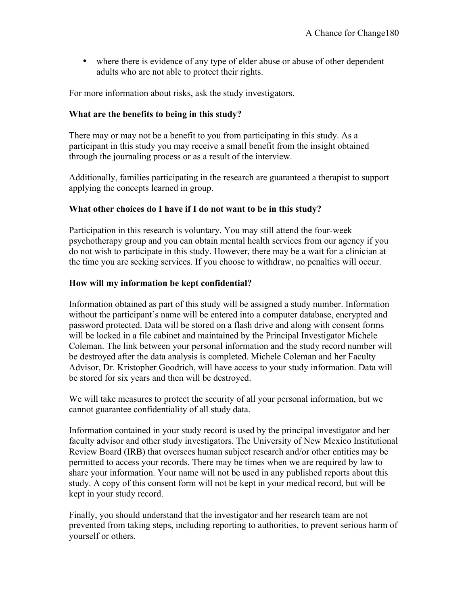• where there is evidence of any type of elder abuse or abuse of other dependent adults who are not able to protect their rights.

For more information about risks, ask the study investigators.

### **What are the benefits to being in this study?**

There may or may not be a benefit to you from participating in this study. As a participant in this study you may receive a small benefit from the insight obtained through the journaling process or as a result of the interview.

Additionally, families participating in the research are guaranteed a therapist to support applying the concepts learned in group.

#### **What other choices do I have if I do not want to be in this study?**

Participation in this research is voluntary. You may still attend the four-week psychotherapy group and you can obtain mental health services from our agency if you do not wish to participate in this study. However, there may be a wait for a clinician at the time you are seeking services. If you choose to withdraw, no penalties will occur.

#### **How will my information be kept confidential?**

Information obtained as part of this study will be assigned a study number. Information without the participant's name will be entered into a computer database, encrypted and password protected. Data will be stored on a flash drive and along with consent forms will be locked in a file cabinet and maintained by the Principal Investigator Michele Coleman. The link between your personal information and the study record number will be destroyed after the data analysis is completed. Michele Coleman and her Faculty Advisor, Dr. Kristopher Goodrich, will have access to your study information. Data will be stored for six years and then will be destroyed.

We will take measures to protect the security of all your personal information, but we cannot guarantee confidentiality of all study data.

Information contained in your study record is used by the principal investigator and her faculty advisor and other study investigators. The University of New Mexico Institutional Review Board (IRB) that oversees human subject research and/or other entities may be permitted to access your records. There may be times when we are required by law to share your information. Your name will not be used in any published reports about this study. A copy of this consent form will not be kept in your medical record, but will be kept in your study record.

Finally, you should understand that the investigator and her research team are not prevented from taking steps, including reporting to authorities, to prevent serious harm of yourself or others.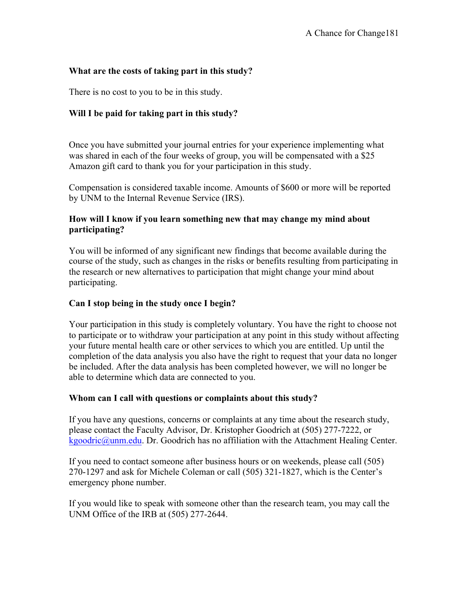### **What are the costs of taking part in this study?**

There is no cost to you to be in this study.

### **Will I be paid for taking part in this study?**

Once you have submitted your journal entries for your experience implementing what was shared in each of the four weeks of group, you will be compensated with a \$25 Amazon gift card to thank you for your participation in this study.

Compensation is considered taxable income. Amounts of \$600 or more will be reported by UNM to the Internal Revenue Service (IRS).

#### **How will I know if you learn something new that may change my mind about participating?**

You will be informed of any significant new findings that become available during the course of the study, such as changes in the risks or benefits resulting from participating in the research or new alternatives to participation that might change your mind about participating.

#### **Can I stop being in the study once I begin?**

Your participation in this study is completely voluntary. You have the right to choose not to participate or to withdraw your participation at any point in this study without affecting your future mental health care or other services to which you are entitled. Up until the completion of the data analysis you also have the right to request that your data no longer be included. After the data analysis has been completed however, we will no longer be able to determine which data are connected to you.

#### **Whom can I call with questions or complaints about this study?**

If you have any questions, concerns or complaints at any time about the research study, please contact the Faculty Advisor, Dr. Kristopher Goodrich at (505) 277-7222, or kgoodric@unm.edu. Dr. Goodrich has no affiliation with the Attachment Healing Center.

If you need to contact someone after business hours or on weekends, please call (505) 270-1297 and ask for Michele Coleman or call (505) 321-1827, which is the Center's emergency phone number.

If you would like to speak with someone other than the research team, you may call the UNM Office of the IRB at (505) 277-2644.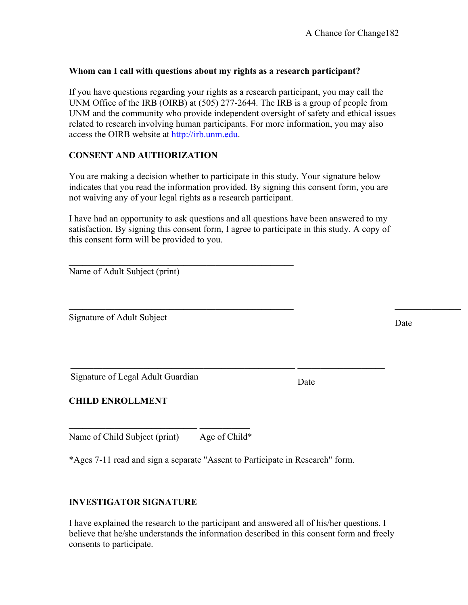#### **Whom can I call with questions about my rights as a research participant?**

If you have questions regarding your rights as a research participant, you may call the UNM Office of the IRB (OIRB) at (505) 277-2644. The IRB is a group of people from UNM and the community who provide independent oversight of safety and ethical issues related to research involving human participants. For more information, you may also access the OIRB website at http://irb.unm.edu.

### **CONSENT AND AUTHORIZATION**

You are making a decision whether to participate in this study. Your signature below indicates that you read the information provided. By signing this consent form, you are not waiving any of your legal rights as a research participant.

I have had an opportunity to ask questions and all questions have been answered to my satisfaction. By signing this consent form, I agree to participate in this study. A copy of this consent form will be provided to you.

 $\mathcal{L}_\text{max} = \mathcal{L}_\text{max} = \mathcal{L}_\text{max} = \mathcal{L}_\text{max} = \mathcal{L}_\text{max} = \mathcal{L}_\text{max} = \mathcal{L}_\text{max} = \mathcal{L}_\text{max} = \mathcal{L}_\text{max} = \mathcal{L}_\text{max} = \mathcal{L}_\text{max} = \mathcal{L}_\text{max} = \mathcal{L}_\text{max} = \mathcal{L}_\text{max} = \mathcal{L}_\text{max} = \mathcal{L}_\text{max} = \mathcal{L}_\text{max} = \mathcal{L}_\text{max} = \mathcal{$ 

 $\mathcal{L}_\text{max} = \frac{1}{2} \sum_{i=1}^n \mathcal{L}_\text{max}(\mathbf{z}_i - \mathbf{z}_i)$ 

 $\mathcal{L}_\text{max}$  , and the set of the set of the set of the set of the set of the set of the set of the set of the set of the set of the set of the set of the set of the set of the set of the set of the set of the set of the

Signature of Adult Subject Date

Signature of Legal Adult Guardian Date

### **CHILD ENROLLMENT**

 $\mathcal{L}_\text{max}$ Name of Child Subject (print) Age of Child\*

\*Ages 7-11 read and sign a separate "Assent to Participate in Research" form.

### **INVESTIGATOR SIGNATURE**

I have explained the research to the participant and answered all of his/her questions. I believe that he/she understands the information described in this consent form and freely consents to participate.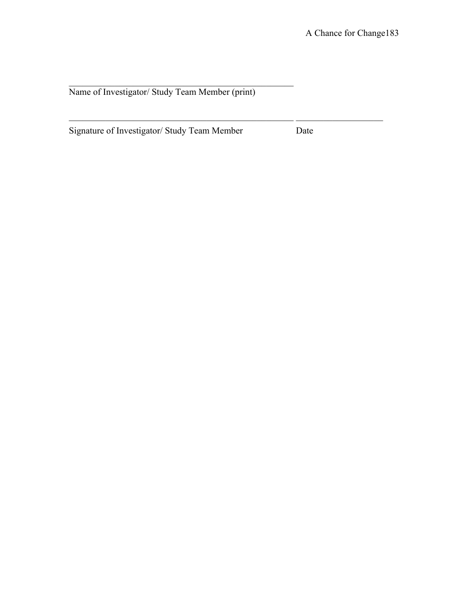Name of Investigator/ Study Team Member (print)

Signature of Investigator/ Study Team Member Date

 $\mathcal{L}_\text{max} = \mathcal{L}_\text{max} = \mathcal{L}_\text{max} = \mathcal{L}_\text{max} = \mathcal{L}_\text{max} = \mathcal{L}_\text{max} = \mathcal{L}_\text{max} = \mathcal{L}_\text{max} = \mathcal{L}_\text{max} = \mathcal{L}_\text{max} = \mathcal{L}_\text{max} = \mathcal{L}_\text{max} = \mathcal{L}_\text{max} = \mathcal{L}_\text{max} = \mathcal{L}_\text{max} = \mathcal{L}_\text{max} = \mathcal{L}_\text{max} = \mathcal{L}_\text{max} = \mathcal{$ 

 $\mathcal{L}_\text{max}$  and the contract of the contract of the contract of the contract of the contract of the contract of the contract of the contract of the contract of the contract of the contract of the contract of the contrac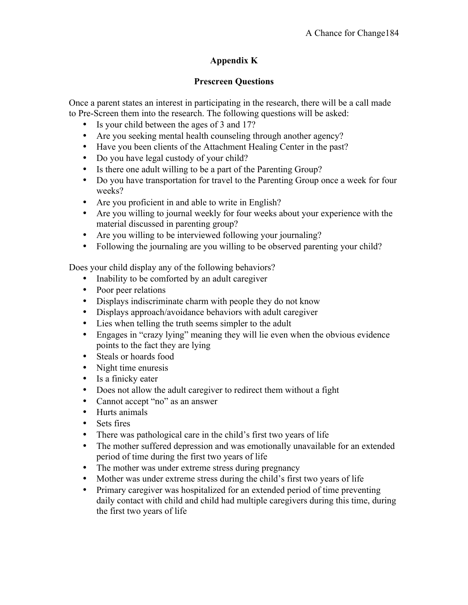# **Appendix K**

### **Prescreen Questions**

Once a parent states an interest in participating in the research, there will be a call made to Pre-Screen them into the research. The following questions will be asked:

- Is your child between the ages of 3 and 17?
- Are you seeking mental health counseling through another agency?
- Have you been clients of the Attachment Healing Center in the past?
- Do you have legal custody of your child?
- Is there one adult willing to be a part of the Parenting Group?
- Do you have transportation for travel to the Parenting Group once a week for four weeks?
- Are you proficient in and able to write in English?
- Are you willing to journal weekly for four weeks about your experience with the material discussed in parenting group?
- Are you willing to be interviewed following your journaling?
- Following the journaling are you willing to be observed parenting your child?

Does your child display any of the following behaviors?

- Inability to be comforted by an adult caregiver
- Poor peer relations
- Displays indiscriminate charm with people they do not know
- Displays approach/avoidance behaviors with adult caregiver
- Lies when telling the truth seems simpler to the adult
- Engages in "crazy lying" meaning they will lie even when the obvious evidence points to the fact they are lying
- Steals or hoards food
- Night time enuresis
- Is a finicky eater
- Does not allow the adult caregiver to redirect them without a fight
- Cannot accept "no" as an answer
- Hurts animals
- Sets fires
- There was pathological care in the child's first two years of life
- The mother suffered depression and was emotionally unavailable for an extended period of time during the first two years of life
- The mother was under extreme stress during pregnancy
- Mother was under extreme stress during the child's first two years of life
- Primary caregiver was hospitalized for an extended period of time preventing daily contact with child and child had multiple caregivers during this time, during the first two years of life